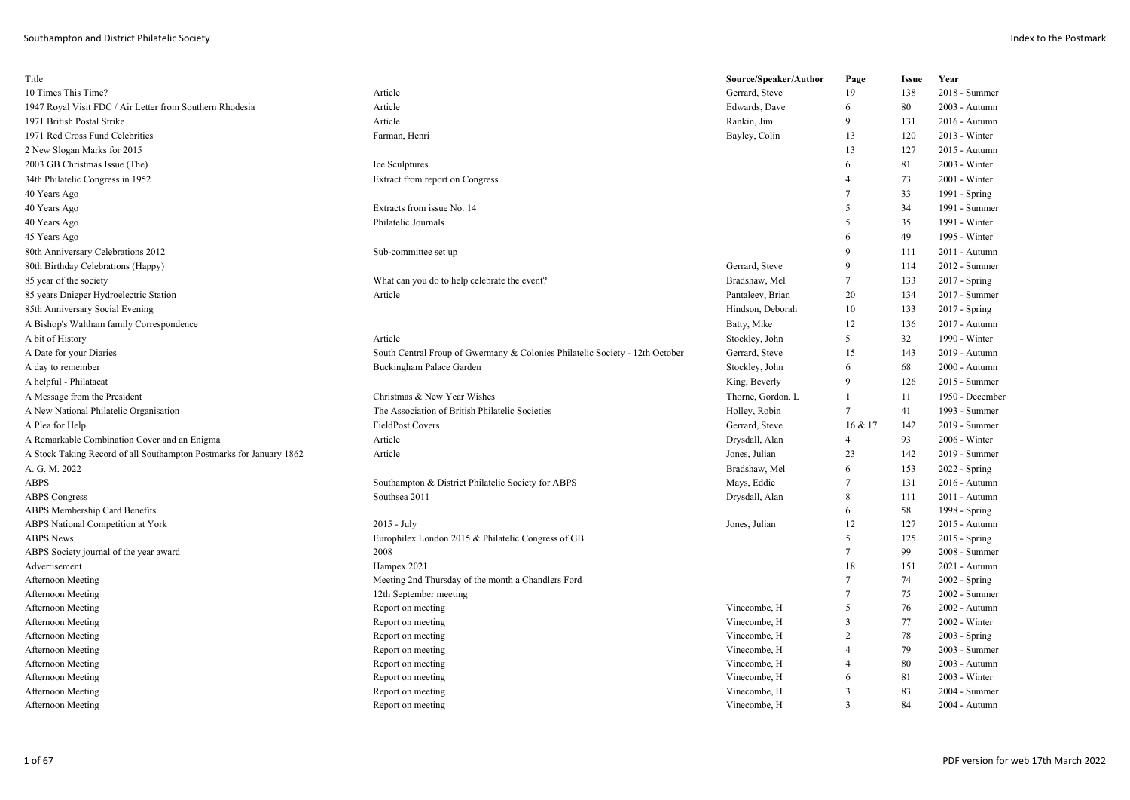| Title                                                               |                                                                              | Source/Speaker/Author | Page           | <b>Issue</b> | Year            |
|---------------------------------------------------------------------|------------------------------------------------------------------------------|-----------------------|----------------|--------------|-----------------|
| 10 Times This Time?                                                 | Article                                                                      | Gerrard, Steve        | 19             | 138          | 2018 - Summer   |
| 1947 Royal Visit FDC / Air Letter from Southern Rhodesia            | Article                                                                      | Edwards, Dave         | 6              | 80           | 2003 - Autumn   |
| 1971 British Postal Strike                                          | Article                                                                      | Rankin, Jim           | 9              | 131          | 2016 - Autumn   |
| 1971 Red Cross Fund Celebrities                                     | Farman, Henri                                                                | Bayley, Colin         | 13             | 120          | 2013 - Winter   |
| 2 New Slogan Marks for 2015                                         |                                                                              |                       | 13             | 127          | 2015 - Autumn   |
| 2003 GB Christmas Issue (The)                                       | Ice Sculptures                                                               |                       | 6              | 81           | 2003 - Winter   |
| 34th Philatelic Congress in 1952                                    | Extract from report on Congress                                              |                       | 4              | 73           | 2001 - Winter   |
| 40 Years Ago                                                        |                                                                              |                       | 7              | 33           | 1991 - Spring   |
| 40 Years Ago                                                        | Extracts from issue No. 14                                                   |                       | 5              | 34           | 1991 - Summer   |
| 40 Years Ago                                                        | Philatelic Journals                                                          |                       | 5              | 35           | 1991 - Winter   |
| 45 Years Ago                                                        |                                                                              |                       | 6              | 49           | 1995 - Winter   |
| 80th Anniversary Celebrations 2012                                  | Sub-committee set up                                                         |                       | 9              | 111          | 2011 - Autumn   |
| 80th Birthday Celebrations (Happy)                                  |                                                                              | Gerrard, Steve        | 9              | 114          | 2012 - Summer   |
| 85 year of the society                                              | What can you do to help celebrate the event?                                 | Bradshaw, Mel         | 7              | 133          | 2017 - Spring   |
| 85 years Dnieper Hydroelectric Station                              | Article                                                                      | Pantaleev, Brian      | 20             | 134          | 2017 - Summer   |
| 85th Anniversary Social Evening                                     |                                                                              | Hindson, Deborah      | 10             | 133          | $2017 - Spring$ |
| A Bishop's Waltham family Correspondence                            |                                                                              | Batty, Mike           | 12             | 136          | 2017 - Autumn   |
| A bit of History                                                    | Article                                                                      | Stockley, John        | 5              | 32           | 1990 - Winter   |
| A Date for your Diaries                                             | South Central Froup of Gwermany & Colonies Philatelic Society - 12th October | Gerrard, Steve        | 15             | 143          | 2019 - Autumn   |
| A day to remember                                                   | Buckingham Palace Garden                                                     | Stockley, John        | 6              | 68           | 2000 - Autumn   |
| A helpful - Philatacat                                              |                                                                              | King, Beverly         | 9              | 126          | 2015 - Summer   |
| A Message from the President                                        | Christmas & New Year Wishes                                                  | Thorne, Gordon. L     | 1              | 11           | 1950 - December |
| A New National Philatelic Organisation                              | The Association of British Philatelic Societies                              | Holley, Robin         | 7              | 41           | 1993 - Summer   |
| A Plea for Help                                                     | <b>FieldPost Covers</b>                                                      | Gerrard, Steve        | 16 & 17        | 142          | 2019 - Summer   |
| A Remarkable Combination Cover and an Enigma                        | Article                                                                      | Drysdall, Alan        | $\overline{4}$ | 93           | 2006 - Winter   |
| A Stock Taking Record of all Southampton Postmarks for January 1862 | Article                                                                      | Jones, Julian         | 23             | 142          | 2019 - Summer   |
| A. G. M. 2022                                                       |                                                                              | Bradshaw, Mel         | 6              | 153          | 2022 - Spring   |
| ABPS                                                                | Southampton & District Philatelic Society for ABPS                           | Mays, Eddie           | 7              | 131          | 2016 - Autumn   |
| <b>ABPS Congress</b>                                                | Southsea 2011                                                                | Drysdall, Alan        | 8              | 111          | 2011 - Autumn   |
| <b>ABPS Membership Card Benefits</b>                                |                                                                              |                       | 6              | 58           | 1998 - Spring   |
| <b>ABPS National Competition at York</b>                            | $2015 - July$                                                                | Jones, Julian         | 12             | 127          | 2015 - Autumn   |
| <b>ABPS News</b>                                                    | Europhilex London 2015 & Philatelic Congress of GB                           |                       | 5              | 125          | $2015 - Spring$ |
| ABPS Society journal of the year award                              | 2008                                                                         |                       | 7              | 99           | 2008 - Summer   |
| Advertisement                                                       | Hampex 2021                                                                  |                       | 18             | 151          | 2021 - Autumn   |
| Afternoon Meeting                                                   | Meeting 2nd Thursday of the month a Chandlers Ford                           |                       | $\overline{7}$ | 74           | $2002 - Spring$ |
| Afternoon Meeting                                                   | 12th September meeting                                                       |                       | 7              | 75           | 2002 - Summer   |
| Afternoon Meeting                                                   | Report on meeting                                                            | Vinecombe, H          | 5              | 76           | 2002 - Autumn   |
| Afternoon Meeting                                                   | Report on meeting                                                            | Vinecombe, H          | 3              | 77           | 2002 - Winter   |
| Afternoon Meeting                                                   | Report on meeting                                                            | Vinecombe, H          | 2              | 78           | $2003 - Spring$ |
| Afternoon Meeting                                                   | Report on meeting                                                            | Vinecombe, H          | 4              | 79           | 2003 - Summer   |
| Afternoon Meeting                                                   | Report on meeting                                                            | Vinecombe, H          | 4              | 80           | 2003 - Autumn   |
| Afternoon Meeting                                                   | Report on meeting                                                            | Vinecombe, H          | 6              | 81           | 2003 - Winter   |
| Afternoon Meeting                                                   | Report on meeting                                                            | Vinecombe, H          | 3              | 83           | 2004 - Summer   |
| Afternoon Meeting                                                   | Report on meeting                                                            | Vinecombe, H          | $\mathcal{R}$  | 84           | 2004 - Autumn   |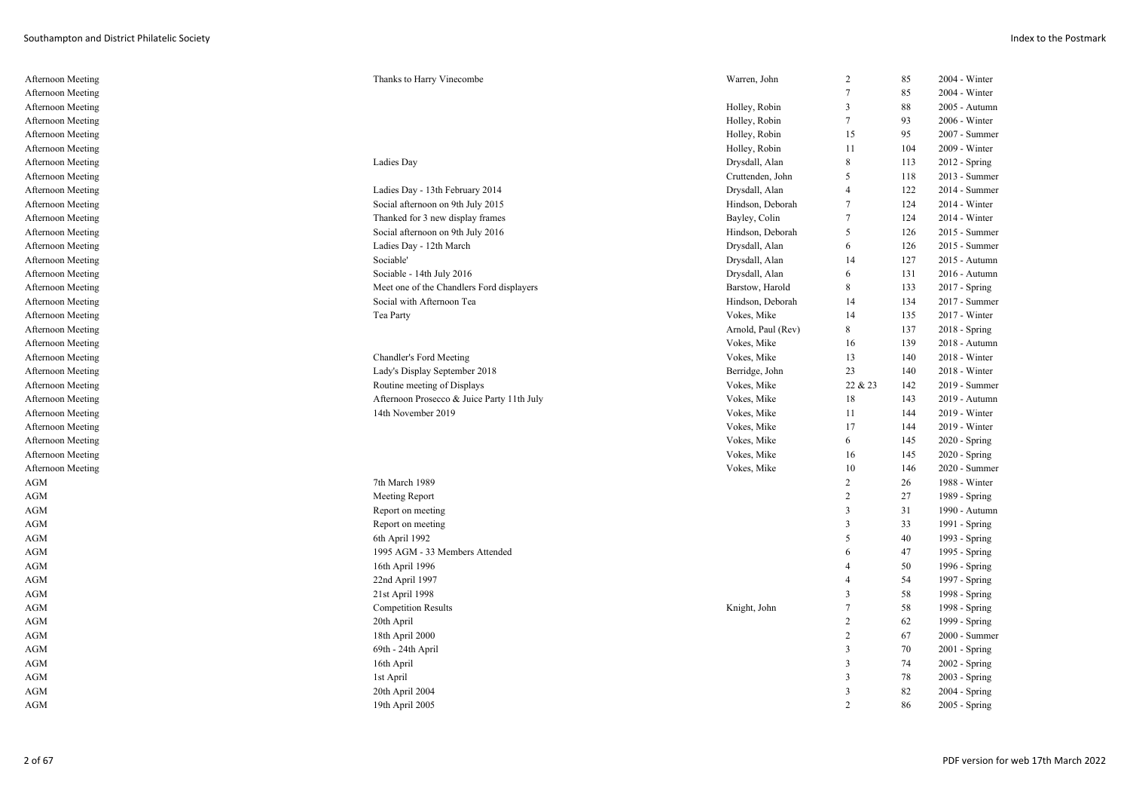| Afternoon Meeting | Thanks to Harry Vinecombe                  | Warren, John       | $\overline{c}$          | 85  | 2004 - Winter   |
|-------------------|--------------------------------------------|--------------------|-------------------------|-----|-----------------|
| Afternoon Meeting |                                            |                    | $\overline{7}$          | 85  | 2004 - Winter   |
| Afternoon Meeting |                                            | Holley, Robin      | $\overline{\mathbf{3}}$ | 88  | 2005 - Autumn   |
| Afternoon Meeting |                                            | Holley, Robin      | 7                       | 93  | 2006 - Winter   |
| Afternoon Meeting |                                            | Holley, Robin      | 15                      | 95  | 2007 - Summer   |
| Afternoon Meeting |                                            | Holley, Robin      | 11                      | 104 | 2009 - Winter   |
| Afternoon Meeting | Ladies Day                                 | Drysdall, Alan     | 8                       | 113 | 2012 - Spring   |
| Afternoon Meeting |                                            | Cruttenden, John   | 5                       | 118 | 2013 - Summer   |
| Afternoon Meeting | Ladies Day - 13th February 2014            | Drysdall, Alan     | 4                       | 122 | 2014 - Summer   |
| Afternoon Meeting | Social afternoon on 9th July 2015          | Hindson, Deborah   | $\tau$                  | 124 | 2014 - Winter   |
| Afternoon Meeting | Thanked for 3 new display frames           | Bayley, Colin      | 7                       | 124 | 2014 - Winter   |
| Afternoon Meeting | Social afternoon on 9th July 2016          | Hindson, Deborah   | 5                       | 126 | 2015 - Summer   |
| Afternoon Meeting | Ladies Day - 12th March                    | Drysdall, Alan     | 6                       | 126 | 2015 - Summer   |
| Afternoon Meeting | Sociable'                                  | Drysdall, Alan     | 14                      | 127 | 2015 - Autumn   |
| Afternoon Meeting | Sociable - 14th July 2016                  | Drysdall, Alan     | 6                       | 131 | 2016 - Autumn   |
| Afternoon Meeting | Meet one of the Chandlers Ford displayers  | Barstow, Harold    | 8                       | 133 | $2017 - Spring$ |
| Afternoon Meeting | Social with Afternoon Tea                  | Hindson, Deborah   | 14                      | 134 | 2017 - Summer   |
| Afternoon Meeting | Tea Party                                  | Vokes, Mike        | 14                      | 135 | 2017 - Winter   |
| Afternoon Meeting |                                            | Arnold, Paul (Rev) | 8                       | 137 | 2018 - Spring   |
| Afternoon Meeting |                                            | Vokes, Mike        | 16                      | 139 | 2018 - Autumn   |
| Afternoon Meeting | Chandler's Ford Meeting                    | Vokes, Mike        | 13                      | 140 | 2018 - Winter   |
| Afternoon Meeting | Lady's Display September 2018              | Berridge, John     | 23                      | 140 | 2018 - Winter   |
| Afternoon Meeting | Routine meeting of Displays                | Vokes, Mike        | 22 & 23                 | 142 | 2019 - Summer   |
| Afternoon Meeting | Afternoon Prosecco & Juice Party 11th July | Vokes, Mike        | 18                      | 143 | 2019 - Autumn   |
|                   |                                            |                    |                         |     |                 |
| Afternoon Meeting | 14th November 2019                         | Vokes, Mike        | 11                      | 144 | 2019 - Winter   |
| Afternoon Meeting |                                            | Vokes, Mike        | 17                      | 144 | 2019 - Winter   |
| Afternoon Meeting |                                            | Vokes, Mike        | 6                       | 145 | 2020 - Spring   |
| Afternoon Meeting |                                            | Vokes, Mike        | 16                      | 145 | 2020 - Spring   |
| Afternoon Meeting |                                            | Vokes, Mike        | 10                      | 146 | 2020 - Summer   |
| <b>AGM</b>        | 7th March 1989                             |                    | $\overline{c}$          | 26  | 1988 - Winter   |
| <b>AGM</b>        | Meeting Report                             |                    | $\overline{2}$          | 27  | 1989 - Spring   |
| <b>AGM</b>        | Report on meeting                          |                    | 3                       | 31  | 1990 - Autumn   |
| <b>AGM</b>        | Report on meeting                          |                    | 3                       | 33  | 1991 - Spring   |
| <b>AGM</b>        | 6th April 1992                             |                    | 5                       | 40  | 1993 - Spring   |
| <b>AGM</b>        | 1995 AGM - 33 Members Attended             |                    | 6                       | 47  | 1995 - Spring   |
| <b>AGM</b>        | 16th April 1996                            |                    | 4                       | 50  | 1996 - Spring   |
| AGM               | 22nd April 1997                            |                    | $\overline{4}$          | 54  | 1997 - Spring   |
| <b>AGM</b>        | 21st April 1998                            |                    | $\overline{3}$          | 58  | 1998 - Spring   |
| <b>AGM</b>        | <b>Competition Results</b>                 | Knight, John       | 7                       | 58  | 1998 - Spring   |
| <b>AGM</b>        | 20th April                                 |                    | $\overline{c}$          | 62  | 1999 - Spring   |
| <b>AGM</b>        | 18th April 2000                            |                    | 2                       | 67  | 2000 - Summer   |
| <b>AGM</b>        | 69th - 24th April                          |                    | $\overline{3}$          | 70  | 2001 - Spring   |
| <b>AGM</b>        | 16th April                                 |                    | $\overline{3}$          | 74  | 2002 - Spring   |
| <b>AGM</b>        | 1st April                                  |                    | 3                       | 78  | 2003 - Spring   |
| <b>AGM</b>        | 20th April 2004                            |                    | $\overline{3}$          | 82  | 2004 - Spring   |
| AGM               | 19th April 2005                            |                    | $\mathcal{D}$           | 86  | 2005 - Spring   |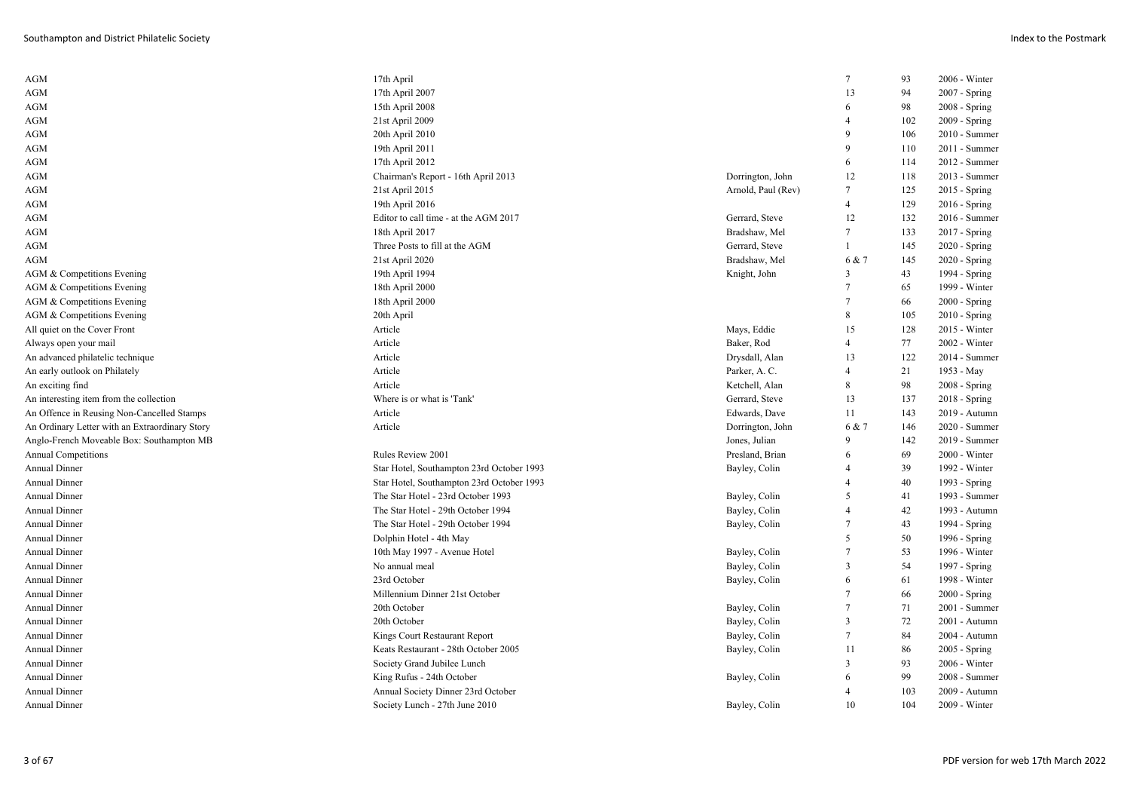| <b>AGM</b>                                     | 17th April                                |                    | $\tau$          | 93  | 2006 - Winter   |
|------------------------------------------------|-------------------------------------------|--------------------|-----------------|-----|-----------------|
| AGM                                            | 17th April 2007                           |                    | 13              | 94  | 2007 - Spring   |
| <b>AGM</b>                                     | 15th April 2008                           |                    | 6               | 98  | $2008 - Spring$ |
| AGM                                            | 21st April 2009                           |                    | $\overline{4}$  | 102 | 2009 - Spring   |
| <b>AGM</b>                                     | 20th April 2010                           |                    | 9               | 106 | 2010 - Summer   |
| AGM                                            | 19th April 2011                           |                    | 9               | 110 | 2011 - Summer   |
| <b>AGM</b>                                     | 17th April 2012                           |                    | 6               | 114 | 2012 - Summer   |
| <b>AGM</b>                                     | Chairman's Report - 16th April 2013       | Dorrington, John   | 12              | 118 | 2013 - Summer   |
| AGM                                            | 21st April 2015                           | Arnold, Paul (Rev) | $\tau$          | 125 | 2015 - Spring   |
| AGM                                            | 19th April 2016                           |                    | $\overline{4}$  | 129 | 2016 - Spring   |
| <b>AGM</b>                                     | Editor to call time - at the AGM 2017     | Gerrard, Steve     | 12              | 132 | 2016 - Summer   |
| <b>AGM</b>                                     | 18th April 2017                           | Bradshaw, Mel      | $\tau$          | 133 | 2017 - Spring   |
| <b>AGM</b>                                     | Three Posts to fill at the AGM            | Gerrard, Steve     | 1               | 145 | 2020 - Spring   |
| AGM                                            | 21st April 2020                           | Bradshaw, Mel      | 6 & 7           | 145 | $2020 - Spring$ |
| AGM & Competitions Evening                     | 19th April 1994                           | Knight, John       | 3               | 43  | 1994 - Spring   |
| AGM & Competitions Evening                     | 18th April 2000                           |                    | 7               | 65  | 1999 - Winter   |
| AGM & Competitions Evening                     | 18th April 2000                           |                    | $\tau$          | 66  | $2000 - Spring$ |
| AGM & Competitions Evening                     | 20th April                                |                    | $\,8\,$         | 105 | $2010 - Spring$ |
| All quiet on the Cover Front                   | Article                                   | Mays, Eddie        | 15              | 128 | 2015 - Winter   |
| Always open your mail                          | Article                                   | Baker, Rod         | $\overline{4}$  | 77  | 2002 - Winter   |
| An advanced philatelic technique               | Article                                   | Drysdall, Alan     | 13              | 122 | 2014 - Summer   |
| An early outlook on Philately                  | Article                                   | Parker, A. C.      | 4               | 21  | 1953 - May      |
| An exciting find                               | Article                                   | Ketchell, Alan     | 8               | 98  | 2008 - Spring   |
| An interesting item from the collection        | Where is or what is 'Tank'                | Gerrard, Steve     | 13              | 137 | $2018 -$ Spring |
| An Offence in Reusing Non-Cancelled Stamps     | Article                                   | Edwards, Dave      | 11              | 143 | 2019 - Autumn   |
| An Ordinary Letter with an Extraordinary Story | Article                                   | Dorrington, John   | 6 & 7           | 146 | 2020 - Summer   |
| Anglo-French Moveable Box: Southampton MB      |                                           | Jones, Julian      | 9               | 142 | 2019 - Summer   |
| <b>Annual Competitions</b>                     | Rules Review 2001                         | Presland, Brian    | 6               | 69  | $2000 - Winter$ |
| Annual Dinner                                  | Star Hotel, Southampton 23rd October 1993 | Bayley, Colin      | $\overline{4}$  | 39  | 1992 - Winter   |
| Annual Dinner                                  | Star Hotel, Southampton 23rd October 1993 |                    | $\overline{4}$  | 40  | 1993 - Spring   |
| <b>Annual Dinner</b>                           | The Star Hotel - 23rd October 1993        | Bayley, Colin      | 5               | 41  | 1993 - Summer   |
| Annual Dinner                                  | The Star Hotel - 29th October 1994        | Bayley, Colin      | 4               | 42  | 1993 - Autumn   |
| <b>Annual Dinner</b>                           | The Star Hotel - 29th October 1994        | Bayley, Colin      | $\tau$          | 43  | 1994 - Spring   |
| Annual Dinner                                  | Dolphin Hotel - 4th May                   |                    | 5               | 50  | 1996 - Spring   |
| Annual Dinner                                  | 10th May 1997 - Avenue Hotel              | Bayley, Colin      | $\tau$          | 53  | 1996 - Winter   |
| Annual Dinner                                  | No annual meal                            | Bayley, Colin      | $\overline{3}$  | 54  | 1997 - Spring   |
| Annual Dinner                                  | 23rd October                              | Bayley, Colin      | 6               | 61  | 1998 - Winter   |
| Annual Dinner                                  | Millennium Dinner 21st October            |                    | 7               | 66  | $2000 - Spring$ |
| <b>Annual Dinner</b>                           | 20th October                              | Bayley, Colin      | $\tau$          | 71  | 2001 - Summer   |
| Annual Dinner                                  | 20th October                              | Bayley, Colin      | 3               | 72  | 2001 - Autumn   |
| Annual Dinner                                  | Kings Court Restaurant Report             | Bayley, Colin      | $7\phantom{.0}$ | 84  | 2004 - Autumn   |
| Annual Dinner                                  | Keats Restaurant - 28th October 2005      | Bayley, Colin      | 11              | 86  | 2005 - Spring   |
| Annual Dinner                                  | Society Grand Jubilee Lunch               |                    | $\overline{3}$  | 93  | 2006 - Winter   |
| Annual Dinner                                  | King Rufus - 24th October                 | Bayley, Colin      | 6               | 99  | 2008 - Summer   |
| <b>Annual Dinner</b>                           | Annual Society Dinner 23rd October        |                    | 4               | 103 | 2009 - Autumn   |
| Annual Dinner                                  | Society Lunch - 27th June 2010            | Bayley, Colin      | 10              | 104 | 2009 - Winter   |
|                                                |                                           |                    |                 |     |                 |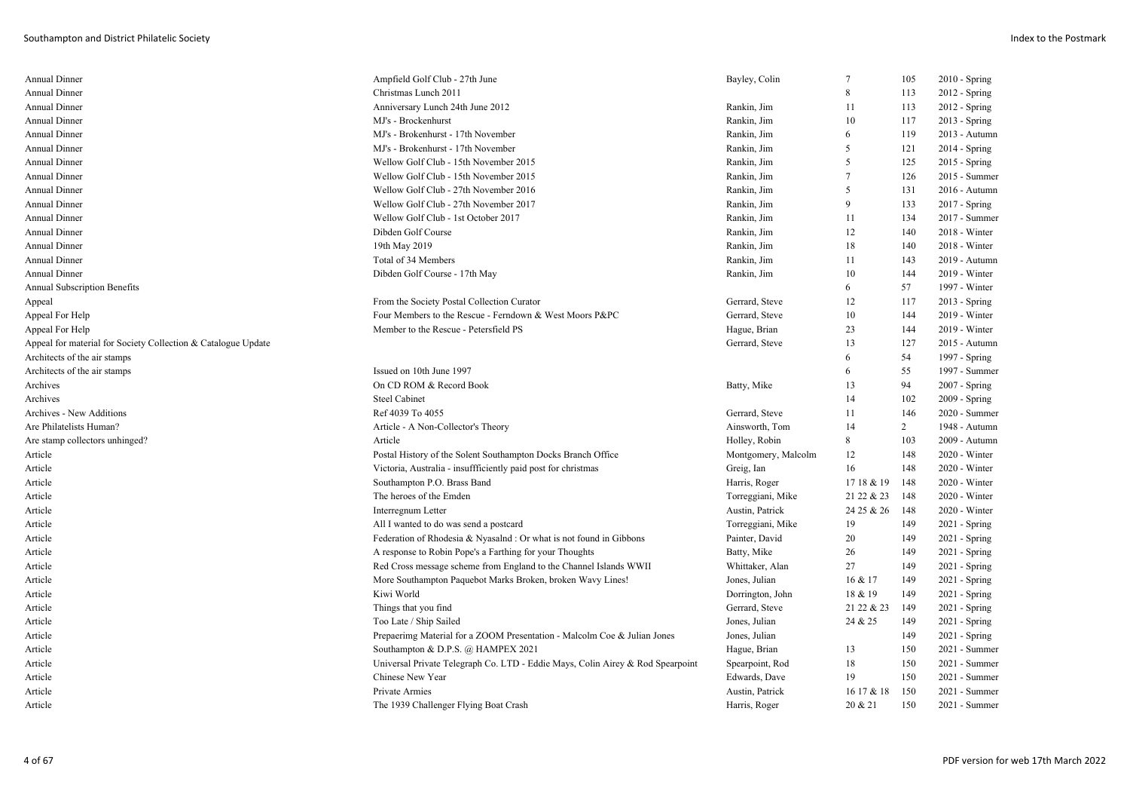| Annual Dinner                                                 | Ampfield Golf Club - 27th June                                                 | Bayley, Colin       | 7            | 105            | $2010 -$ Spring |
|---------------------------------------------------------------|--------------------------------------------------------------------------------|---------------------|--------------|----------------|-----------------|
| Annual Dinner                                                 | Christmas Lunch 2011                                                           |                     | $\mathbf{8}$ | 113            | 2012 - Spring   |
| Annual Dinner                                                 | Anniversary Lunch 24th June 2012                                               | Rankin, Jim         | 11           | 113            | $2012 - Spring$ |
| <b>Annual Dinner</b>                                          | MJ's - Brockenhurst                                                            | Rankin, Jim         | 10           | 117            | $2013$ - Spring |
| Annual Dinner                                                 | MJ's - Brokenhurst - 17th November                                             | Rankin, Jim         | 6            | 119            | 2013 - Autumn   |
| <b>Annual Dinner</b>                                          | MJ's - Brokenhurst - 17th November                                             | Rankin, Jim         | .5           | 121            | $2014 - Spring$ |
| Annual Dinner                                                 | Wellow Golf Club - 15th November 2015                                          | Rankin, Jim         | 5            | 125            | $2015 - Spring$ |
| Annual Dinner                                                 | Wellow Golf Club - 15th November 2015                                          | Rankin, Jim         | 7            | 126            | 2015 - Summer   |
| <b>Annual Dinner</b>                                          | Wellow Golf Club - 27th November 2016                                          | Rankin, Jim         | 5            | 131            | 2016 - Autumn   |
| Annual Dinner                                                 | Wellow Golf Club - 27th November 2017                                          | Rankin, Jim         | $\mathbf{Q}$ | 133            | 2017 - Spring   |
| Annual Dinner                                                 | Wellow Golf Club - 1st October 2017                                            | Rankin, Jim         | 11           | 134            | 2017 - Summer   |
| Annual Dinner                                                 | Dibden Golf Course                                                             | Rankin, Jim         | 12           | 140            | 2018 - Winter   |
| Annual Dinner                                                 | 19th May 2019                                                                  | Rankin, Jim         | 18           | 140            | 2018 - Winter   |
| Annual Dinner                                                 | Total of 34 Members                                                            | Rankin, Jim         | 11           | 143            | 2019 - Autumn   |
| Annual Dinner                                                 | Dibden Golf Course - 17th May                                                  | Rankin, Jim         | 10           | 144            | 2019 - Winter   |
| <b>Annual Subscription Benefits</b>                           |                                                                                |                     | 6            | 57             | 1997 - Winter   |
| Appeal                                                        | From the Society Postal Collection Curator                                     | Gerrard, Steve      | 12           | 117            | $2013 - Spring$ |
| Appeal For Help                                               | Four Members to the Rescue - Ferndown & West Moors P&PC                        | Gerrard, Steve      | 10           | 144            | 2019 - Winter   |
| Appeal For Help                                               | Member to the Rescue - Petersfield PS                                          | Hague, Brian        | 23           | 144            | $2019 - Winter$ |
| Appeal for material for Society Collection & Catalogue Update |                                                                                | Gerrard, Steve      | 13           | 127            | 2015 - Autumn   |
| Architects of the air stamps                                  |                                                                                |                     | 6            | 54             | 1997 - Spring   |
| Architects of the air stamps                                  | Issued on 10th June 1997                                                       |                     | 6            | 55             | 1997 - Summer   |
| Archives                                                      | On CD ROM & Record Book                                                        | Batty, Mike         | 13           | 94             | $2007 - Spring$ |
| Archives                                                      | <b>Steel Cabinet</b>                                                           |                     | 14           | 102            | $2009 - Spring$ |
| Archives - New Additions                                      | Ref 4039 To 4055                                                               | Gerrard, Steve      | 11           | 146            | 2020 - Summer   |
| Are Philatelists Human?                                       | Article - A Non-Collector's Theory                                             | Ainsworth, Tom      | 14           | $\overline{2}$ | 1948 - Autumn   |
| Are stamp collectors unhinged?                                | Article                                                                        | Holley, Robin       | 8            | 103            | 2009 - Autumn   |
| Article                                                       | Postal History of the Solent Southampton Docks Branch Office                   | Montgomery, Malcolm | 12           | 148            | $2020 - Winter$ |
| Article                                                       | Victoria, Australia - insuffficiently paid post for christmas                  | Greig, Ian          | 16           | 148            | 2020 - Winter   |
| Article                                                       | Southampton P.O. Brass Band                                                    | Harris, Roger       | 17 18 & 19   | 148            | $2020 - Winter$ |
| Article                                                       | The heroes of the Emden                                                        | Torreggiani, Mike   | 21 22 & 23   | 148            | $2020 - Winter$ |
| Article                                                       | Interregnum Letter                                                             | Austin, Patrick     | 24 25 & 26   | 148            | 2020 - Winter   |
| Article                                                       | All I wanted to do was send a postcard                                         | Torreggiani, Mike   | 19           | 149            | $2021 -$ Spring |
| Article                                                       | Federation of Rhodesia & Nyasalnd : Or what is not found in Gibbons            | Painter, David      | 20           | 149            | $2021 -$ Spring |
| Article                                                       | A response to Robin Pope's a Farthing for your Thoughts                        | Batty, Mike         | 26           | 149            | $2021 -$ Spring |
| Article                                                       | Red Cross message scheme from England to the Channel Islands WWII              | Whittaker, Alan     | 27           | 149            | 2021 - Spring   |
| Article                                                       | More Southampton Paquebot Marks Broken, broken Wavy Lines!                     | Jones, Julian       | 16 & 17      | 149            | $2021$ - Spring |
| Article                                                       | Kiwi World                                                                     | Dorrington, John    | 18 & 19      | 149            | 2021 - Spring   |
| Article                                                       | Things that you find                                                           | Gerrard, Steve      | 21 22 & 23   | 149            | $2021 -$ Spring |
| Article                                                       | Too Late / Ship Sailed                                                         | Jones, Julian       | 24 & 25      | 149            | $2021$ - Spring |
| Article                                                       | Prepaerimg Material for a ZOOM Presentation - Malcolm Coe & Julian Jones       | Jones, Julian       |              | 149            | 2021 - Spring   |
| Article                                                       | Southampton & D.P.S. @ HAMPEX 2021                                             | Hague, Brian        | 13           | 150            | 2021 - Summer   |
| Article                                                       | Universal Private Telegraph Co. LTD - Eddie Mays, Colin Airey & Rod Spearpoint | Spearpoint, Rod     | 18           | 150            | 2021 - Summer   |
| Article                                                       | Chinese New Year                                                               | Edwards, Dave       | 19           | 150            | 2021 - Summer   |
| Article                                                       | Private Armies                                                                 | Austin, Patrick     | 16 17 & 18   | 150            | 2021 - Summer   |
| Article                                                       | The 1939 Challenger Flying Boat Crash                                          | Harris, Roger       | 20 & 21      | 150            | 2021 - Summer   |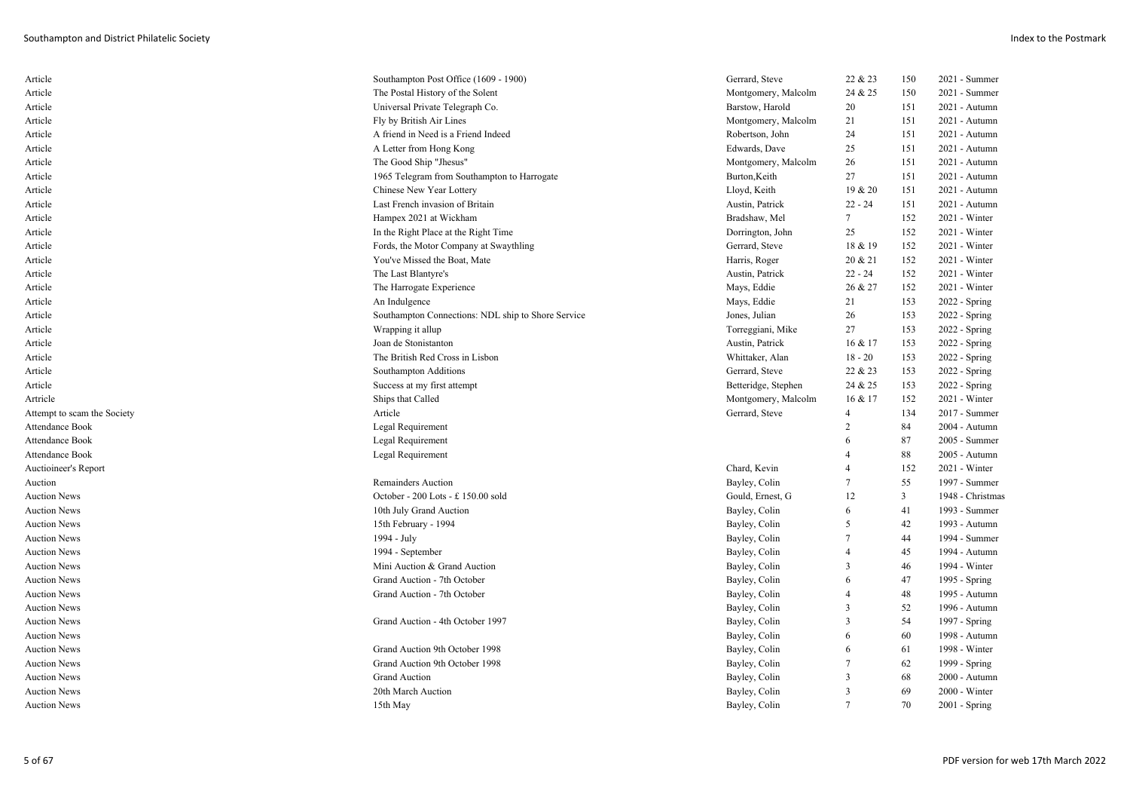| Article                     | Southampton Post Office (1609 - 1900)              | Gerrard, Steve      | 22 & 23        | 150 | $2021 - Summer$  |
|-----------------------------|----------------------------------------------------|---------------------|----------------|-----|------------------|
| Article                     | The Postal History of the Solent                   | Montgomery, Malcolm | 24 & 25        | 150 | 2021 - Summer    |
| Article                     | Universal Private Telegraph Co.                    | Barstow, Harold     | 20             | 151 | 2021 - Autumn    |
| Article                     | Fly by British Air Lines                           | Montgomery, Malcolm | 21             | 151 | 2021 - Autumn    |
| Article                     | A friend in Need is a Friend Indeed                | Robertson, John     | 24             | 151 | 2021 - Autumn    |
| Article                     | A Letter from Hong Kong                            | Edwards, Dave       | 25             | 151 | 2021 - Autumn    |
| Article                     | The Good Ship "Jhesus"                             | Montgomery, Malcolm | 26             | 151 | 2021 - Autumn    |
| Article                     | 1965 Telegram from Southampton to Harrogate        | Burton, Keith       | 27             | 151 | 2021 - Autumn    |
| Article                     | Chinese New Year Lottery                           | Lloyd, Keith        | 19 & 20        | 151 | 2021 - Autumn    |
| Article                     | Last French invasion of Britain                    | Austin, Patrick     | $22 - 24$      | 151 | 2021 - Autumn    |
| Article                     | Hampex 2021 at Wickham                             | Bradshaw, Mel       | $\tau$         | 152 | $2021 - Winter$  |
| Article                     | In the Right Place at the Right Time               | Dorrington, John    | 25             | 152 | 2021 - Winter    |
| Article                     | Fords, the Motor Company at Swaythling             | Gerrard, Steve      | 18 & 19        | 152 | 2021 - Winter    |
| Article                     | You've Missed the Boat, Mate                       | Harris, Roger       | 20 & 21        | 152 | $2021 - Winter$  |
| Article                     | The Last Blantyre's                                | Austin, Patrick     | $22 - 24$      | 152 | $2021$ - Winter  |
| Article                     | The Harrogate Experience                           | Mays, Eddie         | 26 & 27        | 152 | 2021 - Winter    |
| Article                     | An Indulgence                                      | Mays, Eddie         | 21             | 153 | $2022 - Spring$  |
| Article                     | Southampton Connections: NDL ship to Shore Service | Jones, Julian       | 26             | 153 | 2022 - Spring    |
| Article                     | Wrapping it allup                                  | Torreggiani, Mike   | 27             | 153 | 2022 - Spring    |
| Article                     | Joan de Stonistanton                               | Austin, Patrick     | 16 & 17        | 153 | 2022 - Spring    |
| Article                     | The British Red Cross in Lisbon                    | Whittaker, Alan     | $18 - 20$      | 153 | 2022 - Spring    |
| Article                     | Southampton Additions                              | Gerrard, Steve      | 22 & 23        | 153 | $2022 - Spring$  |
| Article                     | Success at my first attempt                        | Betteridge, Stephen | 24 & 25        | 153 | 2022 - Spring    |
| Artricle                    | Ships that Called                                  | Montgomery, Malcolm | 16 & 17        | 152 | 2021 - Winter    |
| Attempt to scam the Society | Article                                            | Gerrard, Steve      | 4              | 134 | 2017 - Summer    |
| Attendance Book             | Legal Requirement                                  |                     | 2              | 84  | 2004 - Autumn    |
| Attendance Book             | Legal Requirement                                  |                     | 6              | 87  | 2005 - Summer    |
| <b>Attendance Book</b>      | Legal Requirement                                  |                     | $\overline{4}$ | 88  | 2005 - Autumn    |
| <b>Auctioineer's Report</b> |                                                    | Chard, Kevin        | $\overline{4}$ | 152 | 2021 - Winter    |
| Auction                     | <b>Remainders Auction</b>                          | Bayley, Colin       | 7              | 55  | 1997 - Summer    |
| <b>Auction News</b>         | October - 200 Lots - £ 150.00 sold                 | Gould, Ernest, G    | 12             | 3   | 1948 - Christmas |
| <b>Auction News</b>         | 10th July Grand Auction                            | Bayley, Colin       | 6              | 41  | 1993 - Summer    |
| <b>Auction News</b>         | 15th February - 1994                               | Bayley, Colin       | 5              | 42  | 1993 - Autumn    |
| <b>Auction News</b>         | 1994 - July                                        | Bayley, Colin       | 7              | 44  | 1994 - Summer    |
| <b>Auction News</b>         | 1994 - September                                   | Bayley, Colin       | $\overline{4}$ | 45  | 1994 - Autumn    |
| <b>Auction News</b>         | Mini Auction & Grand Auction                       | Bayley, Colin       | 3              | 46  | 1994 - Winter    |
| <b>Auction News</b>         | Grand Auction - 7th October                        | Bayley, Colin       | 6              | 47  | 1995 - Spring    |
| <b>Auction News</b>         | Grand Auction - 7th October                        | Bayley, Colin       | 4              | 48  | 1995 - Autumn    |
| <b>Auction News</b>         |                                                    | Bayley, Colin       | 3              | 52  | 1996 - Autumn    |
| <b>Auction News</b>         | Grand Auction - 4th October 1997                   | Bayley, Colin       | 3              | 54  | 1997 - Spring    |
| Auction News                |                                                    | Bayley, Colin       | 6              | 60  | 1998 - Autumn    |
| <b>Auction News</b>         | Grand Auction 9th October 1998                     | Bayley, Colin       | 6              | 61  | 1998 - Winter    |
| <b>Auction News</b>         | Grand Auction 9th October 1998                     | Bayley, Colin       |                | 62  | 1999 - Spring    |
| <b>Auction News</b>         | <b>Grand Auction</b>                               | Bayley, Colin       | 3              | 68  | 2000 - Autumn    |
| <b>Auction News</b>         | 20th March Auction                                 | Bayley, Colin       | 3              | 69  | 2000 - Winter    |
| Auction News                | 15th May                                           | Bayley, Colin       |                | 70  | $2001 - Spring$  |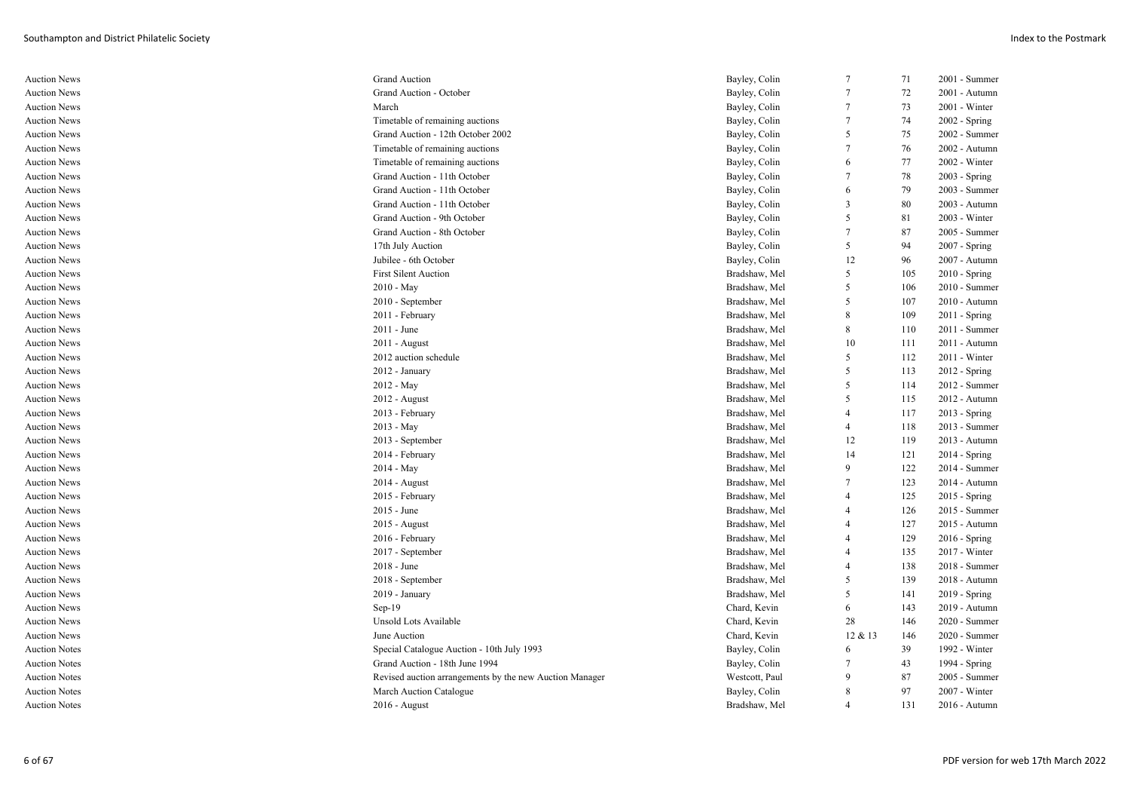| <b>Auction News</b>  | <b>Grand Auction</b>                                    | Bayley, Colin  | $\tau$          | 71  | 2001 - Summer   |
|----------------------|---------------------------------------------------------|----------------|-----------------|-----|-----------------|
| <b>Auction News</b>  | Grand Auction - October                                 | Bayley, Colin  | $\overline{7}$  | 72  | 2001 - Autumn   |
| <b>Auction News</b>  | March                                                   | Bayley, Colin  | $\tau$          | 73  | 2001 - Winter   |
| Auction News         | Timetable of remaining auctions                         | Bayley, Colin  | $7\phantom{.0}$ | 74  | $2002 - Spring$ |
| <b>Auction News</b>  | Grand Auction - 12th October 2002                       | Bayley, Colin  | 5               | 75  | 2002 - Summer   |
| <b>Auction News</b>  | Timetable of remaining auctions                         | Bayley, Colin  | $\tau$          | 76  | 2002 - Autumn   |
| <b>Auction News</b>  | Timetable of remaining auctions                         | Bayley, Colin  | 6               | 77  | 2002 - Winter   |
| <b>Auction News</b>  | Grand Auction - 11th October                            | Bayley, Colin  | $\tau$          | 78  | $2003 - Spring$ |
| <b>Auction News</b>  | Grand Auction - 11th October                            | Bayley, Colin  | 6               | 79  | 2003 - Summer   |
| <b>Auction News</b>  | Grand Auction - 11th October                            | Bayley, Colin  | 3               | 80  | 2003 - Autumn   |
| <b>Auction News</b>  | Grand Auction - 9th October                             | Bayley, Colin  | 5               | 81  | 2003 - Winter   |
| Auction News         | Grand Auction - 8th October                             | Bayley, Colin  | $7\phantom{.0}$ | 87  | 2005 - Summer   |
| <b>Auction News</b>  | 17th July Auction                                       | Bayley, Colin  | 5               | 94  | 2007 - Spring   |
| <b>Auction News</b>  | Jubilee - 6th October                                   | Bayley, Colin  | 12              | 96  | 2007 - Autumn   |
| <b>Auction News</b>  | <b>First Silent Auction</b>                             | Bradshaw, Mel  | 5               | 105 | 2010 - Spring   |
| Auction News         | $2010 - May$                                            | Bradshaw, Mel  | 5               | 106 | 2010 - Summer   |
| <b>Auction News</b>  | 2010 - September                                        | Bradshaw, Mel  | 5               | 107 | 2010 - Autumn   |
| Auction News         | 2011 - February                                         | Bradshaw, Mel  | 8               | 109 | $2011 -$ Spring |
| <b>Auction News</b>  | $2011 - June$                                           | Bradshaw, Mel  | 8               | 110 | $2011 - Summer$ |
| Auction News         | $2011 - August$                                         | Bradshaw, Mel  | 10              | 111 | 2011 - Autumn   |
| <b>Auction News</b>  | 2012 auction schedule                                   | Bradshaw, Mel  | 5               | 112 | $2011 - Winter$ |
| <b>Auction News</b>  | $2012$ - January                                        | Bradshaw, Mel  | 5               | 113 | $2012 -$ Spring |
| <b>Auction News</b>  | $2012 - May$                                            | Bradshaw, Mel  | 5               | 114 | 2012 - Summer   |
| Auction News         | $2012$ - August                                         | Bradshaw, Mel  | 5               | 115 | 2012 - Autumn   |
| <b>Auction News</b>  | 2013 - February                                         | Bradshaw, Mel  | $\overline{4}$  | 117 | 2013 - Spring   |
| Auction News         | $2013 - May$                                            | Bradshaw, Mel  | $\overline{4}$  | 118 | 2013 - Summer   |
| <b>Auction News</b>  | 2013 - September                                        | Bradshaw, Mel  | 12              | 119 | 2013 - Autumn   |
| <b>Auction News</b>  | 2014 - February                                         | Bradshaw, Mel  | 14              | 121 | $2014 - Spring$ |
| <b>Auction News</b>  | $2014 - May$                                            | Bradshaw, Mel  | 9               | 122 | 2014 - Summer   |
| Auction News         | $2014$ - August                                         | Bradshaw, Mel  | 7               | 123 | 2014 - Autumn   |
| <b>Auction News</b>  | 2015 - February                                         | Bradshaw, Mel  | $\overline{4}$  | 125 | 2015 - Spring   |
| Auction News         | $2015$ - June                                           | Bradshaw, Mel  | 4               | 126 | 2015 - Summer   |
| <b>Auction News</b>  | 2015 - August                                           | Bradshaw, Mel  | 4               | 127 | 2015 - Autumn   |
| <b>Auction News</b>  | 2016 - February                                         | Bradshaw, Mel  | 4               | 129 | 2016 - Spring   |
| <b>Auction News</b>  | 2017 - September                                        | Bradshaw, Mel  | $\overline{4}$  | 135 | 2017 - Winter   |
| <b>Auction News</b>  | $2018 - June$                                           | Bradshaw, Mel  | $\overline{4}$  | 138 | 2018 - Summer   |
| <b>Auction News</b>  | 2018 - September                                        | Bradshaw, Mel  | 5               | 139 | 2018 - Autumn   |
| <b>Auction News</b>  | 2019 - January                                          | Bradshaw, Mel  | 5               | 141 | 2019 - Spring   |
| <b>Auction News</b>  | $Sep-19$                                                | Chard, Kevin   | 6               | 143 | 2019 - Autumn   |
| <b>Auction News</b>  | Unsold Lots Available                                   | Chard, Kevin   | 28              | 146 | 2020 - Summer   |
| <b>Auction News</b>  | June Auction                                            | Chard, Kevin   | 12 & 13         | 146 | 2020 - Summer   |
| <b>Auction Notes</b> | Special Catalogue Auction - 10th July 1993              | Bayley, Colin  | 6               | 39  | 1992 - Winter   |
| <b>Auction Notes</b> | Grand Auction - 18th June 1994                          | Bayley, Colin  | 7               | 43  | 1994 - Spring   |
| <b>Auction Notes</b> | Revised auction arrangements by the new Auction Manager | Westcott, Paul | 9               | 87  | 2005 - Summer   |
| <b>Auction Notes</b> | March Auction Catalogue                                 | Bayley, Colin  | 8               | 97  | 2007 - Winter   |
| <b>Auction Notes</b> | $2016$ - August                                         | Bradshaw, Mel  | $\overline{4}$  | 131 | 2016 - Autumn   |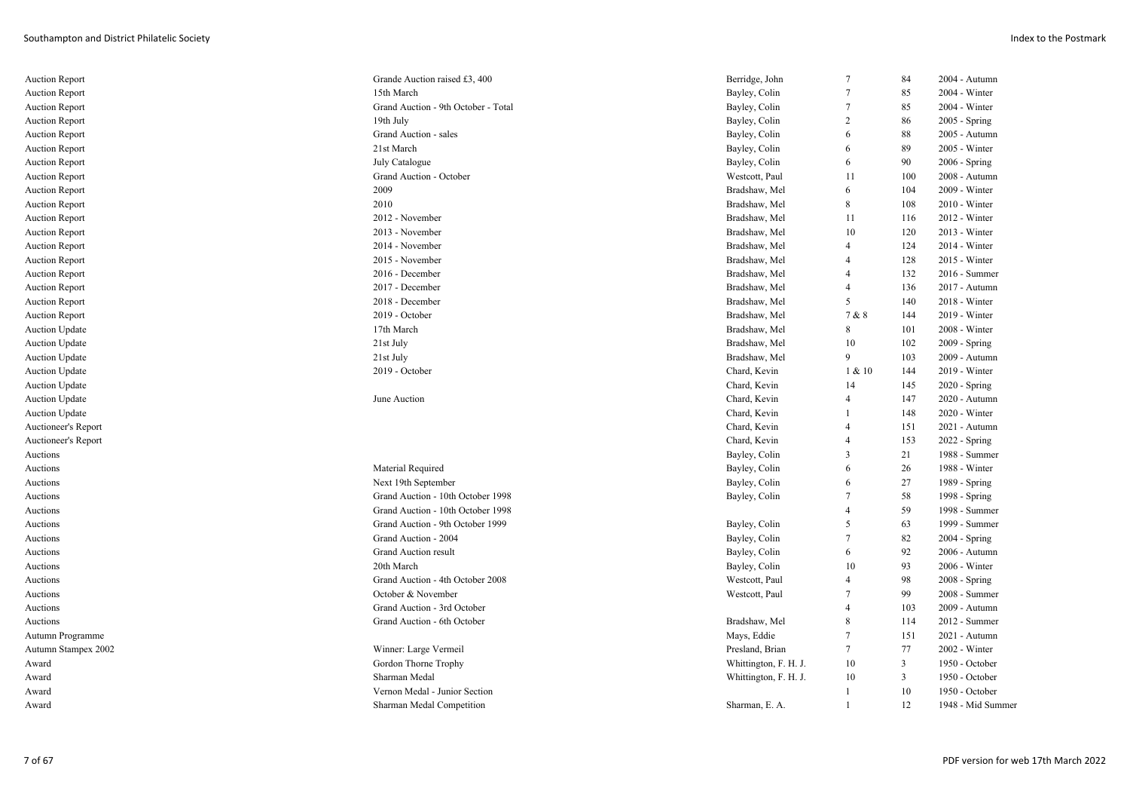| Auction Report        | Grande Auction raised £3, 400       | Berridge, John        | $7\phantom{.0}$ | 84             | 2004 - Autumn     |
|-----------------------|-------------------------------------|-----------------------|-----------------|----------------|-------------------|
| <b>Auction Report</b> | 15th March                          | Bayley, Colin         | $\overline{7}$  | 85             | 2004 - Winter     |
| <b>Auction Report</b> | Grand Auction - 9th October - Total | Bayley, Colin         | 7               | 85             | 2004 - Winter     |
| <b>Auction Report</b> | 19th July                           | Bayley, Colin         | $\overline{c}$  | 86             | 2005 - Spring     |
| <b>Auction Report</b> | Grand Auction - sales               | Bayley, Colin         | 6               | 88             | 2005 - Autumn     |
| <b>Auction Report</b> | 21st March                          | Bayley, Colin         | 6               | 89             | 2005 - Winter     |
| <b>Auction Report</b> | July Catalogue                      | Bayley, Colin         | 6               | 90             | 2006 - Spring     |
| <b>Auction Report</b> | Grand Auction - October             | Westcott, Paul        | 11              | 100            | 2008 - Autumn     |
| <b>Auction Report</b> | 2009                                | Bradshaw, Mel         | 6               | 104            | 2009 - Winter     |
| <b>Auction Report</b> | 2010                                | Bradshaw, Mel         | 8               | 108            | $2010 - Winter$   |
| <b>Auction Report</b> | 2012 - November                     | Bradshaw, Mel         | 11              | 116            | 2012 - Winter     |
| <b>Auction Report</b> | 2013 - November                     | Bradshaw, Mel         | 10              | 120            | 2013 - Winter     |
| <b>Auction Report</b> | 2014 - November                     | Bradshaw, Mel         | $\overline{4}$  | 124            | 2014 - Winter     |
| <b>Auction Report</b> | 2015 - November                     | Bradshaw, Mel         | $\overline{4}$  | 128            | 2015 - Winter     |
| <b>Auction Report</b> | 2016 - December                     | Bradshaw, Mel         | 4               | 132            | 2016 - Summer     |
| <b>Auction Report</b> | 2017 - December                     | Bradshaw, Mel         | $\overline{4}$  | 136            | 2017 - Autumn     |
| <b>Auction Report</b> | 2018 - December                     | Bradshaw, Mel         | 5               | 140            | 2018 - Winter     |
| <b>Auction Report</b> | 2019 - October                      | Bradshaw, Mel         | 7 & 8           | 144            | 2019 - Winter     |
| <b>Auction Update</b> | 17th March                          | Bradshaw, Mel         | 8               | 101            | 2008 - Winter     |
| <b>Auction Update</b> | 21st July                           | Bradshaw, Mel         | 10              | 102            | 2009 - Spring     |
| <b>Auction Update</b> | 21st July                           | Bradshaw, Mel         | 9               | 103            | 2009 - Autumn     |
| <b>Auction Update</b> | 2019 - October                      | Chard, Kevin          | 1 & 10          | 144            | 2019 - Winter     |
| <b>Auction Update</b> |                                     | Chard, Kevin          | 14              | 145            | 2020 - Spring     |
| <b>Auction Update</b> | June Auction                        | Chard, Kevin          | $\overline{4}$  | 147            | 2020 - Autumn     |
| <b>Auction Update</b> |                                     | Chard, Kevin          |                 | 148            | 2020 - Winter     |
| Auctioneer's Report   |                                     | Chard, Kevin          | $\overline{4}$  | 151            | 2021 - Autumn     |
| Auctioneer's Report   |                                     | Chard, Kevin          | $\overline{4}$  | 153            | 2022 - Spring     |
| Auctions              |                                     | Bayley, Colin         | 3               | 21             | 1988 - Summer     |
| Auctions              | Material Required                   | Bayley, Colin         | 6               | 26             | 1988 - Winter     |
| Auctions              | Next 19th September                 | Bayley, Colin         | 6               | 27             | 1989 - Spring     |
| Auctions              | Grand Auction - 10th October 1998   | Bayley, Colin         | $\tau$          | 58             | 1998 - Spring     |
| Auctions              | Grand Auction - 10th October 1998   |                       | $\overline{4}$  | 59             | 1998 - Summer     |
| Auctions              | Grand Auction - 9th October 1999    | Bayley, Colin         | 5               | 63             | 1999 - Summer     |
| Auctions              | Grand Auction - 2004                | Bayley, Colin         | 7               | 82             | 2004 - Spring     |
| Auctions              | <b>Grand Auction result</b>         | Bayley, Colin         | 6               | 92             | 2006 - Autumn     |
| Auctions              | 20th March                          | Bayley, Colin         | 10              | 93             | 2006 - Winter     |
| Auctions              | Grand Auction - 4th October 2008    | Westcott, Paul        | $\overline{4}$  | 98             | 2008 - Spring     |
| Auctions              | October & November                  | Westcott, Paul        | $\overline{7}$  | 99             | 2008 - Summer     |
| Auctions              | Grand Auction - 3rd October         |                       | $\overline{4}$  | 103            | 2009 - Autumn     |
| Auctions              | Grand Auction - 6th October         | Bradshaw, Mel         | 8               | 114            | 2012 - Summer     |
| Autumn Programme      |                                     | Mays, Eddie           | $\overline{7}$  | 151            | 2021 - Autumn     |
| Autumn Stampex 2002   | Winner: Large Vermeil               | Presland, Brian       | 7               | 77             | 2002 - Winter     |
| Award                 | Gordon Thorne Trophy                | Whittington, F. H. J. | 10              | $\overline{3}$ | 1950 - October    |
| Award                 | Sharman Medal                       | Whittington, F. H. J. | 10              | $\overline{3}$ | 1950 - October    |
| Award                 | Vernon Medal - Junior Section       |                       | 1               | 10             | 1950 - October    |
| Award                 | Sharman Medal Competition           | Sharman, E. A.        | 1               | 12             | 1948 - Mid Summer |
|                       |                                     |                       |                 |                |                   |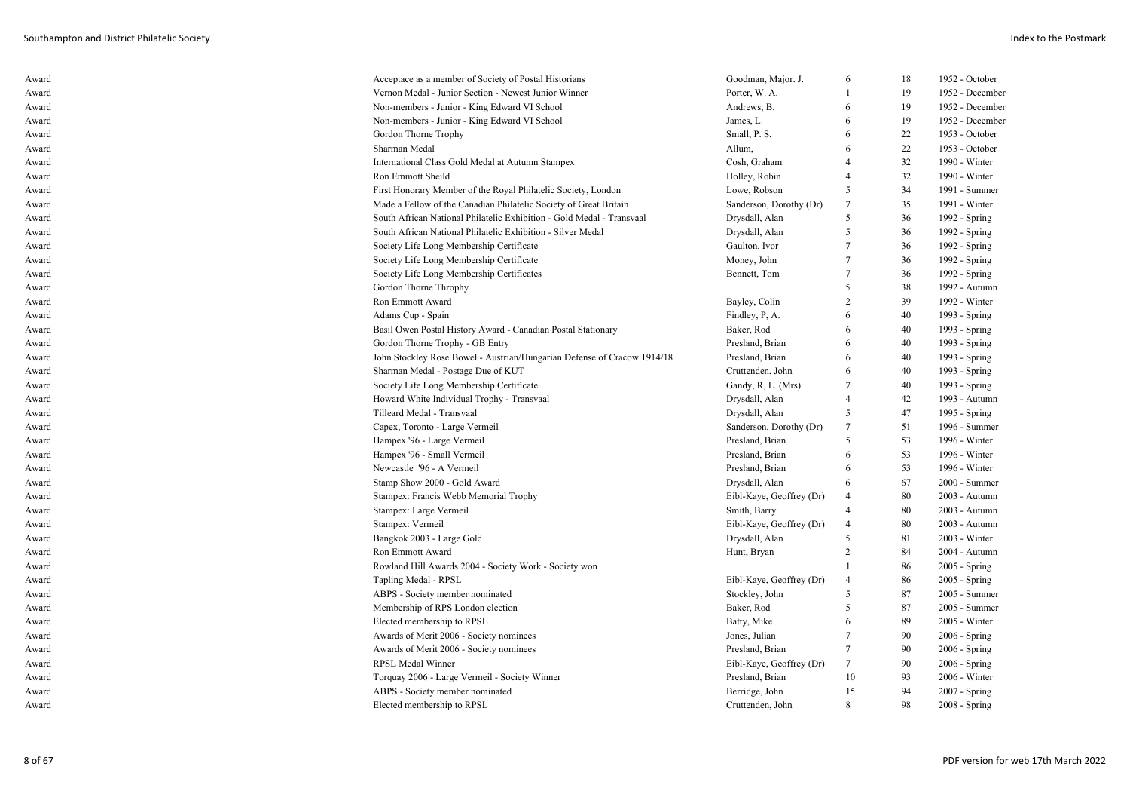| Award | Acceptace as a member of Society of Postal Historians                   | Goodman, Major. J.       | 6               | 18 | 1952 - October  |
|-------|-------------------------------------------------------------------------|--------------------------|-----------------|----|-----------------|
| Award | Vernon Medal - Junior Section - Newest Junior Winner                    | Porter, W. A.            | $\overline{1}$  | 19 | 1952 - December |
| Award | Non-members - Junior - King Edward VI School                            | Andrews, B.              | 6               | 19 | 1952 - December |
| Award | Non-members - Junior - King Edward VI School                            | James, L.                | 6               | 19 | 1952 - December |
| Award | Gordon Thorne Trophy                                                    | Small, P. S.             | 6               | 22 | 1953 - October  |
| Award | Sharman Medal                                                           | Allum,                   | 6               | 22 | 1953 - October  |
| Award | International Class Gold Medal at Autumn Stampex                        | Cosh, Graham             | $\overline{4}$  | 32 | 1990 - Winter   |
| Award | Ron Emmott Sheild                                                       | Holley, Robin            | $\overline{4}$  | 32 | 1990 - Winter   |
| Award | First Honorary Member of the Royal Philatelic Society, London           | Lowe, Robson             | 5               | 34 | 1991 - Summer   |
| Award | Made a Fellow of the Canadian Philatelic Society of Great Britain       | Sanderson, Dorothy (Dr)  | $7\phantom{.0}$ | 35 | 1991 - Winter   |
| Award | South African National Philatelic Exhibition - Gold Medal - Transvaal   | Drysdall, Alan           | 5               | 36 | 1992 - Spring   |
| Award | South African National Philatelic Exhibition - Silver Medal             | Drysdall, Alan           | 5               | 36 | 1992 - Spring   |
| Award | Society Life Long Membership Certificate                                | Gaulton, Ivor            | $\overline{7}$  | 36 | 1992 - Spring   |
| Award | Society Life Long Membership Certificate                                | Money, John              | 7               | 36 | 1992 - Spring   |
| Award | Society Life Long Membership Certificates                               | Bennett, Tom             | $\overline{7}$  | 36 | 1992 - Spring   |
| Award | Gordon Thorne Throphy                                                   |                          | 5               | 38 | 1992 - Autumn   |
| Award | Ron Emmott Award                                                        | Bayley, Colin            | $\overline{c}$  | 39 | 1992 - Winter   |
| Award | Adams Cup - Spain                                                       | Findley, P, A.           | 6               | 40 | 1993 - Spring   |
| Award | Basil Owen Postal History Award - Canadian Postal Stationary            | Baker, Rod               | 6               | 40 | 1993 - Spring   |
| Award | Gordon Thorne Trophy - GB Entry                                         | Presland, Brian          | 6               | 40 | 1993 - Spring   |
| Award | John Stockley Rose Bowel - Austrian/Hungarian Defense of Cracow 1914/18 | Presland, Brian          | 6               | 40 | 1993 - Spring   |
| Award | Sharman Medal - Postage Due of KUT                                      | Cruttenden, John         | 6               | 40 | 1993 - Spring   |
| Award | Society Life Long Membership Certificate                                | Gandy, R, L. (Mrs)       | $\overline{7}$  | 40 | 1993 - Spring   |
| Award | Howard White Individual Trophy - Transvaal                              | Drysdall, Alan           | $\overline{4}$  | 42 | 1993 - Autumn   |
| Award | Tilleard Medal - Transvaal                                              | Drysdall, Alan           | 5               | 47 | 1995 - Spring   |
| Award | Capex, Toronto - Large Vermeil                                          | Sanderson, Dorothy (Dr)  | $\overline{7}$  | 51 | 1996 - Summer   |
| Award | Hampex '96 - Large Vermeil                                              | Presland, Brian          | 5               | 53 | 1996 - Winter   |
| Award | Hampex '96 - Small Vermeil                                              | Presland, Brian          | 6               | 53 | 1996 - Winter   |
| Award | Newcastle '96 - A Vermeil                                               | Presland, Brian          | 6               | 53 | 1996 - Winter   |
| Award | Stamp Show 2000 - Gold Award                                            | Drysdall, Alan           | 6               | 67 | 2000 - Summer   |
| Award | Stampex: Francis Webb Memorial Trophy                                   | Eibl-Kaye, Geoffrey (Dr) | $\overline{4}$  | 80 | 2003 - Autumn   |
| Award | Stampex: Large Vermeil                                                  | Smith, Barry             | $\overline{4}$  | 80 | 2003 - Autumn   |
| Award | Stampex: Vermeil                                                        | Eibl-Kaye, Geoffrey (Dr) | $\overline{4}$  | 80 | 2003 - Autumn   |
| Award | Bangkok 2003 - Large Gold                                               | Drysdall, Alan           | 5               | 81 | 2003 - Winter   |
| Award | <b>Ron Emmott Award</b>                                                 | Hunt, Bryan              | $\overline{2}$  | 84 | 2004 - Autumn   |
|       |                                                                         |                          | $\mathbf{1}$    | 86 |                 |
| Award | Rowland Hill Awards 2004 - Society Work - Society won                   |                          | $\overline{4}$  |    | $2005 - Spring$ |
| Award | Tapling Medal - RPSL                                                    | Eibl-Kaye, Geoffrey (Dr) |                 | 86 | 2005 - Spring   |
| Award | ABPS - Society member nominated                                         | Stockley, John           | 5               | 87 | 2005 - Summer   |
| Award | Membership of RPS London election                                       | Baker, Rod               | 5               | 87 | 2005 - Summer   |
| Award | Elected membership to RPSL                                              | Batty, Mike              | 6               | 89 | 2005 - Winter   |
| Award | Awards of Merit 2006 - Society nominees                                 | Jones, Julian            | 7               | 90 | $2006 - Spring$ |
| Award | Awards of Merit 2006 - Society nominees                                 | Presland, Brian          | $\tau$          | 90 | $2006 - Spring$ |
| Award | RPSL Medal Winner                                                       | Eibl-Kaye, Geoffrey (Dr) | $7\phantom{.0}$ | 90 | 2006 - Spring   |
| Award | Torquay 2006 - Large Vermeil - Society Winner                           | Presland, Brian          | 10              | 93 | 2006 - Winter   |
| Award | ABPS - Society member nominated                                         | Berridge, John           | 15              | 94 | 2007 - Spring   |
| Award | Elected membership to RPSL                                              | Cruttenden, John         | 8               | 98 | 2008 - Spring   |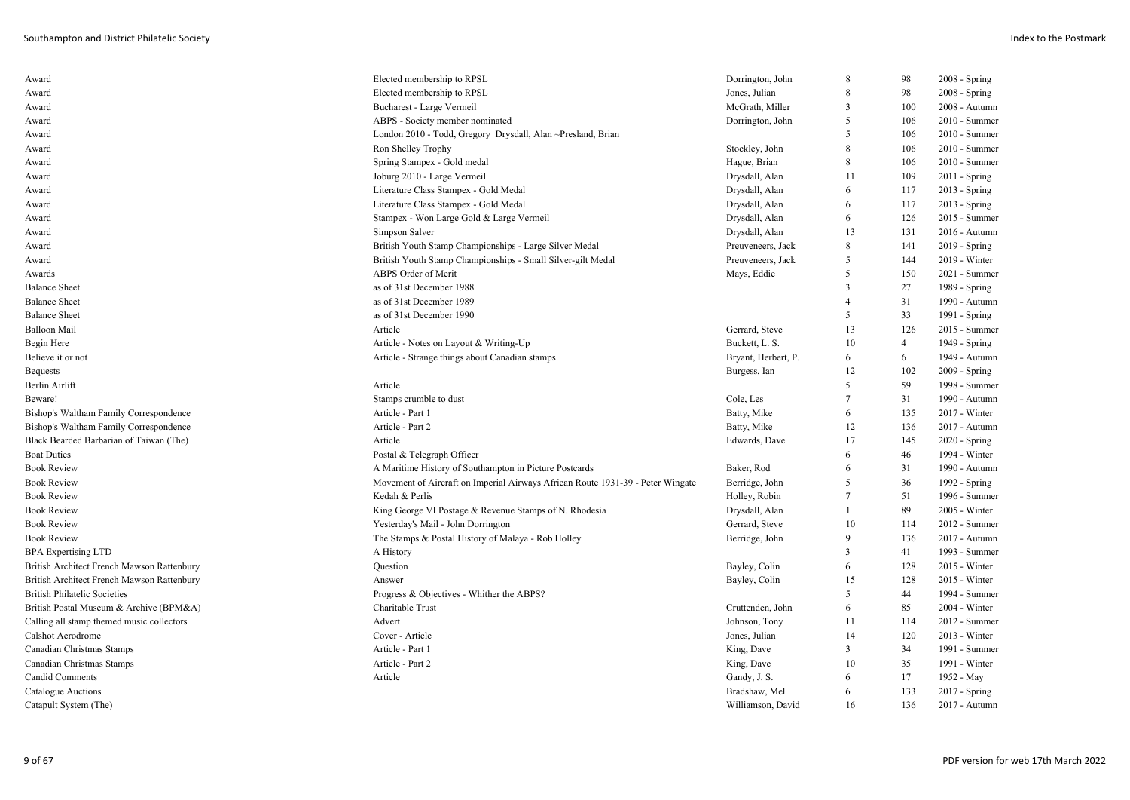| Award                                      | Elected membership to RPSL                                                     | Dorrington, John    | 8              | 98             | $2008 - Spring$ |
|--------------------------------------------|--------------------------------------------------------------------------------|---------------------|----------------|----------------|-----------------|
| Award                                      | Elected membership to RPSL                                                     | Jones, Julian       | 8              | 98             | 2008 - Spring   |
| Award                                      | Bucharest - Large Vermeil                                                      | McGrath, Miller     | 3              | 100            | 2008 - Autumn   |
| Award                                      | ABPS - Society member nominated                                                | Dorrington, John    | 5              | 106            | 2010 - Summer   |
| Award                                      | London 2010 - Todd, Gregory Drysdall, Alan ~Presland, Brian                    |                     | 5              | 106            | 2010 - Summer   |
| Award                                      | Ron Shelley Trophy                                                             | Stockley, John      | 8              | 106            | 2010 - Summer   |
| Award                                      | Spring Stampex - Gold medal                                                    | Hague, Brian        | 8              | 106            | 2010 - Summer   |
| Award                                      | Joburg 2010 - Large Vermeil                                                    | Drysdall, Alan      | 11             | 109            | $2011 -$ Spring |
| Award                                      | Literature Class Stampex - Gold Medal                                          | Drysdall, Alan      | 6              | 117            | 2013 - Spring   |
| Award                                      | Literature Class Stampex - Gold Medal                                          | Drysdall, Alan      | 6              | 117            | $2013 - Spring$ |
| Award                                      | Stampex - Won Large Gold & Large Vermeil                                       | Drysdall, Alan      | 6              | 126            | 2015 - Summer   |
| Award                                      | Simpson Salver                                                                 | Drysdall, Alan      | 13             | 131            | 2016 - Autumn   |
| Award                                      | British Youth Stamp Championships - Large Silver Medal                         | Preuveneers, Jack   | 8              | 141            | $2019 - Spring$ |
| Award                                      | British Youth Stamp Championships - Small Silver-gilt Medal                    | Preuveneers, Jack   | 5              | 144            | 2019 - Winter   |
| Awards                                     | ABPS Order of Merit                                                            | Mays, Eddie         | 5              | 150            | 2021 - Summer   |
| <b>Balance Sheet</b>                       | as of 31st December 1988                                                       |                     | 3              | 27             | 1989 - Spring   |
| <b>Balance Sheet</b>                       | as of 31st December 1989                                                       |                     | $\overline{4}$ | 31             | 1990 - Autumn   |
| <b>Balance Sheet</b>                       | as of 31st December 1990                                                       |                     | 5              | 33             | 1991 - Spring   |
| Balloon Mail                               | Article                                                                        | Gerrard, Steve      | 13             | 126            | 2015 - Summer   |
| Begin Here                                 | Article - Notes on Layout & Writing-Up                                         | Buckett, L. S.      | 10             | $\overline{4}$ | 1949 - Spring   |
| Believe it or not                          | Article - Strange things about Canadian stamps                                 | Bryant, Herbert, P. | 6              | 6              | 1949 - Autumn   |
| <b>Bequests</b>                            |                                                                                | Burgess, Ian        | 12             | 102            | $2009 - Spring$ |
| Berlin Airlift                             | Article                                                                        |                     | 5              | 59             | 1998 - Summer   |
| Beware!                                    | Stamps crumble to dust                                                         | Cole, Les           | $\tau$         | 31             | 1990 - Autumn   |
| Bishop's Waltham Family Correspondence     | Article - Part 1                                                               | Batty, Mike         | 6              | 135            | 2017 - Winter   |
| Bishop's Waltham Family Correspondence     | Article - Part 2                                                               | Batty, Mike         | 12             | 136            | 2017 - Autumn   |
| Black Bearded Barbarian of Taiwan (The)    | Article                                                                        | Edwards, Dave       | 17             | 145            | 2020 - Spring   |
| <b>Boat Duties</b>                         | Postal & Telegraph Officer                                                     |                     | 6              | 46             | 1994 - Winter   |
| <b>Book Review</b>                         | A Maritime History of Southampton in Picture Postcards                         | Baker, Rod          | 6              | 31             | 1990 - Autumn   |
| <b>Book Review</b>                         | Movement of Aircraft on Imperial Airways African Route 1931-39 - Peter Wingate | Berridge, John      | 5              | 36             | 1992 - Spring   |
| <b>Book Review</b>                         | Kedah & Perlis                                                                 | Holley, Robin       | $\tau$         | 51             | 1996 - Summer   |
| <b>Book Review</b>                         | King George VI Postage & Revenue Stamps of N. Rhodesia                         | Drysdall, Alan      | 1              | 89             | 2005 - Winter   |
| <b>Book Review</b>                         | Yesterday's Mail - John Dorrington                                             | Gerrard, Steve      | 10             | 114            | 2012 - Summer   |
| <b>Book Review</b>                         | The Stamps & Postal History of Malaya - Rob Holley                             | Berridge, John      | 9              | 136            | 2017 - Autumn   |
| <b>BPA Expertising LTD</b>                 | A History                                                                      |                     | 3              | 41             | 1993 - Summer   |
| British Architect French Mawson Rattenbury | Question                                                                       | Bayley, Colin       | 6              | 128            | 2015 - Winter   |
| British Architect French Mawson Rattenbury | Answer                                                                         | Bayley, Colin       | 15             | 128            | 2015 - Winter   |
| <b>British Philatelic Societies</b>        | Progress & Objectives - Whither the ABPS?                                      |                     | 5              | 44             | 1994 - Summer   |
| British Postal Museum & Archive (BPM&A)    | Charitable Trust                                                               | Cruttenden, John    | 6              | 85             | 2004 - Winter   |
| Calling all stamp themed music collectors  | Advert                                                                         | Johnson, Tony       | 11             | 114            | 2012 - Summer   |
| Calshot Aerodrome                          | Cover - Article                                                                | Jones, Julian       | 14             | 120            | $2013 - Winter$ |
| Canadian Christmas Stamps                  | Article - Part 1                                                               | King, Dave          | 3              | 34             | 1991 - Summer   |
| Canadian Christmas Stamps                  | Article - Part 2                                                               | King, Dave          | 10             | 35             | 1991 - Winter   |
| Candid Comments                            | Article                                                                        | Gandy, J. S.        | 6              | 17             | 1952 - May      |
| Catalogue Auctions                         |                                                                                | Bradshaw, Mel       | 6              | 133            | 2017 - Spring   |
| Catapult System (The)                      |                                                                                | Williamson, David   | 16             | 136            | 2017 - Autumn   |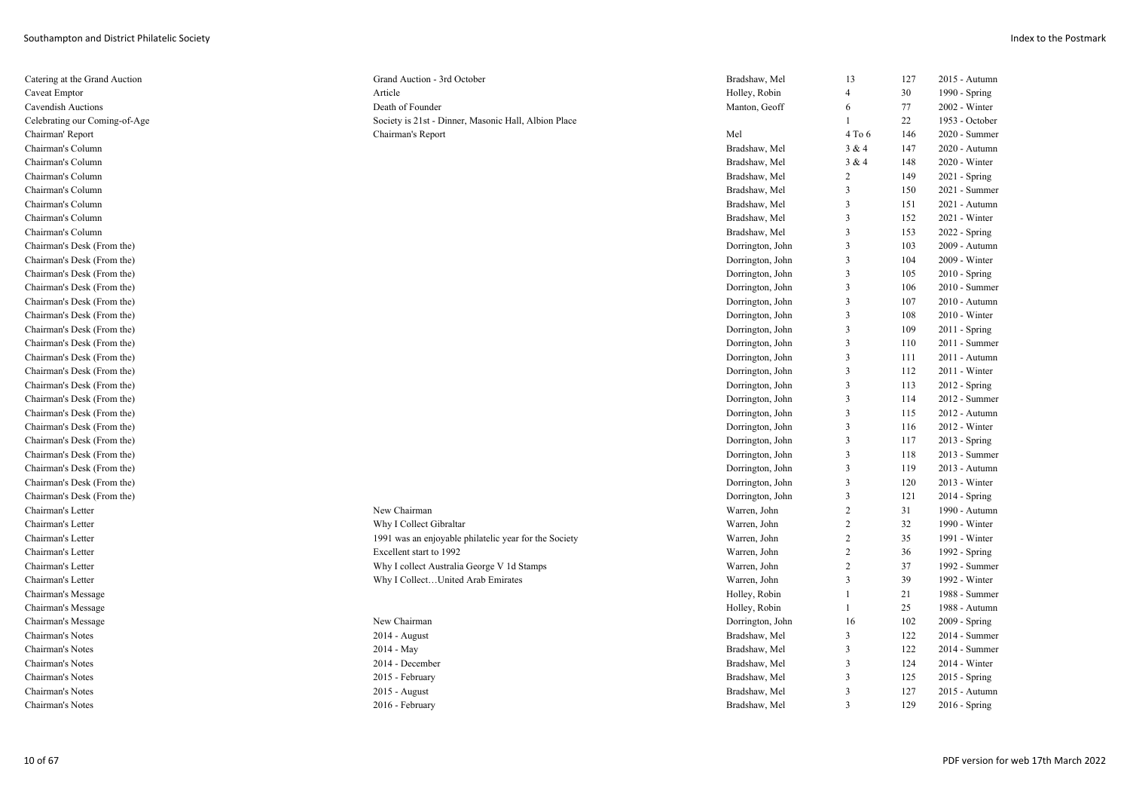| Catering at the Grand Auction | Grand Auction - 3rd October                           | Bradshaw, Mel    | 13                      | 127 | 2015 - Autumn   |
|-------------------------------|-------------------------------------------------------|------------------|-------------------------|-----|-----------------|
| Caveat Emptor                 | Article                                               | Holley, Robin    | $\overline{4}$          | 30  | 1990 - Spring   |
| Cavendish Auctions            | Death of Founder                                      | Manton, Geoff    | 6                       | 77  | 2002 - Winter   |
| Celebrating our Coming-of-Age | Society is 21st - Dinner, Masonic Hall, Albion Place  |                  | $\mathbf{1}$            | 22  | 1953 - October  |
| Chairman' Report              | Chairman's Report                                     | Mel              | 4 To 6                  | 146 | 2020 - Summer   |
| Chairman's Column             |                                                       | Bradshaw, Mel    | 3 & 4                   | 147 | 2020 - Autumn   |
| Chairman's Column             |                                                       | Bradshaw, Mel    | 3 & 4                   | 148 | 2020 - Winter   |
| Chairman's Column             |                                                       | Bradshaw, Mel    | $\overline{c}$          | 149 | 2021 - Spring   |
| Chairman's Column             |                                                       | Bradshaw, Mel    | 3                       | 150 | 2021 - Summer   |
| Chairman's Column             |                                                       | Bradshaw, Mel    | 3                       | 151 | 2021 - Autumn   |
| Chairman's Column             |                                                       | Bradshaw, Mel    | $\overline{3}$          | 152 | 2021 - Winter   |
| Chairman's Column             |                                                       | Bradshaw, Mel    | 3                       | 153 | $2022 - Spring$ |
| Chairman's Desk (From the)    |                                                       | Dorrington, John | $\overline{\mathbf{3}}$ | 103 | 2009 - Autumn   |
| Chairman's Desk (From the)    |                                                       | Dorrington, John | 3                       | 104 | 2009 - Winter   |
| Chairman's Desk (From the)    |                                                       | Dorrington, John | $\mathfrak{Z}$          | 105 | $2010 - Spring$ |
| Chairman's Desk (From the)    |                                                       | Dorrington, John | 3                       | 106 | 2010 - Summer   |
| Chairman's Desk (From the)    |                                                       | Dorrington, John | 3                       | 107 | 2010 - Autumn   |
| Chairman's Desk (From the)    |                                                       | Dorrington, John | 3                       | 108 | $2010 - Winter$ |
| Chairman's Desk (From the)    |                                                       | Dorrington, John | 3                       | 109 | $2011 -$ Spring |
| Chairman's Desk (From the)    |                                                       | Dorrington, John | 3                       | 110 | 2011 - Summer   |
| Chairman's Desk (From the)    |                                                       | Dorrington, John | 3                       | 111 | 2011 - Autumn   |
| Chairman's Desk (From the)    |                                                       | Dorrington, John | 3                       | 112 | $2011 - Winter$ |
| Chairman's Desk (From the)    |                                                       | Dorrington, John | 3                       | 113 | $2012 -$ Spring |
| Chairman's Desk (From the)    |                                                       | Dorrington, John | 3                       | 114 | 2012 - Summer   |
| Chairman's Desk (From the)    |                                                       | Dorrington, John | 3                       | 115 | 2012 - Autumn   |
| Chairman's Desk (From the)    |                                                       | Dorrington, John | 3                       | 116 | 2012 - Winter   |
| Chairman's Desk (From the)    |                                                       | Dorrington, John | 3                       | 117 | $2013 - Spring$ |
| Chairman's Desk (From the)    |                                                       | Dorrington, John | 3                       | 118 | 2013 - Summer   |
| Chairman's Desk (From the)    |                                                       | Dorrington, John | 3                       | 119 | 2013 - Autumn   |
| Chairman's Desk (From the)    |                                                       | Dorrington, John | 3                       | 120 | 2013 - Winter   |
| Chairman's Desk (From the)    |                                                       | Dorrington, John | 3                       | 121 | $2014 - Spring$ |
| Chairman's Letter             | New Chairman                                          | Warren, John     | $\overline{c}$          | 31  | 1990 - Autumn   |
| Chairman's Letter             | Why I Collect Gibraltar                               | Warren, John     | $\overline{c}$          | 32  | 1990 - Winter   |
| Chairman's Letter             | 1991 was an enjoyable philatelic year for the Society | Warren, John     | $\overline{c}$          | 35  | 1991 - Winter   |
| Chairman's Letter             | Excellent start to 1992                               | Warren, John     | $\overline{2}$          | 36  | 1992 - Spring   |
| Chairman's Letter             | Why I collect Australia George V 1d Stamps            | Warren, John     | $\overline{2}$          | 37  | 1992 - Summer   |
| Chairman's Letter             | Why I CollectUnited Arab Emirates                     | Warren, John     | 3                       | 39  | 1992 - Winter   |
| Chairman's Message            |                                                       | Holley, Robin    | $\mathbf{1}$            | 21  | 1988 - Summer   |
| Chairman's Message            |                                                       | Holley, Robin    | $\mathbf{1}$            | 25  | 1988 - Autumn   |
| Chairman's Message            | New Chairman                                          | Dorrington, John | 16                      | 102 | $2009 - Spring$ |
| Chairman's Notes              | 2014 - August                                         | Bradshaw, Mel    | 3                       | 122 | 2014 - Summer   |
| Chairman's Notes              | 2014 - May                                            | Bradshaw, Mel    | 3                       | 122 | 2014 - Summer   |
| Chairman's Notes              | 2014 - December                                       | Bradshaw, Mel    | 3                       | 124 | 2014 - Winter   |
| Chairman's Notes              | 2015 - February                                       | Bradshaw, Mel    | 3                       | 125 | 2015 - Spring   |
| Chairman's Notes              | 2015 - August                                         | Bradshaw, Mel    | 3                       | 127 | 2015 - Autumn   |
| Chairman's Notes              | 2016 - February                                       | Bradshaw, Mel    | 3                       | 129 | $2016 -$ Spring |
|                               |                                                       |                  |                         |     |                 |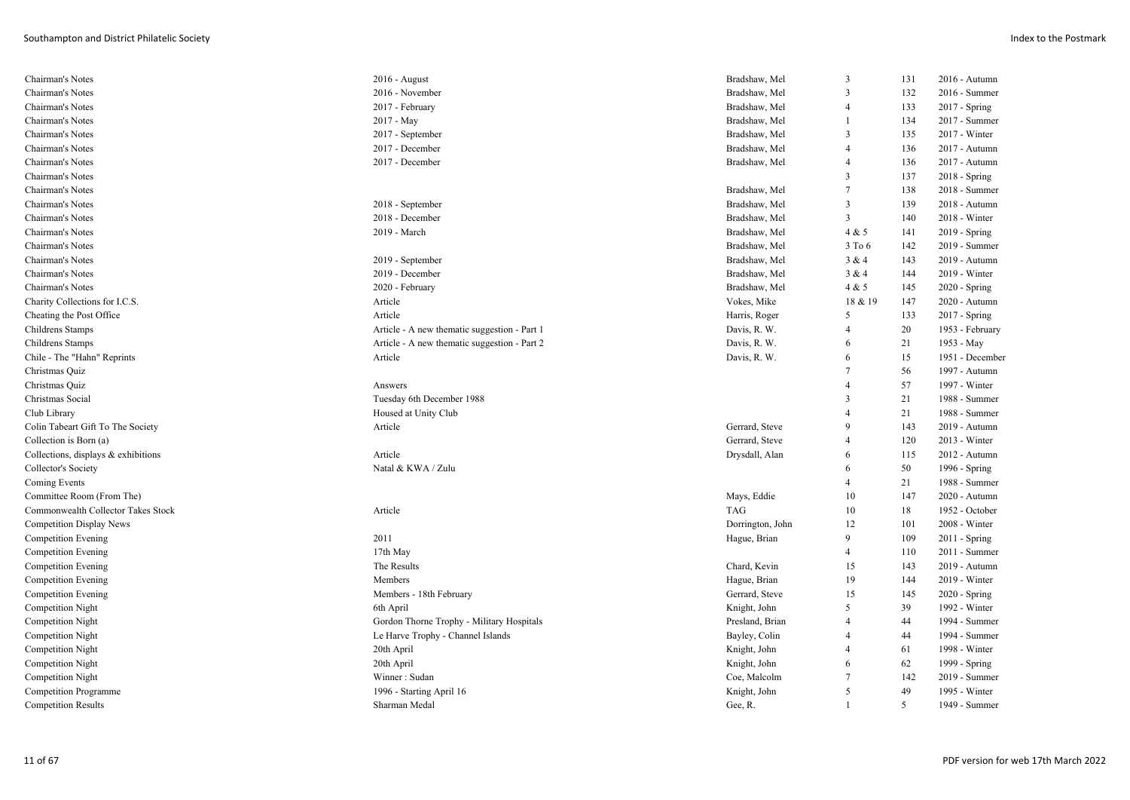| Chairman's Notes                    | 2016 - August                                | Bradshaw, Mel    | 3              | 131 | 2016 - Autumn   |
|-------------------------------------|----------------------------------------------|------------------|----------------|-----|-----------------|
| Chairman's Notes                    | 2016 - November                              | Bradshaw, Mel    | 3              | 132 | 2016 - Summer   |
| Chairman's Notes                    | 2017 - February                              | Bradshaw, Mel    | $\overline{4}$ | 133 | 2017 - Spring   |
| Chairman's Notes                    | 2017 - May                                   | Bradshaw, Mel    | $\overline{1}$ | 134 | 2017 - Summer   |
| Chairman's Notes                    | 2017 - September                             | Bradshaw, Mel    | 3              | 135 | 2017 - Winter   |
| Chairman's Notes                    | 2017 - December                              | Bradshaw, Mel    | $\overline{4}$ | 136 | 2017 - Autumn   |
| Chairman's Notes                    | 2017 - December                              | Bradshaw, Mel    | $\overline{4}$ | 136 | 2017 - Autumn   |
| Chairman's Notes                    |                                              |                  | 3              | 137 | 2018 - Spring   |
| Chairman's Notes                    |                                              | Bradshaw, Mel    | $\overline{7}$ | 138 | 2018 - Summer   |
| Chairman's Notes                    | 2018 - September                             | Bradshaw, Mel    | 3              | 139 | 2018 - Autumn   |
| Chairman's Notes                    | 2018 - December                              | Bradshaw, Mel    | 3              | 140 | 2018 - Winter   |
| Chairman's Notes                    | 2019 - March                                 | Bradshaw, Mel    | 4 & 5          | 141 | 2019 - Spring   |
| Chairman's Notes                    |                                              | Bradshaw, Mel    | 3 To 6         | 142 | 2019 - Summer   |
| Chairman's Notes                    | 2019 - September                             | Bradshaw, Mel    | 3 & 4          | 143 | 2019 - Autumn   |
| Chairman's Notes                    | 2019 - December                              | Bradshaw, Mel    | 3 & 4          | 144 | 2019 - Winter   |
| Chairman's Notes                    | 2020 - February                              | Bradshaw, Mel    | 4 & 5          | 145 | 2020 - Spring   |
| Charity Collections for I.C.S.      | Article                                      | Vokes, Mike      | 18 & 19        | 147 | 2020 - Autumn   |
| Cheating the Post Office            | Article                                      | Harris, Roger    | 5              | 133 | 2017 - Spring   |
| <b>Childrens Stamps</b>             | Article - A new thematic suggestion - Part 1 | Davis, R. W.     | $\overline{4}$ | 20  | 1953 - February |
| Childrens Stamps                    | Article - A new thematic suggestion - Part 2 | Davis, R. W.     | -6             | 21  | 1953 - May      |
| Chile - The "Hahn" Reprints         | Article                                      | Davis, R. W.     | 6              | 15  | 1951 - December |
| Christmas Quiz                      |                                              |                  | 7              | 56  | 1997 - Autumn   |
| Christmas Quiz                      | Answers                                      |                  | $\overline{4}$ | 57  | 1997 - Winter   |
| Christmas Social                    | Tuesday 6th December 1988                    |                  | 3              | 21  | 1988 - Summer   |
| Club Library                        | Housed at Unity Club                         |                  | $\overline{4}$ | 21  | 1988 - Summer   |
| Colin Tabeart Gift To The Society   | Article                                      | Gerrard, Steve   | 9              | 143 | 2019 - Autumn   |
| Collection is Born (a)              |                                              | Gerrard, Steve   | $\overline{4}$ | 120 | 2013 - Winter   |
| Collections, displays & exhibitions | Article                                      | Drysdall, Alan   | 6              | 115 | 2012 - Autumn   |
| Collector's Society                 | Natal & KWA / Zulu                           |                  | 6              | 50  | 1996 - Spring   |
| <b>Coming Events</b>                |                                              |                  | $\overline{4}$ | 21  | 1988 - Summer   |
| Committee Room (From The)           |                                              | Mays, Eddie      | 10             | 147 | 2020 - Autumn   |
| Commonwealth Collector Takes Stock  | Article                                      | TAG              | 10             | 18  | 1952 - October  |
| <b>Competition Display News</b>     |                                              | Dorrington, John | 12             | 101 | 2008 - Winter   |
| <b>Competition Evening</b>          | 2011                                         | Hague, Brian     | 9              | 109 | $2011 -$ Spring |
| <b>Competition Evening</b>          | 17th May                                     |                  | $\overline{4}$ | 110 | 2011 - Summer   |
| <b>Competition Evening</b>          | The Results                                  | Chard, Kevin     | 15             | 143 | 2019 - Autumn   |
| Competition Evening                 | Members                                      | Hague, Brian     | 19             | 144 | 2019 - Winter   |
| <b>Competition Evening</b>          | Members - 18th February                      | Gerrard, Steve   | 15             | 145 | 2020 - Spring   |
| Competition Night                   | 6th April                                    | Knight, John     | 5              | 39  | 1992 - Winter   |
| <b>Competition Night</b>            | Gordon Thorne Trophy - Military Hospitals    | Presland, Brian  | $\overline{4}$ | 44  | 1994 - Summer   |
| Competition Night                   | Le Harve Trophy - Channel Islands            | Bayley, Colin    | $\overline{4}$ | 44  | 1994 - Summer   |
| <b>Competition Night</b>            | 20th April                                   | Knight, John     | $\overline{4}$ | 61  | 1998 - Winter   |
| Competition Night                   | 20th April                                   | Knight, John     | 6              | 62  | 1999 - Spring   |
| <b>Competition Night</b>            | Winner: Sudan                                | Coe, Malcolm     | -7             | 142 | 2019 - Summer   |
| <b>Competition Programme</b>        | 1996 - Starting April 16                     | Knight, John     | 5              | 49  | 1995 - Winter   |
| Competition Results                 | Sharman Medal                                | Gee, R.          |                | 5   | 1949 - Summer   |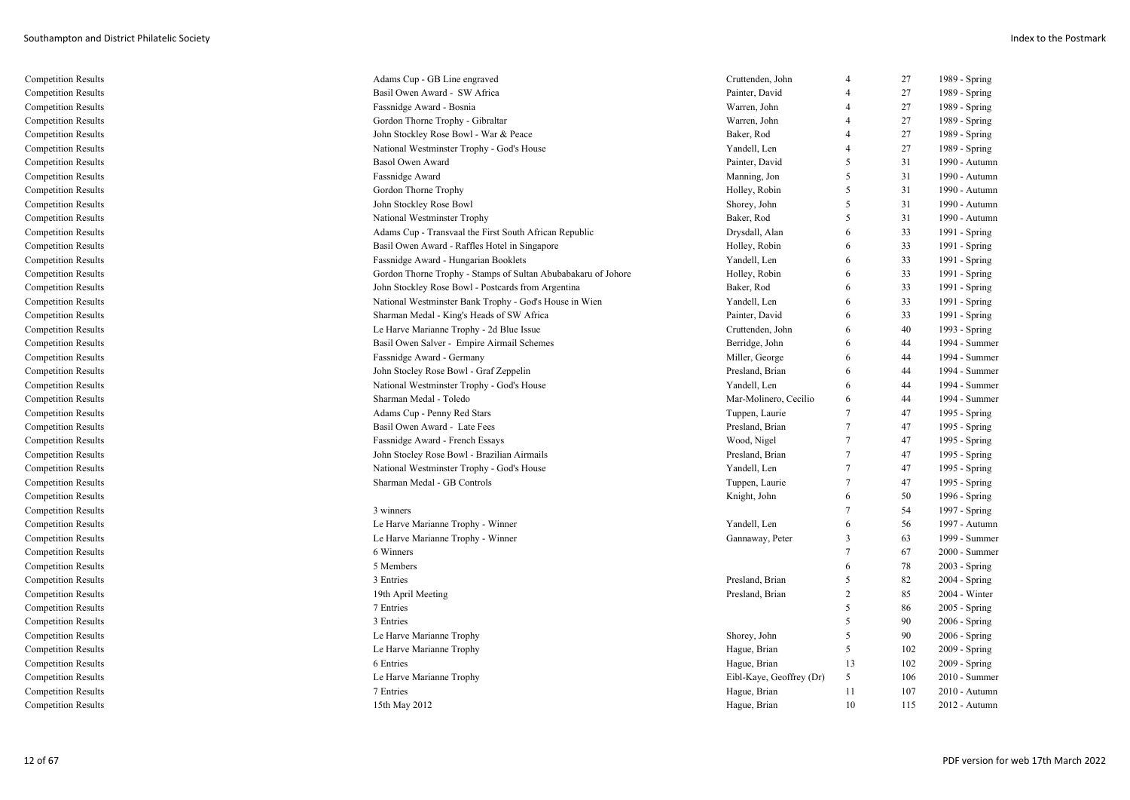| Competition Results        | Adams Cup - GB Line engraved                                  | Cruttenden, John         | $\overline{4}$ | 27  | 1989 - Spring   |
|----------------------------|---------------------------------------------------------------|--------------------------|----------------|-----|-----------------|
| <b>Competition Results</b> | Basil Owen Award - SW Africa                                  | Painter, David           | $\overline{4}$ | 27  | 1989 - Spring   |
| <b>Competition Results</b> | Fassnidge Award - Bosnia                                      | Warren, John             |                | 27  | 1989 - Spring   |
| <b>Competition Results</b> | Gordon Thorne Trophy - Gibraltar                              | Warren, John             | $\overline{4}$ | 27  | 1989 - Spring   |
| <b>Competition Results</b> | John Stockley Rose Bowl - War & Peace                         | Baker, Rod               | $\overline{4}$ | 27  | 1989 - Spring   |
| <b>Competition Results</b> | National Westminster Trophy - God's House                     | Yandell, Len             | $\overline{4}$ | 27  | 1989 - Spring   |
| <b>Competition Results</b> | Basol Owen Award                                              | Painter, David           | 5              | 31  | 1990 - Autumn   |
| <b>Competition Results</b> | Fassnidge Award                                               | Manning, Jon             | -5             | 31  | 1990 - Autumn   |
| <b>Competition Results</b> | Gordon Thorne Trophy                                          | Holley, Robin            | 5              | 31  | 1990 - Autumn   |
| <b>Competition Results</b> | John Stockley Rose Bowl                                       | Shorey, John             | -5             | 31  | 1990 - Autumn   |
| <b>Competition Results</b> | National Westminster Trophy                                   | Baker, Rod               | 5              | 31  | 1990 - Autumn   |
| <b>Competition Results</b> | Adams Cup - Transvaal the First South African Republic        | Drysdall, Alan           | 6              | 33  | 1991 - Spring   |
| <b>Competition Results</b> | Basil Owen Award - Raffles Hotel in Singapore                 | Holley, Robin            | 6              | 33  | 1991 - Spring   |
| <b>Competition Results</b> | Fassnidge Award - Hungarian Booklets                          | Yandell, Len             | 6              | 33  | 1991 - Spring   |
| <b>Competition Results</b> | Gordon Thorne Trophy - Stamps of Sultan Abubabakaru of Johore | Holley, Robin            | 6              | 33  | 1991 - Spring   |
| <b>Competition Results</b> | John Stockley Rose Bowl - Postcards from Argentina            | Baker, Rod               | 6              | 33  | 1991 - Spring   |
| <b>Competition Results</b> | National Westminster Bank Trophy - God's House in Wien        | Yandell, Len             | 6              | 33  | 1991 - Spring   |
| <b>Competition Results</b> | Sharman Medal - King's Heads of SW Africa                     | Painter, David           | 6              | 33  | 1991 - Spring   |
| <b>Competition Results</b> | Le Harve Marianne Trophy - 2d Blue Issue                      | Cruttenden, John         | 6              | 40  | 1993 - Spring   |
| <b>Competition Results</b> | Basil Owen Salver - Empire Airmail Schemes                    | Berridge, John           | 6              | 44  | 1994 - Summer   |
| <b>Competition Results</b> | Fassnidge Award - Germany                                     | Miller, George           | 6              | 44  | 1994 - Summer   |
| <b>Competition Results</b> | John Stocley Rose Bowl - Graf Zeppelin                        | Presland, Brian          | -6             | 44  | 1994 - Summer   |
| <b>Competition Results</b> | National Westminster Trophy - God's House                     | Yandell, Len             | 6              | 44  | 1994 - Summer   |
| <b>Competition Results</b> | Sharman Medal - Toledo                                        | Mar-Molinero, Cecilio    | 6              | 44  | 1994 - Summer   |
| <b>Competition Results</b> | Adams Cup - Penny Red Stars                                   | Tuppen, Laurie           | $\tau$         | 47  | 1995 - Spring   |
| <b>Competition Results</b> | Basil Owen Award - Late Fees                                  | Presland, Brian          | $\tau$         | 47  | 1995 - Spring   |
| <b>Competition Results</b> | Fassnidge Award - French Essays                               | Wood, Nigel              | 7              | 47  | 1995 - Spring   |
| <b>Competition Results</b> | John Stocley Rose Bowl - Brazilian Airmails                   | Presland, Brian          | $\tau$         | 47  | 1995 - Spring   |
| <b>Competition Results</b> | National Westminster Trophy - God's House                     | Yandell, Len             | $\tau$         | 47  | 1995 - Spring   |
| <b>Competition Results</b> | Sharman Medal - GB Controls                                   | Tuppen, Laurie           | 7              | 47  | 1995 - Spring   |
| <b>Competition Results</b> |                                                               | Knight, John             | 6              | 50  | 1996 - Spring   |
| <b>Competition Results</b> | 3 winners                                                     |                          | $\overline{7}$ | 54  | 1997 - Spring   |
| <b>Competition Results</b> | Le Harve Marianne Trophy - Winner                             | Yandell, Len             | 6              | 56  | 1997 - Autumn   |
| <b>Competition Results</b> | Le Harve Marianne Trophy - Winner                             | Gannaway, Peter          | 3              | 63  | 1999 - Summer   |
| <b>Competition Results</b> | 6 Winners                                                     |                          | $\tau$         | 67  | 2000 - Summer   |
| <b>Competition Results</b> | 5 Members                                                     |                          | 6              | 78  | $2003 - Spring$ |
| <b>Competition Results</b> | 3 Entries                                                     | Presland, Brian          | 5              | 82  | 2004 - Spring   |
| <b>Competition Results</b> | 19th April Meeting                                            | Presland, Brian          | $\overline{2}$ | 85  | 2004 - Winter   |
| <b>Competition Results</b> | 7 Entries                                                     |                          | .5             | 86  | 2005 - Spring   |
| <b>Competition Results</b> | 3 Entries                                                     |                          | 5              | 90  | 2006 - Spring   |
| <b>Competition Results</b> | Le Harve Marianne Trophy                                      | Shorey, John             | 5              | 90  | $2006 - Spring$ |
| <b>Competition Results</b> | Le Harve Marianne Trophy                                      | Hague, Brian             | 5              | 102 | 2009 - Spring   |
| <b>Competition Results</b> | 6 Entries                                                     | Hague, Brian             | 13             | 102 | 2009 - Spring   |
| <b>Competition Results</b> | Le Harve Marianne Trophy                                      | Eibl-Kaye, Geoffrey (Dr) | 5              | 106 | 2010 - Summer   |
| <b>Competition Results</b> | 7 Entries                                                     | Hague, Brian             | 11             | 107 | 2010 - Autumn   |
| <b>Competition Results</b> | 15th May 2012                                                 | Hague, Brian             | 10             | 115 | 2012 - Autumn   |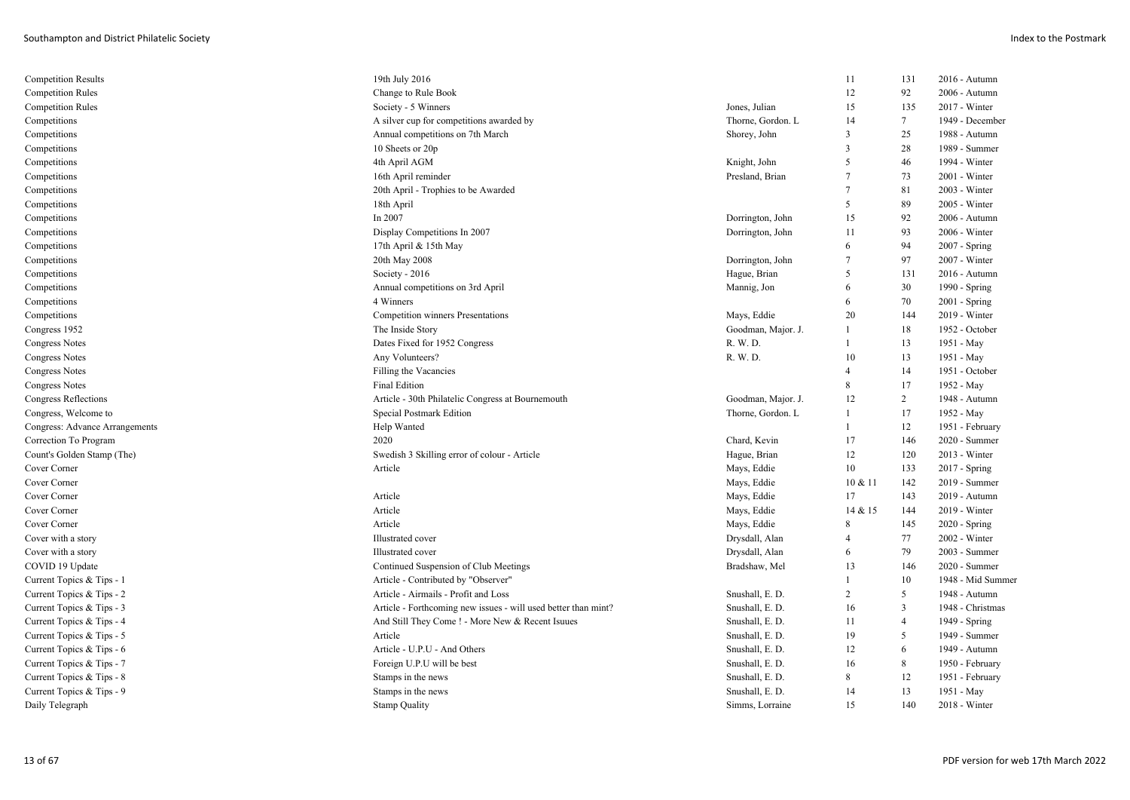| <b>Competition Results</b>     | 19th July 2016                                                 |                    | 11             | 131            | 2016 - Autumn     |
|--------------------------------|----------------------------------------------------------------|--------------------|----------------|----------------|-------------------|
| <b>Competition Rules</b>       | Change to Rule Book                                            |                    | 12             | 92             | 2006 - Autumn     |
| <b>Competition Rules</b>       | Society - 5 Winners                                            | Jones, Julian      | 15             | 135            | 2017 - Winter     |
| Competitions                   | A silver cup for competitions awarded by                       | Thorne, Gordon. L  | 14             | $\tau$         | 1949 - December   |
| Competitions                   | Annual competitions on 7th March                               | Shorey, John       | 3              | 25             | 1988 - Autumn     |
| Competitions                   | 10 Sheets or 20p                                               |                    | $\overline{3}$ | 28             | 1989 - Summer     |
| Competitions                   | 4th April AGM                                                  | Knight, John       | 5              | 46             | 1994 - Winter     |
| Competitions                   | 16th April reminder                                            | Presland, Brian    | $\overline{7}$ | 73             | 2001 - Winter     |
| Competitions                   | 20th April - Trophies to be Awarded                            |                    | $\overline{7}$ | 81             | 2003 - Winter     |
| Competitions                   | 18th April                                                     |                    | 5              | 89             | 2005 - Winter     |
| Competitions                   | In 2007                                                        | Dorrington, John   | 15             | 92             | 2006 - Autumn     |
| Competitions                   | Display Competitions In 2007                                   | Dorrington, John   | 11             | 93             | $2006$ - Winter   |
| Competitions                   | 17th April & 15th May                                          |                    | 6              | 94             | 2007 - Spring     |
| Competitions                   | 20th May 2008                                                  | Dorrington, John   | $\overline{7}$ | 97             | 2007 - Winter     |
| Competitions                   | Society - 2016                                                 | Hague, Brian       | 5              | 131            | 2016 - Autumn     |
| Competitions                   | Annual competitions on 3rd April                               | Mannig, Jon        | 6              | 30             | 1990 - Spring     |
| Competitions                   | 4 Winners                                                      |                    | 6              | 70             | 2001 - Spring     |
| Competitions                   | Competition winners Presentations                              | Mays, Eddie        | 20             | 144            | 2019 - Winter     |
| Congress 1952                  | The Inside Story                                               | Goodman, Major. J. | 1              | 18             | 1952 - October    |
| <b>Congress Notes</b>          | Dates Fixed for 1952 Congress                                  | R. W. D.           | $\mathbf{1}$   | 13             | 1951 - May        |
| <b>Congress Notes</b>          | Any Volunteers?                                                | R. W. D.           | 10             | 13             | 1951 - May        |
| <b>Congress Notes</b>          | Filling the Vacancies                                          |                    | $\overline{4}$ | 14             | 1951 - October    |
| <b>Congress Notes</b>          | <b>Final Edition</b>                                           |                    | 8              | 17             | 1952 - May        |
| Congress Reflections           | Article - 30th Philatelic Congress at Bournemouth              | Goodman, Major. J. | 12             | $\overline{2}$ | 1948 - Autumn     |
| Congress, Welcome to           | <b>Special Postmark Edition</b>                                | Thorne, Gordon. L  |                | 17             | 1952 - May        |
| Congress: Advance Arrangements | Help Wanted                                                    |                    |                | 12             | 1951 - February   |
| Correction To Program          | 2020                                                           | Chard, Kevin       | 17             | 146            | 2020 - Summer     |
| Count's Golden Stamp (The)     | Swedish 3 Skilling error of colour - Article                   | Hague, Brian       | 12             | 120            | 2013 - Winter     |
| Cover Corner                   | Article                                                        | Mays, Eddie        | 10             | 133            | 2017 - Spring     |
| Cover Corner                   |                                                                | Mays, Eddie        | 10 & 11        | 142            | 2019 - Summer     |
| Cover Corner                   | Article                                                        | Mays, Eddie        | 17             | 143            | 2019 - Autumn     |
| Cover Corner                   | Article                                                        | Mays, Eddie        | 14 & 15        | 144            | 2019 - Winter     |
| Cover Corner                   | Article                                                        | Mays, Eddie        | 8              | 145            | 2020 - Spring     |
| Cover with a story             | Illustrated cover                                              | Drysdall, Alan     | $\overline{4}$ | 77             | 2002 - Winter     |
| Cover with a story             | Illustrated cover                                              | Drysdall, Alan     | 6              | 79             | 2003 - Summer     |
| COVID 19 Update                | Continued Suspension of Club Meetings                          | Bradshaw, Mel      | 13             | 146            | 2020 - Summer     |
| Current Topics & Tips - 1      | Article - Contributed by "Observer'                            |                    |                | 10             | 1948 - Mid Summer |
| Current Topics & Tips - 2      | Article - Airmails - Profit and Loss                           | Snushall, E. D.    | $\overline{2}$ | 5              | 1948 - Autumn     |
| Current Topics & Tips - 3      | Article - Forthcoming new issues - will used better than mint? | Snushall, E. D.    | 16             | $\overline{3}$ | 1948 - Christmas  |
| Current Topics & Tips - 4      | And Still They Come ! - More New & Recent Isuues               | Snushall, E. D.    | 11             | $\overline{4}$ | 1949 - Spring     |
| Current Topics & Tips - 5      | Article                                                        | Snushall, E. D.    | 19             | 5              | 1949 - Summer     |
| Current Topics & Tips - 6      | Article - U.P.U - And Others                                   | Snushall, E. D.    | 12             | 6              | 1949 - Autumn     |
| Current Topics & Tips - 7      | Foreign U.P.U will be best                                     | Snushall, E. D.    | 16             | 8              | 1950 - February   |
| Current Topics & Tips - 8      | Stamps in the news                                             | Snushall, E. D.    | 8              | 12             | 1951 - February   |
| Current Topics & Tips - 9      | Stamps in the news                                             | Snushall, E. D.    | 14             | 13             | 1951 - May        |
| Daily Telegraph                | <b>Stamp Quality</b>                                           | Simms, Lorraine    | 15             | 140            | 2018 - Winter     |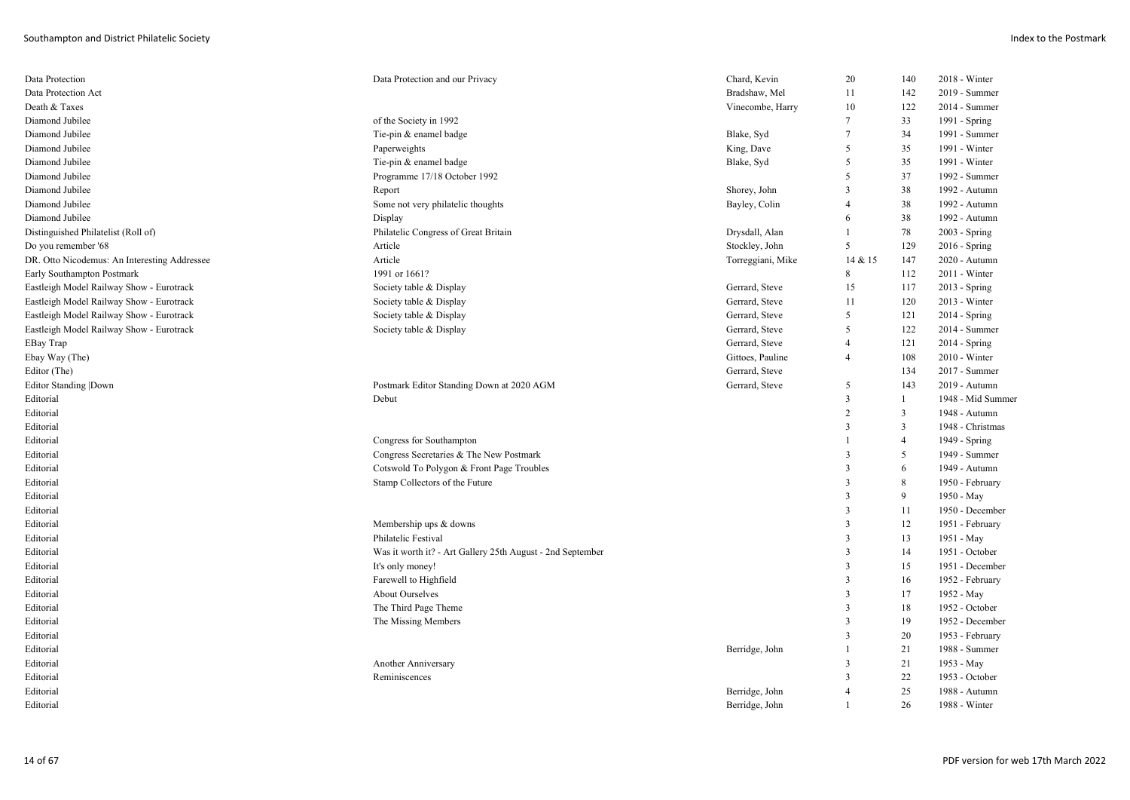| Data Protection                              | Data Protection and our Privacy                            | Chard, Kevin      | 20                      | 140            | 2018 - Winter     |
|----------------------------------------------|------------------------------------------------------------|-------------------|-------------------------|----------------|-------------------|
| Data Protection Act                          |                                                            | Bradshaw, Mel     | 11                      | 142            | 2019 - Summer     |
| Death & Taxes                                |                                                            | Vinecombe, Harry  | 10                      | 122            | 2014 - Summer     |
| Diamond Jubilee                              | of the Society in 1992                                     |                   | $\tau$                  | 33             | 1991 - Spring     |
| Diamond Jubilee                              | Tie-pin & enamel badge                                     | Blake, Syd        | $\overline{7}$          | 34             | 1991 - Summer     |
| Diamond Jubilee                              | Paperweights                                               | King, Dave        | 5                       | 35             | 1991 - Winter     |
| Diamond Jubilee                              | Tie-pin & enamel badge                                     | Blake, Syd        | 5                       | 35             | 1991 - Winter     |
| Diamond Jubilee                              | Programme 17/18 October 1992                               |                   | 5                       | 37             | 1992 - Summer     |
| Diamond Jubilee                              | Report                                                     | Shorey, John      | $\overline{3}$          | 38             | 1992 - Autumn     |
| Diamond Jubilee                              | Some not very philatelic thoughts                          | Bayley, Colin     | $\overline{4}$          | 38             | 1992 - Autumn     |
| Diamond Jubilee                              | Display                                                    |                   | 6                       | 38             | 1992 - Autumn     |
| Distinguished Philatelist (Roll of)          | Philatelic Congress of Great Britain                       | Drysdall, Alan    | $\overline{1}$          | 78             | 2003 - Spring     |
| Do you remember '68                          | Article                                                    | Stockley, John    | 5                       | 129            | 2016 - Spring     |
| DR. Otto Nicodemus: An Interesting Addressee | Article                                                    | Torreggiani, Mike | 14 & 15                 | 147            | 2020 - Autumn     |
| Early Southampton Postmark                   | 1991 or 1661?                                              |                   | 8                       | 112            | 2011 - Winter     |
| Eastleigh Model Railway Show - Eurotrack     | Society table & Display                                    | Gerrard, Steve    | 15                      | 117            | 2013 - Spring     |
| Eastleigh Model Railway Show - Eurotrack     | Society table & Display                                    | Gerrard, Steve    | 11                      | 120            | 2013 - Winter     |
| Eastleigh Model Railway Show - Eurotrack     | Society table & Display                                    | Gerrard, Steve    | 5                       | 121            | 2014 - Spring     |
| Eastleigh Model Railway Show - Eurotrack     | Society table & Display                                    | Gerrard, Steve    | 5                       | 122            | 2014 - Summer     |
| EBay Trap                                    |                                                            | Gerrard, Steve    | $\overline{4}$          | 121            | 2014 - Spring     |
| Ebay Way (The)                               |                                                            | Gittoes, Pauline  | $\overline{4}$          | 108            | 2010 - Winter     |
| Editor (The)                                 |                                                            | Gerrard, Steve    |                         | 134            | 2017 - Summer     |
| <b>Editor Standing  Down</b>                 | Postmark Editor Standing Down at 2020 AGM                  | Gerrard, Steve    | 5                       | 143            | 2019 - Autumn     |
| Editorial                                    | Debut                                                      |                   | $\overline{3}$          | 1              | 1948 - Mid Summer |
| Editorial                                    |                                                            |                   | $\overline{2}$          | $\overline{3}$ | 1948 - Autumn     |
| Editorial                                    |                                                            |                   | 3                       | 3              | 1948 - Christmas  |
| Editorial                                    | Congress for Southampton                                   |                   |                         | $\overline{4}$ | 1949 - Spring     |
| Editorial                                    | Congress Secretaries & The New Postmark                    |                   | $\overline{3}$          | 5              | 1949 - Summer     |
| Editorial                                    | Cotswold To Polygon & Front Page Troubles                  |                   | $\overline{\mathbf{3}}$ | 6              | 1949 - Autumn     |
| Editorial                                    | Stamp Collectors of the Future                             |                   | $\overline{\mathbf{3}}$ | 8              | 1950 - February   |
| Editorial                                    |                                                            |                   | $\overline{3}$          | 9              | 1950 - May        |
| Editorial                                    |                                                            |                   | $\overline{3}$          | 11             | 1950 - December   |
| Editorial                                    | Membership ups & downs                                     |                   | $\overline{\mathbf{3}}$ | 12             | 1951 - February   |
| Editorial                                    | Philatelic Festival                                        |                   | $\overline{3}$          | 13             | 1951 - May        |
| Editorial                                    | Was it worth it? - Art Gallery 25th August - 2nd September |                   | $\overline{3}$          | 14             | 1951 - October    |
| Editorial                                    | It's only money!                                           |                   | $\overline{\mathbf{3}}$ | 15             | 1951 - December   |
| Editorial                                    | Farewell to Highfield                                      |                   | $\overline{3}$          | 16             | 1952 - February   |
| Editorial                                    | <b>About Ourselves</b>                                     |                   | $\overline{\mathbf{3}}$ | 17             | 1952 - May        |
| Editorial                                    | The Third Page Theme                                       |                   | $\overline{3}$          | 18             | 1952 - October    |
| Editorial                                    | The Missing Members                                        |                   | $\overline{3}$          | 19             | 1952 - December   |
| Editorial                                    |                                                            |                   | $\overline{3}$          | 20             | 1953 - February   |
| Editorial                                    |                                                            | Berridge, John    | $\overline{1}$          | 21             | 1988 - Summer     |
| Editorial                                    | Another Anniversary                                        |                   | 3                       | 21             | 1953 - May        |
| Editorial                                    | Reminiscences                                              |                   | $\overline{\mathbf{3}}$ | 22             | 1953 - October    |
| Editorial                                    |                                                            | Berridge, John    | $\overline{4}$          | 25             | 1988 - Autumn     |
| Editorial                                    |                                                            | Berridge, John    |                         | 26             | 1988 - Winter     |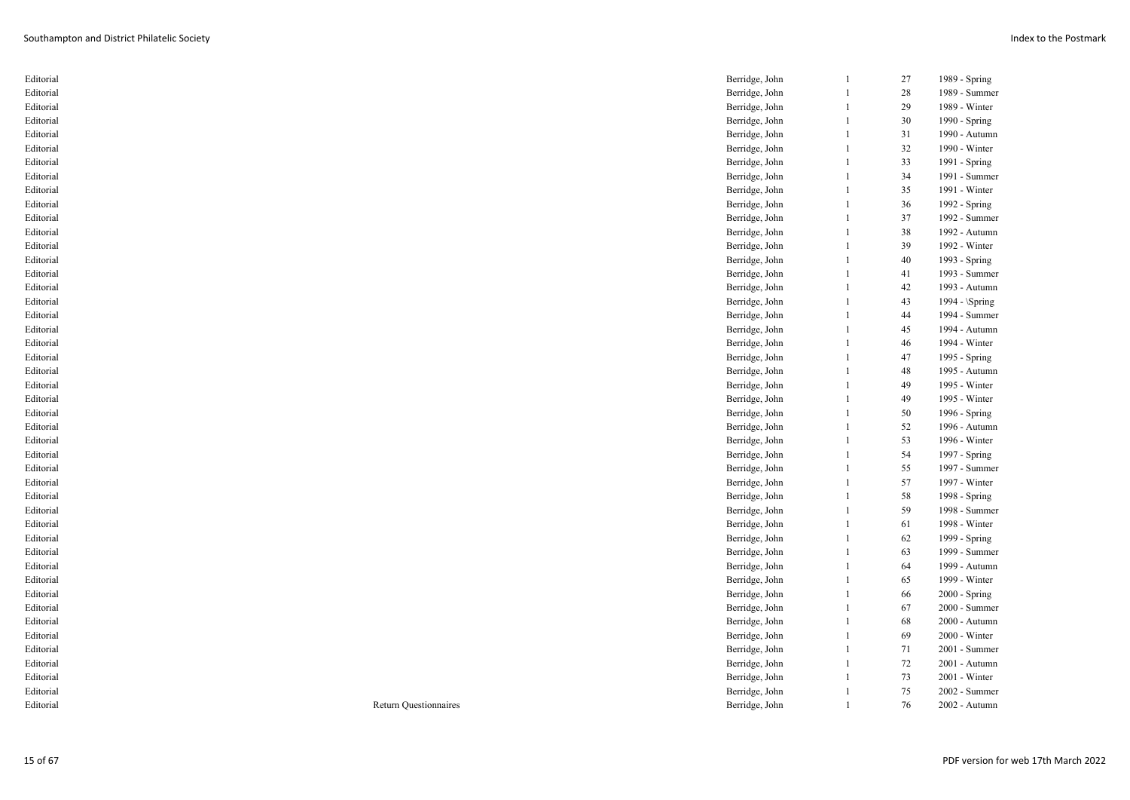| Editorial |                              | Berridge, John | $\mathbf{1}$ | 27 | 1989 - Spring   |
|-----------|------------------------------|----------------|--------------|----|-----------------|
| Editorial |                              | Berridge, John | 1            | 28 | 1989 - Summer   |
| Editorial |                              | Berridge, John | 1            | 29 | 1989 - Winter   |
| Editorial |                              | Berridge, John | $\mathbf{1}$ | 30 | 1990 - Spring   |
| Editorial |                              | Berridge, John | $\mathbf{1}$ | 31 | 1990 - Autumn   |
| Editorial |                              | Berridge, John | 1            | 32 | 1990 - Winter   |
| Editorial |                              | Berridge, John | $\mathbf{1}$ | 33 | 1991 - Spring   |
| Editorial |                              | Berridge, John | $\mathbf{1}$ | 34 | 1991 - Summer   |
| Editorial |                              | Berridge, John | $\mathbf{1}$ | 35 | 1991 - Winter   |
| Editorial |                              | Berridge, John | 1            | 36 | 1992 - Spring   |
| Editorial |                              | Berridge, John | 1            | 37 | 1992 - Summer   |
| Editorial |                              | Berridge, John | $\mathbf{1}$ | 38 | 1992 - Autumn   |
| Editorial |                              | Berridge, John | $\mathbf{1}$ | 39 | 1992 - Winter   |
| Editorial |                              | Berridge, John | 1            | 40 | 1993 - Spring   |
| Editorial |                              | Berridge, John | 1            | 41 | 1993 - Summer   |
| Editorial |                              | Berridge, John | $\mathbf{1}$ | 42 | 1993 - Autumn   |
| Editorial |                              | Berridge, John | $\mathbf{1}$ | 43 | 1994 - \Spring  |
| Editorial |                              | Berridge, John | 1            | 44 | 1994 - Summer   |
| Editorial |                              | Berridge, John | 1            | 45 | 1994 - Autumn   |
| Editorial |                              | Berridge, John | $\mathbf{1}$ | 46 | 1994 - Winter   |
| Editorial |                              | Berridge, John | $\mathbf{1}$ | 47 | 1995 - Spring   |
| Editorial |                              | Berridge, John | 1            | 48 | 1995 - Autumn   |
| Editorial |                              | Berridge, John | 1            | 49 | 1995 - Winter   |
| Editorial |                              | Berridge, John | $\mathbf{1}$ | 49 | 1995 - Winter   |
| Editorial |                              | Berridge, John | $\mathbf{1}$ | 50 | 1996 - Spring   |
| Editorial |                              | Berridge, John | $\mathbf{1}$ | 52 | 1996 - Autumn   |
| Editorial |                              | Berridge, John | 1            | 53 | 1996 - Winter   |
| Editorial |                              | Berridge, John | $\mathbf{1}$ | 54 | 1997 - Spring   |
| Editorial |                              | Berridge, John | 1            | 55 | 1997 - Summer   |
| Editorial |                              | Berridge, John | 1            | 57 | 1997 - Winter   |
| Editorial |                              | Berridge, John | 1            | 58 | 1998 - Spring   |
| Editorial |                              | Berridge, John | $\mathbf{1}$ | 59 | 1998 - Summer   |
| Editorial |                              | Berridge, John | $\mathbf{1}$ | 61 | 1998 - Winter   |
| Editorial |                              | Berridge, John | 1            | 62 | 1999 - Spring   |
| Editorial |                              | Berridge, John | 1            | 63 | 1999 - Summer   |
| Editorial |                              | Berridge, John | $\mathbf{1}$ | 64 | 1999 - Autumn   |
| Editorial |                              | Berridge, John | $\mathbf{1}$ | 65 | 1999 - Winter   |
| Editorial |                              | Berridge, John | $\mathbf{1}$ | 66 | $2000 - Spring$ |
| Editorial |                              | Berridge, John | 1            | 67 | 2000 - Summer   |
| Editorial |                              | Berridge, John | 1            | 68 | 2000 - Autumn   |
| Editorial |                              | Berridge, John | $\mathbf{1}$ | 69 | 2000 - Winter   |
| Editorial |                              | Berridge, John | 1            | 71 | 2001 - Summer   |
| Editorial |                              | Berridge, John | 1            | 72 | 2001 - Autumn   |
| Editorial |                              | Berridge, John | $\mathbf{1}$ | 73 | 2001 - Winter   |
| Editorial |                              | Berridge, John | $\mathbf{1}$ | 75 | 2002 - Summer   |
| Editorial | <b>Return Questionnaires</b> | Berridge, John | $\mathbf{1}$ | 76 | 2002 - Autumn   |
|           |                              |                |              |    |                 |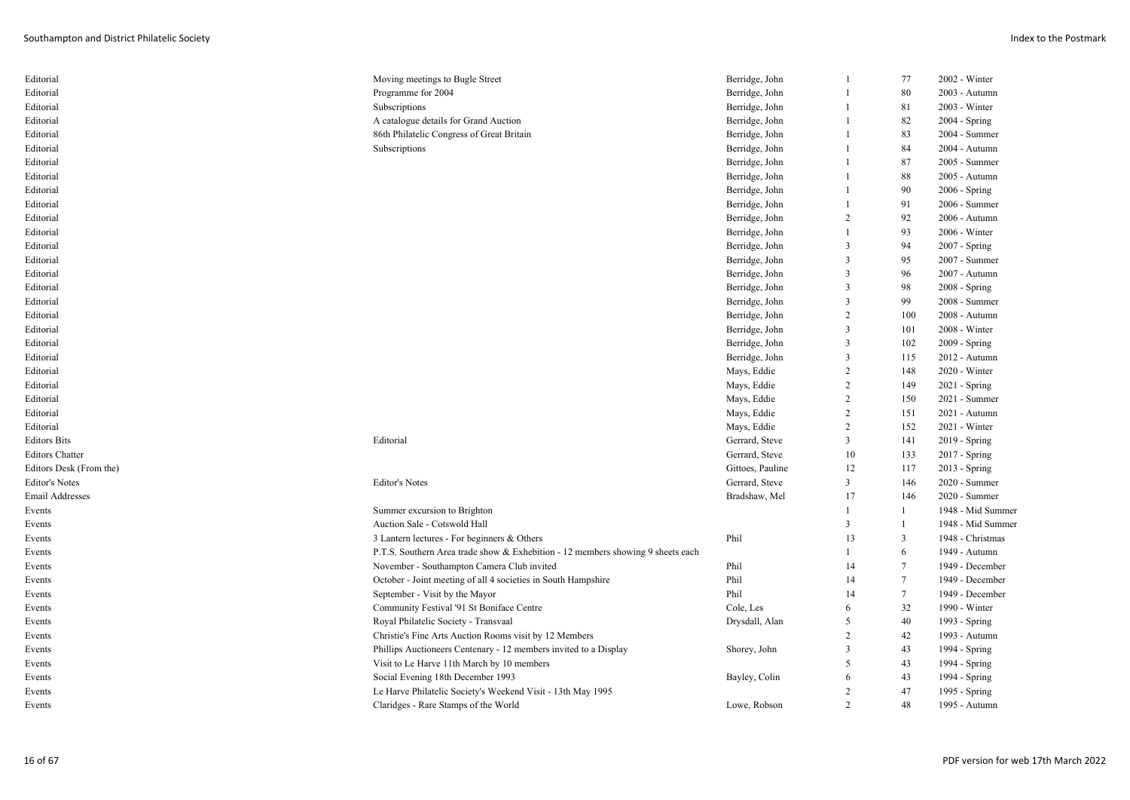| Editorial               | Moving meetings to Bugle Street                                                 | Berridge, John   | $\mathbf{1}$            | 77             | 2002 - Winter                  |
|-------------------------|---------------------------------------------------------------------------------|------------------|-------------------------|----------------|--------------------------------|
| Editorial               | Programme for 2004                                                              | Berridge, John   | $\mathbf{1}$            | 80             | 2003 - Autumn                  |
| Editorial               | Subscriptions                                                                   | Berridge, John   |                         | 81             | 2003 - Winter                  |
| Editorial               | A catalogue details for Grand Auction                                           | Berridge, John   | $\mathbf{1}$            | 82             | $2004 - Spring$                |
| Editorial               | 86th Philatelic Congress of Great Britain                                       | Berridge, John   | $\mathbf{1}$            | 83             | 2004 - Summer                  |
| Editorial               | Subscriptions                                                                   | Berridge, John   |                         | 84             | 2004 - Autumn                  |
| Editorial               |                                                                                 | Berridge, John   | $\mathbf{1}$            | 87             | 2005 - Summer                  |
| Editorial               |                                                                                 | Berridge, John   |                         | 88             | 2005 - Autumn                  |
| Editorial               |                                                                                 | Berridge, John   |                         | 90             | $2006 - Spring$                |
| Editorial               |                                                                                 | Berridge, John   | $\mathbf{1}$            | 91             | 2006 - Summer                  |
| Editorial               |                                                                                 | Berridge, John   | $\overline{2}$          | 92             | 2006 - Autumn                  |
| Editorial               |                                                                                 | Berridge, John   | $\mathbf{1}$            | 93             | 2006 - Winter                  |
| Editorial               |                                                                                 | Berridge, John   | $\overline{\mathbf{3}}$ | 94             | 2007 - Spring                  |
| Editorial               |                                                                                 | Berridge, John   | $\overline{\mathbf{3}}$ | 95             | 2007 - Summer                  |
| Editorial               |                                                                                 | Berridge, John   | $\overline{\mathbf{3}}$ | 96             | 2007 - Autumn                  |
| Editorial               |                                                                                 | Berridge, John   | $\overline{\mathbf{3}}$ | 98             | $2008 - Spring$                |
| Editorial               |                                                                                 | Berridge, John   | $\overline{\mathbf{3}}$ | 99             | 2008 - Summer                  |
| Editorial               |                                                                                 | Berridge, John   | $\overline{2}$          | 100            | 2008 - Autumn                  |
| Editorial               |                                                                                 | Berridge, John   | $\overline{\mathbf{3}}$ | 101            | 2008 - Winter                  |
| Editorial               |                                                                                 | Berridge, John   | $\overline{\mathbf{3}}$ | 102            | $2009 - Spring$                |
| Editorial               |                                                                                 | Berridge, John   | $\overline{\mathbf{3}}$ | 115            | 2012 - Autumn                  |
| Editorial               |                                                                                 | Mays, Eddie      | $\overline{2}$          | 148            | 2020 - Winter                  |
| Editorial               |                                                                                 | Mays, Eddie      | $\overline{2}$          | 149            | 2021 - Spring                  |
| Editorial               |                                                                                 | Mays, Eddie      | $\overline{c}$          | 150            | 2021 - Summer                  |
| Editorial               |                                                                                 | Mays, Eddie      | $\overline{2}$          | 151            | 2021 - Autumn                  |
| Editorial               |                                                                                 | Mays, Eddie      | $\overline{2}$          | 152            | 2021 - Winter                  |
| <b>Editors Bits</b>     | Editorial                                                                       | Gerrard, Steve   | $\overline{3}$          | 141            | 2019 - Spring                  |
| <b>Editors Chatter</b>  |                                                                                 | Gerrard, Steve   | 10                      | 133            |                                |
| Editors Desk (From the) |                                                                                 | Gittoes, Pauline | 12                      | 117            | 2017 - Spring                  |
| <b>Editor's Notes</b>   | <b>Editor's Notes</b>                                                           | Gerrard, Steve   | $\overline{3}$          | 146            | 2013 - Spring                  |
| Email Addresses         |                                                                                 |                  | 17                      |                | 2020 - Summer<br>2020 - Summer |
|                         |                                                                                 | Bradshaw, Mel    | $\mathbf{1}$            | 146            |                                |
| Events                  | Summer excursion to Brighton                                                    |                  | $\overline{3}$          |                | 1948 - Mid Summer              |
| Events                  | Auction Sale - Cotswold Hall                                                    |                  |                         |                | 1948 - Mid Summer              |
| Events                  | 3 Lantern lectures - For beginners & Others                                     | Phil             | 13                      | 3              | 1948 - Christmas               |
| Events                  | P.T.S. Southern Area trade show & Exhebition - 12 members showing 9 sheets each |                  | $\mathbf{1}$            | 6              | 1949 - Autumn                  |
| Events                  | November - Southampton Camera Club invited                                      | Phil             | 14                      | $\overline{7}$ | 1949 - December                |
| Events                  | October - Joint meeting of all 4 societies in South Hampshire                   | Phil             | 14                      | $\tau$         | 1949 - December                |
| Events                  | September - Visit by the Mayor                                                  | Phil             | 14                      | $\tau$         | 1949 - December                |
| Events                  | Community Festival '91 St Boniface Centre                                       | Cole, Les        | 6                       | 32             | 1990 - Winter                  |
| Events                  | Royal Philatelic Society - Transvaal                                            | Drysdall, Alan   | 5                       | 40             | 1993 - Spring                  |
| Events                  | Christie's Fine Arts Auction Rooms visit by 12 Members                          |                  | $\overline{2}$          | 42             | 1993 - Autumn                  |
| Events                  | Phillips Auctioneers Centenary - 12 members invited to a Display                | Shorey, John     | $\overline{\mathbf{3}}$ | 43             | 1994 - Spring                  |
| Events                  | Visit to Le Harve 11th March by 10 members                                      |                  | 5                       | 43             | 1994 - Spring                  |
| Events                  | Social Evening 18th December 1993                                               | Bayley, Colin    | 6                       | 43             | 1994 - Spring                  |
| Events                  | Le Harve Philatelic Society's Weekend Visit - 13th May 1995                     |                  | $\overline{2}$          | 47             | 1995 - Spring                  |
| Events                  | Claridges - Rare Stamps of the World                                            | Lowe, Robson     | $\mathcal{L}$           | 48             | 1995 - Autumn                  |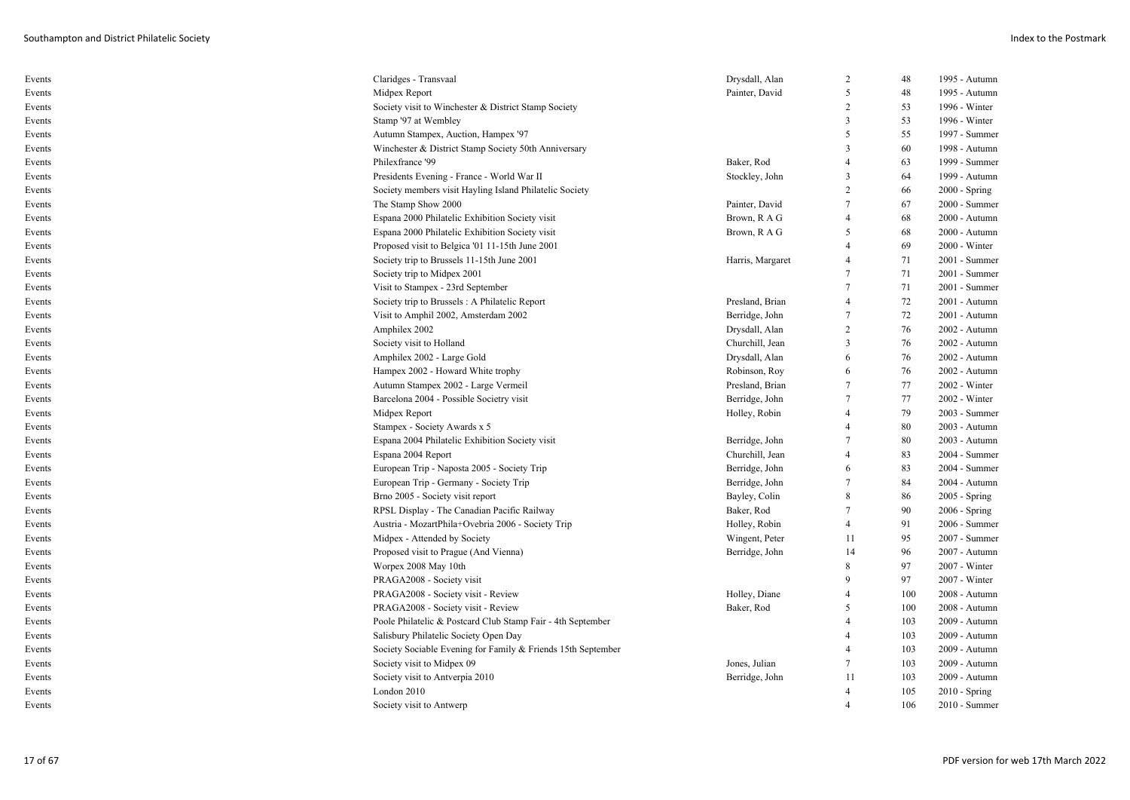| Events | Claridges - Transvaal                                        | Drysdall, Alan   | 2                        | 48  | 1995 - Autumn   |
|--------|--------------------------------------------------------------|------------------|--------------------------|-----|-----------------|
| Events | Midpex Report                                                | Painter, David   | 5                        | 48  | 1995 - Autumn   |
| Events | Society visit to Winchester & District Stamp Society         |                  | 2                        | 53  | 1996 - Winter   |
| Events | Stamp '97 at Wembley                                         |                  | $\overline{3}$           | 53  | 1996 - Winter   |
| Events | Autumn Stampex, Auction, Hampex '97                          |                  | 5                        | 55  | 1997 - Summer   |
| Events | Winchester & District Stamp Society 50th Anniversary         |                  | $\overline{3}$           | 60  | 1998 - Autumn   |
| Events | Philexfrance '99                                             | Baker, Rod       | $\overline{4}$           | 63  | 1999 - Summer   |
| Events | Presidents Evening - France - World War II                   | Stockley, John   | 3                        | 64  | 1999 - Autumn   |
| Events | Society members visit Hayling Island Philatelic Society      |                  | 2                        | 66  | $2000 - Spring$ |
| Events | The Stamp Show 2000                                          | Painter, David   | 7                        | 67  | 2000 - Summer   |
| Events | Espana 2000 Philatelic Exhibition Society visit              | Brown, R A G     | $\overline{4}$           | 68  | 2000 - Autumn   |
| Events | Espana 2000 Philatelic Exhibition Society visit              | Brown, R A G     | .5                       | 68  | 2000 - Autumn   |
| Events | Proposed visit to Belgica '01 11-15th June 2001              |                  | $\overline{\mathcal{A}}$ | 69  | 2000 - Winter   |
| Events | Society trip to Brussels 11-15th June 2001                   | Harris, Margaret | $\overline{4}$           | 71  | 2001 - Summer   |
| Events | Society trip to Midpex 2001                                  |                  | 7                        | 71  | 2001 - Summer   |
| Events | Visit to Stampex - 23rd September                            |                  | $\overline{7}$           | 71  | 2001 - Summer   |
| Events | Society trip to Brussels: A Philatelic Report                | Presland, Brian  | $\overline{\mathcal{A}}$ | 72  | 2001 - Autumn   |
| Events | Visit to Amphil 2002, Amsterdam 2002                         | Berridge, John   | 7                        | 72  | 2001 - Autumn   |
| Events | Amphilex 2002                                                | Drysdall, Alan   | 2                        | 76  | 2002 - Autumn   |
| Events | Society visit to Holland                                     | Churchill, Jean  | $\overline{\mathbf{3}}$  | 76  | 2002 - Autumn   |
| Events | Amphilex 2002 - Large Gold                                   | Drysdall, Alan   | 6                        | 76  | 2002 - Autumn   |
| Events | Hampex 2002 - Howard White trophy                            | Robinson, Roy    | 6                        | 76  | 2002 - Autumn   |
| Events | Autumn Stampex 2002 - Large Vermeil                          | Presland, Brian  | $\tau$                   | 77  | 2002 - Winter   |
| Events | Barcelona 2004 - Possible Societry visit                     | Berridge, John   | $\overline{7}$           | 77  | 2002 - Winter   |
| Events | Midpex Report                                                | Holley, Robin    |                          | 79  | 2003 - Summer   |
| Events | Stampex - Society Awards x 5                                 |                  | $\overline{4}$           | 80  | 2003 - Autumn   |
| Events | Espana 2004 Philatelic Exhibition Society visit              | Berridge, John   | 7                        | 80  | 2003 - Autumn   |
| Events | Espana 2004 Report                                           | Churchill, Jean  | $\overline{4}$           | 83  | 2004 - Summer   |
| Events | European Trip - Naposta 2005 - Society Trip                  | Berridge, John   | 6                        | 83  | 2004 - Summer   |
| Events | European Trip - Germany - Society Trip                       | Berridge, John   | 7                        | 84  | 2004 - Autumn   |
| Events | Brno 2005 - Society visit report                             | Bayley, Colin    | 8                        | 86  | $2005 - Spring$ |
| Events | RPSL Display - The Canadian Pacific Railway                  | Baker, Rod       | 7                        | 90  | 2006 - Spring   |
| Events | Austria - MozartPhila+Ovebria 2006 - Society Trip            | Holley, Robin    | $\overline{4}$           | 91  | 2006 - Summer   |
| Events | Midpex - Attended by Society                                 | Wingent, Peter   | 11                       | 95  | 2007 - Summer   |
| Events | Proposed visit to Prague (And Vienna)                        | Berridge, John   | 14                       | 96  | 2007 - Autumn   |
| Events | Worpex 2008 May 10th                                         |                  | 8                        | 97  | 2007 - Winter   |
| Events | PRAGA2008 - Society visit                                    |                  | $\mathbf Q$              | 97  | 2007 - Winter   |
| Events | PRAGA2008 - Society visit - Review                           | Holley, Diane    | $\overline{4}$           | 100 | 2008 - Autumn   |
| Events | PRAGA2008 - Society visit - Review                           | Baker, Rod       | $5\overline{)}$          | 100 | 2008 - Autumn   |
| Events | Poole Philatelic & Postcard Club Stamp Fair - 4th September  |                  | $\overline{\mathcal{A}}$ | 103 | 2009 - Autumn   |
| Events | Salisbury Philatelic Society Open Day                        |                  | 4                        | 103 | 2009 - Autumn   |
| Events | Society Sociable Evening for Family & Friends 15th September |                  | 4                        | 103 | 2009 - Autumn   |
| Events | Society visit to Midpex 09                                   | Jones, Julian    | 7                        | 103 | 2009 - Autumn   |
| Events | Society visit to Antverpia 2010                              | Berridge, John   | 11                       | 103 | 2009 - Autumn   |
| Events | London 2010                                                  |                  | $\overline{4}$           | 105 | $2010 - Spring$ |
| Events | Society visit to Antwerp                                     |                  | $\boldsymbol{\varDelta}$ | 106 | 2010 - Summer   |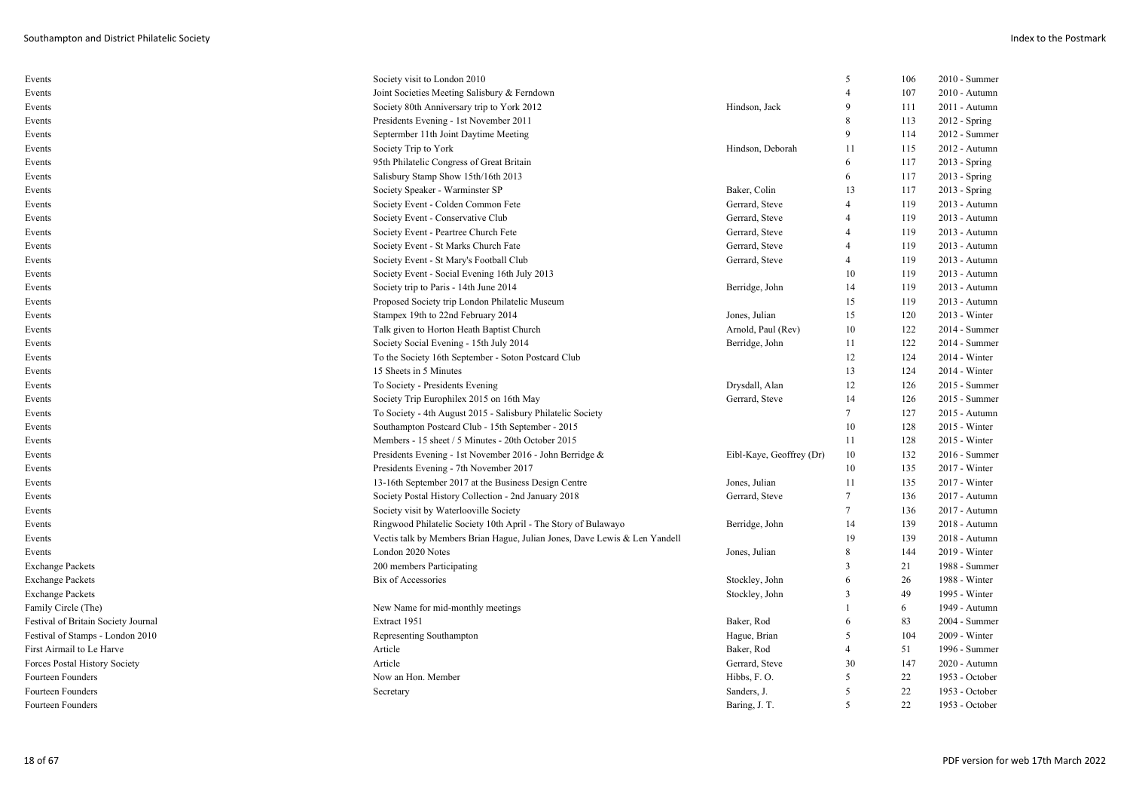| Events                              | Society visit to London 2010                                               |                          | 5              | 106 | 2010 - Summer   |
|-------------------------------------|----------------------------------------------------------------------------|--------------------------|----------------|-----|-----------------|
| Events                              | Joint Societies Meeting Salisbury & Ferndown                               |                          |                | 107 | 2010 - Autumn   |
| Events                              | Society 80th Anniversary trip to York 2012                                 | Hindson, Jack            | 9              | 111 | 2011 - Autumn   |
| Events                              | Presidents Evening - 1st November 2011                                     |                          | 8              | 113 | $2012 -$ Spring |
| Events                              | Septermber 11th Joint Daytime Meeting                                      |                          | 9              | 114 | 2012 - Summer   |
| Events                              | Society Trip to York                                                       | Hindson, Deborah         | 11             | 115 | 2012 - Autumn   |
| Events                              | 95th Philatelic Congress of Great Britain                                  |                          | 6              | 117 | 2013 - Spring   |
| Events                              | Salisbury Stamp Show 15th/16th 2013                                        |                          | 6              | 117 | $2013 - Spring$ |
| Events                              | Society Speaker - Warminster SP                                            | Baker, Colin             | 13             | 117 | 2013 - Spring   |
| Events                              | Society Event - Colden Common Fete                                         | Gerrard, Steve           | $\overline{4}$ | 119 | 2013 - Autumn   |
| Events                              | Society Event - Conservative Club                                          | Gerrard, Steve           | 4              | 119 | 2013 - Autumn   |
| Events                              | Society Event - Peartree Church Fete                                       | Gerrard, Steve           | 4              | 119 | 2013 - Autumn   |
| Events                              | Society Event - St Marks Church Fate                                       | Gerrard, Steve           | 4              | 119 | 2013 - Autumn   |
| Events                              | Society Event - St Mary's Football Club                                    | Gerrard, Steve           | 4              | 119 | 2013 - Autumn   |
| Events                              | Society Event - Social Evening 16th July 2013                              |                          | 10             | 119 | 2013 - Autumn   |
| Events                              | Society trip to Paris - 14th June 2014                                     | Berridge, John           | 14             | 119 | 2013 - Autumn   |
| Events                              | Proposed Society trip London Philatelic Museum                             |                          | 15             | 119 | 2013 - Autumn   |
| Events                              | Stampex 19th to 22nd February 2014                                         | Jones, Julian            | 15             | 120 | 2013 - Winter   |
| Events                              | Talk given to Horton Heath Baptist Church                                  | Arnold, Paul (Rev)       | 10             | 122 | 2014 - Summer   |
| Events                              | Society Social Evening - 15th July 2014                                    | Berridge, John           | 11             | 122 | $2014 - Summer$ |
| Events                              | To the Society 16th September - Soton Postcard Club                        |                          | 12             | 124 | $2014 - Winter$ |
| Events                              | 15 Sheets in 5 Minutes                                                     |                          | 13             | 124 | $2014 - Winter$ |
| Events                              | To Society - Presidents Evening                                            | Drysdall, Alan           | 12             | 126 | 2015 - Summer   |
| Events                              | Society Trip Europhilex 2015 on 16th May                                   | Gerrard, Steve           | 14             | 126 | 2015 - Summer   |
| Events                              | To Society - 4th August 2015 - Salisbury Philatelic Society                |                          | 7              | 127 | 2015 - Autumn   |
| Events                              | Southampton Postcard Club - 15th September - 2015                          |                          | 10             | 128 | $2015 - Winter$ |
| Events                              | Members - 15 sheet / 5 Minutes - 20th October 2015                         |                          | 11             | 128 | 2015 - Winter   |
| Events                              | Presidents Evening - 1st November 2016 - John Berridge &                   | Eibl-Kaye, Geoffrey (Dr) | 10             | 132 | $2016$ - Summer |
| Events                              | Presidents Evening - 7th November 2017                                     |                          | 10             | 135 | 2017 - Winter   |
| Events                              | 13-16th September 2017 at the Business Design Centre                       | Jones, Julian            | 11             | 135 | $2017 - Winter$ |
| Events                              | Society Postal History Collection - 2nd January 2018                       | Gerrard, Steve           | $\tau$         | 136 | 2017 - Autumn   |
| Events                              | Society visit by Waterlooville Society                                     |                          | 7              | 136 | 2017 - Autumn   |
| Events                              | Ringwood Philatelic Society 10th April - The Story of Bulawayo             | Berridge, John           | 14             | 139 | 2018 - Autumn   |
| Events                              | Vectis talk by Members Brian Hague, Julian Jones, Dave Lewis & Len Yandell |                          | 19             | 139 | 2018 - Autumn   |
| Events                              | London 2020 Notes                                                          | Jones, Julian            | 8              | 144 | 2019 - Winter   |
| <b>Exchange Packets</b>             | 200 members Participating                                                  |                          | 3              | 21  | 1988 - Summer   |
| <b>Exchange Packets</b>             | Bix of Accessories                                                         | Stockley, John           | 6              | 26  | 1988 - Winter   |
| <b>Exchange Packets</b>             |                                                                            | Stockley, John           | 3              | 49  | 1995 - Winter   |
| Family Circle (The)                 | New Name for mid-monthly meetings                                          |                          |                | 6   | 1949 - Autumn   |
| Festival of Britain Society Journal | Extract 1951                                                               | Baker, Rod               | 6              | 83  | 2004 - Summer   |
| Festival of Stamps - London 2010    | Representing Southampton                                                   | Hague, Brian             | 5              | 104 | 2009 - Winter   |
| First Airmail to Le Harve           | Article                                                                    | Baker, Rod               | 4              | 51  | 1996 - Summer   |
| Forces Postal History Society       | Article                                                                    | Gerrard, Steve           | 30             | 147 | 2020 - Autumn   |
| Fourteen Founders                   | Now an Hon. Member                                                         | Hibbs, F.O.              | 5              | 22  | 1953 - October  |
| Fourteen Founders                   | Secretary                                                                  | Sanders, J.              | 5              | 22  | 1953 - October  |
| Fourteen Founders                   |                                                                            | Baring, J. T.            | 5              | 22  | 1953 - October  |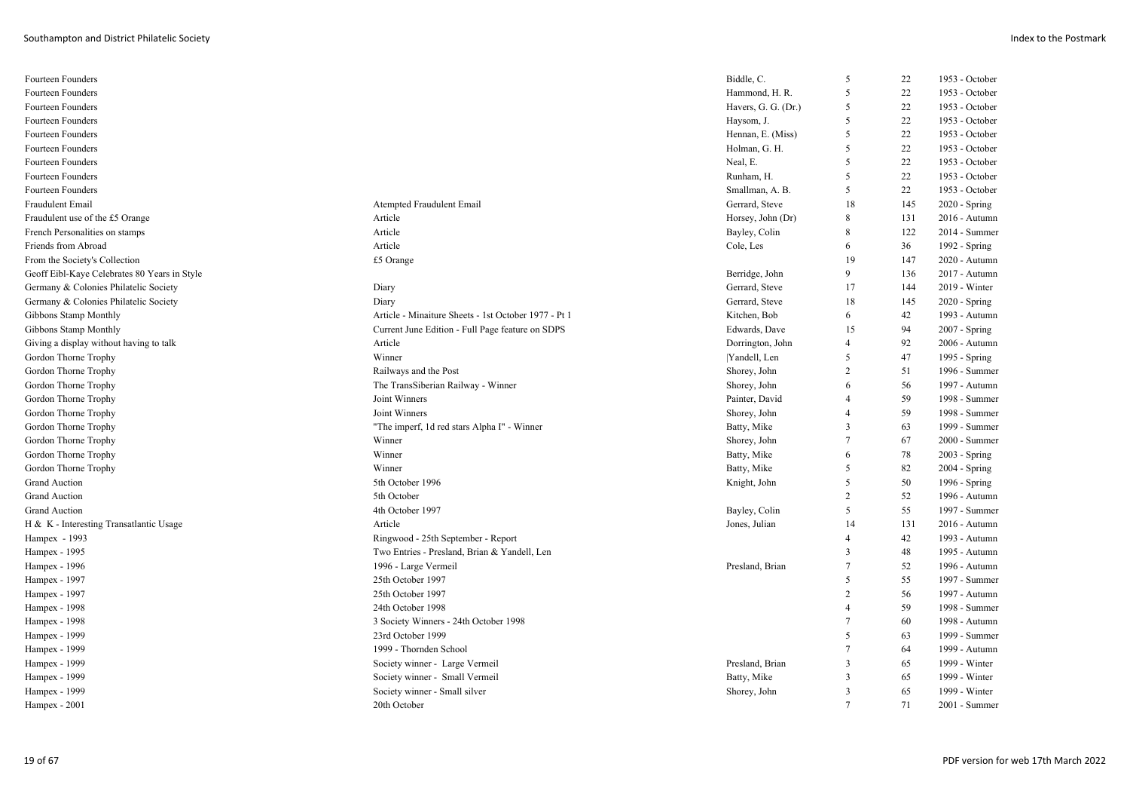| Fourteen Founders                            |                                                      | Biddle, C.          | 5              | 22  | 1953 - October  |
|----------------------------------------------|------------------------------------------------------|---------------------|----------------|-----|-----------------|
| Fourteen Founders                            |                                                      | Hammond, H. R.      | 5              | 22  | 1953 - October  |
| Fourteen Founders                            |                                                      | Havers, G. G. (Dr.) | 5              | 22  | 1953 - October  |
| Fourteen Founders                            |                                                      | Haysom, J.          | 5              | 22  | 1953 - October  |
| Fourteen Founders                            |                                                      | Hennan, E. (Miss)   | 5              | 22  | 1953 - October  |
| Fourteen Founders                            |                                                      | Holman, G. H.       | 5              | 22  | 1953 - October  |
| <b>Fourteen Founders</b>                     |                                                      | Neal, E.            | 5              | 22  | 1953 - October  |
| Fourteen Founders                            |                                                      | Runham, H.          | 5              | 22  | 1953 - October  |
| Fourteen Founders                            |                                                      | Smallman, A. B.     | 5              | 22  | 1953 - October  |
| Fraudulent Email                             | Atempted Fraudulent Email                            | Gerrard, Steve      | 18             | 145 | $2020 - Spring$ |
| Fraudulent use of the £5 Orange              | Article                                              | Horsey, John (Dr)   | 8              | 131 | 2016 - Autumn   |
| French Personalities on stamps               | Article                                              | Bayley, Colin       | 8              | 122 | 2014 - Summer   |
| Friends from Abroad                          | Article                                              | Cole, Les           | 6              | 36  | 1992 - Spring   |
| From the Society's Collection                | £5 Orange                                            |                     | 19             | 147 | 2020 - Autumn   |
| Geoff Eibl-Kaye Celebrates 80 Years in Style |                                                      | Berridge, John      | 9              | 136 | 2017 - Autumn   |
| Germany & Colonies Philatelic Society        | Diary                                                | Gerrard, Steve      | 17             | 144 | 2019 - Winter   |
| Germany & Colonies Philatelic Society        | Diary                                                | Gerrard, Steve      | 18             | 145 | $2020 - Spring$ |
| Gibbons Stamp Monthly                        | Article - Minaiture Sheets - 1st October 1977 - Pt 1 | Kitchen, Bob        | 6              | 42  | 1993 - Autumn   |
| Gibbons Stamp Monthly                        | Current June Edition - Full Page feature on SDPS     | Edwards, Dave       | 15             | 94  | $2007 - Spring$ |
| Giving a display without having to talk      | Article                                              | Dorrington, John    | $\overline{4}$ | 92  | 2006 - Autumn   |
| Gordon Thorne Trophy                         | Winner                                               | Yandell, Len        | 5              | 47  | 1995 - Spring   |
| Gordon Thorne Trophy                         | Railways and the Post                                | Shorey, John        | $\overline{c}$ | 51  | 1996 - Summer   |
| Gordon Thorne Trophy                         | The TransSiberian Railway - Winner                   | Shorey, John        | 6              | 56  | 1997 - Autumn   |
| Gordon Thorne Trophy                         | Joint Winners                                        | Painter, David      | $\overline{4}$ | 59  | 1998 - Summer   |
| Gordon Thorne Trophy                         | Joint Winners                                        | Shorey, John        | 4              | 59  | 1998 - Summer   |
| Gordon Thorne Trophy                         | "The imperf, 1d red stars Alpha I" - Winner          | Batty, Mike         | 3              | 63  | 1999 - Summer   |
| Gordon Thorne Trophy                         | Winner                                               | Shorey, John        | $\overline{7}$ | 67  | 2000 - Summer   |
| Gordon Thorne Trophy                         | Winner                                               | Batty, Mike         | 6              | 78  | $2003 - Spring$ |
| Gordon Thorne Trophy                         | Winner                                               | Batty, Mike         | 5              | 82  | 2004 - Spring   |
| <b>Grand Auction</b>                         | 5th October 1996                                     | Knight, John        | 5              | 50  | 1996 - Spring   |
| <b>Grand Auction</b>                         | 5th October                                          |                     | 2              | 52  | 1996 - Autumn   |
| <b>Grand Auction</b>                         | 4th October 1997                                     | Bayley, Colin       | 5              | 55  | 1997 - Summer   |
| H & K - Interesting Transatlantic Usage      | Article                                              | Jones, Julian       | 14             | 131 | 2016 - Autumn   |
| Hampex - 1993                                | Ringwood - 25th September - Report                   |                     | $\overline{4}$ | 42  | 1993 - Autumn   |
| Hampex - 1995                                | Two Entries - Presland, Brian & Yandell, Len         |                     | $\overline{3}$ | 48  | 1995 - Autumn   |
| Hampex - 1996                                | 1996 - Large Vermeil                                 | Presland, Brian     | 7              | 52  | 1996 - Autumn   |
| Hampex - 1997                                | 25th October 1997                                    |                     | 5              | 55  | 1997 - Summer   |
| Hampex - 1997                                | 25th October 1997                                    |                     | $\overline{c}$ | 56  | 1997 - Autumn   |
| Hampex - 1998                                | 24th October 1998                                    |                     | $\overline{4}$ | 59  | 1998 - Summer   |
| Hampex - 1998                                | 3 Society Winners - 24th October 1998                |                     | $\tau$         | 60  | 1998 - Autumn   |
| Hampex - 1999                                | 23rd October 1999                                    |                     | 5              | 63  | 1999 - Summer   |
| Hampex - 1999                                | 1999 - Thornden School                               |                     | $\overline{7}$ | 64  | 1999 - Autumn   |
| Hampex - 1999                                | Society winner - Large Vermeil                       | Presland, Brian     | 3              | 65  | 1999 - Winter   |
| Hampex - 1999                                | Society winner - Small Vermeil                       | Batty, Mike         | $\mathbf{3}$   | 65  | 1999 - Winter   |
| Hampex - 1999                                | Society winner - Small silver                        | Shorey, John        | $\mathbf{3}$   | 65  | 1999 - Winter   |
| $H$ ampex - 2001                             | 20th October                                         |                     |                | 71  | $2001 - Summer$ |
|                                              |                                                      |                     |                |     |                 |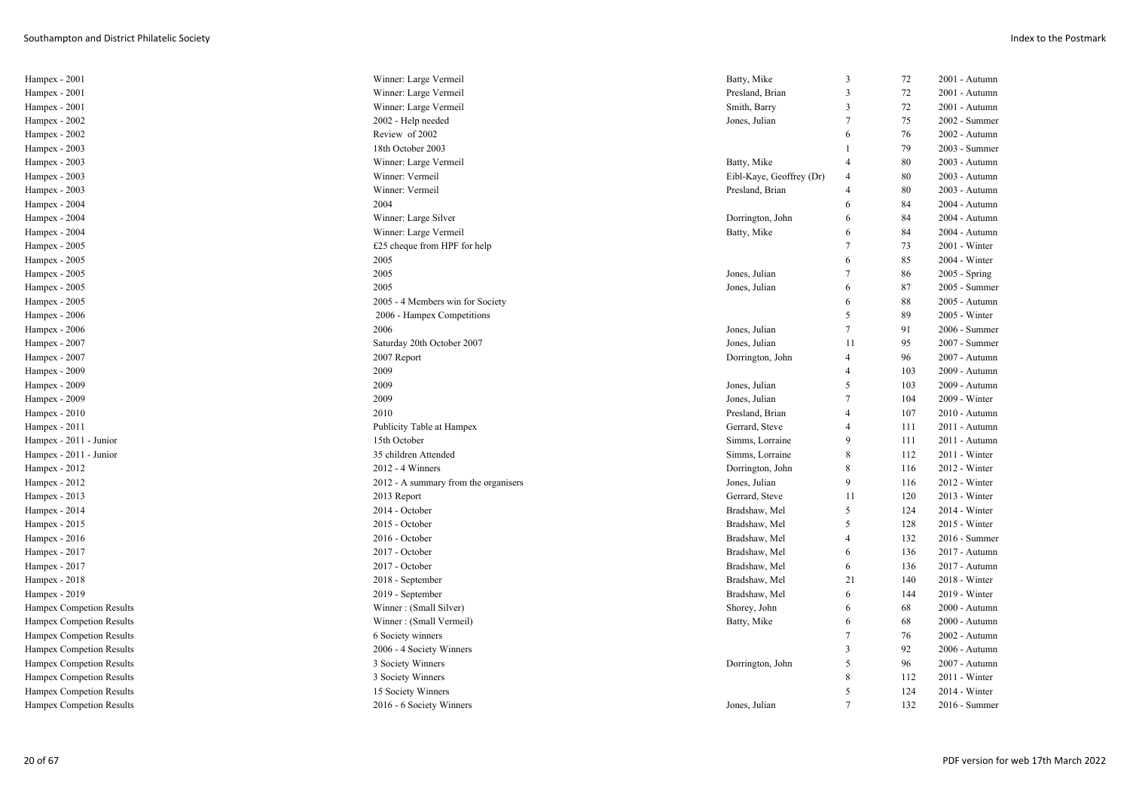| Hampex - 2001            | Winner: Large Vermeil                | Batty, Mike              | 3              | 72  | 2001 - Autumn   |
|--------------------------|--------------------------------------|--------------------------|----------------|-----|-----------------|
| Hampex - 2001            | Winner: Large Vermeil                | Presland, Brian          | 3              | 72  | 2001 - Autumn   |
| Hampex - 2001            | Winner: Large Vermeil                | Smith, Barry             | 3              | 72  | 2001 - Autumn   |
| Hampex - 2002            | 2002 - Help needed                   | Jones, Julian            | $\overline{7}$ | 75  | 2002 - Summer   |
| Hampex - 2002            | Review of 2002                       |                          | 6              | 76  | 2002 - Autumn   |
| Hampex - 2003            | 18th October 2003                    |                          |                | 79  | 2003 - Summer   |
| Hampex - 2003            | Winner: Large Vermeil                | Batty, Mike              | 4              | 80  | 2003 - Autumn   |
| Hampex - 2003            | Winner: Vermeil                      | Eibl-Kaye, Geoffrey (Dr) | $\overline{4}$ | 80  | 2003 - Autumn   |
| Hampex - 2003            | Winner: Vermeil                      | Presland, Brian          | $\overline{4}$ | 80  | 2003 - Autumn   |
| Hampex - 2004            | 2004                                 |                          | 6              | 84  | 2004 - Autumn   |
| Hampex - 2004            | Winner: Large Silver                 | Dorrington, John         | 6              | 84  | 2004 - Autumn   |
| Hampex - 2004            | Winner: Large Vermeil                | Batty, Mike              | 6              | 84  | 2004 - Autumn   |
| Hampex - 2005            | £25 cheque from HPF for help         |                          | 7              | 73  | 2001 - Winter   |
| Hampex - 2005            | 2005                                 |                          | 6              | 85  | 2004 - Winter   |
| Hampex - 2005            | 2005                                 | Jones, Julian            | $\overline{7}$ | 86  | 2005 - Spring   |
| Hampex - 2005            | 2005                                 | Jones, Julian            | 6              | 87  | 2005 - Summer   |
| Hampex - 2005            | 2005 - 4 Members win for Society     |                          | 6              | 88  | 2005 - Autumn   |
| Hampex - 2006            | 2006 - Hampex Competitions           |                          | 5              | 89  | 2005 - Winter   |
| Hampex - 2006            | 2006                                 | Jones, Julian            | 7              | 91  | 2006 - Summer   |
| Hampex - 2007            | Saturday 20th October 2007           | Jones, Julian            | 11             | 95  | 2007 - Summer   |
| Hampex - 2007            | 2007 Report                          | Dorrington, John         | $\overline{4}$ | 96  | 2007 - Autumn   |
| Hampex - 2009            | 2009                                 |                          | $\overline{4}$ | 103 | 2009 - Autumn   |
| Hampex - 2009            | 2009                                 | Jones, Julian            | 5              | 103 | 2009 - Autumn   |
| Hampex - 2009            | 2009                                 | Jones, Julian            | 7              | 104 | $2009 - Winter$ |
| Hampex - 2010            | 2010                                 | Presland, Brian          | $\overline{4}$ | 107 | 2010 - Autumn   |
| Hampex - 2011            | Publicity Table at Hampex            | Gerrard, Steve           | $\overline{4}$ | 111 | 2011 - Autumn   |
| Hampex - 2011 - Junior   | 15th October                         | Simms, Lorraine          | 9              | 111 | 2011 - Autumn   |
| Hampex - 2011 - Junior   | 35 children Attended                 | Simms, Lorraine          | 8              | 112 | 2011 - Winter   |
| Hampex - 2012            | 2012 - 4 Winners                     | Dorrington, John         | 8              | 116 | 2012 - Winter   |
| Hampex - 2012            | 2012 - A summary from the organisers | Jones, Julian            | 9              | 116 | 2012 - Winter   |
| Hampex - 2013            | 2013 Report                          | Gerrard, Steve           | 11             | 120 | 2013 - Winter   |
| Hampex - 2014            | 2014 - October                       | Bradshaw, Mel            | 5              | 124 | 2014 - Winter   |
| Hampex - 2015            | 2015 - October                       | Bradshaw, Mel            | 5              | 128 | 2015 - Winter   |
| Hampex - 2016            | 2016 - October                       | Bradshaw, Mel            | $\overline{4}$ | 132 | 2016 - Summer   |
| Hampex - 2017            | 2017 - October                       | Bradshaw, Mel            | 6              | 136 | 2017 - Autumn   |
| Hampex - 2017            | 2017 - October                       | Bradshaw, Mel            | 6              | 136 | 2017 - Autumn   |
| Hampex - 2018            | 2018 - September                     | Bradshaw, Mel            | 21             | 140 | 2018 - Winter   |
| Hampex - 2019            | 2019 - September                     | Bradshaw, Mel            | 6              | 144 | 2019 - Winter   |
| Hampex Competion Results | Winner: (Small Silver)               | Shorey, John             | 6              | 68  | 2000 - Autumn   |
| Hampex Competion Results | Winner: (Small Vermeil)              | Batty, Mike              | 6              | 68  | 2000 - Autumn   |
| Hampex Competion Results | 6 Society winners                    |                          | 7              | 76  | 2002 - Autumn   |
| Hampex Competion Results | 2006 - 4 Society Winners             |                          | 3              | 92  | 2006 - Autumn   |
| Hampex Competion Results | 3 Society Winners                    | Dorrington, John         | 5              | 96  | 2007 - Autumn   |
| Hampex Competion Results | 3 Society Winners                    |                          | 8              | 112 | 2011 - Winter   |
| Hampex Competion Results | 15 Society Winners                   |                          | 5              | 124 | 2014 - Winter   |
| Hampex Competion Results | 2016 - 6 Society Winners             | Jones, Julian            | $\tau$         | 132 | 2016 - Summer   |
|                          |                                      |                          |                |     |                 |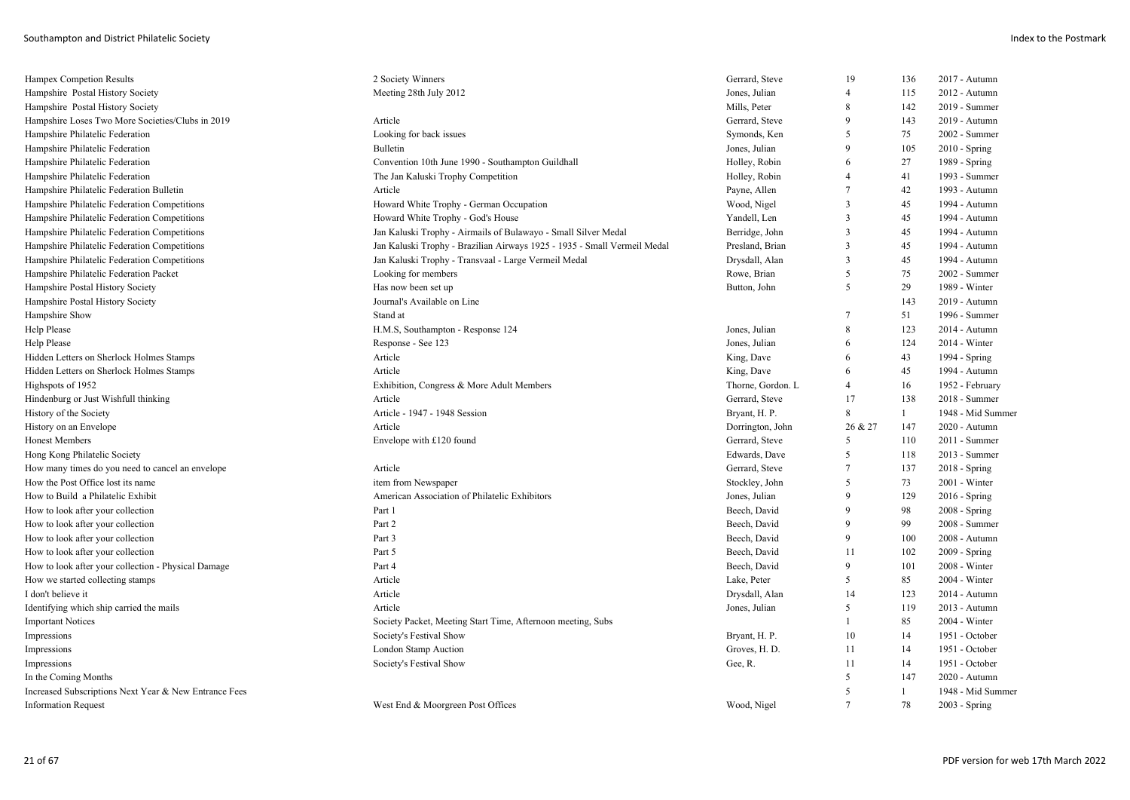| Hampex Competion Results                              | 2 Society Winners                                                        | Gerrard, Steve    | 19                      | 136          | 2017 - Autumn     |
|-------------------------------------------------------|--------------------------------------------------------------------------|-------------------|-------------------------|--------------|-------------------|
| Hampshire Postal History Society                      | Meeting 28th July 2012                                                   | Jones, Julian     | $\overline{4}$          | 115          | 2012 - Autumn     |
| Hampshire Postal History Society                      |                                                                          | Mills, Peter      | 8                       | 142          | 2019 - Summer     |
| Hampshire Loses Two More Societies/Clubs in 2019      | Article                                                                  | Gerrard, Steve    | $\mathbf Q$             | 143          | 2019 - Autumn     |
| Hampshire Philatelic Federation                       | Looking for back issues                                                  | Symonds, Ken      | 5                       | 75           | 2002 - Summer     |
| Hampshire Philatelic Federation                       | <b>Bulletin</b>                                                          | Jones, Julian     | 9                       | 105          | $2010 - Spring$   |
| Hampshire Philatelic Federation                       | Convention 10th June 1990 - Southampton Guildhall                        | Holley, Robin     | 6                       | 27           | 1989 - Spring     |
| Hampshire Philatelic Federation                       | The Jan Kaluski Trophy Competition                                       | Holley, Robin     | 4                       | 41           | 1993 - Summer     |
| Hampshire Philatelic Federation Bulletin              | Article                                                                  | Payne, Allen      | $\overline{7}$          | 42           | 1993 - Autumn     |
| Hampshire Philatelic Federation Competitions          | Howard White Trophy - German Occupation                                  | Wood, Nigel       | 3                       | 45           | 1994 - Autumn     |
| Hampshire Philatelic Federation Competitions          | Howard White Trophy - God's House                                        | Yandell, Len      | $\overline{3}$          | 45           | 1994 - Autumn     |
| Hampshire Philatelic Federation Competitions          | Jan Kaluski Trophy - Airmails of Bulawayo - Small Silver Medal           | Berridge, John    | $\overline{\mathbf{3}}$ | 45           | 1994 - Autumn     |
| Hampshire Philatelic Federation Competitions          | Jan Kaluski Trophy - Brazilian Airways 1925 - 1935 - Small Vermeil Medal | Presland, Brian   | 3                       | 45           | 1994 - Autumn     |
| Hampshire Philatelic Federation Competitions          | Jan Kaluski Trophy - Transvaal - Large Vermeil Medal                     | Drysdall, Alan    | $\overline{3}$          | 45           | 1994 - Autumn     |
| Hampshire Philatelic Federation Packet                | Looking for members                                                      | Rowe, Brian       | 5                       | 75           | 2002 - Summer     |
| Hampshire Postal History Society                      | Has now been set up                                                      | Button, John      | 5                       | 29           | 1989 - Winter     |
| Hampshire Postal History Society                      | Journal's Available on Line                                              |                   |                         | 143          | 2019 - Autumn     |
| Hampshire Show                                        | Stand at                                                                 |                   | 7                       | 51           | 1996 - Summer     |
| Help Please                                           | H.M.S, Southampton - Response 124                                        | Jones, Julian     | 8                       | 123          | $2014 -$ Autumn   |
| Help Please                                           | Response - See 123                                                       | Jones, Julian     | 6                       | 124          | 2014 - Winter     |
| Hidden Letters on Sherlock Holmes Stamps              | Article                                                                  | King, Dave        | 6                       | 43           | 1994 - Spring     |
| Hidden Letters on Sherlock Holmes Stamps              | Article                                                                  | King, Dave        | 6                       | 45           | 1994 - Autumn     |
| Highspots of 1952                                     | Exhibition, Congress & More Adult Members                                | Thorne, Gordon. L | $\overline{4}$          | 16           | 1952 - February   |
| Hindenburg or Just Wishfull thinking                  | Article                                                                  | Gerrard, Steve    | 17                      | 138          | 2018 - Summer     |
| History of the Society                                | Article - 1947 - 1948 Session                                            | Bryant, H. P.     | 8                       | $\mathbf{1}$ | 1948 - Mid Summer |
| History on an Envelope                                | Article                                                                  | Dorrington, John  | 26 & 27                 | 147          | 2020 - Autumn     |
| <b>Honest Members</b>                                 | Envelope with £120 found                                                 | Gerrard, Steve    | 5                       | 110          | 2011 - Summer     |
| Hong Kong Philatelic Society                          |                                                                          | Edwards, Dave     | 5                       | 118          | 2013 - Summer     |
| How many times do you need to cancel an envelope      | Article                                                                  | Gerrard, Steve    | 7                       | 137          | 2018 - Spring     |
| How the Post Office lost its name                     | item from Newspaper                                                      | Stockley, John    | 5                       | 73           | 2001 - Winter     |
| How to Build a Philatelic Exhibit                     | American Association of Philatelic Exhibitors                            | Jones, Julian     | 9                       | 129          | $2016$ - Spring   |
| How to look after your collection                     | Part 1                                                                   | Beech, David      | q                       | 98           | 2008 - Spring     |
| How to look after your collection                     | Part 2                                                                   | Beech, David      | 9                       | 99           | 2008 - Summer     |
| How to look after your collection                     | Part 3                                                                   | Beech, David      | 9                       | 100          | 2008 - Autumn     |
| How to look after your collection                     | Part 5                                                                   | Beech, David      | 11                      | 102          | 2009 - Spring     |
| How to look after your collection - Physical Damage   | Part 4                                                                   | Beech, David      | 9                       | 101          | 2008 - Winter     |
| How we started collecting stamps                      | Article                                                                  | Lake, Peter       | 5                       | 85           | 2004 - Winter     |
| I don't believe it                                    | Article                                                                  | Drysdall, Alan    | 14                      | 123          | 2014 - Autumn     |
| Identifying which ship carried the mails              | Article                                                                  | Jones, Julian     | 5                       | 119          | 2013 - Autumn     |
| <b>Important Notices</b>                              | Society Packet, Meeting Start Time, Afternoon meeting, Subs              |                   |                         | 85           | 2004 - Winter     |
| Impressions                                           | Society's Festival Show                                                  | Bryant, H. P.     | 10                      | 14           | 1951 - October    |
| Impressions                                           | London Stamp Auction                                                     | Groves, H. D.     | 11                      | 14           | 1951 - October    |
| Impressions                                           | Society's Festival Show                                                  | Gee, R.           | 11                      | 14           | 1951 - October    |
| In the Coming Months                                  |                                                                          |                   | 5                       | 147          | 2020 - Autumn     |
| Increased Subscriptions Next Year & New Entrance Fees |                                                                          |                   | 5                       | $\mathbf{1}$ | 1948 - Mid Summer |
| <b>Information Request</b>                            | West End & Moorgreen Post Offices                                        | Wood, Nigel       | $\overline{7}$          | 78           | 2003 - Spring     |
|                                                       |                                                                          |                   |                         |              |                   |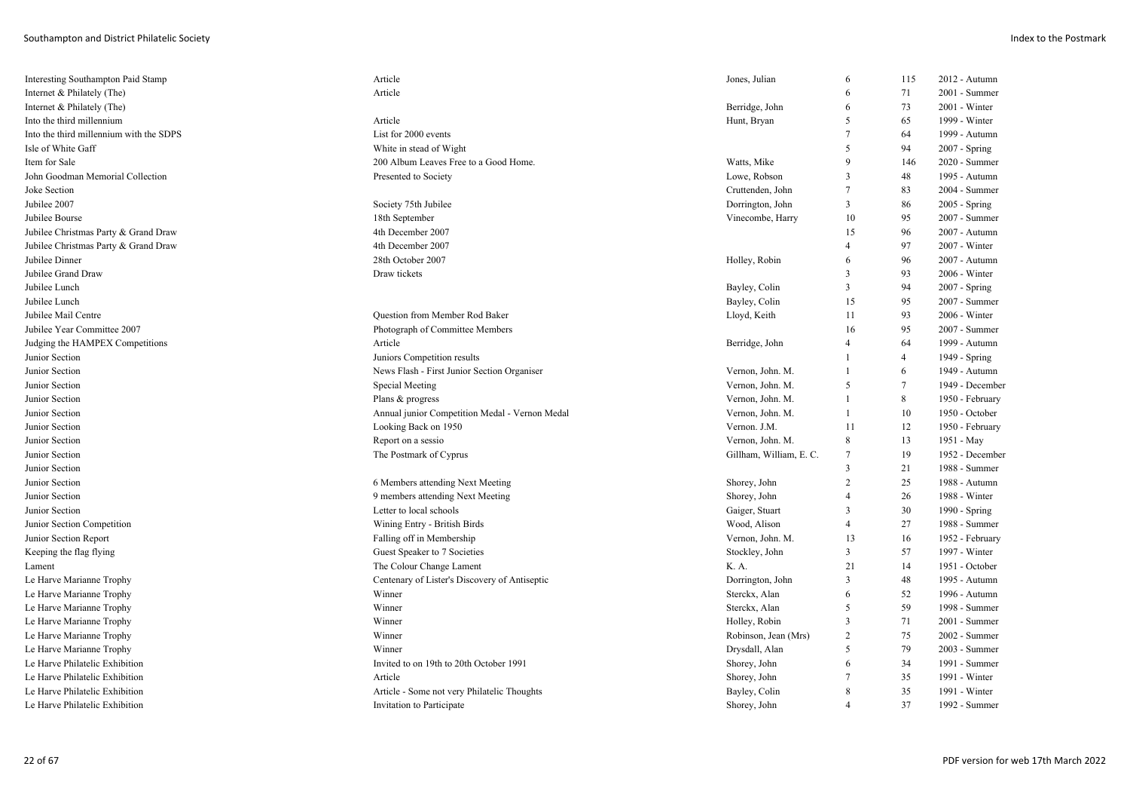| Interesting Southampton Paid Stamp      | Article                                        | Jones, Julian           | 6              | 115            | 2012 - Autumn   |
|-----------------------------------------|------------------------------------------------|-------------------------|----------------|----------------|-----------------|
| Internet & Philately (The)              | Article                                        |                         | 6              | 71             | 2001 - Summer   |
| Internet & Philately (The)              |                                                | Berridge, John          | 6              | 73             | 2001 - Winter   |
| Into the third millennium               | Article                                        | Hunt, Bryan             | 5              | 65             | 1999 - Winter   |
| Into the third millennium with the SDPS | List for 2000 events                           |                         | $\overline{7}$ | 64             | 1999 - Autumn   |
| Isle of White Gaff                      | White in stead of Wight                        |                         | .5             | 94             | 2007 - Spring   |
| Item for Sale                           | 200 Album Leaves Free to a Good Home.          | Watts, Mike             | $\mathbf{Q}$   | 146            | 2020 - Summer   |
| John Goodman Memorial Collection        | Presented to Society                           | Lowe, Robson            | 3              | 48             | 1995 - Autumn   |
| Joke Section                            |                                                | Cruttenden, John        | $\overline{7}$ | 83             | 2004 - Summer   |
| Jubilee 2007                            | Society 75th Jubilee                           | Dorrington, John        | 3              | 86             | 2005 - Spring   |
| Jubilee Bourse                          | 18th September                                 | Vinecombe, Harry        | 10             | 95             | 2007 - Summer   |
| Jubilee Christmas Party & Grand Draw    | 4th December 2007                              |                         | 15             | 96             | 2007 - Autumn   |
| Jubilee Christmas Party & Grand Draw    | 4th December 2007                              |                         | $\overline{4}$ | 97             | 2007 - Winter   |
| Jubilee Dinner                          | 28th October 2007                              | Holley, Robin           | 6              | 96             | 2007 - Autumn   |
| Jubilee Grand Draw                      | Draw tickets                                   |                         | 3              | 93             | 2006 - Winter   |
| Jubilee Lunch                           |                                                | Bayley, Colin           | $\overline{3}$ | 94             | $2007 - Spring$ |
| Jubilee Lunch                           |                                                | Bayley, Colin           | 15             | 95             | 2007 - Summer   |
| Jubilee Mail Centre                     | Question from Member Rod Baker                 | Lloyd, Keith            | 11             | 93             | $2006 - Winter$ |
| Jubilee Year Committee 2007             | Photograph of Committee Members                |                         | 16             | 95             | 2007 - Summer   |
| Judging the HAMPEX Competitions         | Article                                        | Berridge, John          | $\overline{4}$ | 64             | 1999 - Autumn   |
| Junior Section                          | Juniors Competition results                    |                         |                | $\overline{4}$ | 1949 - Spring   |
| Junior Section                          | News Flash - First Junior Section Organiser    | Vernon, John. M.        |                | 6              | 1949 - Autumn   |
| Junior Section                          | Special Meeting                                | Vernon, John. M.        | 5              | 7              | 1949 - December |
| Junior Section                          | Plans & progress                               | Vernon, John. M.        | $\overline{1}$ | 8              | 1950 - February |
| Junior Section                          | Annual junior Competition Medal - Vernon Medal | Vernon, John. M.        | 1              | 10             | 1950 - October  |
| Junior Section                          | Looking Back on 1950                           | Vernon. J.M.            | 11             | 12             | 1950 - February |
| Junior Section                          | Report on a sessio                             | Vernon, John. M.        | 8              | 13             | 1951 - May      |
| Junior Section                          | The Postmark of Cyprus                         | Gillham, William, E. C. | 7              | 19             | 1952 - December |
| Junior Section                          |                                                |                         | $\overline{3}$ | 21             | 1988 - Summer   |
| Junior Section                          | 6 Members attending Next Meeting               | Shorey, John            | 2              | 25             | 1988 - Autumn   |
| Junior Section                          | 9 members attending Next Meeting               | Shorey, John            | $\overline{4}$ | 26             | 1988 - Winter   |
| Junior Section                          | Letter to local schools                        | Gaiger, Stuart          | 3              | 30             | 1990 - Spring   |
| Junior Section Competition              | Wining Entry - British Birds                   | Wood, Alison            | $\overline{4}$ | 27             | 1988 - Summer   |
| Junior Section Report                   | Falling off in Membership                      | Vernon, John. M.        | 13             | 16             | 1952 - February |
| Keeping the flag flying                 | Guest Speaker to 7 Societies                   | Stockley, John          | 3              | 57             | 1997 - Winter   |
| Lament                                  | The Colour Change Lament                       | K. A.                   | 21             | 14             | 1951 - October  |
| Le Harve Marianne Trophy                | Centenary of Lister's Discovery of Antiseptic  | Dorrington, John        | $\overline{3}$ | 48             | 1995 - Autumn   |
| Le Harve Marianne Trophy                | Winner                                         | Sterckx, Alan           | 6              | 52             | 1996 - Autumn   |
| Le Harve Marianne Trophy                | Winner                                         | Sterckx, Alan           | 5              | 59             | 1998 - Summer   |
| Le Harve Marianne Trophy                | Winner                                         | Holley, Robin           | $\overline{3}$ | 71             | 2001 - Summer   |
| Le Harve Marianne Trophy                | Winner                                         | Robinson, Jean (Mrs)    | 2              | 75             | 2002 - Summer   |
|                                         | Winner                                         |                         | .5             |                |                 |
| Le Harve Marianne Trophy                | Invited to on 19th to 20th October 1991        | Drysdall, Alan          | 6              | 79             | 2003 - Summer   |
| Le Harve Philatelic Exhibition          |                                                | Shorey, John            |                | 34             | 1991 - Summer   |
| Le Harve Philatelic Exhibition          | Article                                        | Shorey, John            | 7              | 35             | 1991 - Winter   |
| Le Harve Philatelic Exhibition          | Article - Some not very Philatelic Thoughts    | Bayley, Colin           | 8              | 35             | 1991 - Winter   |
| Le Harve Philatelic Exhibition          | Invitation to Participate                      | Shorey, John            | $\overline{4}$ | 37             | 1992 - Summer   |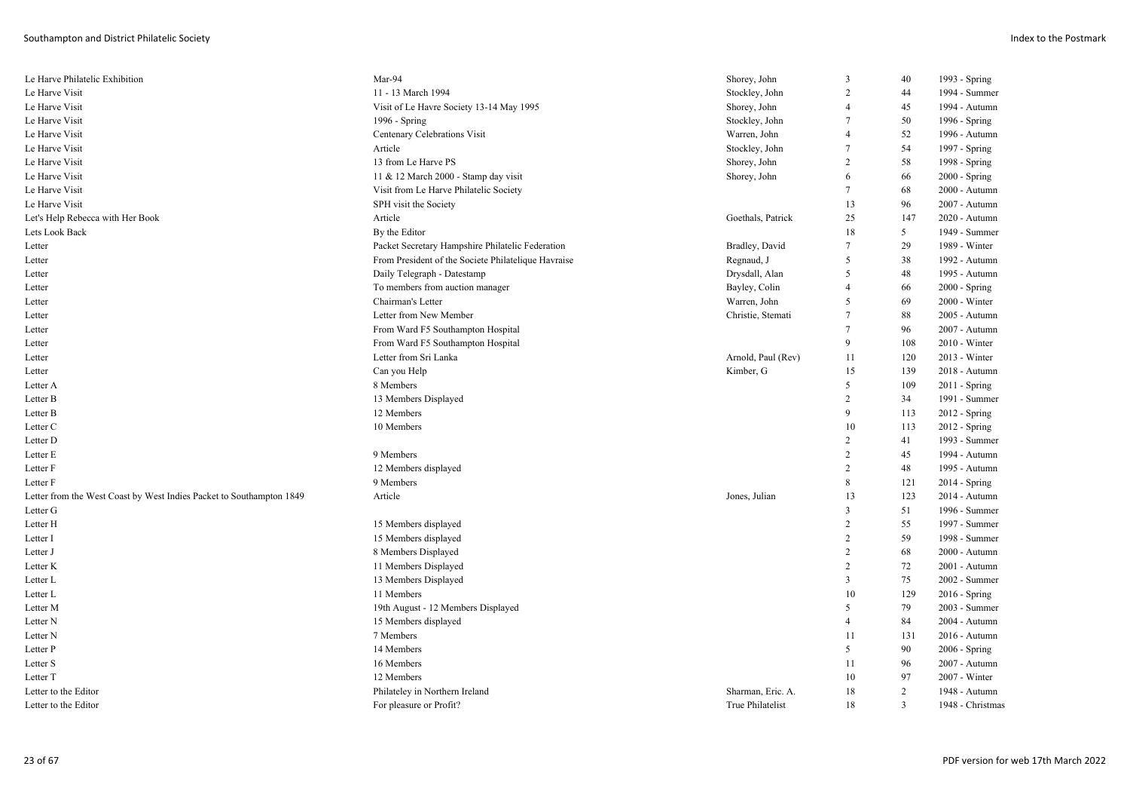| Le Harve Philatelic Exhibition                                       | Mar-94                                              | Shorey, John       | 3              | 40             | 1993 - Spring    |
|----------------------------------------------------------------------|-----------------------------------------------------|--------------------|----------------|----------------|------------------|
| Le Harve Visit                                                       | 11 - 13 March 1994                                  | Stockley, John     | 2              | 44             | 1994 - Summer    |
| Le Harve Visit                                                       | Visit of Le Havre Society 13-14 May 1995            | Shorey, John       | $\overline{4}$ | 45             | 1994 - Autumn    |
| Le Harve Visit                                                       | 1996 - Spring                                       | Stockley, John     | 7              | 50             | 1996 - Spring    |
| Le Harve Visit                                                       | Centenary Celebrations Visit                        | Warren, John       | $\overline{4}$ | 52             | 1996 - Autumn    |
| Le Harve Visit                                                       | Article                                             | Stockley, John     | 7              | 54             | 1997 - Spring    |
| Le Harve Visit                                                       | 13 from Le Harve PS                                 | Shorey, John       | 2              | 58             | 1998 - Spring    |
| Le Harve Visit                                                       | 11 & 12 March 2000 - Stamp day visit                | Shorey, John       | 6              | 66             | $2000 - Spring$  |
| Le Harve Visit                                                       | Visit from Le Harve Philatelic Society              |                    | 7              | 68             | 2000 - Autumn    |
| Le Harve Visit                                                       | SPH visit the Society                               |                    | 13             | 96             | 2007 - Autumn    |
| Let's Help Rebecca with Her Book                                     | Article                                             | Goethals, Patrick  | 25             | 147            | 2020 - Autumn    |
| Lets Look Back                                                       | By the Editor                                       |                    | 18             | 5              | 1949 - Summer    |
| Letter                                                               | Packet Secretary Hampshire Philatelic Federation    | Bradley, David     | 7              | 29             | 1989 - Winter    |
| Letter                                                               | From President of the Societe Philatelique Havraise | Regnaud, J         | 5              | 38             | 1992 - Autumn    |
| Letter                                                               | Daily Telegraph - Datestamp                         | Drysdall, Alan     | 5              | 48             | 1995 - Autumn    |
| Letter                                                               | To members from auction manager                     | Bayley, Colin      | $\overline{4}$ | 66             | $2000 - Spring$  |
| Letter                                                               | Chairman's Letter                                   | Warren, John       | 5              | 69             | $2000 - Winter$  |
| Letter                                                               | Letter from New Member                              | Christie, Stemati  | 7              | 88             | 2005 - Autumn    |
| Letter                                                               | From Ward F5 Southampton Hospital                   |                    | 7              | 96             | 2007 - Autumn    |
| Letter                                                               | From Ward F5 Southampton Hospital                   |                    | 9              | 108            | 2010 - Winter    |
| Letter                                                               | Letter from Sri Lanka                               | Arnold, Paul (Rev) | 11             | 120            | $2013 - Winter$  |
| Letter                                                               | Can you Help                                        | Kimber, G          | 15             | 139            | 2018 - Autumn    |
| Letter A                                                             | 8 Members                                           |                    | 5              | 109            | $2011 -$ Spring  |
| Letter B                                                             | 13 Members Displayed                                |                    | 2              | 34             | 1991 - Summer    |
| Letter B                                                             | 12 Members                                          |                    | 9              | 113            | 2012 - Spring    |
| Letter C                                                             | 10 Members                                          |                    | 10             | 113            | 2012 - Spring    |
| Letter D                                                             |                                                     |                    | $\overline{c}$ | 41             | 1993 - Summer    |
| Letter E                                                             | 9 Members                                           |                    | $\overline{2}$ | 45             | 1994 - Autumn    |
| Letter F                                                             | 12 Members displayed                                |                    | $\overline{c}$ | 48             | 1995 - Autumn    |
| Letter F                                                             | 9 Members                                           |                    | 8              | 121            | $2014 - Spring$  |
| Letter from the West Coast by West Indies Packet to Southampton 1849 | Article                                             | Jones, Julian      | 13             | 123            | 2014 - Autumn    |
| Letter G                                                             |                                                     |                    | 3              | 51             | 1996 - Summer    |
| Letter H                                                             | 15 Members displayed                                |                    | $\overline{c}$ | 55             | 1997 - Summer    |
| Letter I                                                             | 15 Members displayed                                |                    | 2              | 59             | 1998 - Summer    |
| Letter J                                                             | 8 Members Displayed                                 |                    | $\overline{c}$ | 68             | 2000 - Autumn    |
| Letter K                                                             | 11 Members Displayed                                |                    | $\overline{c}$ | 72             | 2001 - Autumn    |
| Letter L                                                             | 13 Members Displayed                                |                    | 3              | 75             | 2002 - Summer    |
| Letter L                                                             | 11 Members                                          |                    | 10             | 129            | $2016 -$ Spring  |
| Letter M                                                             | 19th August - 12 Members Displayed                  |                    | 5              | 79             | 2003 - Summer    |
| Letter N                                                             | 15 Members displayed                                |                    | $\overline{4}$ | 84             | 2004 - Autumn    |
|                                                                      | 7 Members                                           |                    | 11             | 131            | 2016 - Autumn    |
| Letter N                                                             |                                                     |                    | 5              |                |                  |
| Letter P                                                             | 14 Members                                          |                    |                | 90             | 2006 - Spring    |
| Letter S                                                             | 16 Members                                          |                    | 11             | 96             | 2007 - Autumn    |
| Letter T                                                             | 12 Members                                          |                    | 10             | 97             | 2007 - Winter    |
| Letter to the Editor                                                 | Philateley in Northern Ireland                      | Sharman, Eric. A.  | 18             | 2              | 1948 - Autumn    |
| Letter to the Editor                                                 | For pleasure or Profit?                             | True Philatelist   | 18             | $\overline{3}$ | 1948 - Christmas |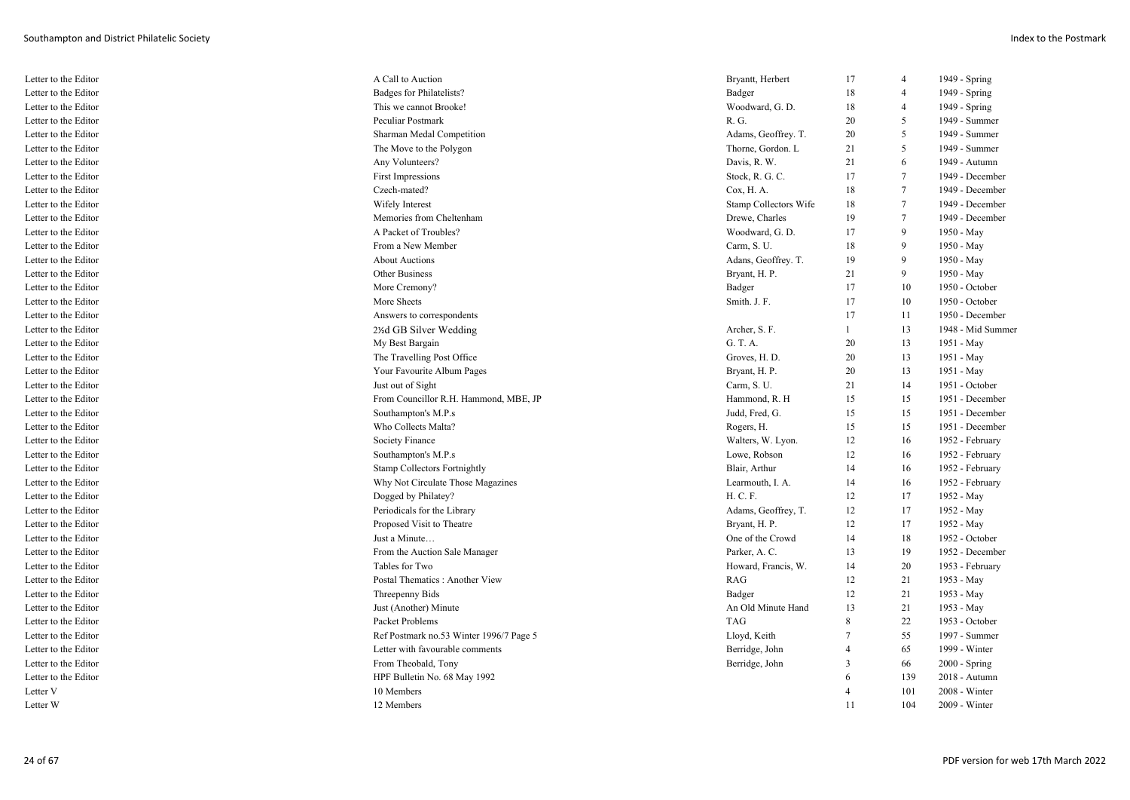| Letter to the Editor | A Call to Auction                       | Bryantt, Herbert      | 17             | $\overline{4}$          | 1949 - Spring     |
|----------------------|-----------------------------------------|-----------------------|----------------|-------------------------|-------------------|
| Letter to the Editor | Badges for Philatelists?                | Badger                | 18             | $\overline{\mathbf{4}}$ | 1949 - Spring     |
| Letter to the Editor | This we cannot Brooke!                  | Woodward, G. D.       | 18             | $\overline{4}$          | 1949 - Spring     |
| Letter to the Editor | <b>Peculiar Postmark</b>                | R. G.                 | 20             | 5                       | 1949 - Summer     |
| Letter to the Editor | Sharman Medal Competition               | Adams, Geoffrey. T.   | 20             | 5                       | 1949 - Summer     |
| Letter to the Editor | The Move to the Polygon                 | Thorne, Gordon. L     | 21             | 5                       | 1949 - Summer     |
| Letter to the Editor | Any Volunteers?                         | Davis, R. W.          | 21             | 6                       | 1949 - Autumn     |
| Letter to the Editor | <b>First Impressions</b>                | Stock, R. G. C.       | 17             | $\tau$                  | 1949 - December   |
| Letter to the Editor | Czech-mated?                            | Cox, H. A.            | 18             | $\overline{7}$          | 1949 - December   |
| Letter to the Editor | Wifely Interest                         | Stamp Collectors Wife | 18             | $\overline{7}$          | 1949 - December   |
| Letter to the Editor | Memories from Cheltenham                | Drewe, Charles        | 19             | 7                       | 1949 - December   |
| Letter to the Editor | A Packet of Troubles?                   | Woodward, G. D.       | 17             | 9                       | 1950 - May        |
| Letter to the Editor | From a New Member                       | Carm, S. U.           | 18             | 9                       | 1950 - May        |
| Letter to the Editor | <b>About Auctions</b>                   | Adans, Geoffrey. T.   | 19             | 9                       | 1950 - May        |
| Letter to the Editor | <b>Other Business</b>                   | Bryant, H. P.         | 21             | 9                       | 1950 - May        |
| Letter to the Editor | More Cremony?                           | Badger                | 17             | 10                      | 1950 - October    |
| Letter to the Editor | More Sheets                             | Smith. J. F.          | 17             | 10                      | 1950 - October    |
| Letter to the Editor | Answers to correspondents               |                       | 17             | 11                      | 1950 - December   |
| Letter to the Editor | 2%d GB Silver Wedding                   | Archer, S. F.         | $\overline{1}$ | 13                      | 1948 - Mid Summer |
| Letter to the Editor | My Best Bargain                         | G. T. A.              | 20             | 13                      | 1951 - May        |
| Letter to the Editor | The Travelling Post Office              | Groves, H. D.         | 20             | 13                      | 1951 - May        |
| Letter to the Editor | Your Favourite Album Pages              | Bryant, H. P.         | 20             | 13                      | 1951 - May        |
| Letter to the Editor | Just out of Sight                       | Carm, S. U.           | 21             | 14                      | 1951 - October    |
| Letter to the Editor | From Councillor R.H. Hammond, MBE, JP   | Hammond, R. H         | 15             | 15                      | 1951 - December   |
| Letter to the Editor | Southampton's M.P.s                     | Judd, Fred, G.        | 15             | 15                      | 1951 - December   |
| Letter to the Editor | Who Collects Malta?                     | Rogers, H.            | 15             | 15                      | 1951 - December   |
| Letter to the Editor | <b>Society Finance</b>                  | Walters, W. Lyon.     | 12             | 16                      | 1952 - February   |
| Letter to the Editor | Southampton's M.P.s                     | Lowe, Robson          | 12             | 16                      | 1952 - February   |
| Letter to the Editor | <b>Stamp Collectors Fortnightly</b>     | Blair, Arthur         | 14             | 16                      | 1952 - February   |
| Letter to the Editor | Why Not Circulate Those Magazines       | Learmouth, I. A.      | 14             | 16                      | 1952 - February   |
| Letter to the Editor | Dogged by Philatey?                     | H. C. F.              | 12             | 17                      | 1952 - May        |
| Letter to the Editor | Periodicals for the Library             | Adams, Geoffrey, T.   | 12             | 17                      | 1952 - May        |
| Letter to the Editor | Proposed Visit to Theatre               | Bryant, H. P.         | 12             | 17                      | 1952 - May        |
| Letter to the Editor | Just a Minute                           | One of the Crowd      | 14             | 18                      | 1952 - October    |
| Letter to the Editor | From the Auction Sale Manager           | Parker, A. C.         | 13             | 19                      | 1952 - December   |
| Letter to the Editor | Tables for Two                          | Howard, Francis, W.   | 14             | 20                      | 1953 - February   |
| Letter to the Editor | Postal Thematics : Another View         | RAG                   | 12             | 21                      | 1953 - May        |
| Letter to the Editor | Threepenny Bids                         | Badger                | 12             | 21                      | 1953 - May        |
| Letter to the Editor | Just (Another) Minute                   | An Old Minute Hand    | 13             | 21                      | 1953 - May        |
| Letter to the Editor | Packet Problems                         | <b>TAG</b>            | 8              | 22                      | 1953 - October    |
| Letter to the Editor | Ref Postmark no.53 Winter 1996/7 Page 5 | Lloyd, Keith          | 7              | 55                      | 1997 - Summer     |
| Letter to the Editor | Letter with favourable comments         | Berridge, John        | $\overline{4}$ | 65                      | 1999 - Winter     |
| Letter to the Editor | From Theobald, Tony                     | Berridge, John        | 3              | 66                      | 2000 - Spring     |
| Letter to the Editor | HPF Bulletin No. 68 May 1992            |                       | 6              | 139                     | 2018 - Autumn     |
| Letter V             | 10 Members                              |                       |                | 101                     | 2008 - Winter     |
| Letter W             | 12 Members                              |                       | 11             | 104                     | $2009 - Winter$   |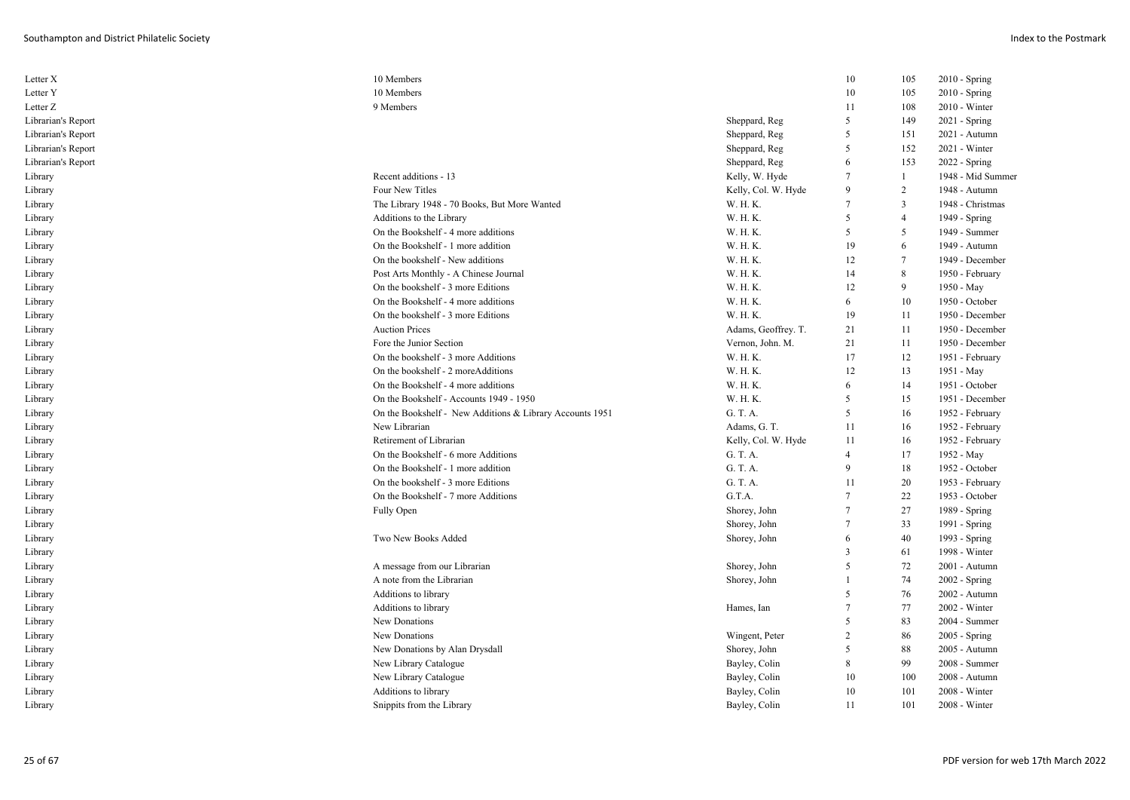| Letter X           | 10 Members                                               |                     | 10             | 105            | $2010 - Spring$   |
|--------------------|----------------------------------------------------------|---------------------|----------------|----------------|-------------------|
| Letter Y           | 10 Members                                               |                     | 10             | 105            | 2010 - Spring     |
| Letter Z           | 9 Members                                                |                     | 11             | 108            | 2010 - Winter     |
| Librarian's Report |                                                          | Sheppard, Reg       | 5              | 149            | $2021 -$ Spring   |
| Librarian's Report |                                                          | Sheppard, Reg       | 5              | 151            | 2021 - Autumn     |
| Librarian's Report |                                                          | Sheppard, Reg       | 5              | 152            | 2021 - Winter     |
| Librarian's Report |                                                          | Sheppard, Reg       | 6              | 153            | 2022 - Spring     |
| Library            | Recent additions - 13                                    | Kelly, W. Hyde      | $\overline{7}$ | $\mathbf{1}$   | 1948 - Mid Summer |
| Library            | Four New Titles                                          | Kelly, Col. W. Hyde | 9              | 2              | 1948 - Autumn     |
| Library            | The Library 1948 - 70 Books, But More Wanted             | W. H. K.            | 7              | 3              | 1948 - Christmas  |
| Library            | Additions to the Library                                 | W. H. K.            | 5              | $\overline{4}$ | 1949 - Spring     |
| Library            | On the Bookshelf - 4 more additions                      | W. H. K.            | 5              | 5              | 1949 - Summer     |
| Library            | On the Bookshelf - 1 more addition                       | W. H. K.            | 19             | 6              | 1949 - Autumn     |
| Library            | On the bookshelf - New additions                         | W. H. K.            | 12             | 7              | 1949 - December   |
| Library            | Post Arts Monthly - A Chinese Journal                    | W. H. K.            | 14             | 8              | 1950 - February   |
| Library            | On the bookshelf - 3 more Editions                       | W. H. K.            | 12             | 9              | 1950 - May        |
| Library            | On the Bookshelf - 4 more additions                      | W. H. K.            | 6              | 10             | 1950 - October    |
| Library            | On the bookshelf - 3 more Editions                       | W. H. K.            | 19             | 11             | 1950 - December   |
| Library            | <b>Auction Prices</b>                                    | Adams, Geoffrey. T. | 21             | 11             | 1950 - December   |
| Library            | Fore the Junior Section                                  | Vernon, John. M.    | 21             | 11             | 1950 - December   |
| Library            | On the bookshelf - 3 more Additions                      | W. H. K.            | 17             | 12             | 1951 - February   |
| Library            | On the bookshelf - 2 moreAdditions                       | W. H. K.            | 12             | 13             | 1951 - May        |
| Library            | On the Bookshelf - 4 more additions                      | W. H. K.            | 6              | 14             | 1951 - October    |
| Library            | On the Bookshelf - Accounts 1949 - 1950                  | W. H. K.            | 5              | 15             | 1951 - December   |
| Library            | On the Bookshelf - New Additions & Library Accounts 1951 | G. T. A.            | 5              | 16             | 1952 - February   |
| Library            | New Librarian                                            | Adams, G. T.        | 11             | 16             | 1952 - February   |
| Library            | Retirement of Librarian                                  | Kelly, Col. W. Hyde | 11             | 16             | 1952 - February   |
| Library            | On the Bookshelf - 6 more Additions                      | G. T. A.            | $\overline{4}$ | 17             | 1952 - May        |
| Library            | On the Bookshelf - 1 more addition                       | G. T. A.            | $\mathbf Q$    | 18             | 1952 - October    |
| Library            | On the bookshelf - 3 more Editions                       | G. T. A.            | 11             | 20             | 1953 - February   |
| Library            | On the Bookshelf - 7 more Additions                      | G.T.A.              | $\tau$         | 22             | 1953 - October    |
| Library            | Fully Open                                               | Shorey, John        | $\tau$         | 27             | 1989 - Spring     |
| Library            |                                                          | Shorey, John        | $\overline{7}$ | 33             | 1991 - Spring     |
| Library            | Two New Books Added                                      | Shorey, John        | 6              | 40             | 1993 - Spring     |
| Library            |                                                          |                     | 3              | 61             | 1998 - Winter     |
| Library            | A message from our Librarian                             | Shorey, John        | 5              | 72             | 2001 - Autumn     |
| Library            | A note from the Librarian                                | Shorey, John        |                | 74             | 2002 - Spring     |
| Library            | Additions to library                                     |                     | 5              | 76             | 2002 - Autumn     |
| Library            | Additions to library                                     | Hames, Ian          | $\overline{7}$ | 77             | 2002 - Winter     |
| Library            | New Donations                                            |                     | 5              | 83             | 2004 - Summer     |
| Library            | New Donations                                            | Wingent, Peter      | $\mathfrak{D}$ | 86             | 2005 - Spring     |
| Library            | New Donations by Alan Drysdall                           | Shorey, John        | 5              | 88             | 2005 - Autumn     |
| Library            | New Library Catalogue                                    | Bayley, Colin       | 8              | 99             | 2008 - Summer     |
| Library            | New Library Catalogue                                    | Bayley, Colin       | 10             | 100            | 2008 - Autumn     |
| Library            | Additions to library                                     | Bayley, Colin       | 10             | 101            | 2008 - Winter     |
| Library            | Snippits from the Library                                | Bayley, Colin       | 11             | 101            | 2008 - Winter     |
|                    |                                                          |                     |                |                |                   |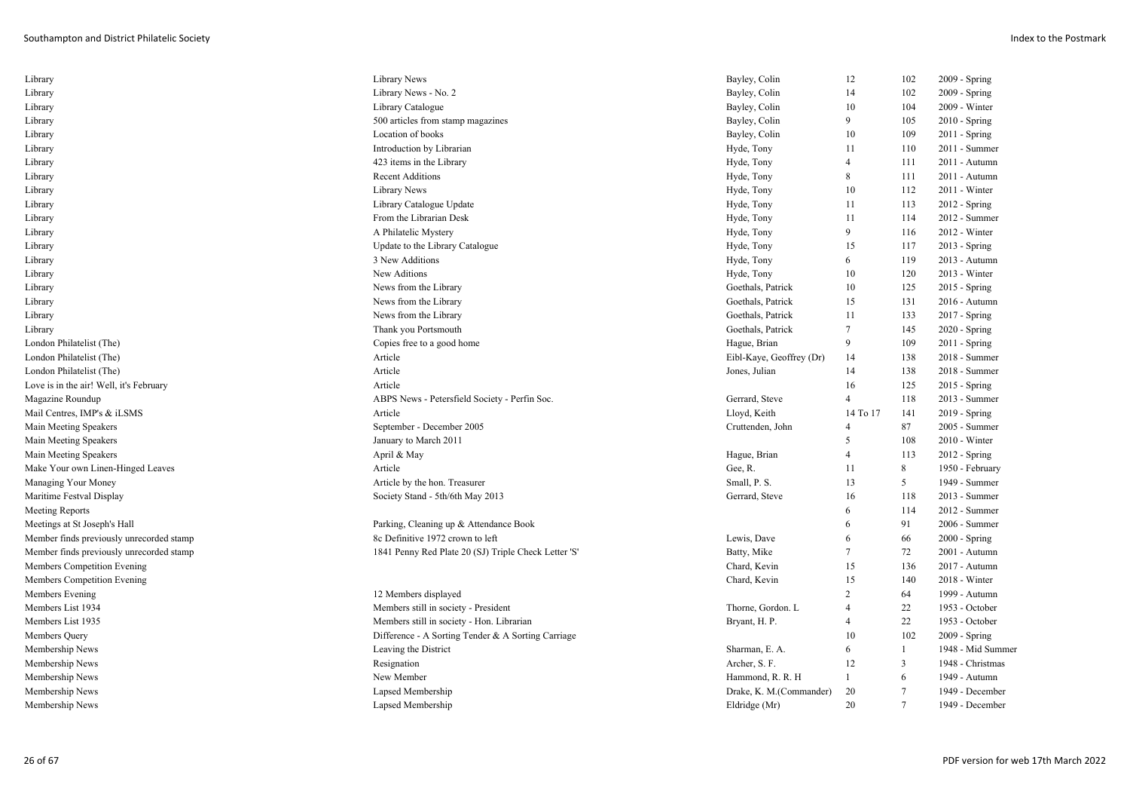| Library                                  | Library News                                         | Bayley, Colin            | 12             | 102            | 2009 - Spring     |
|------------------------------------------|------------------------------------------------------|--------------------------|----------------|----------------|-------------------|
| Library                                  | Library News - No. 2                                 | Bayley, Colin            | 14             | 102            | 2009 - Spring     |
| Library                                  | Library Catalogue                                    | Bayley, Colin            | 10             | 104            | 2009 - Winter     |
| Library                                  | 500 articles from stamp magazines                    | Bayley, Colin            | 9              | 105            | $2010 - Spring$   |
| Library                                  | Location of books                                    | Bayley, Colin            | 10             | 109            | $2011 -$ Spring   |
| Library                                  | Introduction by Librarian                            | Hyde, Tony               | 11             | 110            | $2011 - Summer$   |
| Library                                  | 423 items in the Library                             | Hyde, Tony               | $\overline{4}$ | 111            | 2011 - Autumn     |
| Library                                  | <b>Recent Additions</b>                              | Hyde, Tony               | 8              | 111            | 2011 - Autumn     |
| Library                                  | Library News                                         | Hyde, Tony               | 10             | 112            | $2011 - Winter$   |
| Library                                  | Library Catalogue Update                             | Hyde, Tony               | 11             | 113            | $2012 - Spring$   |
| Library                                  | From the Librarian Desk                              | Hyde, Tony               | 11             | 114            | $2012$ - Summer   |
| Library                                  | A Philatelic Mystery                                 | Hyde, Tony               | 9              | 116            | 2012 - Winter     |
| Library                                  | Update to the Library Catalogue                      | Hyde, Tony               | 15             | 117            | $2013 - Spring$   |
| Library                                  | 3 New Additions                                      | Hyde, Tony               | 6              | 119            | 2013 - Autumn     |
| Library                                  | New Aditions                                         | Hyde, Tony               | 10             | 120            | 2013 - Winter     |
| Library                                  | News from the Library                                | Goethals, Patrick        | 10             | 125            | 2015 - Spring     |
| Library                                  | News from the Library                                | Goethals, Patrick        | 15             | 131            | 2016 - Autumn     |
| Library                                  | News from the Library                                | Goethals, Patrick        | 11             | 133            | 2017 - Spring     |
| Library                                  | Thank you Portsmouth                                 | Goethals, Patrick        | 7              | 145            | 2020 - Spring     |
| London Philatelist (The)                 | Copies free to a good home                           | Hague, Brian             | 9              | 109            | $2011 -$ Spring   |
| London Philatelist (The)                 | Article                                              | Eibl-Kaye, Geoffrey (Dr) | 14             | 138            | 2018 - Summer     |
| London Philatelist (The)                 | Article                                              | Jones, Julian            | 14             | 138            | 2018 - Summer     |
| Love is in the air! Well, it's February  | Article                                              |                          | 16             | 125            | $2015$ - Spring   |
| Magazine Roundup                         | ABPS News - Petersfield Society - Perfin Soc.        | Gerrard, Steve           | $\overline{4}$ | 118            | 2013 - Summer     |
| Mail Centres, IMP's & iLSMS              | Article                                              | Lloyd, Keith             | 14 To 17       | 141            | $2019 - Spring$   |
| Main Meeting Speakers                    | September - December 2005                            | Cruttenden, John         | $\overline{4}$ | 87             | 2005 - Summer     |
| Main Meeting Speakers                    | January to March 2011                                |                          | 5              | 108            | $2010 - Winter$   |
| Main Meeting Speakers                    | April & May                                          | Hague, Brian             | $\overline{4}$ | 113            | $2012 - Spring$   |
| Make Your own Linen-Hinged Leaves        | Article                                              | Gee, R.                  | 11             | 8              | 1950 - February   |
| Managing Your Money                      | Article by the hon. Treasurer                        | Small, P. S.             | 13             | 5              | 1949 - Summer     |
| Maritime Festval Display                 | Society Stand - 5th/6th May 2013                     | Gerrard, Steve           | 16             | 118            | 2013 - Summer     |
| Meeting Reports                          |                                                      |                          | 6              | 114            | 2012 - Summer     |
| Meetings at St Joseph's Hall             | Parking, Cleaning up & Attendance Book               |                          | 6              | 91             | 2006 - Summer     |
| Member finds previously unrecorded stamp | 8c Definitive 1972 crown to left                     | Lewis, Dave              | 6              | 66             | $2000 - Spring$   |
| Member finds previously unrecorded stamp | 1841 Penny Red Plate 20 (SJ) Triple Check Letter 'S' | Batty, Mike              | $\overline{7}$ | 72             | 2001 - Autumn     |
| Members Competition Evening              |                                                      | Chard, Kevin             | 15             | 136            | 2017 - Autumn     |
| Members Competition Evening              |                                                      | Chard, Kevin             | 15             | 140            | 2018 - Winter     |
| Members Evening                          | 12 Members displayed                                 |                          | $\overline{2}$ | 64             | 1999 - Autumn     |
| Members List 1934                        | Members still in society - President                 | Thorne, Gordon. L        | $\overline{4}$ | 22             | 1953 - October    |
| Members List 1935                        | Members still in society - Hon. Librarian            | Bryant, H. P.            | $\overline{4}$ | 22             | 1953 - October    |
| Members Query                            | Difference - A Sorting Tender & A Sorting Carriage   |                          | 10             | 102            | 2009 - Spring     |
| Membership News                          | Leaving the District                                 | Sharman, E. A.           | 6              |                | 1948 - Mid Summer |
| Membership News                          | Resignation                                          | Archer, S. F.            | 12             | 3              | 1948 - Christmas  |
| Membership News                          | New Member                                           | Hammond, R. R. H         | 1              | 6              | 1949 - Autumn     |
| Membership News                          | Lapsed Membership                                    | Drake, K. M. (Commander) | 20             | $\overline{7}$ | 1949 - December   |
| Membership News                          | Lapsed Membership                                    | Eldridge (Mr)            | 20             |                | 1949 - December   |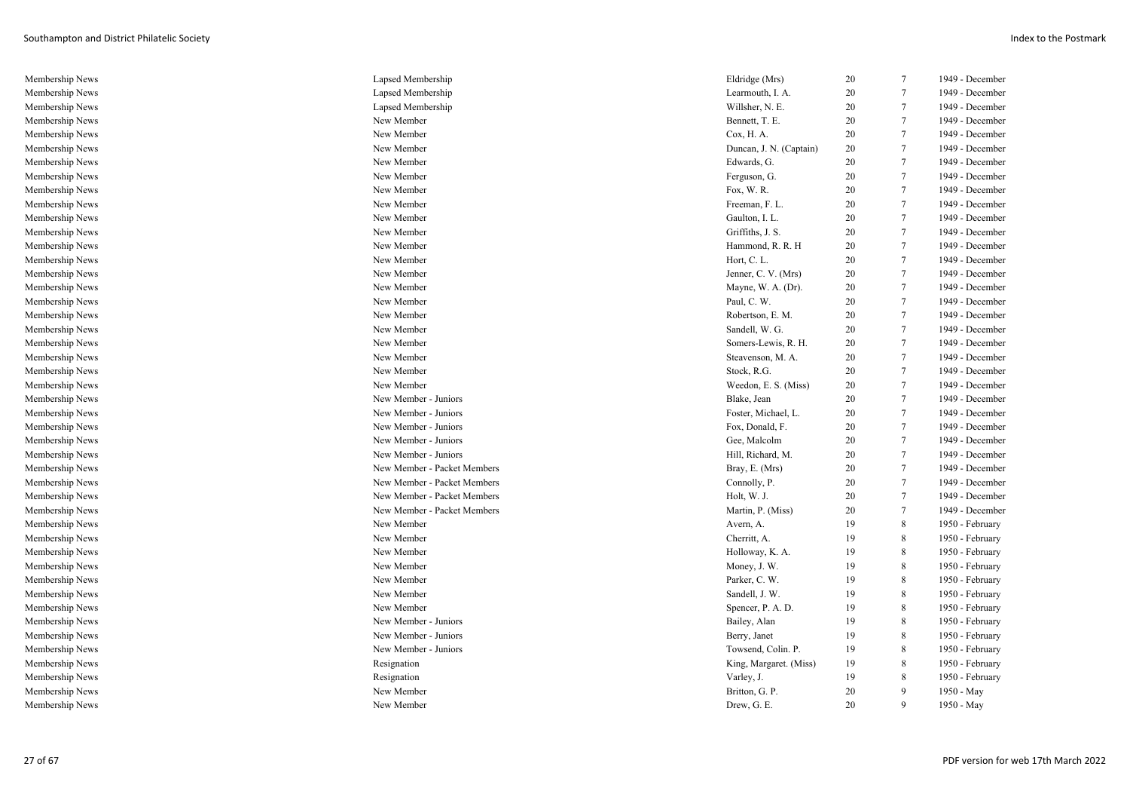| Membership News | Lapsed Membership           | Eldridge (Mrs)          | 20 | 7               | 1949 - December |
|-----------------|-----------------------------|-------------------------|----|-----------------|-----------------|
| Membership News | Lapsed Membership           | Learmouth, I. A.        | 20 | 7               | 1949 - December |
| Membership News | Lapsed Membership           | Willsher, N. E.         | 20 | $7\phantom{.0}$ | 1949 - December |
| Membership News | New Member                  | Bennett, T. E.          | 20 | $\tau$          | 1949 - December |
| Membership News | New Member                  | Cox, H. A.              | 20 | $\overline{7}$  | 1949 - December |
| Membership News | New Member                  | Duncan, J. N. (Captain) | 20 | $7\phantom{.0}$ | 1949 - December |
| Membership News | New Member                  | Edwards, G.             | 20 | $\tau$          | 1949 - December |
| Membership News | New Member                  | Ferguson, G.            | 20 | $7\phantom{.0}$ | 1949 - December |
| Membership News | New Member                  | Fox, W.R.               | 20 | $7\phantom{.0}$ | 1949 - December |
| Membership News | New Member                  | Freeman, F. L.          | 20 | $\overline{7}$  | 1949 - December |
| Membership News | New Member                  | Gaulton, I. L.          | 20 | $\tau$          | 1949 - December |
| Membership News | New Member                  | Griffiths, J. S.        | 20 | $7\phantom{.0}$ | 1949 - December |
| Membership News | New Member                  | Hammond, R. R. H        | 20 | $\tau$          | 1949 - December |
| Membership News | New Member                  | Hort, C. L.             | 20 | $7\phantom{.0}$ | 1949 - December |
| Membership News | New Member                  | Jenner, C. V. (Mrs)     | 20 | $\tau$          | 1949 - December |
| Membership News | New Member                  | Mayne, W. A. (Dr).      | 20 | 7               | 1949 - December |
| Membership News | New Member                  | Paul, C. W.             | 20 | $7\phantom{.0}$ | 1949 - December |
| Membership News | New Member                  | Robertson, E. M.        | 20 | $\tau$          | 1949 - December |
| Membership News | New Member                  | Sandell, W. G.          | 20 | $\tau$          | 1949 - December |
| Membership News | New Member                  | Somers-Lewis, R. H.     | 20 | $7\phantom{.0}$ | 1949 - December |
| Membership News | New Member                  | Steavenson, M. A.       | 20 | $7\phantom{.0}$ | 1949 - December |
| Membership News | New Member                  | Stock, R.G.             | 20 | $7\phantom{.0}$ | 1949 - December |
| Membership News | New Member                  | Weedon, E. S. (Miss)    | 20 | $7\phantom{.0}$ | 1949 - December |
| Membership News | New Member - Juniors        | Blake, Jean             | 20 | $7\phantom{.0}$ | 1949 - December |
| Membership News | New Member - Juniors        | Foster, Michael, L.     | 20 | $\overline{7}$  | 1949 - December |
| Membership News | New Member - Juniors        | Fox, Donald, F.         | 20 | $7\phantom{.0}$ | 1949 - December |
| Membership News | New Member - Juniors        | Gee, Malcolm            | 20 | $\tau$          | 1949 - December |
| Membership News | New Member - Juniors        | Hill, Richard, M.       | 20 | $7\phantom{.0}$ | 1949 - December |
| Membership News | New Member - Packet Members | Bray, E. (Mrs)          | 20 | $\overline{7}$  | 1949 - December |
| Membership News | New Member - Packet Members | Connolly, P.            | 20 | 7               | 1949 - December |
| Membership News | New Member - Packet Members | Holt, W. J.             | 20 | $\overline{7}$  | 1949 - December |
| Membership News | New Member - Packet Members | Martin, P. (Miss)       | 20 | $\tau$          | 1949 - December |
| Membership News | New Member                  | Avern, A.               | 19 | 8               | 1950 - February |
| Membership News | New Member                  | Cherritt, A.            | 19 | 8               | 1950 - February |
| Membership News | New Member                  | Holloway, K. A.         | 19 | 8               | 1950 - February |
| Membership News | New Member                  | Money, J. W.            | 19 | 8               | 1950 - February |
| Membership News | New Member                  | Parker, C. W.           | 19 | 8               | 1950 - February |
| Membership News | New Member                  | Sandell, J. W.          | 19 | 8               | 1950 - February |
| Membership News | New Member                  | Spencer, P. A. D.       | 19 | 8               | 1950 - February |
| Membership News | New Member - Juniors        | Bailey, Alan            | 19 | 8               | 1950 - February |
| Membership News | New Member - Juniors        | Berry, Janet            | 19 | 8               | 1950 - February |
| Membership News | New Member - Juniors        | Towsend, Colin. P.      | 19 | 8               | 1950 - February |
| Membership News | Resignation                 | King, Margaret. (Miss)  | 19 | 8               | 1950 - February |
| Membership News | Resignation                 | Varley, J.              | 19 | 8               | 1950 - February |
| Membership News | New Member                  | Britton, G. P.          | 20 | 9               | 1950 - May      |
| Membership News | New Member                  | Drew, G. E.             | 20 | $\mathbf{Q}$    | 1950 - May      |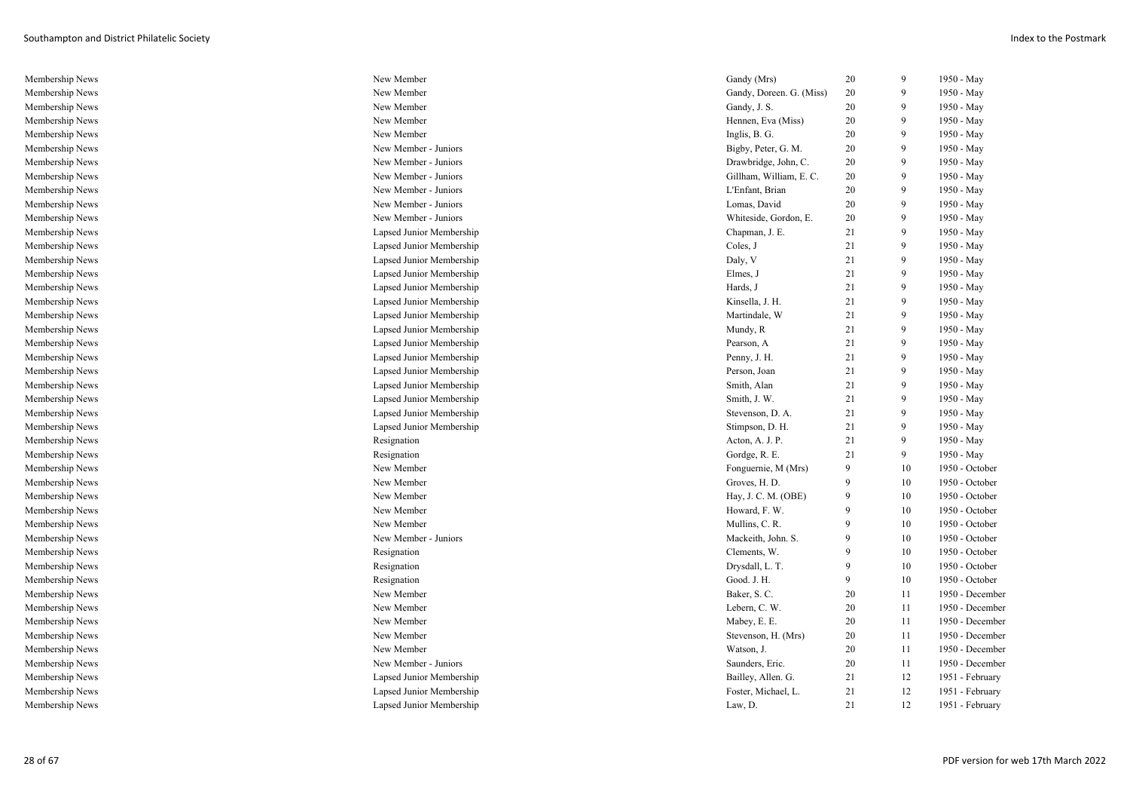| Membership News | New Member               | Gandy (Mrs)              | 20 | 9  | 1950 - May      |
|-----------------|--------------------------|--------------------------|----|----|-----------------|
| Membership News | New Member               | Gandy, Doreen. G. (Miss) | 20 | 9  | 1950 - May      |
| Membership News | New Member               | Gandy, J. S.             | 20 | 9  | 1950 - May      |
| Membership News | New Member               | Hennen, Eva (Miss)       | 20 | 9  | 1950 - May      |
| Membership News | New Member               | Inglis, B. G.            | 20 | 9  | 1950 - May      |
| Membership News | New Member - Juniors     | Bigby, Peter, G. M.      | 20 | 9  | 1950 - May      |
| Membership News | New Member - Juniors     | Drawbridge, John, C.     | 20 | 9  | 1950 - May      |
| Membership News | New Member - Juniors     | Gillham, William, E. C.  | 20 | 9  | 1950 - May      |
| Membership News | New Member - Juniors     | L'Enfant, Brian          | 20 | 9  | 1950 - May      |
| Membership News | New Member - Juniors     | Lomas, David             | 20 | 9  | 1950 - May      |
| Membership News | New Member - Juniors     | Whiteside, Gordon, E.    | 20 | 9  | 1950 - May      |
| Membership News | Lapsed Junior Membership | Chapman, J. E.           | 21 | 9  | 1950 - May      |
| Membership News | Lapsed Junior Membership | Coles, J                 | 21 | 9  | 1950 - May      |
| Membership News | Lapsed Junior Membership | Daly, V                  | 21 | 9  | 1950 - May      |
| Membership News | Lapsed Junior Membership | Elmes, J                 | 21 | 9  | 1950 - May      |
| Membership News | Lapsed Junior Membership | Hards, J                 | 21 | 9  | 1950 - May      |
| Membership News | Lapsed Junior Membership | Kinsella, J. H.          | 21 | 9  | 1950 - May      |
| Membership News | Lapsed Junior Membership | Martindale, W            | 21 | 9  | 1950 - May      |
| Membership News | Lapsed Junior Membership | Mundy, R                 | 21 | 9  | 1950 - May      |
| Membership News | Lapsed Junior Membership | Pearson, A               | 21 | 9  | 1950 - May      |
| Membership News | Lapsed Junior Membership | Penny, J. H.             | 21 | 9  | 1950 - May      |
| Membership News | Lapsed Junior Membership | Person, Joan             | 21 | 9  | 1950 - May      |
| Membership News | Lapsed Junior Membership | Smith, Alan              | 21 | 9  | 1950 - May      |
| Membership News | Lapsed Junior Membership | Smith, J. W.             | 21 | 9  | 1950 - May      |
| Membership News | Lapsed Junior Membership | Stevenson, D. A.         | 21 | 9  | 1950 - May      |
| Membership News | Lapsed Junior Membership | Stimpson, D. H.          | 21 | 9  | 1950 - May      |
| Membership News | Resignation              | Acton, A. J. P.          | 21 | 9  | 1950 - May      |
| Membership News | Resignation              | Gordge, R. E.            | 21 | 9  | 1950 - May      |
| Membership News | New Member               | Fonguernie, M (Mrs)      | 9  | 10 | 1950 - October  |
| Membership News | New Member               | Groves, H. D.            | 9  | 10 | 1950 - October  |
| Membership News | New Member               | Hay, J. C. M. (OBE)      | 9  | 10 | 1950 - October  |
| Membership News | New Member               | Howard, F. W.            | 9  | 10 | 1950 - October  |
| Membership News | New Member               | Mullins, C. R.           | 9  | 10 | 1950 - October  |
| Membership News | New Member - Juniors     | Mackeith, John. S.       | 9  | 10 | 1950 - October  |
| Membership News | Resignation              | Clements, W.             | 9  | 10 | 1950 - October  |
| Membership News | Resignation              | Drysdall, L. T.          | 9  | 10 | 1950 - October  |
| Membership News | Resignation              | Good. J. H.              | 9  | 10 | 1950 - October  |
| Membership News | New Member               | Baker, S. C.             | 20 | 11 | 1950 - December |
| Membership News | New Member               | Lebern, C. W.            | 20 | 11 | 1950 - December |
| Membership News | New Member               | Mabey, E. E.             | 20 | 11 | 1950 - December |
| Membership News | New Member               | Stevenson, H. (Mrs)      | 20 | 11 | 1950 - December |
| Membership News | New Member               | Watson, J.               | 20 | 11 | 1950 - December |
| Membership News | New Member - Juniors     | Saunders, Eric.          | 20 | 11 | 1950 - December |
| Membership News | Lapsed Junior Membership | Bailley, Allen. G.       | 21 | 12 | 1951 - February |
| Membership News | Lapsed Junior Membership | Foster, Michael, L.      | 21 | 12 | 1951 - February |
| Membership News | Lapsed Junior Membership | Law, D.                  | 21 | 12 | 1951 - February |
|                 |                          |                          |    |    |                 |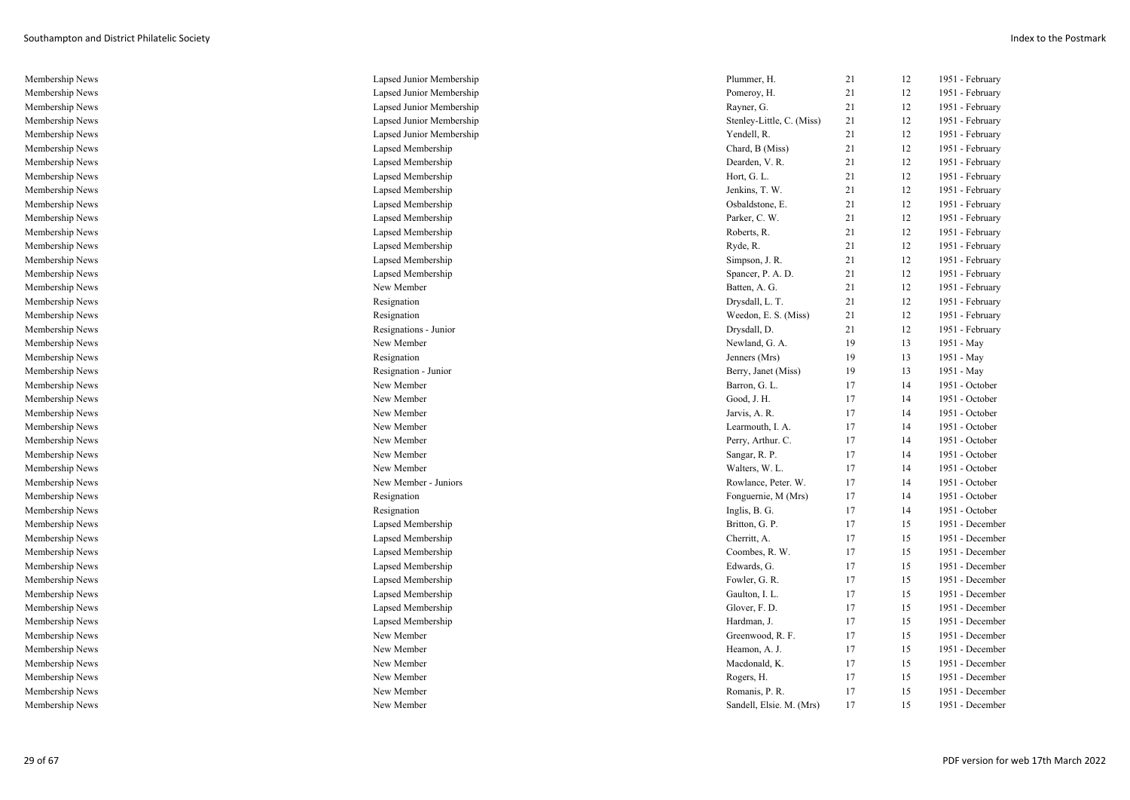| Membership News | Lapsed Junior Membership | Plummer, H.               | 21 | 12 | 1951 - February |
|-----------------|--------------------------|---------------------------|----|----|-----------------|
| Membership News | Lapsed Junior Membership | Pomeroy, H.               | 21 | 12 | 1951 - February |
| Membership News | Lapsed Junior Membership | Rayner, G.                | 21 | 12 | 1951 - February |
| Membership News | Lapsed Junior Membership | Stenley-Little, C. (Miss) | 21 | 12 | 1951 - February |
| Membership News | Lapsed Junior Membership | Yendell, R.               | 21 | 12 | 1951 - February |
| Membership News | Lapsed Membership        | Chard, B (Miss)           | 21 | 12 | 1951 - February |
| Membership News | Lapsed Membership        | Dearden, V. R.            | 21 | 12 | 1951 - February |
| Membership News | Lapsed Membership        | Hort, G. L.               | 21 | 12 | 1951 - February |
| Membership News | Lapsed Membership        | Jenkins, T. W.            | 21 | 12 | 1951 - February |
| Membership News | Lapsed Membership        | Osbaldstone, E.           | 21 | 12 | 1951 - February |
| Membership News | Lapsed Membership        | Parker, C. W.             | 21 | 12 | 1951 - February |
| Membership News | Lapsed Membership        | Roberts, R.               | 21 | 12 | 1951 - February |
| Membership News | Lapsed Membership        | Ryde, R.                  | 21 | 12 | 1951 - February |
| Membership News | Lapsed Membership        | Simpson, J. R.            | 21 | 12 | 1951 - February |
| Membership News | Lapsed Membership        | Spancer, P. A. D.         | 21 | 12 | 1951 - February |
| Membership News | New Member               | Batten, A. G.             | 21 | 12 | 1951 - February |
| Membership News | Resignation              | Drysdall, L. T.           | 21 | 12 | 1951 - February |
| Membership News | Resignation              | Weedon, E. S. (Miss)      | 21 | 12 | 1951 - February |
| Membership News | Resignations - Junior    | Drysdall, D.              | 21 | 12 | 1951 - February |
| Membership News | New Member               | Newland, G. A.            | 19 | 13 | 1951 - May      |
| Membership News | Resignation              | Jenners (Mrs)             | 19 | 13 | 1951 - May      |
| Membership News | Resignation - Junior     | Berry, Janet (Miss)       | 19 | 13 | 1951 - May      |
| Membership News | New Member               | Barron, G. L.             | 17 | 14 | 1951 - October  |
| Membership News | New Member               | Good, J. H.               | 17 | 14 | 1951 - October  |
| Membership News | New Member               | Jarvis, A. R.             | 17 | 14 | 1951 - October  |
| Membership News | New Member               | Learmouth, I. A.          | 17 | 14 | 1951 - October  |
| Membership News | New Member               | Perry, Arthur. C.         | 17 | 14 | 1951 - October  |
| Membership News | New Member               | Sangar, R. P.             | 17 | 14 | 1951 - October  |
| Membership News | New Member               | Walters, W. L.            | 17 | 14 | 1951 - October  |
| Membership News | New Member - Juniors     | Rowlance, Peter. W.       | 17 | 14 | 1951 - October  |
| Membership News | Resignation              | Fonguernie, M (Mrs)       | 17 | 14 | 1951 - October  |
| Membership News | Resignation              | Inglis, B. G.             | 17 | 14 | 1951 - October  |
| Membership News | Lapsed Membership        | Britton, G. P.            | 17 | 15 | 1951 - December |
| Membership News | Lapsed Membership        | Cherritt, A.              | 17 | 15 | 1951 - December |
| Membership News | Lapsed Membership        | Coombes, R. W.            | 17 | 15 | 1951 - December |
| Membership News | Lapsed Membership        | Edwards, G.               | 17 | 15 | 1951 - December |
| Membership News | Lapsed Membership        | Fowler, G. R.             | 17 | 15 | 1951 - December |
| Membership News | Lapsed Membership        | Gaulton, I. L.            | 17 | 15 | 1951 - December |
| Membership News | Lapsed Membership        | Glover, F. D.             | 17 | 15 | 1951 - December |
| Membership News | Lapsed Membership        | Hardman, J.               | 17 | 15 | 1951 - December |
| Membership News | New Member               | Greenwood, R. F.          | 17 | 15 | 1951 - December |
| Membership News | New Member               | Heamon, A. J.             | 17 | 15 | 1951 - December |
| Membership News | New Member               | Macdonald, K.             | 17 | 15 | 1951 - December |
| Membership News | New Member               | Rogers, H.                | 17 | 15 | 1951 - December |
| Membership News | New Member               | Romanis, P. R.            | 17 | 15 | 1951 - December |
| Membership News | New Member               | Sandell, Elsie. M. (Mrs)  | 17 | 15 | 1951 - December |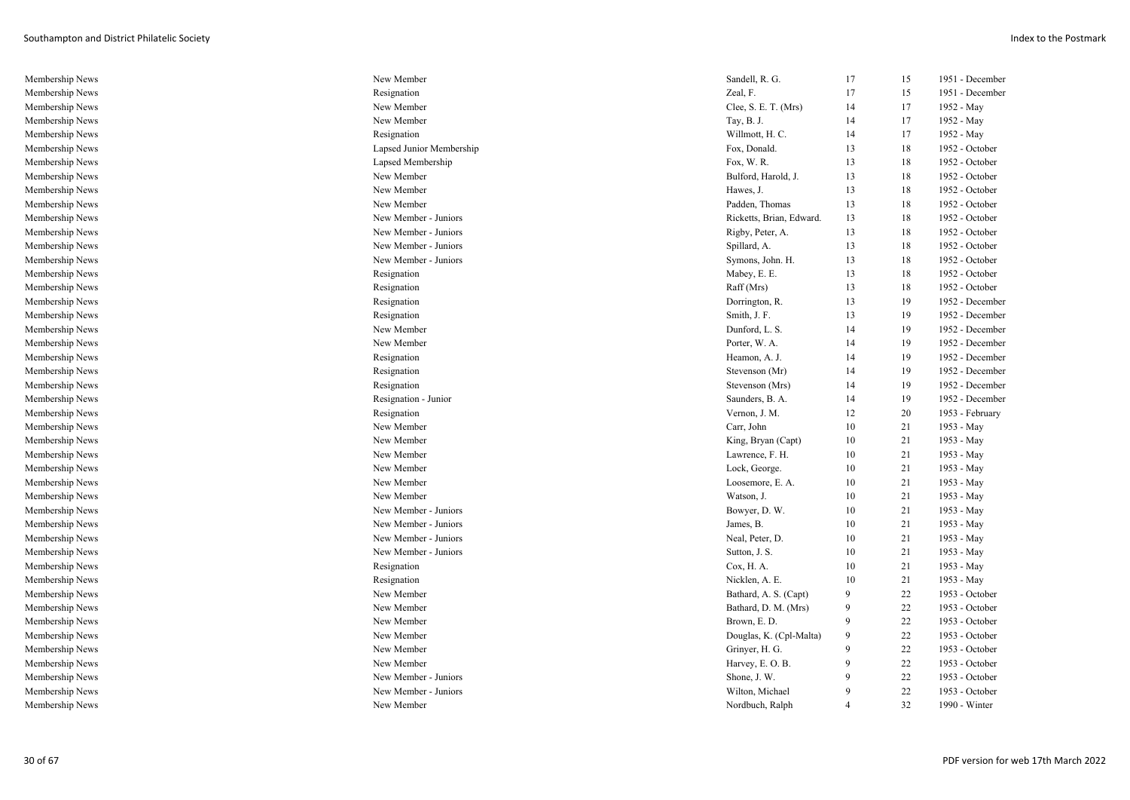| Membership News | New Member               | Sandell, R. G.           | 17 | 15 | 1951 - December |
|-----------------|--------------------------|--------------------------|----|----|-----------------|
| Membership News | Resignation              | Zeal, F.                 | 17 | 15 | 1951 - December |
| Membership News | New Member               | Clee, S. E. T. (Mrs)     | 14 | 17 | 1952 - May      |
| Membership News | New Member               | Tay, B. J.               | 14 | 17 | 1952 - May      |
| Membership News | Resignation              | Willmott, H. C.          | 14 | 17 | 1952 - May      |
| Membership News | Lapsed Junior Membership | Fox, Donald.             | 13 | 18 | 1952 - October  |
| Membership News | Lapsed Membership        | Fox, W.R.                | 13 | 18 | 1952 - October  |
| Membership News | New Member               | Bulford, Harold, J.      | 13 | 18 | 1952 - October  |
| Membership News | New Member               | Hawes, J.                | 13 | 18 | 1952 - October  |
| Membership News | New Member               | Padden, Thomas           | 13 | 18 | 1952 - October  |
| Membership News | New Member - Juniors     | Ricketts, Brian, Edward. | 13 | 18 | 1952 - October  |
| Membership News | New Member - Juniors     | Rigby, Peter, A.         | 13 | 18 | 1952 - October  |
| Membership News | New Member - Juniors     | Spillard, A.             | 13 | 18 | 1952 - October  |
| Membership News | New Member - Juniors     | Symons, John. H.         | 13 | 18 | 1952 - October  |
| Membership News | Resignation              | Mabey, E. E.             | 13 | 18 | 1952 - October  |
| Membership News | Resignation              | Raff (Mrs)               | 13 | 18 | 1952 - October  |
| Membership News | Resignation              | Dorrington, R.           | 13 | 19 | 1952 - December |
| Membership News | Resignation              | Smith, J. F.             | 13 | 19 | 1952 - December |
| Membership News | New Member               | Dunford, L. S.           | 14 | 19 | 1952 - December |
| Membership News | New Member               | Porter, W. A.            | 14 | 19 | 1952 - December |
| Membership News | Resignation              | Heamon, A. J.            | 14 | 19 | 1952 - December |
| Membership News | Resignation              | Stevenson (Mr)           | 14 | 19 | 1952 - December |
| Membership News | Resignation              | Stevenson (Mrs)          | 14 | 19 | 1952 - December |
| Membership News | Resignation - Junior     | Saunders, B. A.          | 14 | 19 | 1952 - December |
| Membership News | Resignation              | Vernon, J. M.            | 12 | 20 | 1953 - February |
| Membership News | New Member               | Carr, John               | 10 | 21 | 1953 - May      |
| Membership News | New Member               | King, Bryan (Capt)       | 10 | 21 | 1953 - May      |
| Membership News | New Member               | Lawrence, F. H.          | 10 | 21 | 1953 - May      |
| Membership News | New Member               | Lock, George.            | 10 | 21 | 1953 - May      |
| Membership News | New Member               | Loosemore, E. A.         | 10 | 21 | 1953 - May      |
| Membership News | New Member               | Watson, J.               | 10 | 21 | 1953 - May      |
| Membership News | New Member - Juniors     | Bowyer, D. W.            | 10 | 21 | 1953 - May      |
| Membership News | New Member - Juniors     | James, B.                | 10 | 21 | 1953 - May      |
| Membership News | New Member - Juniors     | Neal, Peter, D.          | 10 | 21 | 1953 - May      |
| Membership News | New Member - Juniors     | Sutton, J. S.            | 10 | 21 | 1953 - May      |
| Membership News | Resignation              | Cox, H. A.               | 10 | 21 | 1953 - May      |
| Membership News | Resignation              | Nicklen, A. E.           | 10 | 21 | 1953 - May      |
| Membership News | New Member               | Bathard, A. S. (Capt)    | 9  | 22 | 1953 - October  |
| Membership News | New Member               | Bathard, D. M. (Mrs)     | 9  | 22 | 1953 - October  |
| Membership News | New Member               | Brown, E.D.              | 9  | 22 | 1953 - October  |
| Membership News | New Member               | Douglas, K. (Cpl-Malta)  | 9  | 22 | 1953 - October  |
| Membership News | New Member               | Grinyer, H. G.           | 9  | 22 | 1953 - October  |
| Membership News | New Member               | Harvey, E.O.B.           | 9  | 22 | 1953 - October  |
| Membership News | New Member - Juniors     | Shone, J. W.             | 9  | 22 | 1953 - October  |
| Membership News | New Member - Juniors     | Wilton, Michael          | 9  | 22 | 1953 - October  |
| Membership News | New Member               | Nordbuch, Ralph          | 4  | 32 | 1990 - Winter   |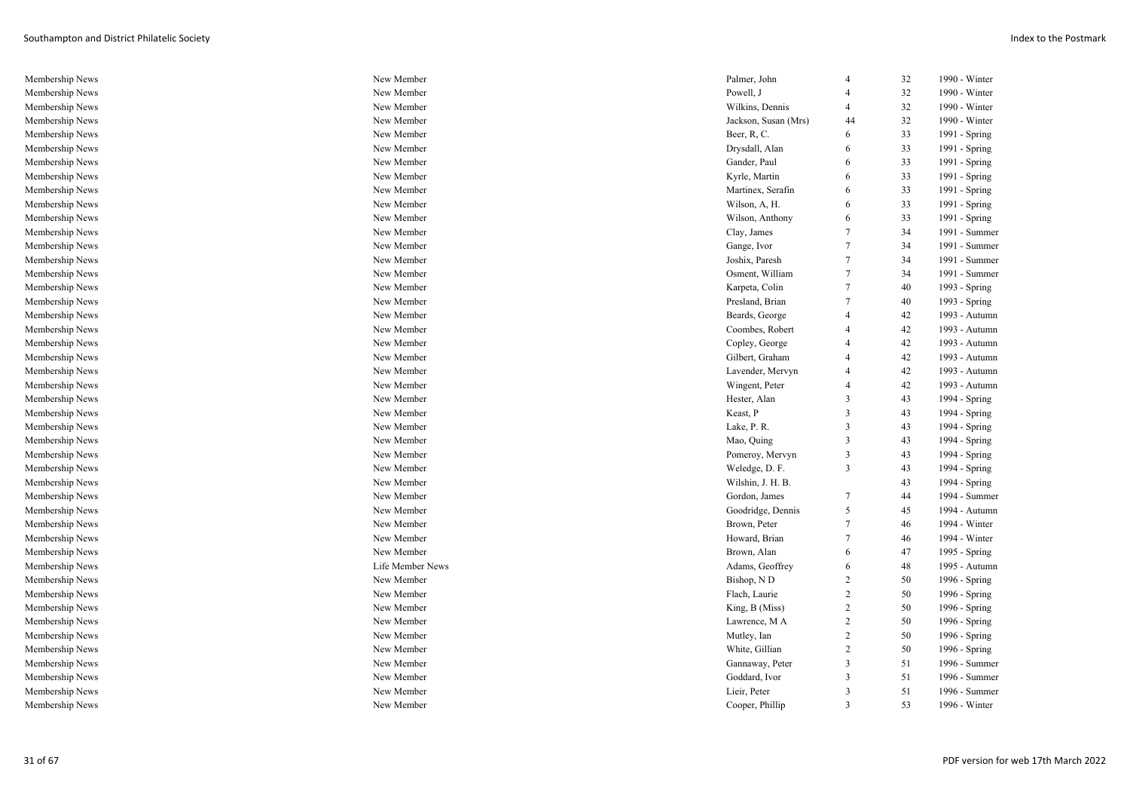| Membership News | New Member       | Palmer, John         | $\overline{4}$          | 32 | 1990 - Winter |
|-----------------|------------------|----------------------|-------------------------|----|---------------|
| Membership News | New Member       | Powell, J            |                         | 32 | 1990 - Winter |
| Membership News | New Member       | Wilkins, Dennis      | $\overline{4}$          | 32 | 1990 - Winter |
| Membership News | New Member       | Jackson, Susan (Mrs) | 44                      | 32 | 1990 - Winter |
| Membership News | New Member       | Beer, R, C.          | 6                       | 33 | 1991 - Spring |
| Membership News | New Member       | Drysdall, Alan       | 6                       | 33 | 1991 - Spring |
| Membership News | New Member       | Gander, Paul         | 6                       | 33 | 1991 - Spring |
| Membership News | New Member       | Kyrle, Martin        | 6                       | 33 | 1991 - Spring |
| Membership News | New Member       | Martinex, Serafin    | 6                       | 33 | 1991 - Spring |
| Membership News | New Member       | Wilson, A, H.        | 6                       | 33 | 1991 - Spring |
| Membership News | New Member       | Wilson, Anthony      | 6                       | 33 | 1991 - Spring |
| Membership News | New Member       | Clay, James          | 7                       | 34 | 1991 - Summer |
| Membership News | New Member       | Gange, Ivor          | $\overline{7}$          | 34 | 1991 - Summer |
| Membership News | New Member       | Joshix, Paresh       | $\overline{7}$          | 34 | 1991 - Summer |
| Membership News | New Member       | Osment, William      | 7                       | 34 | 1991 - Summer |
| Membership News | New Member       | Karpeta, Colin       | 7                       | 40 | 1993 - Spring |
| Membership News | New Member       | Presland, Brian      | $\overline{7}$          | 40 | 1993 - Spring |
| Membership News | New Member       | Beards, George       | $\overline{4}$          | 42 | 1993 - Autumn |
| Membership News | New Member       | Coombes, Robert      | $\overline{4}$          | 42 | 1993 - Autumn |
| Membership News | New Member       | Copley, George       | $\overline{4}$          | 42 | 1993 - Autumn |
| Membership News | New Member       | Gilbert, Graham      | $\overline{4}$          | 42 | 1993 - Autumn |
| Membership News | New Member       | Lavender, Mervyn     | $\overline{4}$          | 42 | 1993 - Autumn |
| Membership News | New Member       | Wingent, Peter       | $\overline{4}$          | 42 | 1993 - Autumn |
| Membership News | New Member       | Hester, Alan         | 3                       | 43 | 1994 - Spring |
| Membership News | New Member       | Keast, P             | $\overline{\mathbf{3}}$ | 43 | 1994 - Spring |
| Membership News | New Member       | Lake, P.R.           | $\overline{3}$          | 43 | 1994 - Spring |
| Membership News | New Member       | Mao, Quing           | 3                       | 43 | 1994 - Spring |
| Membership News | New Member       | Pomeroy, Mervyn      | 3                       | 43 | 1994 - Spring |
| Membership News | New Member       | Weledge, D. F.       | $\overline{3}$          | 43 | 1994 - Spring |
| Membership News | New Member       | Wilshin, J. H. B.    |                         | 43 | 1994 - Spring |
| Membership News | New Member       | Gordon, James        | 7                       | 44 | 1994 - Summer |
| Membership News | New Member       | Goodridge, Dennis    | 5                       | 45 | 1994 - Autumn |
| Membership News | New Member       | Brown, Peter         | 7                       | 46 | 1994 - Winter |
| Membership News | New Member       | Howard, Brian        | $\overline{7}$          | 46 | 1994 - Winter |
| Membership News | New Member       | Brown, Alan          | 6                       | 47 | 1995 - Spring |
| Membership News | Life Member News | Adams, Geoffrey      | 6                       | 48 | 1995 - Autumn |
| Membership News | New Member       | Bishop, N D          | 2                       | 50 | 1996 - Spring |
| Membership News | New Member       | Flach, Laurie        | $\overline{2}$          | 50 | 1996 - Spring |
| Membership News | New Member       | King, B (Miss)       | $\overline{c}$          | 50 | 1996 - Spring |
| Membership News | New Member       | Lawrence, M A        | $\overline{2}$          | 50 | 1996 - Spring |
| Membership News | New Member       | Mutley, Ian          | $\overline{2}$          | 50 | 1996 - Spring |
| Membership News | New Member       | White, Gillian       | $\overline{2}$          | 50 | 1996 - Spring |
| Membership News | New Member       | Gannaway, Peter      | 3                       | 51 | 1996 - Summer |
| Membership News | New Member       | Goddard, Ivor        | 3                       | 51 | 1996 - Summer |
| Membership News | New Member       | Lieir, Peter         | 3                       | 51 | 1996 - Summer |
| Membership News | New Member       | Cooper, Phillip      | 3                       | 53 | 1996 - Winter |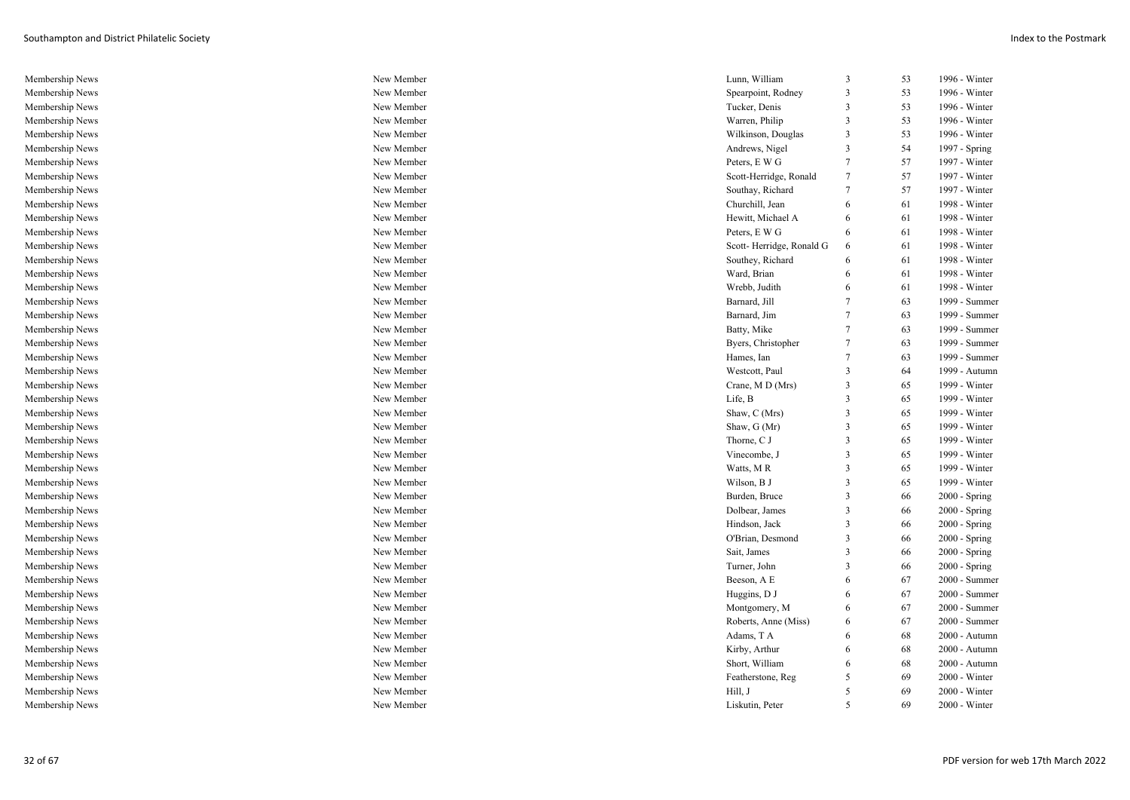| Membership News | New Member | Lunn, William            | 3              | 53 | 1996 - Winter   |
|-----------------|------------|--------------------------|----------------|----|-----------------|
| Membership News | New Member | Spearpoint, Rodney       | 3              | 53 | 1996 - Winter   |
| Membership News | New Member | Tucker, Denis            | 3              | 53 | 1996 - Winter   |
| Membership News | New Member | Warren, Philip           | 3              | 53 | 1996 - Winter   |
| Membership News | New Member | Wilkinson, Douglas       | 3              | 53 | 1996 - Winter   |
| Membership News | New Member | Andrews, Nigel           | 3              | 54 | 1997 - Spring   |
| Membership News | New Member | Peters, E W G            | $\overline{7}$ | 57 | 1997 - Winter   |
| Membership News | New Member | Scott-Herridge, Ronald   | 7              | 57 | 1997 - Winter   |
| Membership News | New Member | Southay, Richard         | 7              | 57 | 1997 - Winter   |
| Membership News | New Member | Churchill, Jean          | 6              | 61 | 1998 - Winter   |
| Membership News | New Member | Hewitt, Michael A        | -6             | 61 | 1998 - Winter   |
| Membership News | New Member | Peters, E W G            | 6              | 61 | 1998 - Winter   |
| Membership News | New Member | Scott-Herridge, Ronald G | 6              | 61 | 1998 - Winter   |
| Membership News | New Member | Southey, Richard         | -6             | 61 | 1998 - Winter   |
| Membership News | New Member | Ward, Brian              | 6              | 61 | 1998 - Winter   |
| Membership News | New Member | Wrebb, Judith            | 6              | 61 | 1998 - Winter   |
| Membership News | New Member | Barnard, Jill            | 7              | 63 | 1999 - Summer   |
| Membership News | New Member | Barnard, Jim             |                | 63 | 1999 - Summer   |
| Membership News | New Member | Batty, Mike              | 7              | 63 | 1999 - Summer   |
| Membership News | New Member | Byers, Christopher       | 7              | 63 | 1999 - Summer   |
| Membership News | New Member | Hames, Ian               | $\overline{7}$ | 63 | 1999 - Summer   |
| Membership News | New Member | Westcott, Paul           | 3              | 64 | 1999 - Autumn   |
| Membership News | New Member | Crane, M D (Mrs)         | 3              | 65 | 1999 - Winter   |
| Membership News | New Member | Life, B                  | 3              | 65 | 1999 - Winter   |
| Membership News | New Member | Shaw, C (Mrs)            | 3              | 65 | 1999 - Winter   |
| Membership News | New Member | Shaw, G (Mr)             | 3              | 65 | 1999 - Winter   |
| Membership News | New Member | Thorne, C J              | 3              | 65 | 1999 - Winter   |
| Membership News | New Member | Vinecombe, J             | 3              | 65 | 1999 - Winter   |
| Membership News | New Member | Watts, MR                | 3              | 65 | 1999 - Winter   |
| Membership News | New Member | Wilson, B J              | 3              | 65 | 1999 - Winter   |
| Membership News | New Member | Burden, Bruce            | 3              | 66 | 2000 - Spring   |
| Membership News | New Member | Dolbear, James           | 3              | 66 | 2000 - Spring   |
| Membership News | New Member | Hindson, Jack            |                | 66 | $2000 - Spring$ |
| Membership News | New Member | O'Brian, Desmond         | 3              | 66 | $2000 - Spring$ |
| Membership News | New Member | Sait, James              | 3              | 66 | $2000 - Spring$ |
| Membership News | New Member | Turner, John             |                | 66 | $2000 - Spring$ |
| Membership News | New Member | Beeson, A E              | 6              | 67 | 2000 - Summer   |
| Membership News | New Member | Huggins, DJ              | 6              | 67 | 2000 - Summer   |
| Membership News | New Member | Montgomery, M            | 6              | 67 | 2000 - Summer   |
| Membership News | New Member | Roberts, Anne (Miss)     | 6              | 67 | 2000 - Summer   |
| Membership News | New Member | Adams, TA                | 6              | 68 | 2000 - Autumn   |
| Membership News | New Member | Kirby, Arthur            | -6             | 68 | 2000 - Autumn   |
| Membership News | New Member | Short, William           |                | 68 | 2000 - Autumn   |
| Membership News | New Member | Featherstone, Reg        | 5              | 69 | 2000 - Winter   |
| Membership News | New Member | Hill, J                  |                | 69 | 2000 - Winter   |
| Membership News | New Member | Liskutin, Peter          |                | 69 | $2000 - Winter$ |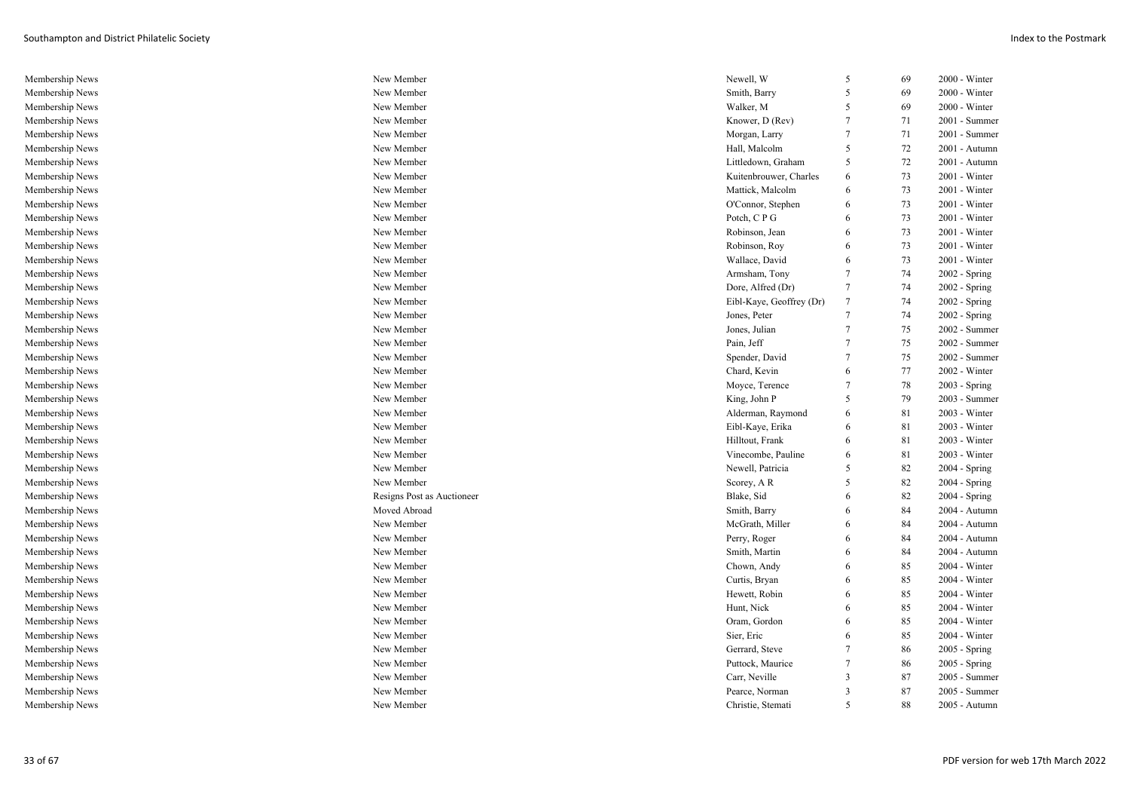| Membership News | New Member                 | Newell, W                | 5                       | 69 | $2000 - Winter$ |
|-----------------|----------------------------|--------------------------|-------------------------|----|-----------------|
| Membership News | New Member                 | Smith, Barry             | 5                       | 69 | 2000 - Winter   |
| Membership News | New Member                 | Walker, M                | 5                       | 69 | $2000 - Winter$ |
| Membership News | New Member                 | Knower, D (Rev)          | $\overline{7}$          | 71 | 2001 - Summer   |
| Membership News | New Member                 | Morgan, Larry            | $\overline{7}$          | 71 | $2001$ - Summer |
| Membership News | New Member                 | Hall, Malcolm            | 5                       | 72 | 2001 - Autumn   |
| Membership News | New Member                 | Littledown, Graham       | 5                       | 72 | 2001 - Autumn   |
| Membership News | New Member                 | Kuitenbrouwer, Charles   | 6                       | 73 | $2001 - Winter$ |
| Membership News | New Member                 | Mattick, Malcolm         | 6                       | 73 | 2001 - Winter   |
| Membership News | New Member                 | O'Connor, Stephen        | 6                       | 73 | 2001 - Winter   |
| Membership News | New Member                 | Potch, CPG               | 6                       | 73 | 2001 - Winter   |
| Membership News | New Member                 | Robinson, Jean           | 6                       | 73 | $2001 - Winter$ |
| Membership News | New Member                 | Robinson, Roy            | 6                       | 73 | 2001 - Winter   |
| Membership News | New Member                 | Wallace, David           | 6                       | 73 | 2001 - Winter   |
| Membership News | New Member                 | Armsham, Tony            | 7                       | 74 | $2002 - Spring$ |
| Membership News | New Member                 | Dore, Alfred (Dr)        | 7                       | 74 | 2002 - Spring   |
| Membership News | New Member                 | Eibl-Kaye, Geoffrey (Dr) | $\overline{7}$          | 74 | 2002 - Spring   |
| Membership News | New Member                 | Jones, Peter             | $\overline{7}$          | 74 | 2002 - Spring   |
| Membership News | New Member                 | Jones, Julian            | 7                       | 75 | 2002 - Summer   |
| Membership News | New Member                 | Pain, Jeff               | $\overline{7}$          | 75 | 2002 - Summer   |
| Membership News | New Member                 | Spender, David           | $\overline{7}$          | 75 | 2002 - Summer   |
| Membership News | New Member                 | Chard, Kevin             | 6                       | 77 | $2002$ - Winter |
| Membership News | New Member                 | Moyce, Terence           | 7                       | 78 | 2003 - Spring   |
| Membership News | New Member                 | King, John P             | 5                       | 79 | 2003 - Summer   |
| Membership News | New Member                 | Alderman, Raymond        | 6                       | 81 | 2003 - Winter   |
| Membership News | New Member                 | Eibl-Kaye, Erika         | 6                       | 81 | $2003 - Winter$ |
| Membership News | New Member                 | Hilltout, Frank          | 6                       | 81 | 2003 - Winter   |
| Membership News | New Member                 | Vinecombe, Pauline       | -6                      | 81 | 2003 - Winter   |
| Membership News | New Member                 | Newell, Patricia         | -5                      | 82 | $2004 - Spring$ |
| Membership News | New Member                 | Scorey, AR               | 5                       | 82 | 2004 - Spring   |
| Membership News | Resigns Post as Auctioneer | Blake, Sid               | 6                       | 82 | $2004 - Spring$ |
| Membership News | Moved Abroad               | Smith, Barry             | -6                      | 84 | 2004 - Autumn   |
| Membership News | New Member                 | McGrath, Miller          | 6                       | 84 | 2004 - Autumn   |
| Membership News | New Member                 | Perry, Roger             | 6                       | 84 | 2004 - Autumn   |
| Membership News | New Member                 | Smith, Martin            | -6                      | 84 | 2004 - Autumn   |
| Membership News | New Member                 | Chown, Andy              | 6                       | 85 | 2004 - Winter   |
| Membership News | New Member                 | Curtis, Bryan            | -6                      | 85 | 2004 - Winter   |
| Membership News | New Member                 | Hewett, Robin            | 6                       | 85 | 2004 - Winter   |
| Membership News | New Member                 | Hunt, Nick               | 6                       | 85 | $2004 - Winter$ |
| Membership News | New Member                 | Oram, Gordon             | 6                       | 85 | 2004 - Winter   |
| Membership News | New Member                 | Sier, Eric               | 6                       | 85 | 2004 - Winter   |
| Membership News | New Member                 | Gerrard, Steve           | $\overline{7}$          | 86 | $2005 - Spring$ |
| Membership News | New Member                 | Puttock, Maurice         | 7                       | 86 | 2005 - Spring   |
| Membership News | New Member                 | Carr, Neville            | $\overline{\mathbf{3}}$ | 87 | 2005 - Summer   |
| Membership News | New Member                 | Pearce, Norman           | $\overline{3}$          | 87 | 2005 - Summer   |
| Membership News | New Member                 | Christie, Stemati        | $\sim$                  | 88 | 2005 - Autumn   |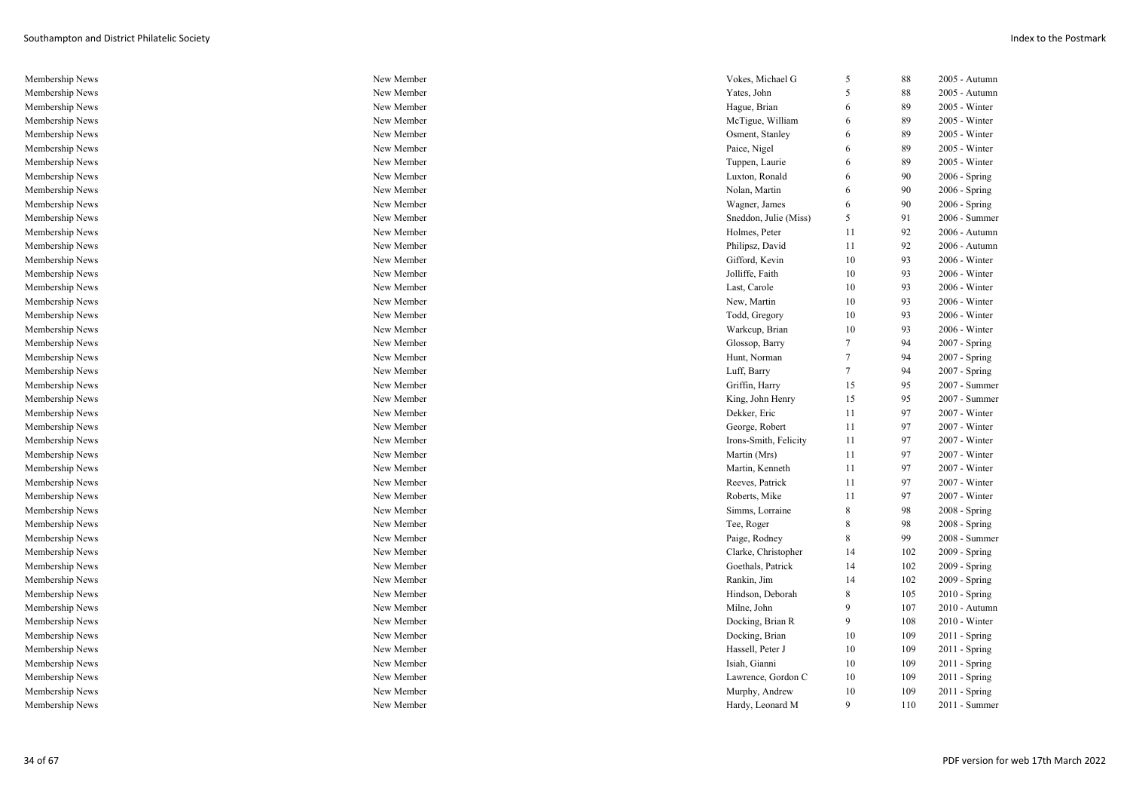| Membership News | New Member | Vokes, Michael G      | 5              | 88  | 2005 - Autumn   |
|-----------------|------------|-----------------------|----------------|-----|-----------------|
| Membership News | New Member | Yates, John           | 5              | 88  | 2005 - Autumn   |
| Membership News | New Member | Hague, Brian          | 6              | 89  | 2005 - Winter   |
| Membership News | New Member | McTigue, William      | 6              | 89  | 2005 - Winter   |
| Membership News | New Member | Osment, Stanley       | 6              | 89  | 2005 - Winter   |
| Membership News | New Member | Paice, Nigel          | 6              | 89  | 2005 - Winter   |
| Membership News | New Member | Tuppen, Laurie        | 6              | 89  | 2005 - Winter   |
| Membership News | New Member | Luxton, Ronald        | 6              | 90  | 2006 - Spring   |
| Membership News | New Member | Nolan, Martin         | 6              | 90  | 2006 - Spring   |
| Membership News | New Member | Wagner, James         | 6              | 90  | $2006 - Spring$ |
| Membership News | New Member | Sneddon, Julie (Miss) | 5              | 91  | 2006 - Summer   |
| Membership News | New Member | Holmes, Peter         | 11             | 92  | 2006 - Autumn   |
| Membership News | New Member | Philipsz, David       | 11             | 92  | 2006 - Autumn   |
| Membership News | New Member | Gifford, Kevin        | 10             | 93  | 2006 - Winter   |
| Membership News | New Member | Jolliffe, Faith       | 10             | 93  | 2006 - Winter   |
| Membership News | New Member | Last, Carole          | 10             | 93  | 2006 - Winter   |
| Membership News | New Member | New, Martin           | 10             | 93  | 2006 - Winter   |
| Membership News | New Member | Todd, Gregory         | 10             | 93  | 2006 - Winter   |
| Membership News | New Member | Warkcup, Brian        | 10             | 93  | 2006 - Winter   |
| Membership News | New Member | Glossop, Barry        | 7              | 94  | 2007 - Spring   |
| Membership News | New Member | Hunt, Norman          | $\overline{7}$ | 94  | 2007 - Spring   |
| Membership News | New Member | Luff, Barry           | 7              | 94  | 2007 - Spring   |
| Membership News | New Member | Griffin, Harry        | 15             | 95  | 2007 - Summer   |
| Membership News | New Member | King, John Henry      | 15             | 95  | 2007 - Summer   |
| Membership News | New Member | Dekker, Eric          | 11             | 97  | 2007 - Winter   |
| Membership News | New Member | George, Robert        | 11             | 97  | 2007 - Winter   |
| Membership News | New Member | Irons-Smith, Felicity | 11             | 97  | 2007 - Winter   |
| Membership News | New Member | Martin (Mrs)          | 11             | 97  | 2007 - Winter   |
| Membership News | New Member | Martin, Kenneth       | 11             | 97  | 2007 - Winter   |
| Membership News | New Member | Reeves, Patrick       | 11             | 97  | 2007 - Winter   |
| Membership News | New Member | Roberts, Mike         | 11             | 97  | 2007 - Winter   |
| Membership News | New Member | Simms, Lorraine       | 8              | 98  | 2008 - Spring   |
| Membership News | New Member | Tee, Roger            | 8              | 98  | $2008 - Spring$ |
| Membership News | New Member | Paige, Rodney         | 8              | 99  | 2008 - Summer   |
| Membership News | New Member | Clarke, Christopher   | 14             | 102 | 2009 - Spring   |
| Membership News | New Member | Goethals, Patrick     | 14             | 102 | 2009 - Spring   |
| Membership News | New Member | Rankin, Jim           | 14             | 102 | $2009 - Spring$ |
| Membership News | New Member | Hindson, Deborah      | 8              | 105 | $2010 - Spring$ |
| Membership News | New Member | Milne, John           | 9              | 107 | 2010 - Autumn   |
| Membership News | New Member | Docking, Brian R      | 9              | 108 | $2010 - Winter$ |
| Membership News | New Member | Docking, Brian        | 10             | 109 | $2011 -$ Spring |
| Membership News | New Member | Hassell, Peter J      | 10             | 109 | 2011 - Spring   |
| Membership News | New Member | Isiah, Gianni         | 10             | 109 | 2011 - Spring   |
| Membership News | New Member | Lawrence, Gordon C    | 10             | 109 | $2011 -$ Spring |
| Membership News | New Member | Murphy, Andrew        | 10             | 109 | $2011 -$ Spring |
| Membership News | New Member | Hardy, Leonard M      | 9              | 110 | 2011 - Summer   |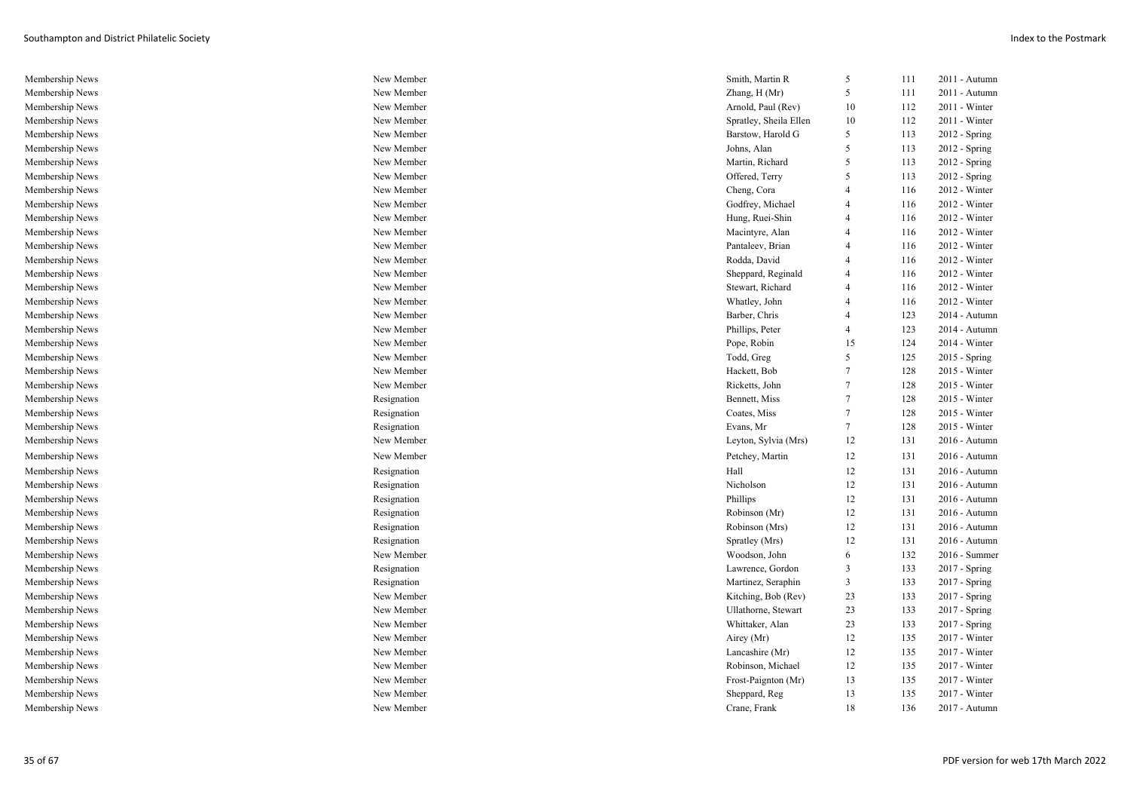| Membership News | New Member  | Smith, Martin R        | 5              | 111 | 2011 - Autumn   |
|-----------------|-------------|------------------------|----------------|-----|-----------------|
| Membership News | New Member  | Zhang, H (Mr)          | 5              | 111 | 2011 - Autumn   |
| Membership News | New Member  | Arnold, Paul (Rev)     | 10             | 112 | 2011 - Winter   |
| Membership News | New Member  | Spratley, Sheila Ellen | 10             | 112 | 2011 - Winter   |
| Membership News | New Member  | Barstow, Harold G      | 5              | 113 | 2012 - Spring   |
| Membership News | New Member  | Johns, Alan            | 5              | 113 | $2012 - Spring$ |
| Membership News | New Member  | Martin, Richard        | 5              | 113 | $2012$ - Spring |
| Membership News | New Member  | Offered, Terry         | 5              | 113 | 2012 - Spring   |
| Membership News | New Member  | Cheng, Cora            | $\overline{4}$ | 116 | 2012 - Winter   |
| Membership News | New Member  | Godfrey, Michael       | 4              | 116 | 2012 - Winter   |
| Membership News | New Member  | Hung, Ruei-Shin        | 4              | 116 | 2012 - Winter   |
| Membership News | New Member  | Macintyre, Alan        | $\overline{4}$ | 116 | 2012 - Winter   |
| Membership News | New Member  | Pantaleev, Brian       | 4              | 116 | 2012 - Winter   |
| Membership News | New Member  | Rodda, David           | $\overline{4}$ | 116 | 2012 - Winter   |
| Membership News | New Member  | Sheppard, Reginald     | $\overline{4}$ | 116 | 2012 - Winter   |
| Membership News | New Member  | Stewart, Richard       | 4              | 116 | 2012 - Winter   |
| Membership News | New Member  | Whatley, John          | 4              | 116 | 2012 - Winter   |
| Membership News | New Member  | Barber, Chris          | 4              | 123 | 2014 - Autumn   |
| Membership News | New Member  | Phillips, Peter        | 4              | 123 | 2014 - Autumn   |
| Membership News | New Member  | Pope, Robin            | 15             | 124 | 2014 - Winter   |
| Membership News | New Member  | Todd, Greg             | 5              | 125 | 2015 - Spring   |
| Membership News | New Member  | Hackett, Bob           | $\overline{7}$ | 128 | 2015 - Winter   |
| Membership News | New Member  | Ricketts, John         | 7              | 128 | 2015 - Winter   |
| Membership News | Resignation | Bennett, Miss          | $\tau$         | 128 | 2015 - Winter   |
| Membership News | Resignation | Coates, Miss           | $\tau$         | 128 | 2015 - Winter   |
| Membership News | Resignation | Evans, Mr              | $\tau$         | 128 | 2015 - Winter   |
| Membership News | New Member  | Leyton, Sylvia (Mrs)   | 12             | 131 | 2016 - Autumn   |
| Membership News | New Member  | Petchey, Martin        | 12             | 131 | 2016 - Autumn   |
| Membership News | Resignation | Hall                   | 12             | 131 | 2016 - Autumn   |
| Membership News | Resignation | Nicholson              | 12             | 131 | 2016 - Autumn   |
| Membership News | Resignation | Phillips               | 12             | 131 | 2016 - Autumn   |
| Membership News | Resignation | Robinson (Mr)          | 12             | 131 | 2016 - Autumn   |
| Membership News | Resignation | Robinson (Mrs)         | 12             | 131 | 2016 - Autumn   |
| Membership News | Resignation | Spratley (Mrs)         | 12             | 131 | 2016 - Autumn   |
| Membership News | New Member  | Woodson, John          | 6              | 132 | $2016$ - Summer |
| Membership News | Resignation | Lawrence, Gordon       | 3              | 133 | 2017 - Spring   |
| Membership News | Resignation | Martinez, Seraphin     | $\mathbf{3}$   | 133 | $2017 - Spring$ |
| Membership News | New Member  | Kitching, Bob (Rev)    | 23             | 133 | 2017 - Spring   |
| Membership News | New Member  | Ullathorne, Stewart    | 23             | 133 | 2017 - Spring   |
| Membership News | New Member  | Whittaker, Alan        | 23             | 133 | 2017 - Spring   |
| Membership News | New Member  | Airey (Mr)             | 12             | 135 | 2017 - Winter   |
| Membership News | New Member  | Lancashire (Mr)        | 12             | 135 | 2017 - Winter   |
| Membership News | New Member  | Robinson, Michael      | 12             | 135 | 2017 - Winter   |
| Membership News | New Member  | Frost-Paignton (Mr)    | 13             | 135 | 2017 - Winter   |
| Membership News | New Member  | Sheppard, Reg          | 13             | 135 | 2017 - Winter   |
| Membership News | New Member  | Crane, Frank           | 18             | 136 | 2017 - Autumn   |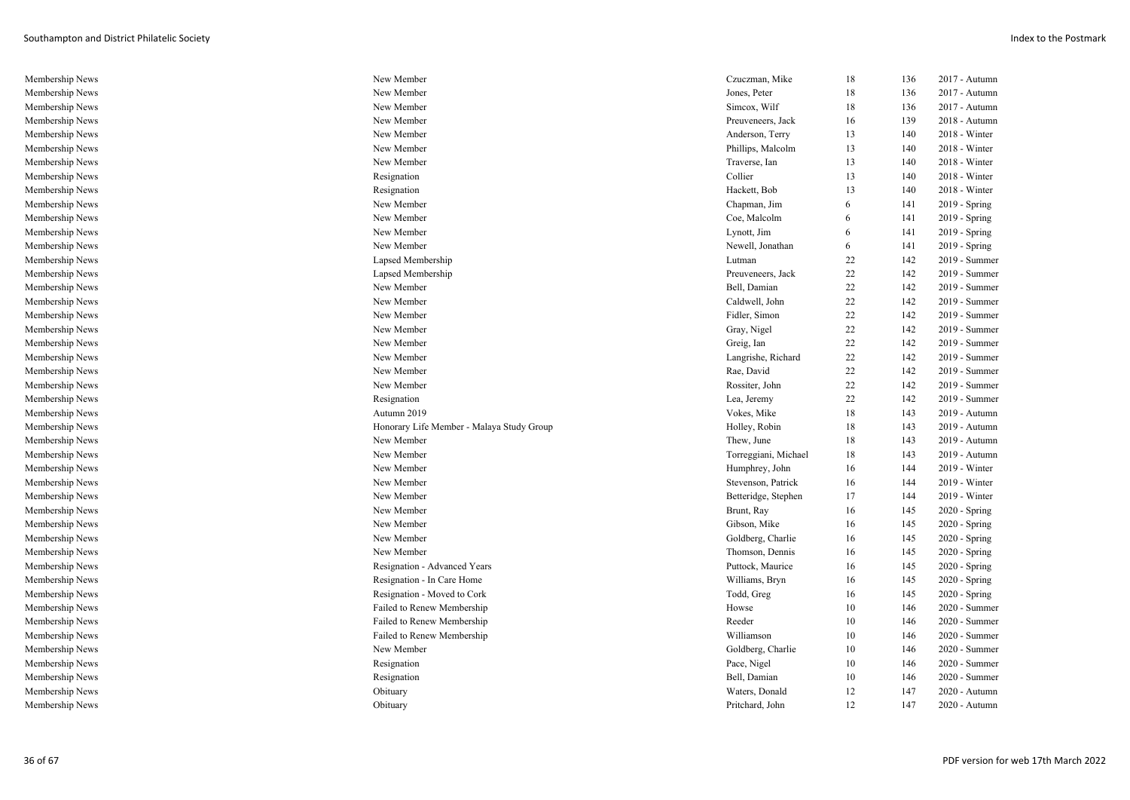| Membership News | New Member                                | Czuczman, Mike       | 18 | 136 | 2017 - Autumn   |
|-----------------|-------------------------------------------|----------------------|----|-----|-----------------|
| Membership News | New Member                                | Jones, Peter         | 18 | 136 | 2017 - Autumn   |
| Membership News | New Member                                | Simcox, Wilf         | 18 | 136 | 2017 - Autumn   |
| Membership News | New Member                                | Preuveneers, Jack    | 16 | 139 | 2018 - Autumn   |
| Membership News | New Member                                | Anderson, Terry      | 13 | 140 | 2018 - Winter   |
| Membership News | New Member                                | Phillips, Malcolm    | 13 | 140 | $2018$ - Winter |
| Membership News | New Member                                | Traverse, Ian        | 13 | 140 | 2018 - Winter   |
| Membership News | Resignation                               | Collier              | 13 | 140 | $2018$ - Winter |
| Membership News | Resignation                               | Hackett, Bob         | 13 | 140 | 2018 - Winter   |
| Membership News | New Member                                | Chapman, Jim         | 6  | 141 | 2019 - Spring   |
| Membership News | New Member                                | Coe, Malcolm         | 6  | 141 | $2019 - Spring$ |
| Membership News | New Member                                | Lynott, Jim          | 6  | 141 | 2019 - Spring   |
| Membership News | New Member                                | Newell, Jonathan     | 6  | 141 | $2019 - Spring$ |
| Membership News | Lapsed Membership                         | Lutman               | 22 | 142 | 2019 - Summer   |
| Membership News | Lapsed Membership                         | Preuveneers, Jack    | 22 | 142 | 2019 - Summer   |
| Membership News | New Member                                | Bell, Damian         | 22 | 142 | 2019 - Summer   |
| Membership News | New Member                                | Caldwell, John       | 22 | 142 | 2019 - Summer   |
| Membership News | New Member                                | Fidler, Simon        | 22 | 142 | 2019 - Summer   |
| Membership News | New Member                                | Gray, Nigel          | 22 | 142 | 2019 - Summer   |
| Membership News | New Member                                | Greig, Ian           | 22 | 142 | 2019 - Summer   |
| Membership News | New Member                                | Langrishe, Richard   | 22 | 142 | 2019 - Summer   |
| Membership News | New Member                                | Rae, David           | 22 | 142 | 2019 - Summer   |
| Membership News | New Member                                | Rossiter, John       | 22 | 142 | 2019 - Summer   |
| Membership News | Resignation                               | Lea, Jeremy          | 22 | 142 | 2019 - Summer   |
| Membership News | Autumn 2019                               | Vokes, Mike          | 18 | 143 | 2019 - Autumn   |
| Membership News | Honorary Life Member - Malaya Study Group | Holley, Robin        | 18 | 143 | 2019 - Autumn   |
| Membership News | New Member                                | Thew, June           | 18 | 143 | 2019 - Autumn   |
| Membership News | New Member                                | Torreggiani, Michael | 18 | 143 | 2019 - Autumn   |
| Membership News | New Member                                | Humphrey, John       | 16 | 144 | 2019 - Winter   |
| Membership News | New Member                                | Stevenson, Patrick   | 16 | 144 | 2019 - Winter   |
| Membership News | New Member                                | Betteridge, Stephen  | 17 | 144 | 2019 - Winter   |
| Membership News | New Member                                | Brunt, Ray           | 16 | 145 | 2020 - Spring   |
| Membership News | New Member                                | Gibson, Mike         | 16 | 145 | $2020 - Spring$ |
| Membership News | New Member                                | Goldberg, Charlie    | 16 | 145 | 2020 - Spring   |
| Membership News | New Member                                | Thomson, Dennis      | 16 | 145 | 2020 - Spring   |
| Membership News | Resignation - Advanced Years              | Puttock, Maurice     | 16 | 145 | $2020 - Spring$ |
| Membership News | Resignation - In Care Home                | Williams, Bryn       | 16 | 145 | 2020 - Spring   |
| Membership News | Resignation - Moved to Cork               | Todd, Greg           | 16 | 145 | 2020 - Spring   |
| Membership News | Failed to Renew Membership                | Howse                | 10 | 146 | 2020 - Summer   |
| Membership News | Failed to Renew Membership                | Reeder               | 10 | 146 | 2020 - Summer   |
| Membership News | Failed to Renew Membership                | Williamson           | 10 | 146 | 2020 - Summer   |
| Membership News | New Member                                | Goldberg, Charlie    | 10 | 146 | 2020 - Summer   |
| Membership News | Resignation                               | Pace, Nigel          | 10 | 146 | 2020 - Summer   |
| Membership News | Resignation                               | Bell, Damian         | 10 | 146 | 2020 - Summer   |
| Membership News | Obituary                                  | Waters, Donald       | 12 | 147 | 2020 - Autumn   |
| Membership News | Obituary                                  | Pritchard, John      | 12 | 147 | 2020 - Autumn   |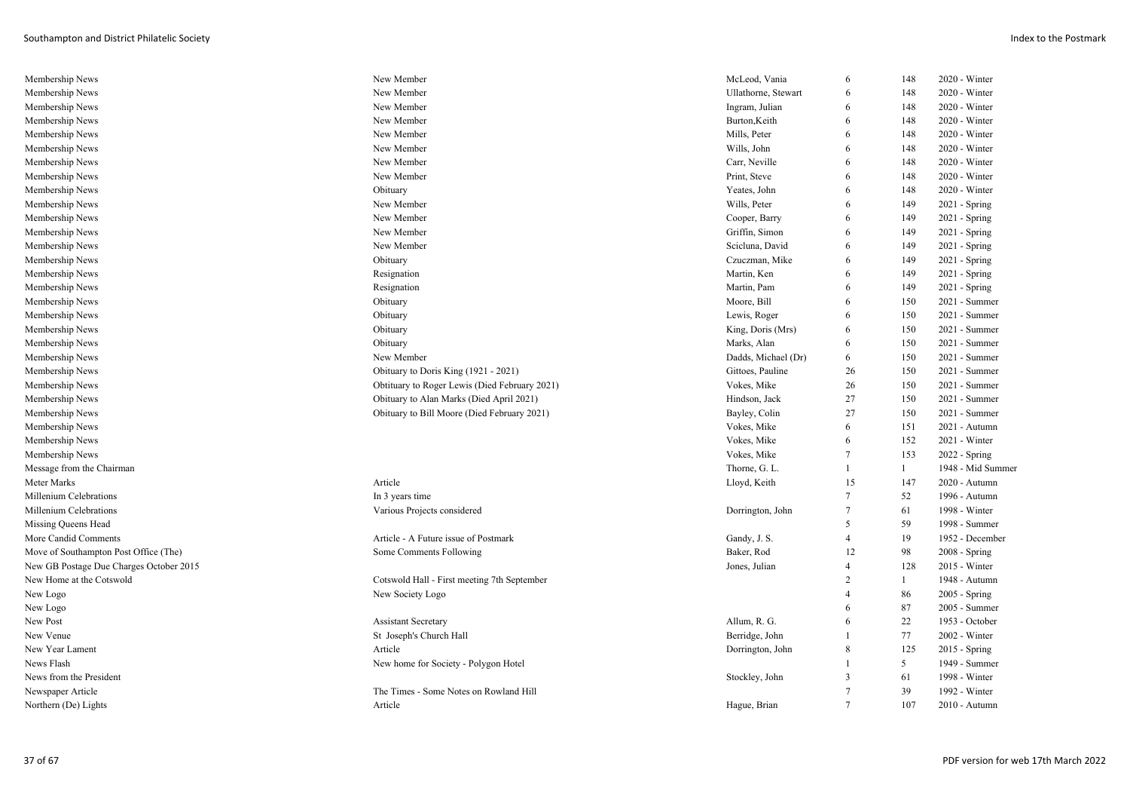| Membership News                         | New Member                                    | McLeod, Vania       | 6                       | 148          | 2020 - Winter     |
|-----------------------------------------|-----------------------------------------------|---------------------|-------------------------|--------------|-------------------|
| Membership News                         | New Member                                    | Ullathorne, Stewart | 6                       | 148          | 2020 - Winter     |
| Membership News                         | New Member                                    | Ingram, Julian      | 6                       | 148          | 2020 - Winter     |
| Membership News                         | New Member                                    | Burton, Keith       | 6                       | 148          | 2020 - Winter     |
| Membership News                         | New Member                                    | Mills, Peter        | 6                       | 148          | 2020 - Winter     |
| Membership News                         | New Member                                    | Wills, John         | 6                       | 148          | 2020 - Winter     |
| Membership News                         | New Member                                    | Carr, Neville       | 6                       | 148          | 2020 - Winter     |
| Membership News                         | New Member                                    | Print, Steve        | 6                       | 148          | 2020 - Winter     |
| Membership News                         | Obituary                                      | Yeates, John        | 6                       | 148          | 2020 - Winter     |
| Membership News                         | New Member                                    | Wills, Peter        | 6                       | 149          | 2021 - Spring     |
| Membership News                         | New Member                                    | Cooper, Barry       | 6                       | 149          | 2021 - Spring     |
| Membership News                         | New Member                                    | Griffin, Simon      | 6                       | 149          | 2021 - Spring     |
| Membership News                         | New Member                                    | Scicluna, David     | 6                       | 149          | 2021 - Spring     |
| Membership News                         | Obituary                                      | Czuczman, Mike      | 6                       | 149          | 2021 - Spring     |
| Membership News                         | Resignation                                   | Martin, Ken         | 6                       | 149          | 2021 - Spring     |
| Membership News                         | Resignation                                   | Martin, Pam         | 6                       | 149          | 2021 - Spring     |
| Membership News                         | Obituary                                      | Moore, Bill         | 6                       | 150          | 2021 - Summer     |
| Membership News                         | Obituary                                      | Lewis, Roger        | 6                       | 150          | 2021 - Summer     |
| Membership News                         | Obituary                                      | King, Doris (Mrs)   | 6                       | 150          | 2021 - Summer     |
| Membership News                         | Obituary                                      | Marks, Alan         | 6                       | 150          | 2021 - Summer     |
| Membership News                         | New Member                                    | Dadds, Michael (Dr) | 6                       | 150          | 2021 - Summer     |
| Membership News                         | Obituary to Doris King (1921 - 2021)          | Gittoes, Pauline    | 26                      | 150          | 2021 - Summer     |
| Membership News                         | Obtituary to Roger Lewis (Died February 2021) | Vokes, Mike         | 26                      | 150          | 2021 - Summer     |
| Membership News                         | Obituary to Alan Marks (Died April 2021)      | Hindson, Jack       | 27                      | 150          | 2021 - Summer     |
| Membership News                         | Obituary to Bill Moore (Died February 2021)   | Bayley, Colin       | 27                      | 150          | 2021 - Summer     |
| Membership News                         |                                               | Vokes, Mike         | 6                       | 151          | 2021 - Autumn     |
| Membership News                         |                                               | Vokes, Mike         | 6                       | 152          | 2021 - Winter     |
| Membership News                         |                                               | Vokes, Mike         | $\overline{7}$          | 153          | 2022 - Spring     |
| Message from the Chairman               |                                               | Thorne, G. L.       | $\overline{1}$          | $\mathbf{1}$ | 1948 - Mid Summer |
| Meter Marks                             | Article                                       | Lloyd, Keith        | 15                      | 147          | 2020 - Autumn     |
| Millenium Celebrations                  | In 3 years time                               |                     | $\overline{7}$          | 52           | 1996 - Autumn     |
| Millenium Celebrations                  | Various Projects considered                   | Dorrington, John    | $\overline{7}$          | 61           | 1998 - Winter     |
| Missing Queens Head                     |                                               |                     | 5                       | 59           | 1998 - Summer     |
| More Candid Comments                    | Article - A Future issue of Postmark          | Gandy, J. S.        | $\overline{4}$          | 19           | 1952 - December   |
| Move of Southampton Post Office (The)   | Some Comments Following                       | Baker, Rod          | 12                      | 98           | $2008 - Spring$   |
| New GB Postage Due Charges October 2015 |                                               | Jones, Julian       | $\overline{4}$          | 128          | 2015 - Winter     |
| New Home at the Cotswold                | Cotswold Hall - First meeting 7th September   |                     | $\overline{2}$          | 1            | 1948 - Autumn     |
| New Logo                                | New Society Logo                              |                     | $\overline{4}$          | 86           | 2005 - Spring     |
| New Logo                                |                                               |                     | 6                       | 87           | 2005 - Summer     |
| New Post                                | <b>Assistant Secretary</b>                    | Allum, R. G.        | 6                       | 22           | 1953 - October    |
| New Venue                               | St Joseph's Church Hall                       | Berridge, John      | $\overline{1}$          | 77           | 2002 - Winter     |
| New Year Lament                         | Article                                       | Dorrington, John    | 8                       | 125          | 2015 - Spring     |
| News Flash                              | New home for Society - Polygon Hotel          |                     | $\overline{1}$          | 5            | 1949 - Summer     |
| News from the President                 |                                               | Stockley, John      | $\overline{\mathbf{3}}$ | 61           | 1998 - Winter     |
| Newspaper Article                       | The Times - Some Notes on Rowland Hill        |                     | $\overline{7}$          | 39           | 1992 - Winter     |
| Northern (De) Lights                    | Article                                       | Hague, Brian        | $\overline{7}$          | 107          | 2010 - Autumn     |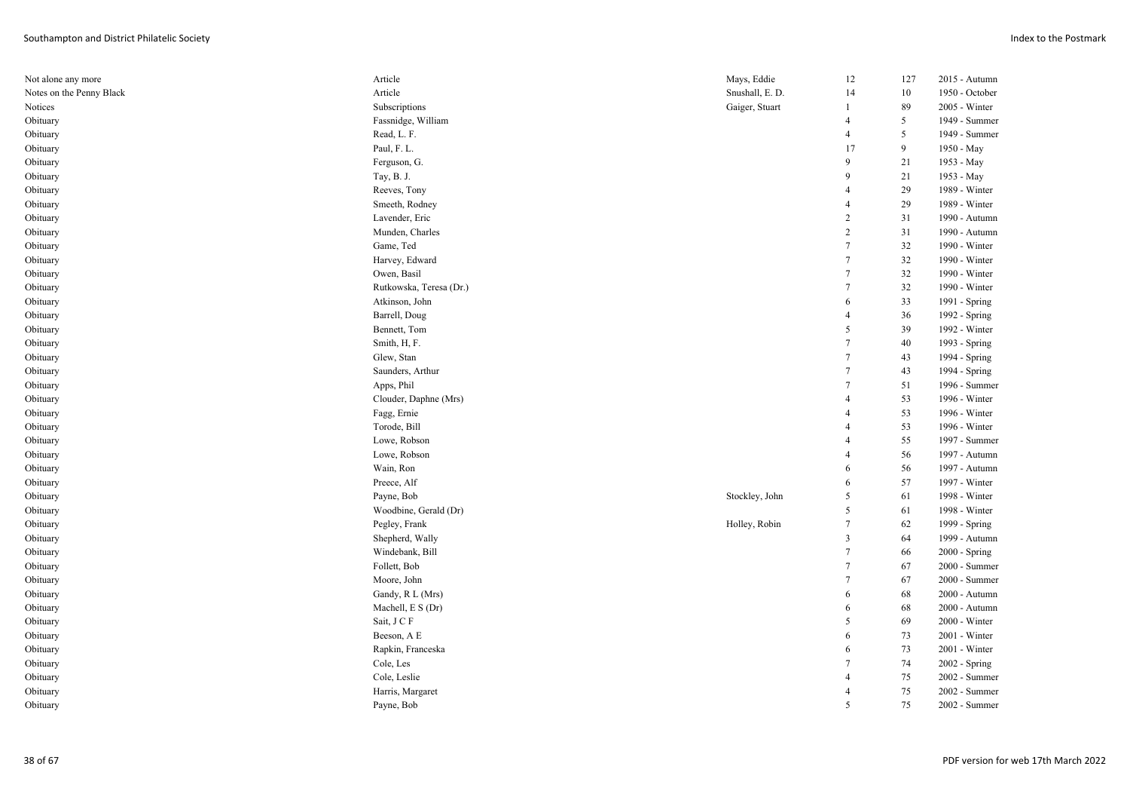| Not alone any more       | Article                 | Mays, Eddie     | 12                       | 127 | 2015 - Autumn  |
|--------------------------|-------------------------|-----------------|--------------------------|-----|----------------|
| Notes on the Penny Black | Article                 | Snushall, E. D. | 14                       | 10  | 1950 - October |
| Notices                  | Subscriptions           | Gaiger, Stuart  | -1                       | 89  | 2005 - Winter  |
| Obituary                 | Fassnidge, William      |                 | $\overline{4}$           | 5   | 1949 - Summer  |
| Obituary                 | Read, L. F.             |                 | $\overline{4}$           | 5   | 1949 - Summer  |
| Obituary                 | Paul, F. L.             |                 | 17                       | 9   | 1950 - May     |
| Obituary                 | Ferguson, G.            |                 | 9                        | 21  | 1953 - May     |
| Obituary                 | Tay, B. J.              |                 | 9                        | 21  | 1953 - May     |
| Obituary                 | Reeves, Tony            |                 | $\overline{4}$           | 29  | 1989 - Winter  |
| Obituary                 | Smeeth, Rodney          |                 | $\overline{4}$           | 29  | 1989 - Winter  |
| Obituary                 | Lavender, Eric          |                 | $\overline{c}$           | 31  | 1990 - Autumn  |
| Obituary                 | Munden, Charles         |                 | $\overline{c}$           | 31  | 1990 - Autumn  |
| Obituary                 | Game, Ted               |                 | $7\phantom{.0}$          | 32  | 1990 - Winter  |
| Obituary                 | Harvey, Edward          |                 | $7\phantom{.0}$          | 32  | 1990 - Winter  |
| Obituary                 | Owen, Basil             |                 | $\tau$                   | 32  | 1990 - Winter  |
| Obituary                 | Rutkowska, Teresa (Dr.) |                 | $7\phantom{.0}$          | 32  | 1990 - Winter  |
| Obituary                 | Atkinson, John          |                 | 6                        | 33  | 1991 - Spring  |
| Obituary                 | Barrell, Doug           |                 | $\overline{4}$           | 36  | 1992 - Spring  |
| Obituary                 | Bennett, Tom            |                 | 5                        | 39  | 1992 - Winter  |
| Obituary                 | Smith, H, F.            |                 | $7\phantom{.0}$          | 40  | 1993 - Spring  |
| Obituary                 | Glew, Stan              |                 | $\tau$                   | 43  | 1994 - Spring  |
| Obituary                 | Saunders, Arthur        |                 | $\tau$                   | 43  | 1994 - Spring  |
| Obituary                 | Apps, Phil              |                 | $7\phantom{.0}$          | 51  | 1996 - Summer  |
| Obituary                 | Clouder, Daphne (Mrs)   |                 | $\overline{4}$           | 53  | 1996 - Winter  |
| Obituary                 | Fagg, Ernie             |                 | $\overline{4}$           | 53  | 1996 - Winter  |
| Obituary                 | Torode, Bill            |                 | $\overline{4}$           | 53  | 1996 - Winter  |
| Obituary                 | Lowe, Robson            |                 | $\overline{4}$           | 55  | 1997 - Summer  |
| Obituary                 | Lowe, Robson            |                 | $\overline{4}$           | 56  | 1997 - Autumn  |
| Obituary                 | Wain, Ron               |                 | 6                        | 56  | 1997 - Autumn  |
| Obituary                 | Preece, Alf             |                 | 6                        | 57  | 1997 - Winter  |
| Obituary                 | Payne, Bob              | Stockley, John  | 5                        | 61  | 1998 - Winter  |
| Obituary                 | Woodbine, Gerald (Dr)   |                 | 5                        | 61  | 1998 - Winter  |
| Obituary                 | Pegley, Frank           | Holley, Robin   | $7\phantom{.0}$          | 62  | 1999 - Spring  |
| Obituary                 | Shepherd, Wally         |                 | 3                        | 64  | 1999 - Autumn  |
| Obituary                 | Windebank, Bill         |                 | $7\phantom{.0}$          | 66  | 2000 - Spring  |
| Obituary                 | Follett, Bob            |                 | $7\phantom{.0}$          | 67  | 2000 - Summer  |
| Obituary                 | Moore, John             |                 | $\tau$                   | 67  | 2000 - Summer  |
| Obituary                 | Gandy, R L (Mrs)        |                 | 6                        | 68  | 2000 - Autumn  |
| Obituary                 | Machell, E S (Dr)       |                 | 6                        | 68  | 2000 - Autumn  |
| Obituary                 | Sait, J C F             |                 | 5                        | 69  | 2000 - Winter  |
| Obituary                 | Beeson, A E             |                 | 6                        | 73  | 2001 - Winter  |
| Obituary                 | Rapkin, Franceska       |                 | 6                        | 73  | 2001 - Winter  |
| Obituary                 | Cole, Les               |                 | $\overline{7}$           | 74  | 2002 - Spring  |
| Obituary                 | Cole, Leslie            |                 | $\overline{4}$           | 75  | 2002 - Summer  |
| Obituary                 | Harris, Margaret        |                 | $\overline{4}$           | 75  | 2002 - Summer  |
| Obituary                 | Payne, Bob              |                 | $\overline{\phantom{0}}$ | 75  | 2002 - Summer  |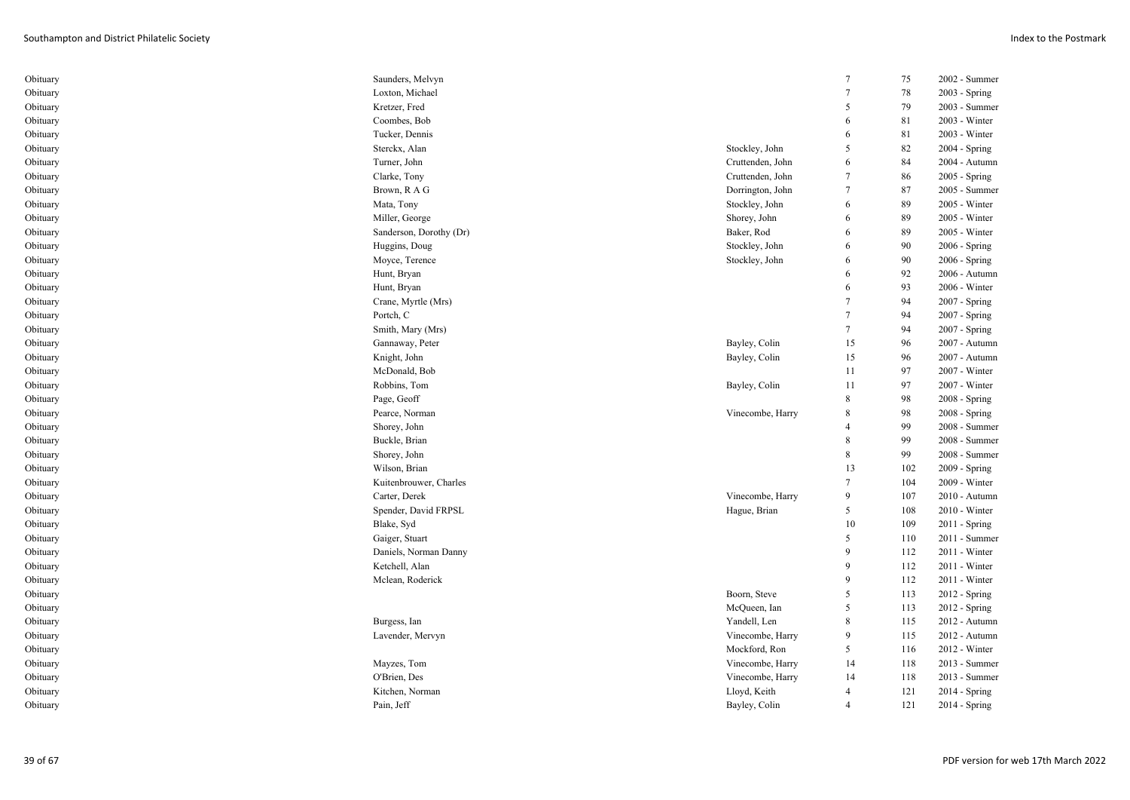| Obituary | Saunders, Melvyn        |                  | 7              | 75  | 2002 - Summer   |
|----------|-------------------------|------------------|----------------|-----|-----------------|
| Obituary | Loxton, Michael         |                  | $\overline{7}$ | 78  | 2003 - Spring   |
| Obituary | Kretzer, Fred           |                  | 5              | 79  | 2003 - Summer   |
| Obituary | Coombes, Bob            |                  | 6              | 81  | 2003 - Winter   |
| Obituary | Tucker, Dennis          |                  | 6              | 81  | 2003 - Winter   |
| Obituary | Sterckx, Alan           | Stockley, John   | 5              | 82  | 2004 - Spring   |
| Obituary | Turner, John            | Cruttenden, John | 6              | 84  | 2004 - Autumn   |
| Obituary | Clarke, Tony            | Cruttenden, John | 7              | 86  | 2005 - Spring   |
| Obituary | Brown, R A G            | Dorrington, John | 7              | 87  | 2005 - Summer   |
| Obituary | Mata, Tony              | Stockley, John   | 6              | 89  | 2005 - Winter   |
| Obituary | Miller, George          | Shorey, John     | 6              | 89  | 2005 - Winter   |
| Obituary | Sanderson, Dorothy (Dr) | Baker, Rod       | 6              | 89  | 2005 - Winter   |
| Obituary | Huggins, Doug           | Stockley, John   | 6              | 90  | 2006 - Spring   |
| Obituary | Moyce, Terence          | Stockley, John   | 6              | 90  | 2006 - Spring   |
| Obituary | Hunt, Bryan             |                  | 6              | 92  | 2006 - Autumn   |
| Obituary | Hunt, Bryan             |                  | 6              | 93  | 2006 - Winter   |
| Obituary | Crane, Myrtle (Mrs)     |                  | 7              | 94  | 2007 - Spring   |
| Obituary | Portch, C               |                  | 7              | 94  | 2007 - Spring   |
| Obituary | Smith, Mary (Mrs)       |                  | 7              | 94  | 2007 - Spring   |
| Obituary | Gannaway, Peter         | Bayley, Colin    | 15             | 96  | 2007 - Autumn   |
| Obituary | Knight, John            | Bayley, Colin    | 15             | 96  | 2007 - Autumn   |
| Obituary | McDonald, Bob           |                  | 11             | 97  | 2007 - Winter   |
| Obituary | Robbins, Tom            | Bayley, Colin    | 11             | 97  | 2007 - Winter   |
| Obituary | Page, Geoff             |                  | 8              | 98  | $2008 - Spring$ |
| Obituary | Pearce, Norman          | Vinecombe, Harry | 8              | 98  | 2008 - Spring   |
| Obituary | Shorey, John            |                  | $\overline{4}$ | 99  | 2008 - Summer   |
| Obituary | Buckle, Brian           |                  | 8              | 99  | 2008 - Summer   |
| Obituary | Shorey, John            |                  | 8              | 99  | 2008 - Summer   |
| Obituary | Wilson, Brian           |                  | 13             | 102 | 2009 - Spring   |
| Obituary | Kuitenbrouwer, Charles  |                  | 7              | 104 | 2009 - Winter   |
| Obituary | Carter, Derek           | Vinecombe, Harry | 9              | 107 | 2010 - Autumn   |
| Obituary | Spender, David FRPSL    | Hague, Brian     | 5              | 108 | 2010 - Winter   |
| Obituary | Blake, Syd              |                  | 10             | 109 | $2011 -$ Spring |
| Obituary | Gaiger, Stuart          |                  | 5              | 110 | 2011 - Summer   |
| Obituary | Daniels, Norman Danny   |                  | 9              | 112 | 2011 - Winter   |
| Obituary | Ketchell, Alan          |                  | 9              | 112 | 2011 - Winter   |
| Obituary | Mclean, Roderick        |                  | 9              | 112 | 2011 - Winter   |
| Obituary |                         | Boorn, Steve     | 5              | 113 | $2012$ - Spring |
| Obituary |                         | McQueen, Ian     | 5              | 113 | 2012 - Spring   |
| Obituary | Burgess, Ian            | Yandell, Len     | 8              | 115 | 2012 - Autumn   |
| Obituary | Lavender, Mervyn        | Vinecombe, Harry | 9              | 115 | 2012 - Autumn   |
| Obituary |                         | Mockford, Ron    | 5              | 116 | 2012 - Winter   |
| Obituary | Mayzes, Tom             | Vinecombe, Harry | 14             | 118 | 2013 - Summer   |
| Obituary | O'Brien, Des            | Vinecombe, Harry | 14             | 118 | 2013 - Summer   |
| Obituary | Kitchen, Norman         | Lloyd, Keith     | $\overline{4}$ | 121 | 2014 - Spring   |
| Obituary | Pain, Jeff              | Bayley, Colin    | $\overline{4}$ | 121 | $2014 - Spring$ |
|          |                         |                  |                |     |                 |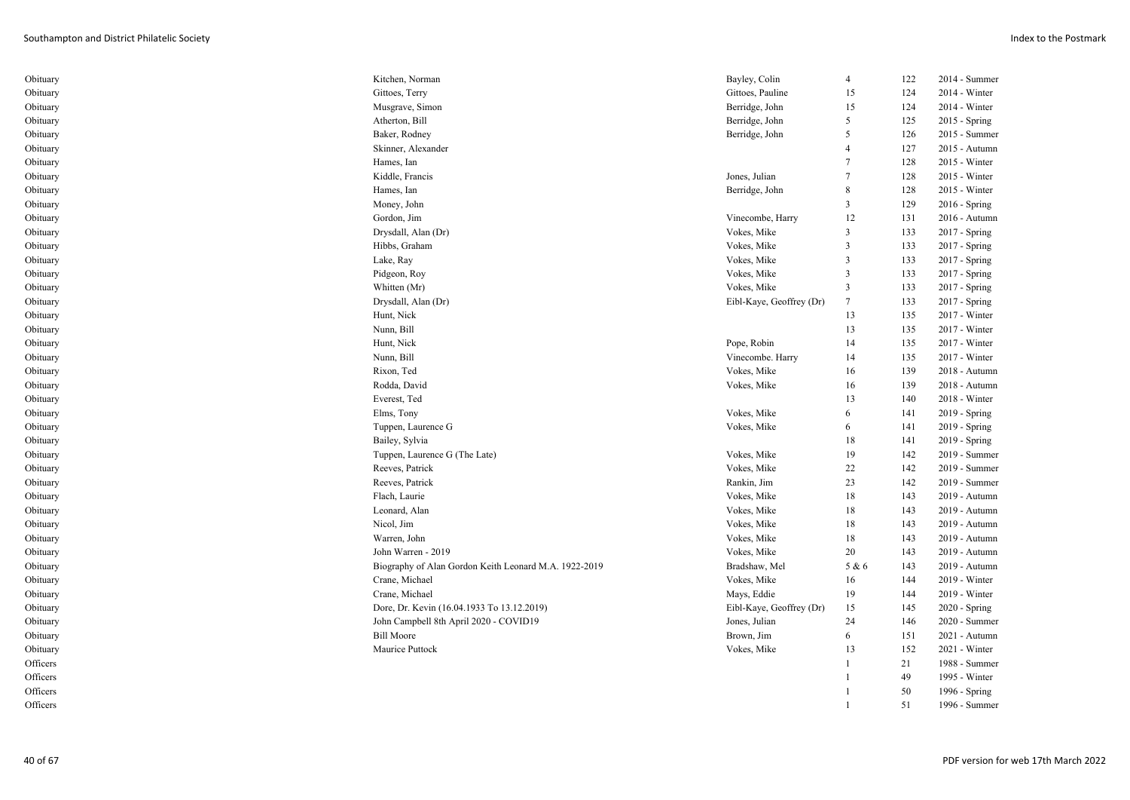| Obituary | Kitchen, Norman                                       | Bayley, Colin            | $\overline{4}$          | 122 | 2014 - Summer |
|----------|-------------------------------------------------------|--------------------------|-------------------------|-----|---------------|
| Obituary | Gittoes, Terry                                        | Gittoes, Pauline         | 15                      | 124 | 2014 - Winter |
| Obituary | Musgrave, Simon                                       | Berridge, John           | 15                      | 124 | 2014 - Winter |
| Obituary | Atherton, Bill                                        | Berridge, John           | 5                       | 125 | 2015 - Spring |
| Obituary | Baker, Rodney                                         | Berridge, John           | 5                       | 126 | 2015 - Summer |
| Obituary | Skinner, Alexander                                    |                          | 4                       | 127 | 2015 - Autumn |
| Obituary | Hames, Ian                                            |                          | $\tau$                  | 128 | 2015 - Winter |
| Obituary | Kiddle, Francis                                       | Jones, Julian            | $\overline{7}$          | 128 | 2015 - Winter |
| Obituary | Hames, Ian                                            | Berridge, John           | 8                       | 128 | 2015 - Winter |
| Obituary | Money, John                                           |                          | 3                       | 129 | 2016 - Spring |
| Obituary | Gordon, Jim                                           | Vinecombe, Harry         | 12                      | 131 | 2016 - Autumn |
| Obituary | Drysdall, Alan (Dr)                                   | Vokes, Mike              | $\mathbf{3}$            | 133 | 2017 - Spring |
| Obituary | Hibbs, Graham                                         | Vokes, Mike              | $\mathbf{3}$            | 133 | 2017 - Spring |
| Obituary | Lake, Ray                                             | Vokes, Mike              | $\overline{3}$          | 133 | 2017 - Spring |
| Obituary | Pidgeon, Roy                                          | Vokes, Mike              | $\overline{\mathbf{3}}$ | 133 | 2017 - Spring |
| Obituary | Whitten (Mr)                                          | Vokes, Mike              | $\overline{\mathbf{3}}$ | 133 | 2017 - Spring |
| Obituary | Drysdall, Alan (Dr)                                   | Eibl-Kaye, Geoffrey (Dr) | $\overline{7}$          | 133 | 2017 - Spring |
| Obituary | Hunt, Nick                                            |                          | 13                      | 135 | 2017 - Winter |
| Obituary | Nunn, Bill                                            |                          | 13                      | 135 | 2017 - Winter |
| Obituary | Hunt, Nick                                            | Pope, Robin              | 14                      | 135 | 2017 - Winter |
| Obituary | Nunn, Bill                                            | Vinecombe. Harry         | 14                      | 135 | 2017 - Winter |
| Obituary | Rixon, Ted                                            | Vokes, Mike              | 16                      | 139 | 2018 - Autumn |
| Obituary | Rodda, David                                          | Vokes, Mike              | 16                      | 139 | 2018 - Autumn |
| Obituary | Everest, Ted                                          |                          | 13                      | 140 | 2018 - Winter |
| Obituary | Elms, Tony                                            | Vokes, Mike              | 6                       | 141 | 2019 - Spring |
| Obituary | Tuppen, Laurence G                                    | Vokes, Mike              | 6                       | 141 | 2019 - Spring |
| Obituary | Bailey, Sylvia                                        |                          | 18                      | 141 | 2019 - Spring |
| Obituary | Tuppen, Laurence G (The Late)                         | Vokes, Mike              | 19                      | 142 | 2019 - Summer |
| Obituary | Reeves, Patrick                                       | Vokes, Mike              | 22                      | 142 | 2019 - Summer |
| Obituary | Reeves, Patrick                                       | Rankin, Jim              | 23                      | 142 | 2019 - Summer |
| Obituary | Flach, Laurie                                         | Vokes, Mike              | 18                      | 143 | 2019 - Autumn |
| Obituary | Leonard, Alan                                         | Vokes, Mike              | 18                      | 143 | 2019 - Autumn |
| Obituary | Nicol, Jim                                            | Vokes, Mike              | 18                      | 143 | 2019 - Autumn |
| Obituary | Warren, John                                          | Vokes, Mike              | 18                      | 143 | 2019 - Autumn |
| Obituary | John Warren - 2019                                    | Vokes, Mike              | 20                      | 143 | 2019 - Autumn |
| Obituary | Biography of Alan Gordon Keith Leonard M.A. 1922-2019 | Bradshaw, Mel            | 5 & 6                   | 143 | 2019 - Autumn |
| Obituary | Crane, Michael                                        | Vokes, Mike              | 16                      | 144 | 2019 - Winter |
| Obituary | Crane, Michael                                        | Mays, Eddie              | 19                      | 144 | 2019 - Winter |
| Obituary | Dore, Dr. Kevin (16.04.1933 To 13.12.2019)            | Eibl-Kaye, Geoffrey (Dr) | 15                      | 145 | 2020 - Spring |
| Obituary | John Campbell 8th April 2020 - COVID19                | Jones, Julian            | 24                      | 146 | 2020 - Summer |
| Obituary | <b>Bill Moore</b>                                     | Brown, Jim               | 6                       | 151 | 2021 - Autumn |
| Obituary | Maurice Puttock                                       | Vokes, Mike              | 13                      | 152 | 2021 - Winter |
| Officers |                                                       |                          | 1                       | 21  | 1988 - Summer |
| Officers |                                                       |                          |                         | 49  | 1995 - Winter |
| Officers |                                                       |                          |                         | 50  | 1996 - Spring |
| Officers |                                                       |                          |                         | 51  | 1996 - Summer |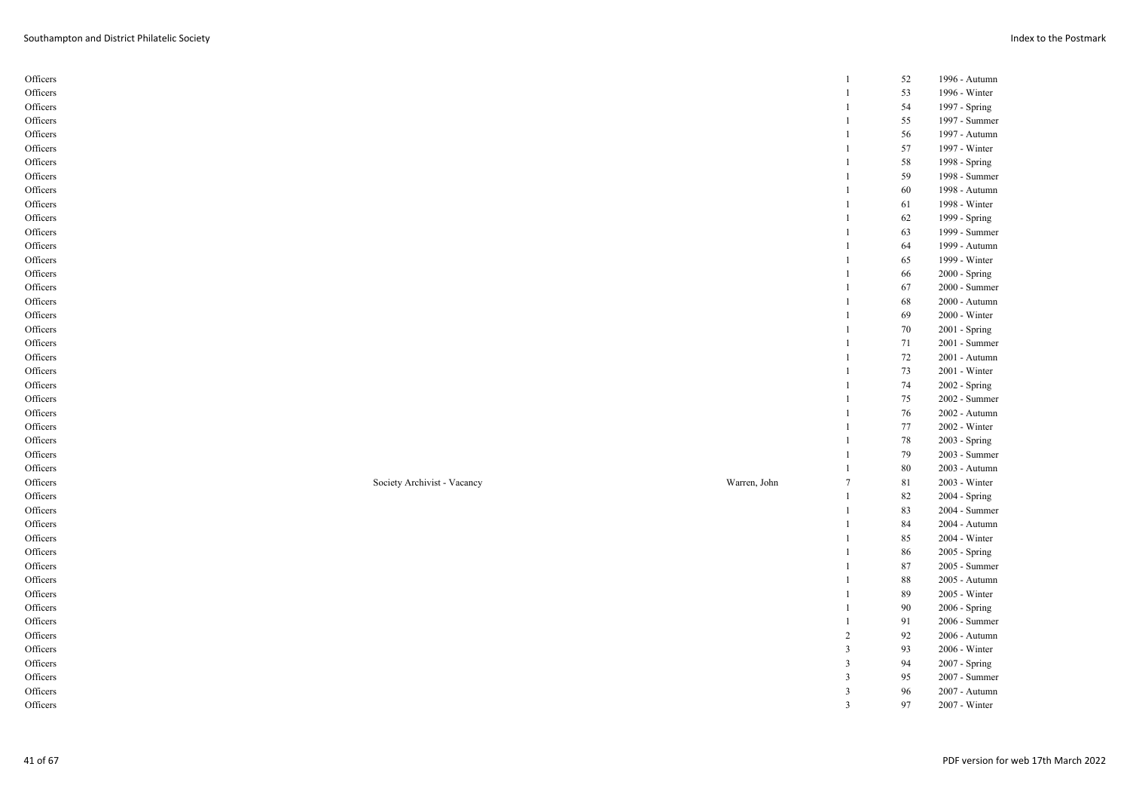| Officers |                             |              | -1     | 52 | 1996 - Autumn   |
|----------|-----------------------------|--------------|--------|----|-----------------|
| Officers |                             |              |        | 53 | 1996 - Winter   |
| Officers |                             |              |        | 54 | 1997 - Spring   |
| Officers |                             |              |        | 55 | 1997 - Summer   |
| Officers |                             |              |        | 56 | 1997 - Autumn   |
| Officers |                             |              |        | 57 | 1997 - Winter   |
| Officers |                             |              |        | 58 | 1998 - Spring   |
| Officers |                             |              | -1     | 59 | 1998 - Summer   |
| Officers |                             |              |        | 60 | 1998 - Autumn   |
| Officers |                             |              |        | 61 | 1998 - Winter   |
| Officers |                             |              |        | 62 | 1999 - Spring   |
| Officers |                             |              |        | 63 | 1999 - Summer   |
| Officers |                             |              |        | 64 | 1999 - Autumn   |
| Officers |                             |              |        | 65 | 1999 - Winter   |
| Officers |                             |              |        | 66 | 2000 - Spring   |
| Officers |                             |              |        | 67 | 2000 - Summer   |
| Officers |                             |              |        | 68 | 2000 - Autumn   |
| Officers |                             |              |        | 69 | 2000 - Winter   |
| Officers |                             |              | 1      | 70 | 2001 - Spring   |
| Officers |                             |              | -1     | 71 | 2001 - Summer   |
| Officers |                             |              |        | 72 | 2001 - Autumn   |
| Officers |                             |              |        | 73 | $2001$ - Winter |
| Officers |                             |              | -1     | 74 | 2002 - Spring   |
| Officers |                             |              |        | 75 | 2002 - Summer   |
| Officers |                             |              |        | 76 | 2002 - Autumn   |
| Officers |                             |              |        | 77 | 2002 - Winter   |
| Officers |                             |              |        | 78 | 2003 - Spring   |
| Officers |                             |              |        | 79 | 2003 - Summer   |
| Officers |                             |              |        | 80 | 2003 - Autumn   |
| Officers | Society Archivist - Vacancy | Warren, John | 7      | 81 | 2003 - Winter   |
| Officers |                             |              | -1     | 82 | 2004 - Spring   |
| Officers |                             |              |        | 83 | 2004 - Summer   |
| Officers |                             |              |        | 84 | $2004$ - Autumn |
| Officers |                             |              |        | 85 | 2004 - Winter   |
| Officers |                             |              |        | 86 | 2005 - Spring   |
| Officers |                             |              |        | 87 | 2005 - Summer   |
| Officers |                             |              |        | 88 | 2005 - Autumn   |
| Officers |                             |              |        | 89 | 2005 - Winter   |
| Officers |                             |              |        | 90 | 2006 - Spring   |
| Officers |                             |              |        | 91 | 2006 - Summer   |
|          |                             |              | 2      | 92 | 2006 - Autumn   |
| Officers |                             |              |        |    |                 |
| Officers |                             |              | 3<br>3 | 93 | 2006 - Winter   |
| Officers |                             |              |        | 94 | 2007 - Spring   |
| Officers |                             |              | 3      | 95 | 2007 - Summer   |
| Officers |                             |              | 3      | 96 | 2007 - Autumn   |
| Officers |                             |              | 3      | 97 | 2007 - Winter   |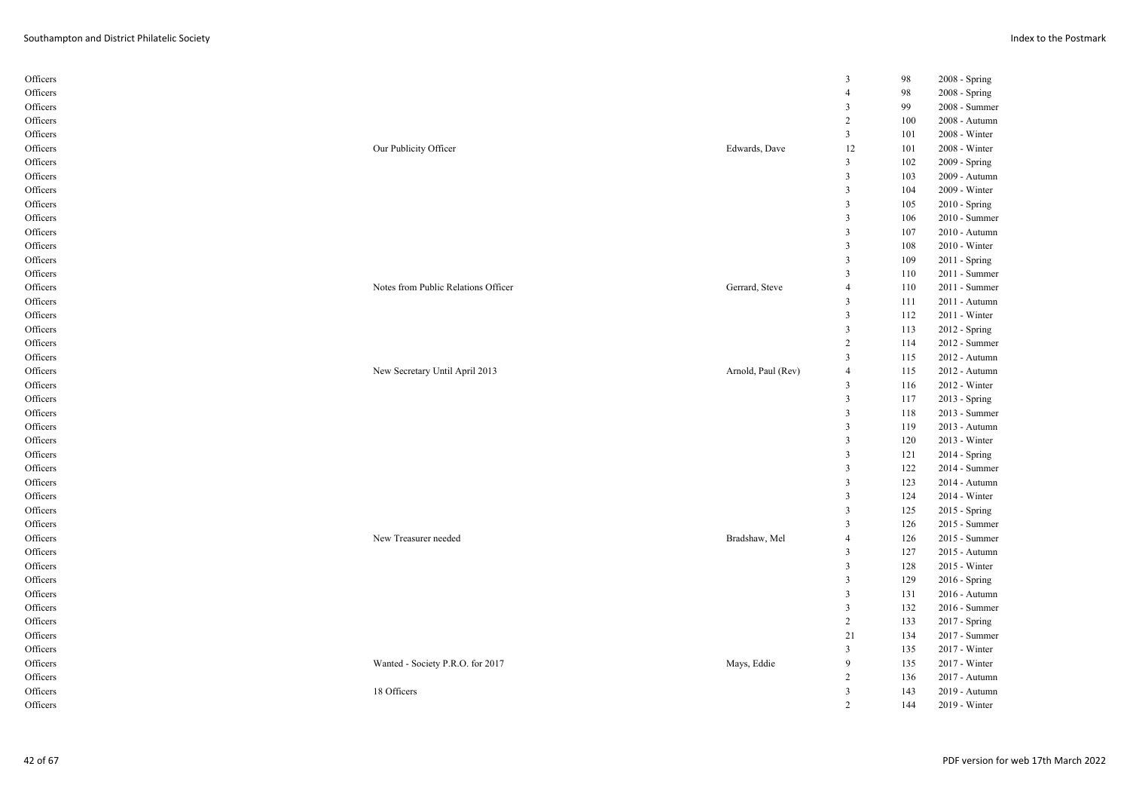| Officers |                                     |                    | 3                       | 98  | 2008 - Spring   |
|----------|-------------------------------------|--------------------|-------------------------|-----|-----------------|
| Officers |                                     |                    | $\overline{4}$          | 98  | 2008 - Spring   |
| Officers |                                     |                    | 3                       | 99  | 2008 - Summer   |
| Officers |                                     |                    | $\overline{c}$          | 100 | 2008 - Autumn   |
| Officers |                                     |                    | $\overline{\mathbf{3}}$ | 101 | 2008 - Winter   |
| Officers | Our Publicity Officer               | Edwards, Dave      | 12                      | 101 | 2008 - Winter   |
| Officers |                                     |                    | $\mathfrak{Z}$          | 102 | 2009 - Spring   |
| Officers |                                     |                    | $\mathbf{3}$            | 103 | 2009 - Autumn   |
| Officers |                                     |                    | $\mathfrak{Z}$          | 104 | 2009 - Winter   |
| Officers |                                     |                    | 3                       | 105 | $2010 - Spring$ |
| Officers |                                     |                    | $\overline{\mathbf{3}}$ | 106 | 2010 - Summer   |
| Officers |                                     |                    | 3                       | 107 | 2010 - Autumn   |
| Officers |                                     |                    | $\mathfrak{Z}$          | 108 | 2010 - Winter   |
| Officers |                                     |                    | 3                       | 109 | $2011 -$ Spring |
| Officers |                                     |                    | $\overline{3}$          | 110 | 2011 - Summer   |
| Officers | Notes from Public Relations Officer | Gerrard, Steve     | $\overline{4}$          | 110 | 2011 - Summer   |
| Officers |                                     |                    | $\mathfrak{Z}$          | 111 | 2011 - Autumn   |
| Officers |                                     |                    | $\mathfrak{Z}$          | 112 | 2011 - Winter   |
| Officers |                                     |                    | 3                       | 113 | 2012 - Spring   |
| Officers |                                     |                    | $\overline{c}$          | 114 | 2012 - Summer   |
| Officers |                                     |                    | $\overline{3}$          | 115 | 2012 - Autumn   |
| Officers | New Secretary Until April 2013      | Arnold, Paul (Rev) | $\overline{4}$          | 115 | 2012 - Autumn   |
|          |                                     |                    | $\mathfrak{Z}$          | 116 | 2012 - Winter   |
| Officers |                                     |                    | 3                       |     |                 |
| Officers |                                     |                    |                         | 117 | 2013 - Spring   |
| Officers |                                     |                    | $\mathbf{3}$            | 118 | 2013 - Summer   |
| Officers |                                     |                    | $\mathfrak{Z}$          | 119 | 2013 - Autumn   |
| Officers |                                     |                    | $\mathfrak{Z}$          | 120 | 2013 - Winter   |
| Officers |                                     |                    | 3                       | 121 | 2014 - Spring   |
| Officers |                                     |                    | $\mathbf{3}$            | 122 | 2014 - Summer   |
| Officers |                                     |                    | $\mathfrak{Z}$          | 123 | 2014 - Autumn   |
| Officers |                                     |                    | $\mathbf{3}$            | 124 | 2014 - Winter   |
| Officers |                                     |                    | 3                       | 125 | 2015 - Spring   |
| Officers |                                     |                    | 3                       | 126 | 2015 - Summer   |
| Officers | New Treasurer needed                | Bradshaw, Mel      | $\overline{4}$          | 126 | 2015 - Summer   |
| Officers |                                     |                    | $\mathbf{3}$            | 127 | 2015 - Autumn   |
| Officers |                                     |                    | $\overline{\mathbf{3}}$ | 128 | 2015 - Winter   |
| Officers |                                     |                    | 3                       | 129 | 2016 - Spring   |
| Officers |                                     |                    | $\mathfrak{Z}$          | 131 | 2016 - Autumn   |
| Officers |                                     |                    | $\mathbf{3}$            | 132 | 2016 - Summer   |
| Officers |                                     |                    | $\overline{c}$          | 133 | $2017 -$ Spring |
| Officers |                                     |                    | 21                      | 134 | 2017 - Summer   |
| Officers |                                     |                    | $\overline{\mathbf{3}}$ | 135 | 2017 - Winter   |
| Officers | Wanted - Society P.R.O. for 2017    | Mays, Eddie        | 9                       | 135 | 2017 - Winter   |
| Officers |                                     |                    | $\overline{c}$          | 136 | 2017 - Autumn   |
| Officers | 18 Officers                         |                    | $\overline{3}$          | 143 | 2019 - Autumn   |
| Officers |                                     |                    | 2                       | 144 | 2019 - Winter   |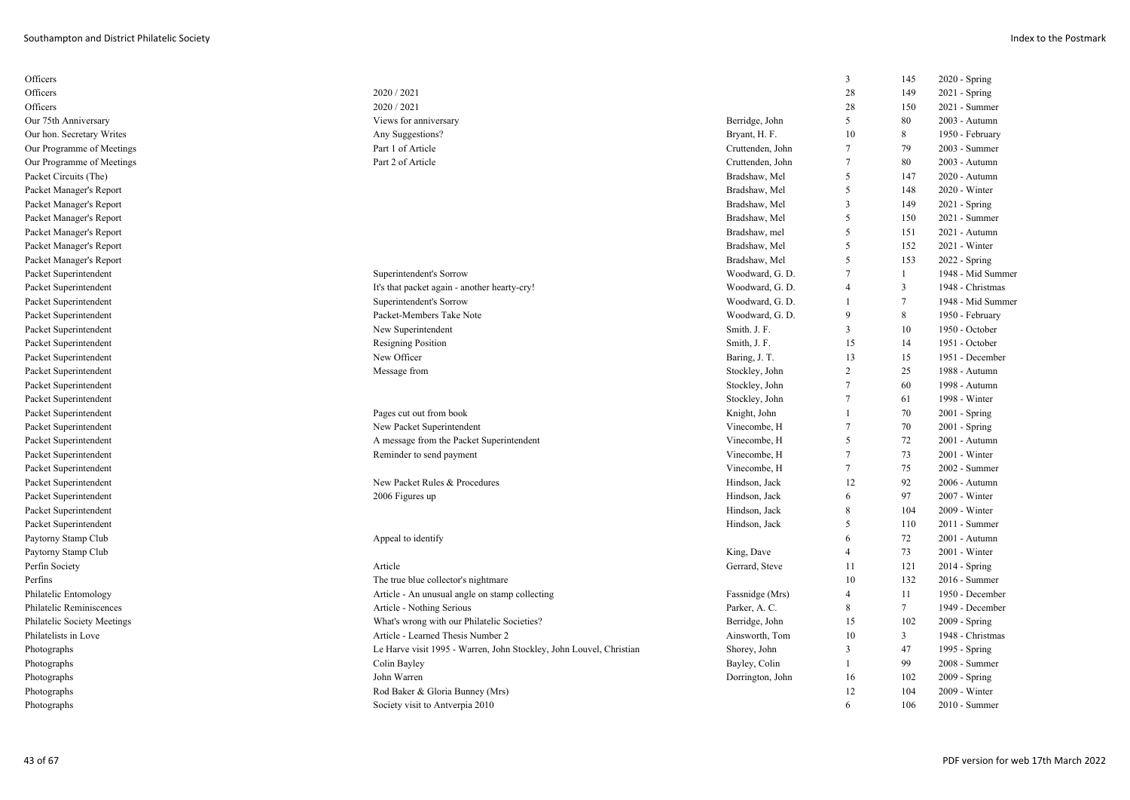| Officers                    |                                                                     |                  | 3               | 145            | 2020 - Spring     |
|-----------------------------|---------------------------------------------------------------------|------------------|-----------------|----------------|-------------------|
| Officers                    | 2020 / 2021                                                         |                  | 28              | 149            | 2021 - Spring     |
| Officers                    | 2020 / 2021                                                         |                  | 28              | 150            | 2021 - Summer     |
| Our 75th Anniversary        | Views for anniversary                                               | Berridge, John   | 5               | 80             | 2003 - Autumn     |
| Our hon. Secretary Writes   | Any Suggestions?                                                    | Bryant, H. F.    | 10              | 8              | 1950 - February   |
| Our Programme of Meetings   | Part 1 of Article                                                   | Cruttenden, John | $\tau$          | 79             | 2003 - Summer     |
| Our Programme of Meetings   | Part 2 of Article                                                   | Cruttenden, John | $7\phantom{.0}$ | 80             | 2003 - Autumn     |
| Packet Circuits (The)       |                                                                     | Bradshaw, Mel    | 5               | 147            | 2020 - Autumn     |
| Packet Manager's Report     |                                                                     | Bradshaw, Mel    | 5               | 148            | 2020 - Winter     |
| Packet Manager's Report     |                                                                     | Bradshaw, Mel    | $\overline{3}$  | 149            | 2021 - Spring     |
| Packet Manager's Report     |                                                                     | Bradshaw, Mel    | .5              | 150            | 2021 - Summer     |
| Packet Manager's Report     |                                                                     | Bradshaw, mel    | 5               | 151            | 2021 - Autumn     |
| Packet Manager's Report     |                                                                     | Bradshaw, Mel    | 5               | 152            | $2021 - Winter$   |
| Packet Manager's Report     |                                                                     | Bradshaw, Mel    | 5               | 153            | 2022 - Spring     |
| Packet Superintendent       | Superintendent's Sorrow                                             | Woodward, G. D.  | $7\phantom{.0}$ | $\mathbf{1}$   | 1948 - Mid Summer |
| Packet Superintendent       | It's that packet again - another hearty-cry!                        | Woodward, G. D.  | $\overline{4}$  | 3              | 1948 - Christmas  |
| Packet Superintendent       | Superintendent's Sorrow                                             | Woodward, G. D.  |                 | $\overline{7}$ | 1948 - Mid Summer |
| Packet Superintendent       | Packet-Members Take Note                                            | Woodward, G. D.  | $\mathbf{Q}$    | 8              | 1950 - February   |
| Packet Superintendent       | New Superintendent                                                  | Smith. J. F.     | $\overline{3}$  | 10             | 1950 - October    |
| Packet Superintendent       | <b>Resigning Position</b>                                           | Smith, J. F.     | 15              | 14             | 1951 - October    |
| Packet Superintendent       | New Officer                                                         | Baring, J. T.    | 13              | 15             | 1951 - December   |
| Packet Superintendent       | Message from                                                        | Stockley, John   | $\overline{2}$  | 25             | 1988 - Autumn     |
| Packet Superintendent       |                                                                     | Stockley, John   | $\tau$          | 60             | 1998 - Autumn     |
| Packet Superintendent       |                                                                     | Stockley, John   | $7\phantom{.0}$ | 61             | 1998 - Winter     |
| Packet Superintendent       | Pages cut out from book                                             | Knight, John     | $\overline{1}$  | 70             | $2001 -$ Spring   |
| Packet Superintendent       | New Packet Superintendent                                           | Vinecombe, H     | $\overline{7}$  | 70             | 2001 - Spring     |
| Packet Superintendent       | A message from the Packet Superintendent                            | Vinecombe, H     | 5               | 72             | 2001 - Autumn     |
| Packet Superintendent       | Reminder to send payment                                            | Vinecombe, H     | $\tau$          | 73             | $2001 - Winter$   |
| Packet Superintendent       |                                                                     | Vinecombe, H     | $7\phantom{.0}$ | 75             | 2002 - Summer     |
| Packet Superintendent       | New Packet Rules & Procedures                                       | Hindson, Jack    | 12              | 92             | 2006 - Autumn     |
| Packet Superintendent       | 2006 Figures up                                                     | Hindson, Jack    | 6               | 97             | 2007 - Winter     |
| Packet Superintendent       |                                                                     | Hindson, Jack    | 8               | 104            | 2009 - Winter     |
| Packet Superintendent       |                                                                     | Hindson, Jack    | 5               | 110            | 2011 - Summer     |
| Paytorny Stamp Club         | Appeal to identify                                                  |                  | 6               | 72             | 2001 - Autumn     |
| Paytorny Stamp Club         |                                                                     | King, Dave       | $\overline{4}$  | 73             | 2001 - Winter     |
| Perfin Society              | Article                                                             | Gerrard, Steve   | 11              | 121            | 2014 - Spring     |
| Perfins                     | The true blue collector's nightmare                                 |                  | 10              | 132            | 2016 - Summer     |
| Philatelic Entomology       | Article - An unusual angle on stamp collecting                      | Fassnidge (Mrs)  | $\overline{4}$  | 11             | 1950 - December   |
| Philatelic Reminiscences    | Article - Nothing Serious                                           | Parker, A. C.    | 8               | $\overline{7}$ | 1949 - December   |
| Philatelic Society Meetings | What's wrong with our Philatelic Societies?                         | Berridge, John   | 15              | 102            | 2009 - Spring     |
| Philatelists in Love        | Article - Learned Thesis Number 2                                   | Ainsworth, Tom   | 10              | 3              | 1948 - Christmas  |
| Photographs                 | Le Harve visit 1995 - Warren, John Stockley, John Louvel, Christian | Shorey, John     | 3               | 47             | 1995 - Spring     |
| Photographs                 | Colin Bayley                                                        | Bayley, Colin    | $\overline{1}$  | 99             | 2008 - Summer     |
| Photographs                 | John Warren                                                         | Dorrington, John | 16              | 102            | 2009 - Spring     |
| Photographs                 | Rod Baker & Gloria Bunney (Mrs)                                     |                  | 12              | 104            | 2009 - Winter     |
| Photographs                 | Society visit to Antverpia 2010                                     |                  | 6               | 106            | 2010 - Summer     |
|                             |                                                                     |                  |                 |                |                   |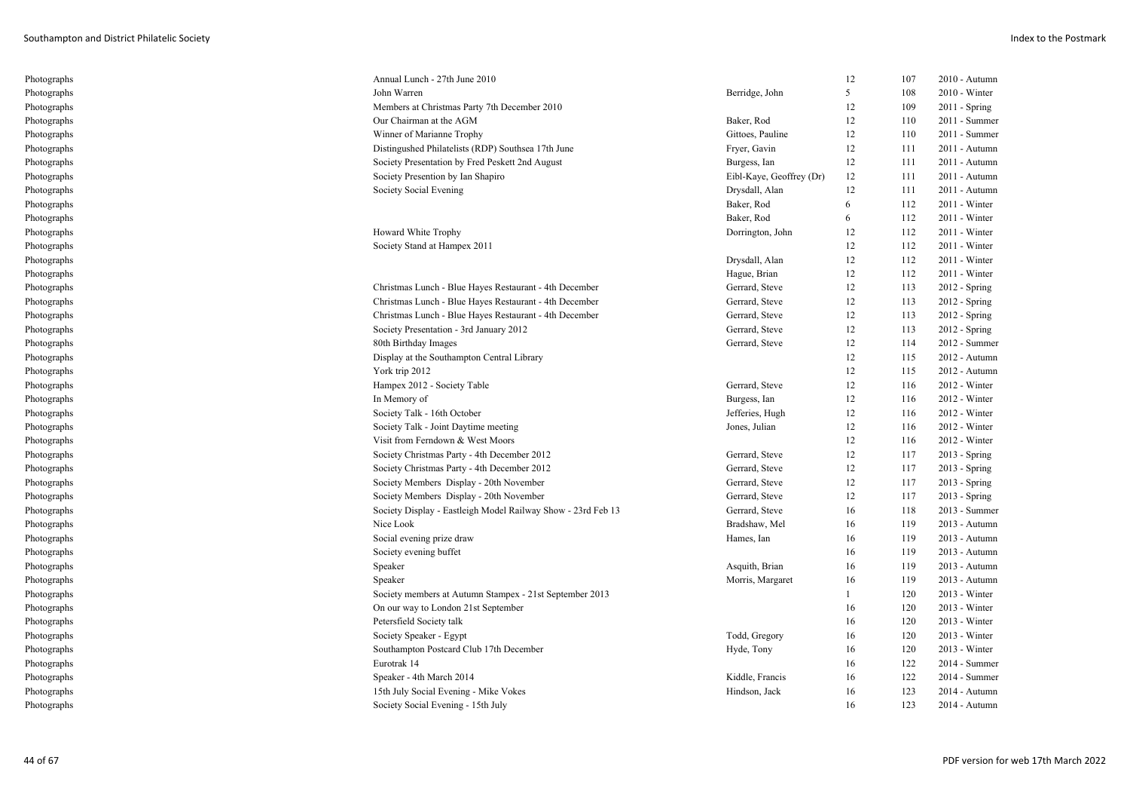| Photographs | Annual Lunch - 27th June 2010                                |                          | 12 | 107 | $2010 -$ Autumn |
|-------------|--------------------------------------------------------------|--------------------------|----|-----|-----------------|
| Photographs | John Warren                                                  | Berridge, John           | 5  | 108 | $2010 - Winter$ |
| Photographs | Members at Christmas Party 7th December 2010                 |                          | 12 | 109 | $2011 -$ Spring |
| Photographs | Our Chairman at the AGM                                      | Baker, Rod               | 12 | 110 | 2011 - Summer   |
| Photographs | Winner of Marianne Trophy                                    | Gittoes, Pauline         | 12 | 110 | 2011 - Summer   |
| Photographs | Distingushed Philatelists (RDP) Southsea 17th June           | Fryer, Gavin             | 12 | 111 | 2011 - Autumn   |
| Photographs | Society Presentation by Fred Peskett 2nd August              | Burgess, Ian             | 12 | 111 | 2011 - Autumn   |
| Photographs | Society Presention by Ian Shapiro                            | Eibl-Kaye, Geoffrey (Dr) | 12 | 111 | 2011 - Autumn   |
| Photographs | Society Social Evening                                       | Drysdall, Alan           | 12 | 111 | 2011 - Autumn   |
| Photographs |                                                              | Baker, Rod               | 6  | 112 | $2011 - Winter$ |
| Photographs |                                                              | Baker, Rod               | 6  | 112 | $2011 - Winter$ |
| Photographs | Howard White Trophy                                          | Dorrington, John         | 12 | 112 | $2011 - Winter$ |
| Photographs | Society Stand at Hampex 2011                                 |                          | 12 | 112 | $2011 - Winter$ |
| Photographs |                                                              | Drysdall, Alan           | 12 | 112 | $2011 - Winter$ |
| Photographs |                                                              | Hague, Brian             | 12 | 112 | 2011 - Winter   |
| Photographs | Christmas Lunch - Blue Hayes Restaurant - 4th December       | Gerrard, Steve           | 12 | 113 | 2012 - Spring   |
| Photographs | Christmas Lunch - Blue Hayes Restaurant - 4th December       | Gerrard, Steve           | 12 | 113 | $2012 - Spring$ |
| Photographs | Christmas Lunch - Blue Hayes Restaurant - 4th December       | Gerrard, Steve           | 12 | 113 | 2012 - Spring   |
| Photographs | Society Presentation - 3rd January 2012                      | Gerrard, Steve           | 12 | 113 | $2012 - Spring$ |
| Photographs | 80th Birthday Images                                         | Gerrard, Steve           | 12 | 114 | 2012 - Summer   |
| Photographs | Display at the Southampton Central Library                   |                          | 12 | 115 | 2012 - Autumn   |
| Photographs | York trip 2012                                               |                          | 12 | 115 | 2012 - Autumn   |
| Photographs | Hampex 2012 - Society Table                                  | Gerrard, Steve           | 12 | 116 | 2012 - Winter   |
| Photographs | In Memory of                                                 | Burgess, Ian             | 12 | 116 | $2012 - Winter$ |
| Photographs | Society Talk - 16th October                                  | Jefferies, Hugh          | 12 | 116 | 2012 - Winter   |
| Photographs | Society Talk - Joint Daytime meeting                         | Jones, Julian            | 12 | 116 | $2012 - Winter$ |
| Photographs | Visit from Ferndown & West Moors                             |                          | 12 | 116 | 2012 - Winter   |
| Photographs | Society Christmas Party - 4th December 2012                  | Gerrard, Steve           | 12 | 117 | 2013 - Spring   |
| Photographs | Society Christmas Party - 4th December 2012                  | Gerrard, Steve           | 12 | 117 | 2013 - Spring   |
| Photographs | Society Members Display - 20th November                      | Gerrard, Steve           | 12 | 117 | 2013 - Spring   |
| Photographs | Society Members Display - 20th November                      | Gerrard, Steve           | 12 | 117 | $2013 - Spring$ |
| Photographs | Society Display - Eastleigh Model Railway Show - 23rd Feb 13 | Gerrard, Steve           | 16 | 118 | 2013 - Summer   |
| Photographs | Nice Look                                                    | Bradshaw, Mel            | 16 | 119 | 2013 - Autumn   |
| Photographs | Social evening prize draw                                    | Hames, Ian               | 16 | 119 | 2013 - Autumn   |
| Photographs | Society evening buffet                                       |                          | 16 | 119 | 2013 - Autumn   |
| Photographs | Speaker                                                      | Asquith, Brian           | 16 | 119 | 2013 - Autumn   |
| Photographs | Speaker                                                      | Morris, Margaret         | 16 | 119 | 2013 - Autumn   |
| Photographs | Society members at Autumn Stampex - 21st September 2013      |                          | -1 | 120 | 2013 - Winter   |
| Photographs | On our way to London 21st September                          |                          | 16 | 120 | $2013 - Winter$ |
| Photographs | Petersfield Society talk                                     |                          | 16 | 120 | 2013 - Winter   |
| Photographs | Society Speaker - Egypt                                      | Todd, Gregory            | 16 | 120 | $2013$ - Winter |
| Photographs | Southampton Postcard Club 17th December                      | Hyde, Tony               | 16 | 120 | 2013 - Winter   |
| Photographs | Eurotrak 14                                                  |                          | 16 | 122 | 2014 - Summer   |
| Photographs | Speaker - 4th March 2014                                     | Kiddle, Francis          | 16 | 122 | 2014 - Summer   |
| Photographs | 15th July Social Evening - Mike Vokes                        | Hindson, Jack            | 16 | 123 | 2014 - Autumn   |
| Photographs | Society Social Evening - 15th July                           |                          | 16 | 123 | 2014 - Autumn   |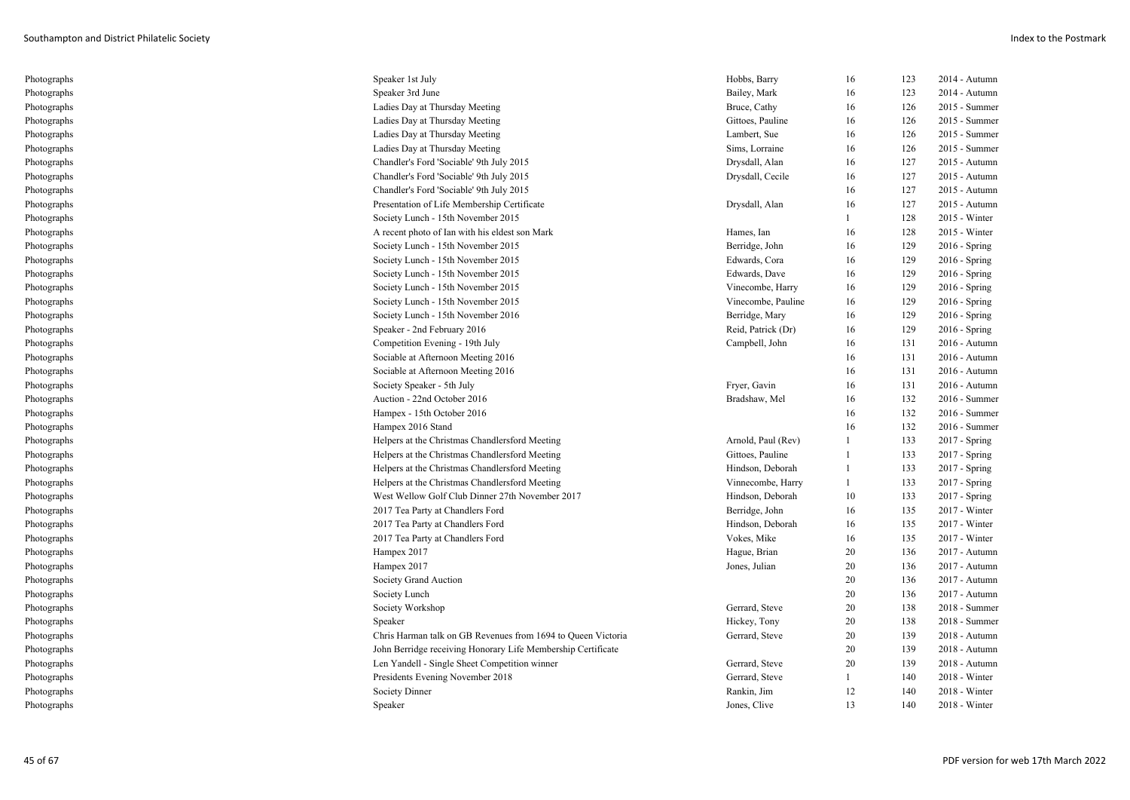| Photographs | Speaker 1st July                                             | Hobbs, Barry       | 16             | 123 | 2014 - Autumn   |
|-------------|--------------------------------------------------------------|--------------------|----------------|-----|-----------------|
| Photographs | Speaker 3rd June                                             | Bailey, Mark       | 16             | 123 | 2014 - Autumn   |
| Photographs | Ladies Day at Thursday Meeting                               | Bruce, Cathy       | 16             | 126 | 2015 - Summer   |
| Photographs | Ladies Day at Thursday Meeting                               | Gittoes, Pauline   | 16             | 126 | 2015 - Summer   |
| Photographs | Ladies Day at Thursday Meeting                               | Lambert, Sue       | 16             | 126 | 2015 - Summer   |
| Photographs | Ladies Day at Thursday Meeting                               | Sims, Lorraine     | 16             | 126 | 2015 - Summer   |
| Photographs | Chandler's Ford 'Sociable' 9th July 2015                     | Drysdall, Alan     | 16             | 127 | 2015 - Autumn   |
| Photographs | Chandler's Ford 'Sociable' 9th July 2015                     | Drysdall, Cecile   | 16             | 127 | 2015 - Autumn   |
| Photographs | Chandler's Ford 'Sociable' 9th July 2015                     |                    | 16             | 127 | 2015 - Autumn   |
| Photographs | Presentation of Life Membership Certificate                  | Drysdall, Alan     | 16             | 127 | 2015 - Autumn   |
| Photographs | Society Lunch - 15th November 2015                           |                    | 1              | 128 | 2015 - Winter   |
| Photographs | A recent photo of Ian with his eldest son Mark               | Hames, Ian         | 16             | 128 | 2015 - Winter   |
| Photographs | Society Lunch - 15th November 2015                           | Berridge, John     | 16             | 129 | $2016 -$ Spring |
| Photographs | Society Lunch - 15th November 2015                           | Edwards, Cora      | 16             | 129 | $2016 - Spring$ |
| Photographs | Society Lunch - 15th November 2015                           | Edwards, Dave      | 16             | 129 | $2016$ - Spring |
| Photographs | Society Lunch - 15th November 2015                           | Vinecombe, Harry   | 16             | 129 | $2016 -$ Spring |
| Photographs | Society Lunch - 15th November 2015                           | Vinecombe, Pauline | 16             | 129 | $2016$ - Spring |
| Photographs | Society Lunch - 15th November 2016                           | Berridge, Mary     | 16             | 129 | $2016$ - Spring |
| Photographs | Speaker - 2nd February 2016                                  | Reid, Patrick (Dr) | 16             | 129 | $2016$ - Spring |
| Photographs | Competition Evening - 19th July                              | Campbell, John     | 16             | 131 | 2016 - Autumn   |
| Photographs | Sociable at Afternoon Meeting 2016                           |                    | 16             | 131 | $2016$ - Autumn |
| Photographs | Sociable at Afternoon Meeting 2016                           |                    | 16             | 131 | 2016 - Autumn   |
| Photographs | Society Speaker - 5th July                                   | Fryer, Gavin       | 16             | 131 | $2016$ - Autumn |
| Photographs | Auction - 22nd October 2016                                  | Bradshaw, Mel      | 16             | 132 | 2016 - Summer   |
| Photographs | Hampex - 15th October 2016                                   |                    | 16             | 132 | 2016 - Summer   |
| Photographs | Hampex 2016 Stand                                            |                    | 16             | 132 | 2016 - Summer   |
| Photographs | Helpers at the Christmas Chandlersford Meeting               | Arnold, Paul (Rev) | -1             | 133 | 2017 - Spring   |
| Photographs | Helpers at the Christmas Chandlersford Meeting               | Gittoes, Pauline   | $\overline{1}$ | 133 | 2017 - Spring   |
| Photographs | Helpers at the Christmas Chandlersford Meeting               | Hindson, Deborah   | -1             | 133 | 2017 - Spring   |
| Photographs | Helpers at the Christmas Chandlersford Meeting               | Vinnecombe, Harry  | -1             | 133 | 2017 - Spring   |
| Photographs | West Wellow Golf Club Dinner 27th November 2017              | Hindson, Deborah   | 10             | 133 | 2017 - Spring   |
| Photographs | 2017 Tea Party at Chandlers Ford                             | Berridge, John     | 16             | 135 | 2017 - Winter   |
| Photographs | 2017 Tea Party at Chandlers Ford                             | Hindson, Deborah   | 16             | 135 | 2017 - Winter   |
| Photographs | 2017 Tea Party at Chandlers Ford                             | Vokes, Mike        | 16             | 135 | 2017 - Winter   |
| Photographs | Hampex 2017                                                  | Hague, Brian       | 20             | 136 | 2017 - Autumn   |
| Photographs | Hampex 2017                                                  | Jones, Julian      | 20             | 136 | 2017 - Autumn   |
| Photographs | Society Grand Auction                                        |                    | 20             | 136 | 2017 - Autumn   |
| Photographs | Society Lunch                                                |                    | 20             | 136 | 2017 - Autumn   |
| Photographs | Society Workshop                                             | Gerrard, Steve     | 20             | 138 | 2018 - Summer   |
| Photographs | Speaker                                                      | Hickey, Tony       | 20             | 138 | 2018 - Summer   |
| Photographs | Chris Harman talk on GB Revenues from 1694 to Queen Victoria | Gerrard, Steve     | 20             | 139 | 2018 - Autumn   |
| Photographs | John Berridge receiving Honorary Life Membership Certificate |                    | 20             | 139 | 2018 - Autumn   |
| Photographs | Len Yandell - Single Sheet Competition winner                | Gerrard, Steve     | 20             | 139 | 2018 - Autumn   |
| Photographs | Presidents Evening November 2018                             | Gerrard, Steve     | 1              | 140 | 2018 - Winter   |
| Photographs | Society Dinner                                               | Rankin, Jim        | 12             | 140 | 2018 - Winter   |
| Photographs | Speaker                                                      | Jones, Clive       | 13             | 140 | 2018 - Winter   |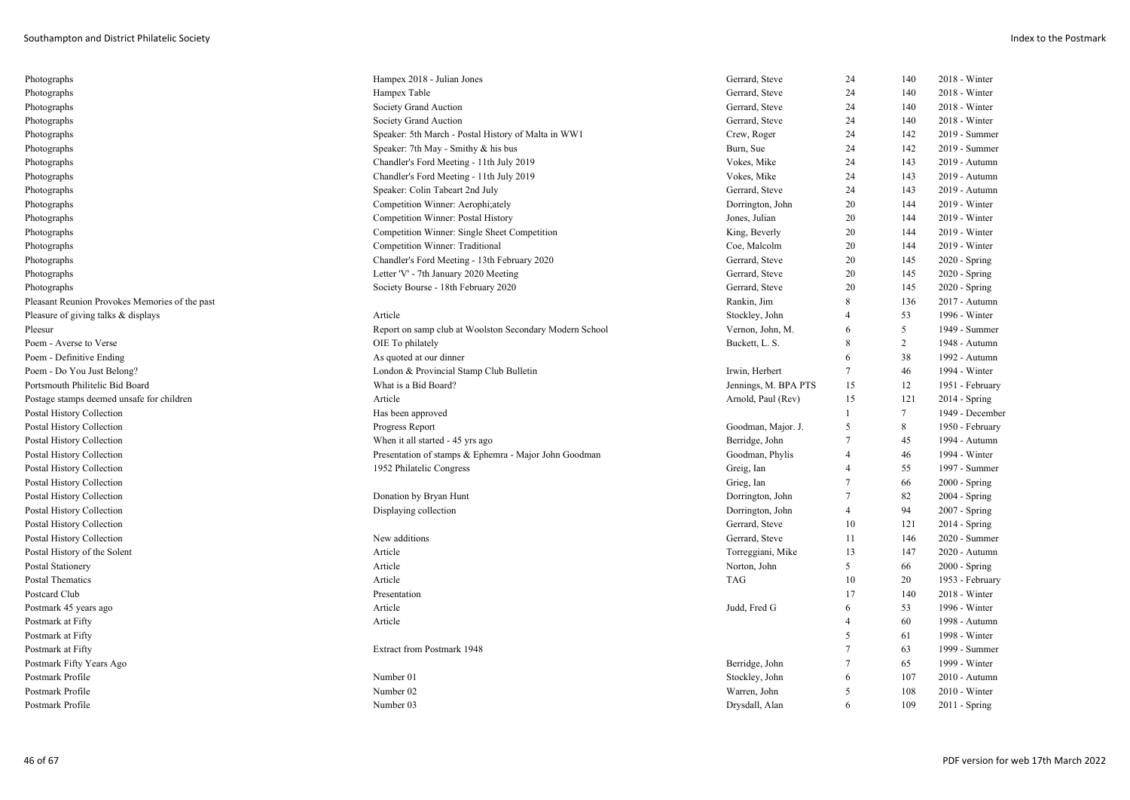| Photographs                                    | Hampex 2018 - Julian Jones                              | Gerrard, Steve       | 24             | 140             | 2018 - Winter   |
|------------------------------------------------|---------------------------------------------------------|----------------------|----------------|-----------------|-----------------|
| Photographs                                    | Hampex Table                                            | Gerrard, Steve       | 24             | 140             | 2018 - Winter   |
| Photographs                                    | Society Grand Auction                                   | Gerrard, Steve       | 24             | 140             | 2018 - Winter   |
| Photographs                                    | Society Grand Auction                                   | Gerrard, Steve       | 24             | 140             | 2018 - Winter   |
| Photographs                                    | Speaker: 5th March - Postal History of Malta in WW1     | Crew, Roger          | 24             | 142             | 2019 - Summer   |
| Photographs                                    | Speaker: 7th May - Smithy & his bus                     | Burn, Sue            | 24             | 142             | 2019 - Summer   |
| Photographs                                    | Chandler's Ford Meeting - 11th July 2019                | Vokes, Mike          | 24             | 143             | 2019 - Autumn   |
| Photographs                                    | Chandler's Ford Meeting - 11th July 2019                | Vokes, Mike          | 24             | 143             | 2019 - Autumn   |
| Photographs                                    | Speaker: Colin Tabeart 2nd July                         | Gerrard, Steve       | 24             | 143             | 2019 - Autumn   |
| Photographs                                    | Competition Winner: Aerophi;ately                       | Dorrington, John     | 20             | 144             | 2019 - Winter   |
| Photographs                                    | Competition Winner: Postal History                      | Jones, Julian        | 20             | 144             | 2019 - Winter   |
| Photographs                                    | Competition Winner: Single Sheet Competition            | King, Beverly        | 20             | 144             | 2019 - Winter   |
| Photographs                                    | Competition Winner: Traditional                         | Coe, Malcolm         | 20             | 144             | 2019 - Winter   |
| Photographs                                    | Chandler's Ford Meeting - 13th February 2020            | Gerrard, Steve       | 20             | 145             | $2020 - Spring$ |
| Photographs                                    | Letter 'V' - 7th January 2020 Meeting                   | Gerrard, Steve       | 20             | 145             | 2020 - Spring   |
| Photographs                                    | Society Bourse - 18th February 2020                     | Gerrard, Steve       | 20             | 145             | 2020 - Spring   |
| Pleasant Reunion Provokes Memories of the past |                                                         | Rankin, Jim          | 8              | 136             | 2017 - Autumn   |
| Pleasure of giving talks & displays            | Article                                                 | Stockley, John       | $\overline{4}$ | 53              | 1996 - Winter   |
| Pleesur                                        | Report on samp club at Woolston Secondary Modern School | Vernon, John, M.     | 6              | 5               | 1949 - Summer   |
| Poem - Averse to Verse                         | OIE To philately                                        | Buckett, L. S.       | 8              | 2               | 1948 - Autumn   |
| Poem - Definitive Ending                       | As quoted at our dinner                                 |                      | 6              | 38              | 1992 - Autumn   |
| Poem - Do You Just Belong?                     | London & Provincial Stamp Club Bulletin                 | Irwin, Herbert       | 7              | 46              | 1994 - Winter   |
| Portsmouth Philitelic Bid Board                | What is a Bid Board?                                    | Jennings, M. BPA PTS | 15             | 12              | 1951 - February |
| Postage stamps deemed unsafe for children      | Article                                                 | Arnold, Paul (Rev)   | 15             | 121             | 2014 - Spring   |
| Postal History Collection                      | Has been approved                                       |                      | 1              | $7\phantom{.0}$ | 1949 - December |
| Postal History Collection                      | Progress Report                                         | Goodman, Major. J.   | 5              | 8               | 1950 - February |
| Postal History Collection                      | When it all started - 45 yrs ago                        | Berridge, John       | $\overline{7}$ | 45              | 1994 - Autumn   |
| Postal History Collection                      | Presentation of stamps & Ephemra - Major John Goodman   | Goodman, Phylis      | $\overline{4}$ | 46              | 1994 - Winter   |
| Postal History Collection                      | 1952 Philatelic Congress                                | Greig, Ian           | $\overline{4}$ | 55              | 1997 - Summer   |
| Postal History Collection                      |                                                         | Grieg, Ian           | 7              | 66              | $2000 - Spring$ |
| Postal History Collection                      | Donation by Bryan Hunt                                  | Dorrington, John     | $\tau$         | 82              | $2004 - Spring$ |
| Postal History Collection                      | Displaying collection                                   | Dorrington, John     | $\overline{4}$ | 94              | 2007 - Spring   |
| Postal History Collection                      |                                                         | Gerrard, Steve       | 10             | 121             | $2014 - Spring$ |
| Postal History Collection                      | New additions                                           | Gerrard, Steve       | 11             | 146             | 2020 - Summer   |
| Postal History of the Solent                   | Article                                                 | Torreggiani, Mike    | 13             | 147             | 2020 - Autumn   |
| Postal Stationery                              | Article                                                 | Norton, John         | 5              | 66              | $2000 - Spring$ |
| <b>Postal Thematics</b>                        | Article                                                 | TAG                  | 10             | 20              | 1953 - February |
| Postcard Club                                  | Presentation                                            |                      | 17             | 140             | 2018 - Winter   |
| Postmark 45 years ago                          | Article                                                 | Judd, Fred G         | 6              | 53              | 1996 - Winter   |
| Postmark at Fifty                              | Article                                                 |                      | $\overline{4}$ | 60              | 1998 - Autumn   |
| Postmark at Fifty                              |                                                         |                      | 5              | 61              | 1998 - Winter   |
| Postmark at Fifty                              | Extract from Postmark 1948                              |                      | $\overline{7}$ | 63              | 1999 - Summer   |
| Postmark Fifty Years Ago                       |                                                         | Berridge, John       | $\overline{7}$ | 65              | 1999 - Winter   |
| Postmark Profile                               | Number 01                                               | Stockley, John       | 6              | 107             | 2010 - Autumn   |
| Postmark Profile                               | Number 02                                               | Warren, John         | 5              | 108             | 2010 - Winter   |
| Postmark Profile                               | Number 03                                               | Drysdall, Alan       | 6              | 109             | $2011 -$ Spring |
|                                                |                                                         |                      |                |                 |                 |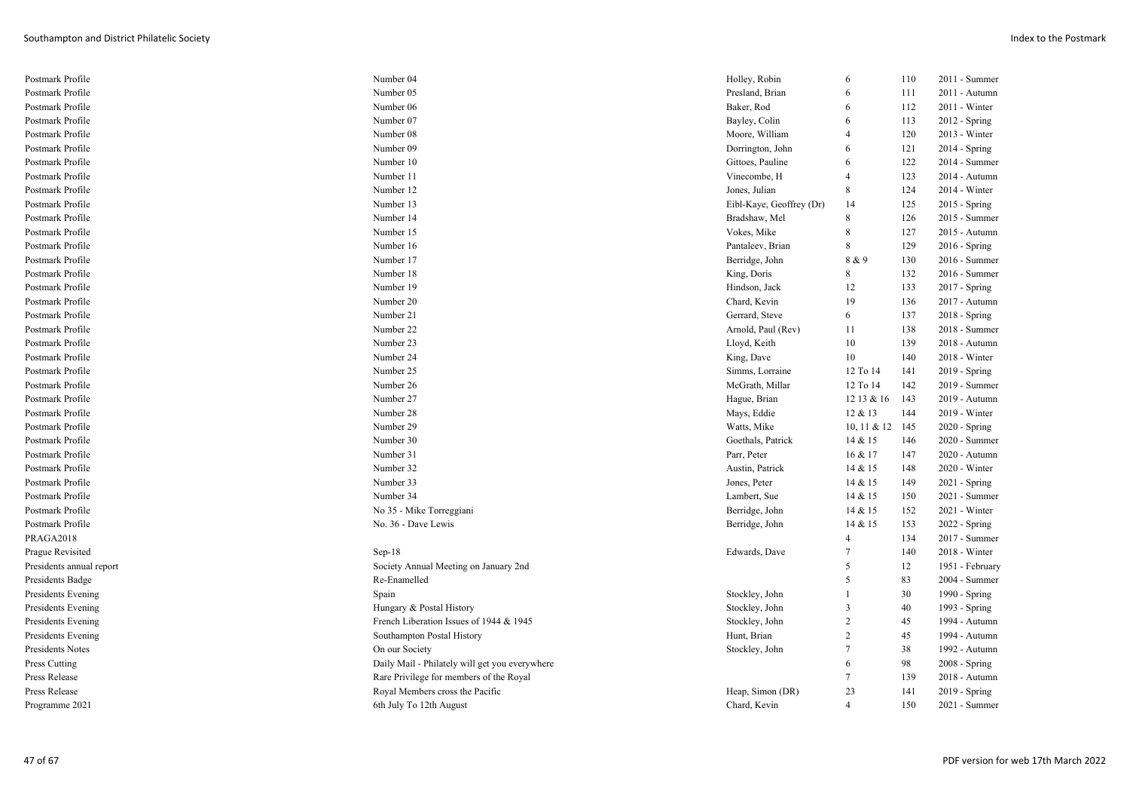| Postmark Profile         | Number 04                                      | Holley, Robin            | 6               | 110 | 2011 - Summer   |
|--------------------------|------------------------------------------------|--------------------------|-----------------|-----|-----------------|
| Postmark Profile         | Number 05                                      | Presland, Brian          | 6               | 111 | 2011 - Autumn   |
| Postmark Profile         | Number 06                                      | Baker, Rod               | 6               | 112 | 2011 - Winter   |
| Postmark Profile         | Number 07                                      | Bayley, Colin            | 6               | 113 | 2012 - Spring   |
| Postmark Profile         | Number 08                                      | Moore, William           | $\overline{4}$  | 120 | 2013 - Winter   |
| Postmark Profile         | Number 09                                      | Dorrington, John         | 6               | 121 | 2014 - Spring   |
| Postmark Profile         | Number 10                                      | Gittoes, Pauline         | 6               | 122 | 2014 - Summer   |
| Postmark Profile         | Number 11                                      | Vinecombe, H             | 4               | 123 | 2014 - Autumn   |
| Postmark Profile         | Number 12                                      | Jones, Julian            | 8               | 124 | 2014 - Winter   |
| Postmark Profile         | Number 13                                      | Eibl-Kaye, Geoffrey (Dr) | 14              | 125 | 2015 - Spring   |
| Postmark Profile         | Number 14                                      | Bradshaw, Mel            | 8               | 126 | 2015 - Summer   |
| Postmark Profile         | Number 15                                      | Vokes, Mike              | 8               | 127 | 2015 - Autumn   |
| Postmark Profile         | Number 16                                      | Pantaleev, Brian         | 8               | 129 | 2016 - Spring   |
| Postmark Profile         | Number 17                                      | Berridge, John           | 8 & 9           | 130 | 2016 - Summer   |
| Postmark Profile         | Number 18                                      | King, Doris              | 8               | 132 | 2016 - Summer   |
| Postmark Profile         | Number 19                                      | Hindson, Jack            | 12              | 133 | 2017 - Spring   |
| Postmark Profile         | Number 20                                      | Chard, Kevin             | 19              | 136 | 2017 - Autumn   |
| Postmark Profile         | Number 21                                      | Gerrard, Steve           | 6               | 137 | 2018 - Spring   |
| Postmark Profile         | Number 22                                      | Arnold, Paul (Rev)       | 11              | 138 | 2018 - Summer   |
| Postmark Profile         | Number 23                                      | Lloyd, Keith             | 10              | 139 | 2018 - Autumn   |
| Postmark Profile         | Number 24                                      | King, Dave               | 10              | 140 | 2018 - Winter   |
| Postmark Profile         | Number 25                                      | Simms, Lorraine          | 12 To 14        | 141 | 2019 - Spring   |
| Postmark Profile         | Number 26                                      | McGrath, Millar          | 12 To 14        | 142 | 2019 - Summer   |
| Postmark Profile         | Number 27                                      | Hague, Brian             | 12 13 & 16      | 143 | 2019 - Autumn   |
| Postmark Profile         | Number 28                                      | Mays, Eddie              | 12 & 13         | 144 | 2019 - Winter   |
| Postmark Profile         | Number 29                                      | Watts, Mike              | 10, 11 & 12 145 |     | 2020 - Spring   |
| Postmark Profile         | Number 30                                      | Goethals, Patrick        | 14 & 15         | 146 | 2020 - Summer   |
| Postmark Profile         | Number 31                                      | Parr, Peter              | 16 & 17         | 147 | 2020 - Autumn   |
| Postmark Profile         | Number 32                                      | Austin, Patrick          | 14 & 15         | 148 | 2020 - Winter   |
| Postmark Profile         | Number 33                                      | Jones, Peter             | 14 & 15         | 149 | $2021 -$ Spring |
| Postmark Profile         | Number 34                                      | Lambert, Sue             | 14 & 15         | 150 | 2021 - Summer   |
| Postmark Profile         | No 35 - Mike Torreggiani                       | Berridge, John           | 14 & 15         | 152 | 2021 - Winter   |
| Postmark Profile         | No. 36 - Dave Lewis                            | Berridge, John           | 14 & 15         | 153 | 2022 - Spring   |
| PRAGA2018                |                                                |                          | $\overline{4}$  | 134 | 2017 - Summer   |
| Prague Revisited         | $Sep-18$                                       | Edwards, Dave            | $\overline{7}$  | 140 | 2018 - Winter   |
| Presidents annual report | Society Annual Meeting on January 2nd          |                          | 5               | 12  | 1951 - February |
| Presidents Badge         | Re-Enamelled                                   |                          | 5               | 83  | 2004 - Summer   |
| Presidents Evening       | Spain                                          | Stockley, John           |                 | 30  | 1990 - Spring   |
| Presidents Evening       | Hungary & Postal History                       | Stockley, John           | 3               | 40  | 1993 - Spring   |
| Presidents Evening       | French Liberation Issues of 1944 & 1945        | Stockley, John           | $\overline{c}$  | 45  | 1994 - Autumn   |
| Presidents Evening       | Southampton Postal History                     | Hunt, Brian              | $\overline{c}$  | 45  | 1994 - Autumn   |
| Presidents Notes         | On our Society                                 | Stockley, John           | $\tau$          | 38  | 1992 - Autumn   |
| Press Cutting            | Daily Mail - Philately will get you everywhere |                          | 6               | 98  | 2008 - Spring   |
| Press Release            | Rare Privilege for members of the Royal        |                          | 7               | 139 | 2018 - Autumn   |
| Press Release            | Royal Members cross the Pacific                | Heap, Simon (DR)         | 23              | 141 | 2019 - Spring   |
| Programme 2021           | 6th July To 12th August                        | Chard, Kevin             | $\overline{4}$  | 150 | 2021 - Summer   |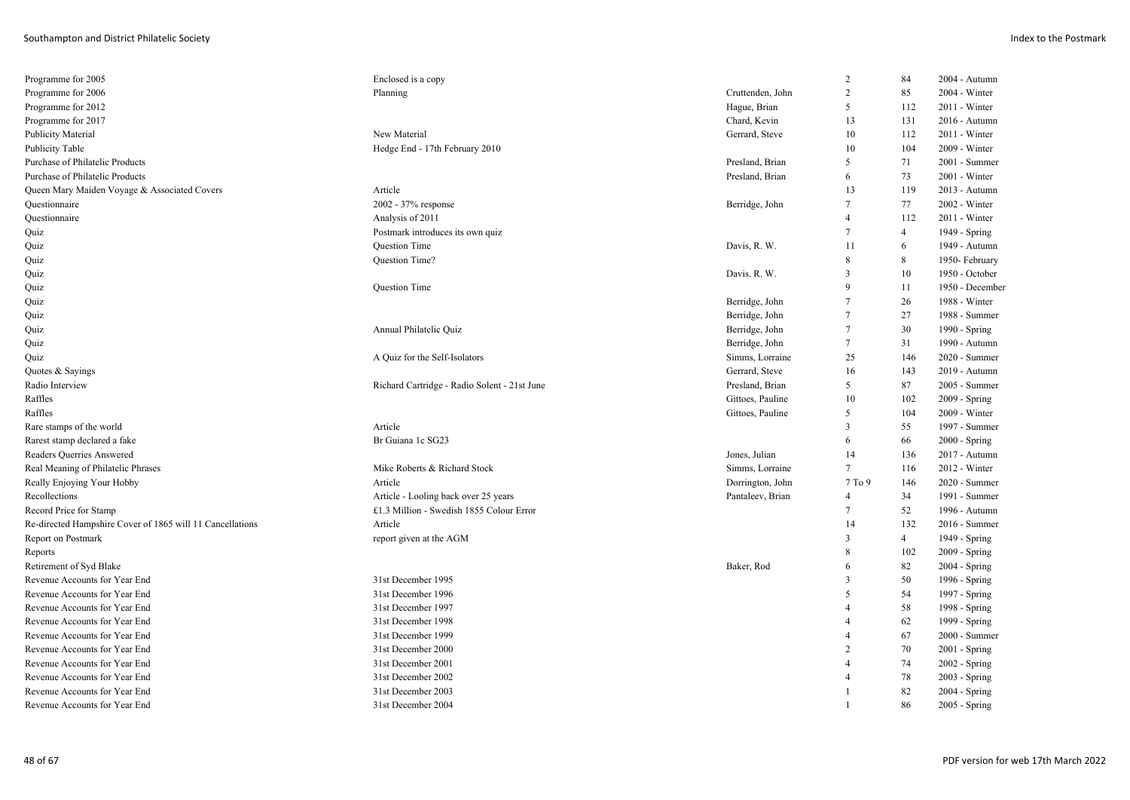| Planning<br>Cruttenden, John<br>2<br>85<br>2004 - Winter<br>Hague, Brian<br>5<br>2011 - Winter<br>112<br>Chard, Kevin<br>13<br>131<br>2016 - Autumn<br>New Material<br>Gerrard, Steve<br>10<br>112<br>2011 - Winter<br>Hedge End - 17th February 2010<br>10<br>104<br>2009 - Winter<br>5<br>71<br>Presland, Brian<br>2001 - Summer<br>Presland, Brian<br>73<br>2001 - Winter<br>6<br>13<br>Article<br>119<br>2013 - Autumn<br>77<br>2002 - 37% response<br>Berridge, John<br>7<br>2002 - Winter<br>Analysis of 2011<br>112<br>2011 - Winter<br>$\overline{4}$<br>Postmark introduces its own quiz<br>7<br>$\overline{4}$<br>1949 - Spring<br>Question Time<br>Davis, R. W.<br>11<br>6<br>1949 - Autumn<br>Question Time?<br>8<br>8<br>1950- February<br>3<br>10<br>Davis. R. W.<br>1950 - October<br>Question Time<br>9<br>11<br>1950 - December<br>26<br>$\overline{7}$<br>1988 - Winter<br>Berridge, John<br>Berridge, John<br>7<br>27<br>1988 - Summer<br>Annual Philatelic Quiz<br>30<br>Berridge, John<br>7<br>1990 - Spring<br>$\tau$<br>31<br>Berridge, John<br>1990 - Autumn<br>Simms, Lorraine<br>25<br>2020 - Summer<br>A Quiz for the Self-Isolators<br>146<br>Gerrard, Steve<br>143<br>16<br>2019 - Autumn<br>87<br>Richard Cartridge - Radio Solent - 21st June<br>Presland, Brian<br>5<br>2005 - Summer<br>Gittoes, Pauline<br>10<br>102<br>2009 - Spring<br>104<br>Gittoes, Pauline<br>5<br>2009 - Winter<br>Article<br>3<br>55<br>1997 - Summer<br>Br Guiana 1c SG23<br>66<br>$2000 - Spring$<br>6<br>14<br>Jones, Julian<br>136<br>2017 - Autumn<br>$\tau$<br>Mike Roberts & Richard Stock<br>Simms, Lorraine<br>$2012 - Winter$<br>116<br>Article<br>Dorrington, John<br>2020 - Summer<br>7T <sub>0</sub> 9<br>146<br>34<br>Article - Looling back over 25 years<br>Pantaleev, Brian<br>1991 - Summer<br>4<br>52<br>£1.3 Million - Swedish 1855 Colour Error<br>$\tau$<br>1996 - Autumn<br>Article<br>132<br>14<br>2016 - Summer<br>$\overline{4}$<br>report given at the AGM<br>3<br>1949 - Spring<br>102<br>8<br>2009 - Spring<br>82<br>Baker, Rod<br>2004 - Spring<br>6<br>50<br>31st December 1995<br>3<br>1996 - Spring<br>31st December 1996<br>54<br>5<br>1997 - Spring<br>58<br>31st December 1997<br>1998 - Spring<br>$\overline{4}$<br>31st December 1998<br>62<br>1999 - Spring<br>4<br>67<br>31st December 1999<br>2000 - Summer<br>4<br>31st December 2000<br>$\overline{2}$<br>70<br>$2001 -$ Spring<br>74<br>31st December 2001<br>2002 - Spring<br>$\overline{4}$ | Programme for 2005                                        | Enclosed is a copy | 2 | 84 | 2004 - Autumn |
|-----------------------------------------------------------------------------------------------------------------------------------------------------------------------------------------------------------------------------------------------------------------------------------------------------------------------------------------------------------------------------------------------------------------------------------------------------------------------------------------------------------------------------------------------------------------------------------------------------------------------------------------------------------------------------------------------------------------------------------------------------------------------------------------------------------------------------------------------------------------------------------------------------------------------------------------------------------------------------------------------------------------------------------------------------------------------------------------------------------------------------------------------------------------------------------------------------------------------------------------------------------------------------------------------------------------------------------------------------------------------------------------------------------------------------------------------------------------------------------------------------------------------------------------------------------------------------------------------------------------------------------------------------------------------------------------------------------------------------------------------------------------------------------------------------------------------------------------------------------------------------------------------------------------------------------------------------------------------------------------------------------------------------------------------------------------------------------------------------------------------------------------------------------------------------------------------------------------------------------------------------------------------------------------------------------------------------------------------------------------------------------------------------------------------------------------------------------------------------------------------------|-----------------------------------------------------------|--------------------|---|----|---------------|
|                                                                                                                                                                                                                                                                                                                                                                                                                                                                                                                                                                                                                                                                                                                                                                                                                                                                                                                                                                                                                                                                                                                                                                                                                                                                                                                                                                                                                                                                                                                                                                                                                                                                                                                                                                                                                                                                                                                                                                                                                                                                                                                                                                                                                                                                                                                                                                                                                                                                                                     | Programme for 2006                                        |                    |   |    |               |
|                                                                                                                                                                                                                                                                                                                                                                                                                                                                                                                                                                                                                                                                                                                                                                                                                                                                                                                                                                                                                                                                                                                                                                                                                                                                                                                                                                                                                                                                                                                                                                                                                                                                                                                                                                                                                                                                                                                                                                                                                                                                                                                                                                                                                                                                                                                                                                                                                                                                                                     | Programme for 2012                                        |                    |   |    |               |
|                                                                                                                                                                                                                                                                                                                                                                                                                                                                                                                                                                                                                                                                                                                                                                                                                                                                                                                                                                                                                                                                                                                                                                                                                                                                                                                                                                                                                                                                                                                                                                                                                                                                                                                                                                                                                                                                                                                                                                                                                                                                                                                                                                                                                                                                                                                                                                                                                                                                                                     | Programme for 2017                                        |                    |   |    |               |
|                                                                                                                                                                                                                                                                                                                                                                                                                                                                                                                                                                                                                                                                                                                                                                                                                                                                                                                                                                                                                                                                                                                                                                                                                                                                                                                                                                                                                                                                                                                                                                                                                                                                                                                                                                                                                                                                                                                                                                                                                                                                                                                                                                                                                                                                                                                                                                                                                                                                                                     | Publicity Material                                        |                    |   |    |               |
|                                                                                                                                                                                                                                                                                                                                                                                                                                                                                                                                                                                                                                                                                                                                                                                                                                                                                                                                                                                                                                                                                                                                                                                                                                                                                                                                                                                                                                                                                                                                                                                                                                                                                                                                                                                                                                                                                                                                                                                                                                                                                                                                                                                                                                                                                                                                                                                                                                                                                                     | Publicity Table                                           |                    |   |    |               |
|                                                                                                                                                                                                                                                                                                                                                                                                                                                                                                                                                                                                                                                                                                                                                                                                                                                                                                                                                                                                                                                                                                                                                                                                                                                                                                                                                                                                                                                                                                                                                                                                                                                                                                                                                                                                                                                                                                                                                                                                                                                                                                                                                                                                                                                                                                                                                                                                                                                                                                     | Purchase of Philatelic Products                           |                    |   |    |               |
|                                                                                                                                                                                                                                                                                                                                                                                                                                                                                                                                                                                                                                                                                                                                                                                                                                                                                                                                                                                                                                                                                                                                                                                                                                                                                                                                                                                                                                                                                                                                                                                                                                                                                                                                                                                                                                                                                                                                                                                                                                                                                                                                                                                                                                                                                                                                                                                                                                                                                                     | Purchase of Philatelic Products                           |                    |   |    |               |
|                                                                                                                                                                                                                                                                                                                                                                                                                                                                                                                                                                                                                                                                                                                                                                                                                                                                                                                                                                                                                                                                                                                                                                                                                                                                                                                                                                                                                                                                                                                                                                                                                                                                                                                                                                                                                                                                                                                                                                                                                                                                                                                                                                                                                                                                                                                                                                                                                                                                                                     | Queen Mary Maiden Voyage & Associated Covers              |                    |   |    |               |
|                                                                                                                                                                                                                                                                                                                                                                                                                                                                                                                                                                                                                                                                                                                                                                                                                                                                                                                                                                                                                                                                                                                                                                                                                                                                                                                                                                                                                                                                                                                                                                                                                                                                                                                                                                                                                                                                                                                                                                                                                                                                                                                                                                                                                                                                                                                                                                                                                                                                                                     | Questionnaire                                             |                    |   |    |               |
|                                                                                                                                                                                                                                                                                                                                                                                                                                                                                                                                                                                                                                                                                                                                                                                                                                                                                                                                                                                                                                                                                                                                                                                                                                                                                                                                                                                                                                                                                                                                                                                                                                                                                                                                                                                                                                                                                                                                                                                                                                                                                                                                                                                                                                                                                                                                                                                                                                                                                                     | Questionnaire                                             |                    |   |    |               |
|                                                                                                                                                                                                                                                                                                                                                                                                                                                                                                                                                                                                                                                                                                                                                                                                                                                                                                                                                                                                                                                                                                                                                                                                                                                                                                                                                                                                                                                                                                                                                                                                                                                                                                                                                                                                                                                                                                                                                                                                                                                                                                                                                                                                                                                                                                                                                                                                                                                                                                     | Quiz                                                      |                    |   |    |               |
|                                                                                                                                                                                                                                                                                                                                                                                                                                                                                                                                                                                                                                                                                                                                                                                                                                                                                                                                                                                                                                                                                                                                                                                                                                                                                                                                                                                                                                                                                                                                                                                                                                                                                                                                                                                                                                                                                                                                                                                                                                                                                                                                                                                                                                                                                                                                                                                                                                                                                                     | Quiz                                                      |                    |   |    |               |
|                                                                                                                                                                                                                                                                                                                                                                                                                                                                                                                                                                                                                                                                                                                                                                                                                                                                                                                                                                                                                                                                                                                                                                                                                                                                                                                                                                                                                                                                                                                                                                                                                                                                                                                                                                                                                                                                                                                                                                                                                                                                                                                                                                                                                                                                                                                                                                                                                                                                                                     | Quiz                                                      |                    |   |    |               |
|                                                                                                                                                                                                                                                                                                                                                                                                                                                                                                                                                                                                                                                                                                                                                                                                                                                                                                                                                                                                                                                                                                                                                                                                                                                                                                                                                                                                                                                                                                                                                                                                                                                                                                                                                                                                                                                                                                                                                                                                                                                                                                                                                                                                                                                                                                                                                                                                                                                                                                     | Quiz                                                      |                    |   |    |               |
|                                                                                                                                                                                                                                                                                                                                                                                                                                                                                                                                                                                                                                                                                                                                                                                                                                                                                                                                                                                                                                                                                                                                                                                                                                                                                                                                                                                                                                                                                                                                                                                                                                                                                                                                                                                                                                                                                                                                                                                                                                                                                                                                                                                                                                                                                                                                                                                                                                                                                                     | Quiz                                                      |                    |   |    |               |
|                                                                                                                                                                                                                                                                                                                                                                                                                                                                                                                                                                                                                                                                                                                                                                                                                                                                                                                                                                                                                                                                                                                                                                                                                                                                                                                                                                                                                                                                                                                                                                                                                                                                                                                                                                                                                                                                                                                                                                                                                                                                                                                                                                                                                                                                                                                                                                                                                                                                                                     | Quiz                                                      |                    |   |    |               |
|                                                                                                                                                                                                                                                                                                                                                                                                                                                                                                                                                                                                                                                                                                                                                                                                                                                                                                                                                                                                                                                                                                                                                                                                                                                                                                                                                                                                                                                                                                                                                                                                                                                                                                                                                                                                                                                                                                                                                                                                                                                                                                                                                                                                                                                                                                                                                                                                                                                                                                     | Quiz                                                      |                    |   |    |               |
|                                                                                                                                                                                                                                                                                                                                                                                                                                                                                                                                                                                                                                                                                                                                                                                                                                                                                                                                                                                                                                                                                                                                                                                                                                                                                                                                                                                                                                                                                                                                                                                                                                                                                                                                                                                                                                                                                                                                                                                                                                                                                                                                                                                                                                                                                                                                                                                                                                                                                                     | Quiz                                                      |                    |   |    |               |
|                                                                                                                                                                                                                                                                                                                                                                                                                                                                                                                                                                                                                                                                                                                                                                                                                                                                                                                                                                                                                                                                                                                                                                                                                                                                                                                                                                                                                                                                                                                                                                                                                                                                                                                                                                                                                                                                                                                                                                                                                                                                                                                                                                                                                                                                                                                                                                                                                                                                                                     | Quiz                                                      |                    |   |    |               |
|                                                                                                                                                                                                                                                                                                                                                                                                                                                                                                                                                                                                                                                                                                                                                                                                                                                                                                                                                                                                                                                                                                                                                                                                                                                                                                                                                                                                                                                                                                                                                                                                                                                                                                                                                                                                                                                                                                                                                                                                                                                                                                                                                                                                                                                                                                                                                                                                                                                                                                     | Quiz                                                      |                    |   |    |               |
|                                                                                                                                                                                                                                                                                                                                                                                                                                                                                                                                                                                                                                                                                                                                                                                                                                                                                                                                                                                                                                                                                                                                                                                                                                                                                                                                                                                                                                                                                                                                                                                                                                                                                                                                                                                                                                                                                                                                                                                                                                                                                                                                                                                                                                                                                                                                                                                                                                                                                                     | Quotes & Sayings                                          |                    |   |    |               |
|                                                                                                                                                                                                                                                                                                                                                                                                                                                                                                                                                                                                                                                                                                                                                                                                                                                                                                                                                                                                                                                                                                                                                                                                                                                                                                                                                                                                                                                                                                                                                                                                                                                                                                                                                                                                                                                                                                                                                                                                                                                                                                                                                                                                                                                                                                                                                                                                                                                                                                     | Radio Interview                                           |                    |   |    |               |
|                                                                                                                                                                                                                                                                                                                                                                                                                                                                                                                                                                                                                                                                                                                                                                                                                                                                                                                                                                                                                                                                                                                                                                                                                                                                                                                                                                                                                                                                                                                                                                                                                                                                                                                                                                                                                                                                                                                                                                                                                                                                                                                                                                                                                                                                                                                                                                                                                                                                                                     | Raffles                                                   |                    |   |    |               |
|                                                                                                                                                                                                                                                                                                                                                                                                                                                                                                                                                                                                                                                                                                                                                                                                                                                                                                                                                                                                                                                                                                                                                                                                                                                                                                                                                                                                                                                                                                                                                                                                                                                                                                                                                                                                                                                                                                                                                                                                                                                                                                                                                                                                                                                                                                                                                                                                                                                                                                     | Raffles                                                   |                    |   |    |               |
|                                                                                                                                                                                                                                                                                                                                                                                                                                                                                                                                                                                                                                                                                                                                                                                                                                                                                                                                                                                                                                                                                                                                                                                                                                                                                                                                                                                                                                                                                                                                                                                                                                                                                                                                                                                                                                                                                                                                                                                                                                                                                                                                                                                                                                                                                                                                                                                                                                                                                                     | Rare stamps of the world                                  |                    |   |    |               |
|                                                                                                                                                                                                                                                                                                                                                                                                                                                                                                                                                                                                                                                                                                                                                                                                                                                                                                                                                                                                                                                                                                                                                                                                                                                                                                                                                                                                                                                                                                                                                                                                                                                                                                                                                                                                                                                                                                                                                                                                                                                                                                                                                                                                                                                                                                                                                                                                                                                                                                     | Rarest stamp declared a fake                              |                    |   |    |               |
|                                                                                                                                                                                                                                                                                                                                                                                                                                                                                                                                                                                                                                                                                                                                                                                                                                                                                                                                                                                                                                                                                                                                                                                                                                                                                                                                                                                                                                                                                                                                                                                                                                                                                                                                                                                                                                                                                                                                                                                                                                                                                                                                                                                                                                                                                                                                                                                                                                                                                                     | Readers Querries Answered                                 |                    |   |    |               |
|                                                                                                                                                                                                                                                                                                                                                                                                                                                                                                                                                                                                                                                                                                                                                                                                                                                                                                                                                                                                                                                                                                                                                                                                                                                                                                                                                                                                                                                                                                                                                                                                                                                                                                                                                                                                                                                                                                                                                                                                                                                                                                                                                                                                                                                                                                                                                                                                                                                                                                     | Real Meaning of Philatelic Phrases                        |                    |   |    |               |
|                                                                                                                                                                                                                                                                                                                                                                                                                                                                                                                                                                                                                                                                                                                                                                                                                                                                                                                                                                                                                                                                                                                                                                                                                                                                                                                                                                                                                                                                                                                                                                                                                                                                                                                                                                                                                                                                                                                                                                                                                                                                                                                                                                                                                                                                                                                                                                                                                                                                                                     | Really Enjoying Your Hobby                                |                    |   |    |               |
|                                                                                                                                                                                                                                                                                                                                                                                                                                                                                                                                                                                                                                                                                                                                                                                                                                                                                                                                                                                                                                                                                                                                                                                                                                                                                                                                                                                                                                                                                                                                                                                                                                                                                                                                                                                                                                                                                                                                                                                                                                                                                                                                                                                                                                                                                                                                                                                                                                                                                                     | Recollections                                             |                    |   |    |               |
|                                                                                                                                                                                                                                                                                                                                                                                                                                                                                                                                                                                                                                                                                                                                                                                                                                                                                                                                                                                                                                                                                                                                                                                                                                                                                                                                                                                                                                                                                                                                                                                                                                                                                                                                                                                                                                                                                                                                                                                                                                                                                                                                                                                                                                                                                                                                                                                                                                                                                                     | Record Price for Stamp                                    |                    |   |    |               |
|                                                                                                                                                                                                                                                                                                                                                                                                                                                                                                                                                                                                                                                                                                                                                                                                                                                                                                                                                                                                                                                                                                                                                                                                                                                                                                                                                                                                                                                                                                                                                                                                                                                                                                                                                                                                                                                                                                                                                                                                                                                                                                                                                                                                                                                                                                                                                                                                                                                                                                     | Re-directed Hampshire Cover of 1865 will 11 Cancellations |                    |   |    |               |
|                                                                                                                                                                                                                                                                                                                                                                                                                                                                                                                                                                                                                                                                                                                                                                                                                                                                                                                                                                                                                                                                                                                                                                                                                                                                                                                                                                                                                                                                                                                                                                                                                                                                                                                                                                                                                                                                                                                                                                                                                                                                                                                                                                                                                                                                                                                                                                                                                                                                                                     | Report on Postmark                                        |                    |   |    |               |
|                                                                                                                                                                                                                                                                                                                                                                                                                                                                                                                                                                                                                                                                                                                                                                                                                                                                                                                                                                                                                                                                                                                                                                                                                                                                                                                                                                                                                                                                                                                                                                                                                                                                                                                                                                                                                                                                                                                                                                                                                                                                                                                                                                                                                                                                                                                                                                                                                                                                                                     | Reports                                                   |                    |   |    |               |
|                                                                                                                                                                                                                                                                                                                                                                                                                                                                                                                                                                                                                                                                                                                                                                                                                                                                                                                                                                                                                                                                                                                                                                                                                                                                                                                                                                                                                                                                                                                                                                                                                                                                                                                                                                                                                                                                                                                                                                                                                                                                                                                                                                                                                                                                                                                                                                                                                                                                                                     | Retirement of Syd Blake                                   |                    |   |    |               |
|                                                                                                                                                                                                                                                                                                                                                                                                                                                                                                                                                                                                                                                                                                                                                                                                                                                                                                                                                                                                                                                                                                                                                                                                                                                                                                                                                                                                                                                                                                                                                                                                                                                                                                                                                                                                                                                                                                                                                                                                                                                                                                                                                                                                                                                                                                                                                                                                                                                                                                     | Revenue Accounts for Year End                             |                    |   |    |               |
|                                                                                                                                                                                                                                                                                                                                                                                                                                                                                                                                                                                                                                                                                                                                                                                                                                                                                                                                                                                                                                                                                                                                                                                                                                                                                                                                                                                                                                                                                                                                                                                                                                                                                                                                                                                                                                                                                                                                                                                                                                                                                                                                                                                                                                                                                                                                                                                                                                                                                                     | Revenue Accounts for Year End                             |                    |   |    |               |
|                                                                                                                                                                                                                                                                                                                                                                                                                                                                                                                                                                                                                                                                                                                                                                                                                                                                                                                                                                                                                                                                                                                                                                                                                                                                                                                                                                                                                                                                                                                                                                                                                                                                                                                                                                                                                                                                                                                                                                                                                                                                                                                                                                                                                                                                                                                                                                                                                                                                                                     | Revenue Accounts for Year End                             |                    |   |    |               |
|                                                                                                                                                                                                                                                                                                                                                                                                                                                                                                                                                                                                                                                                                                                                                                                                                                                                                                                                                                                                                                                                                                                                                                                                                                                                                                                                                                                                                                                                                                                                                                                                                                                                                                                                                                                                                                                                                                                                                                                                                                                                                                                                                                                                                                                                                                                                                                                                                                                                                                     | Revenue Accounts for Year End                             |                    |   |    |               |
|                                                                                                                                                                                                                                                                                                                                                                                                                                                                                                                                                                                                                                                                                                                                                                                                                                                                                                                                                                                                                                                                                                                                                                                                                                                                                                                                                                                                                                                                                                                                                                                                                                                                                                                                                                                                                                                                                                                                                                                                                                                                                                                                                                                                                                                                                                                                                                                                                                                                                                     | Revenue Accounts for Year End                             |                    |   |    |               |
|                                                                                                                                                                                                                                                                                                                                                                                                                                                                                                                                                                                                                                                                                                                                                                                                                                                                                                                                                                                                                                                                                                                                                                                                                                                                                                                                                                                                                                                                                                                                                                                                                                                                                                                                                                                                                                                                                                                                                                                                                                                                                                                                                                                                                                                                                                                                                                                                                                                                                                     | Revenue Accounts for Year End                             |                    |   |    |               |
|                                                                                                                                                                                                                                                                                                                                                                                                                                                                                                                                                                                                                                                                                                                                                                                                                                                                                                                                                                                                                                                                                                                                                                                                                                                                                                                                                                                                                                                                                                                                                                                                                                                                                                                                                                                                                                                                                                                                                                                                                                                                                                                                                                                                                                                                                                                                                                                                                                                                                                     | Revenue Accounts for Year End                             |                    |   |    |               |
| 78<br>31st December 2002<br>2003 - Spring<br>4                                                                                                                                                                                                                                                                                                                                                                                                                                                                                                                                                                                                                                                                                                                                                                                                                                                                                                                                                                                                                                                                                                                                                                                                                                                                                                                                                                                                                                                                                                                                                                                                                                                                                                                                                                                                                                                                                                                                                                                                                                                                                                                                                                                                                                                                                                                                                                                                                                                      | Revenue Accounts for Year End                             |                    |   |    |               |
| 82<br>31st December 2003<br>$\mathbf{1}$<br>$2004 - Spring$                                                                                                                                                                                                                                                                                                                                                                                                                                                                                                                                                                                                                                                                                                                                                                                                                                                                                                                                                                                                                                                                                                                                                                                                                                                                                                                                                                                                                                                                                                                                                                                                                                                                                                                                                                                                                                                                                                                                                                                                                                                                                                                                                                                                                                                                                                                                                                                                                                         | Revenue Accounts for Year End                             |                    |   |    |               |
| 86<br>31st December 2004<br>2005 - Spring                                                                                                                                                                                                                                                                                                                                                                                                                                                                                                                                                                                                                                                                                                                                                                                                                                                                                                                                                                                                                                                                                                                                                                                                                                                                                                                                                                                                                                                                                                                                                                                                                                                                                                                                                                                                                                                                                                                                                                                                                                                                                                                                                                                                                                                                                                                                                                                                                                                           | Revenue Accounts for Year End                             |                    |   |    |               |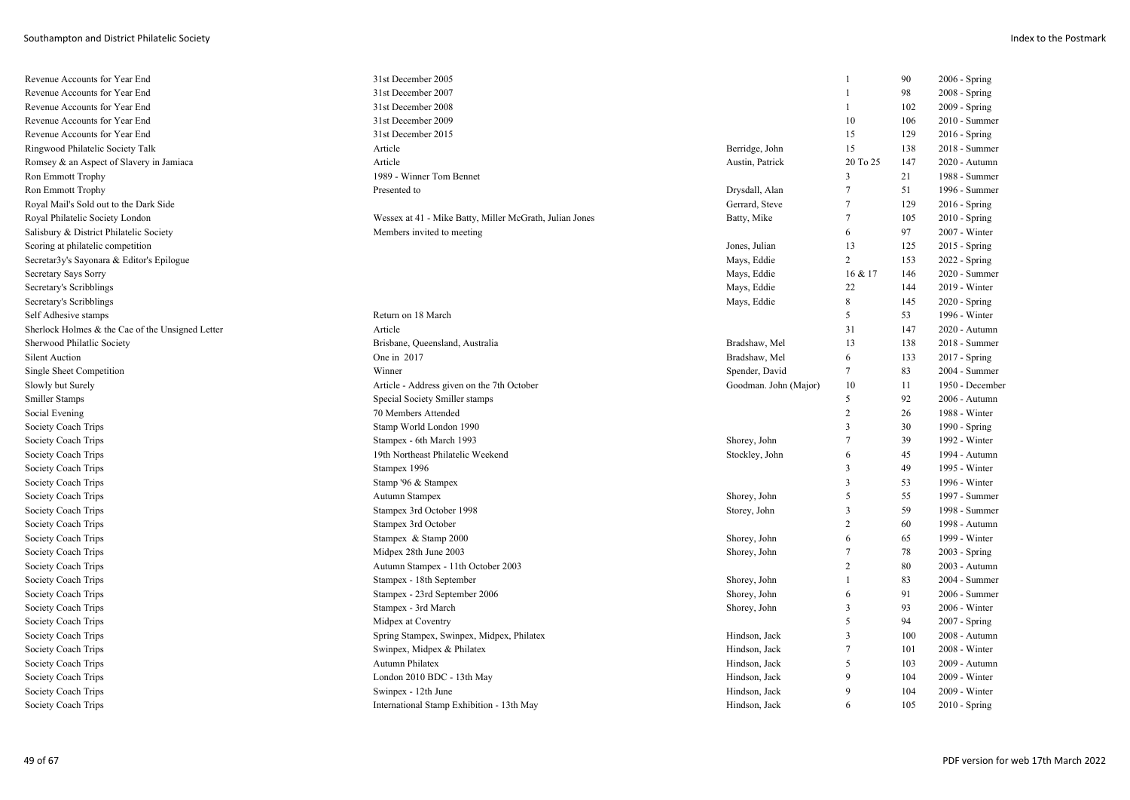| Revenue Accounts for Year End                    | 31st December 2005                                      |                       |                | 90  | 2006 - Spring   |
|--------------------------------------------------|---------------------------------------------------------|-----------------------|----------------|-----|-----------------|
| Revenue Accounts for Year End                    | 31st December 2007                                      |                       |                | 98  | 2008 - Spring   |
| Revenue Accounts for Year End                    | 31st December 2008                                      |                       |                | 102 | 2009 - Spring   |
| Revenue Accounts for Year End                    | 31st December 2009                                      |                       | 10             | 106 | 2010 - Summer   |
| Revenue Accounts for Year End                    | 31st December 2015                                      |                       | 15             | 129 | $2016 -$ Spring |
| Ringwood Philatelic Society Talk                 | Article                                                 | Berridge, John        | 15             | 138 | 2018 - Summer   |
| Romsey & an Aspect of Slavery in Jamiaca         | Article                                                 | Austin, Patrick       | 20 To 25       | 147 | 2020 - Autumn   |
| <b>Ron Emmott Trophy</b>                         | 1989 - Winner Tom Bennet                                |                       | 3              | 21  | 1988 - Summer   |
| <b>Ron Emmott Trophy</b>                         | Presented to                                            | Drysdall, Alan        | 7              | 51  | 1996 - Summer   |
| Royal Mail's Sold out to the Dark Side           |                                                         | Gerrard, Steve        | $\tau$         | 129 | $2016 -$ Spring |
| Royal Philatelic Society London                  | Wessex at 41 - Mike Batty, Miller McGrath, Julian Jones | Batty, Mike           | 7              | 105 | $2010 - Spring$ |
| Salisbury & District Philatelic Society          | Members invited to meeting                              |                       | 6              | 97  | 2007 - Winter   |
| Scoring at philatelic competition                |                                                         | Jones, Julian         | 13             | 125 | 2015 - Spring   |
| Secretar3y's Sayonara & Editor's Epilogue        |                                                         | Mays, Eddie           | $\overline{c}$ | 153 | 2022 - Spring   |
| Secretary Says Sorry                             |                                                         | Mays, Eddie           | 16 & 17        | 146 | 2020 - Summer   |
| Secretary's Scribblings                          |                                                         | Mays, Eddie           | 22             | 144 | 2019 - Winter   |
| Secretary's Scribblings                          |                                                         | Mays, Eddie           | 8              | 145 | 2020 - Spring   |
| Self Adhesive stamps                             | Return on 18 March                                      |                       | 5              | 53  | 1996 - Winter   |
| Sherlock Holmes & the Cae of the Unsigned Letter | Article                                                 |                       | 31             | 147 | 2020 - Autumn   |
| Sherwood Philatlic Society                       | Brisbane, Queensland, Australia                         | Bradshaw, Mel         | 13             | 138 | 2018 - Summer   |
| <b>Silent Auction</b>                            | One in 2017                                             | Bradshaw, Mel         | 6              | 133 | 2017 - Spring   |
| Single Sheet Competition                         | Winner                                                  | Spender, David        | 7              | 83  | 2004 - Summer   |
| Slowly but Surely                                | Article - Address given on the 7th October              | Goodman. John (Major) | 10             | 11  | 1950 - December |
| Smiller Stamps                                   | Special Society Smiller stamps                          |                       | 5              | 92  | 2006 - Autumn   |
| Social Evening                                   | 70 Members Attended                                     |                       | $\overline{2}$ | 26  | 1988 - Winter   |
| Society Coach Trips                              | Stamp World London 1990                                 |                       | 3              | 30  | 1990 - Spring   |
| Society Coach Trips                              | Stampex - 6th March 1993                                | Shorey, John          | $\tau$         | 39  | 1992 - Winter   |
| Society Coach Trips                              | 19th Northeast Philatelic Weekend                       | Stockley, John        | 6              | 45  | 1994 - Autumn   |
| Society Coach Trips                              | Stampex 1996                                            |                       | 3              | 49  | 1995 - Winter   |
| Society Coach Trips                              | Stamp '96 & Stampex                                     |                       | 3              | 53  | 1996 - Winter   |
| Society Coach Trips                              | Autumn Stampex                                          | Shorey, John          | 5              | 55  | 1997 - Summer   |
| Society Coach Trips                              | Stampex 3rd October 1998                                | Storey, John          | 3              | 59  | 1998 - Summer   |
| Society Coach Trips                              | Stampex 3rd October                                     |                       | $\overline{c}$ | 60  | 1998 - Autumn   |
| Society Coach Trips                              | Stampex & Stamp 2000                                    | Shorey, John          | 6              | 65  | 1999 - Winter   |
| Society Coach Trips                              | Midpex 28th June 2003                                   | Shorey, John          | $\tau$         | 78  | $2003 - Spring$ |
| Society Coach Trips                              | Autumn Stampex - 11th October 2003                      |                       | 2              | 80  | 2003 - Autumn   |
| Society Coach Trips                              | Stampex - 18th September                                | Shorey, John          | 1              | 83  | 2004 - Summer   |
| Society Coach Trips                              | Stampex - 23rd September 2006                           | Shorey, John          | 6              | 91  | 2006 - Summer   |
| Society Coach Trips                              | Stampex - 3rd March                                     | Shorey, John          | 3              | 93  | 2006 - Winter   |
| Society Coach Trips                              | Midpex at Coventry                                      |                       | 5              | 94  | $2007 - Spring$ |
| Society Coach Trips                              | Spring Stampex, Swinpex, Midpex, Philatex               | Hindson, Jack         | $\overline{3}$ | 100 | 2008 - Autumn   |
| Society Coach Trips                              | Swinpex, Midpex & Philatex                              | Hindson, Jack         | $\tau$         | 101 | 2008 - Winter   |
| Society Coach Trips                              | Autumn Philatex                                         | Hindson, Jack         | 5              | 103 | 2009 - Autumn   |
| Society Coach Trips                              | London 2010 BDC - 13th May                              | Hindson, Jack         | 9              | 104 | $2009 - Winter$ |
| Society Coach Trips                              | Swinpex - 12th June                                     | Hindson, Jack         | 9              | 104 | 2009 - Winter   |
| Society Coach Trips                              | International Stamp Exhibition - 13th May               | Hindson, Jack         | 6              | 105 | 2010 - Spring   |
|                                                  |                                                         |                       |                |     |                 |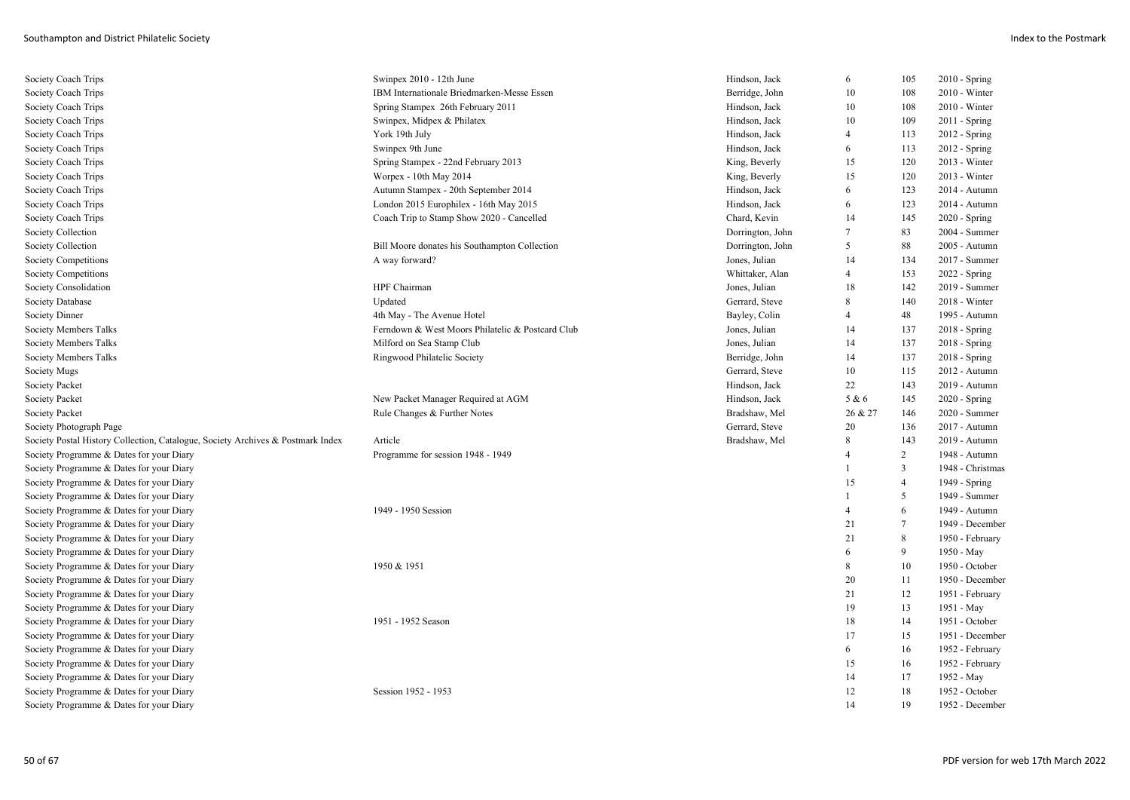| Society Coach Trips                                                             | Swinpex 2010 - 12th June                         | Hindson, Jack    | 6              | 105            | $2010 -$ Spring  |
|---------------------------------------------------------------------------------|--------------------------------------------------|------------------|----------------|----------------|------------------|
| Society Coach Trips                                                             | IBM Internationale Briedmarken-Messe Essen       | Berridge, John   | 10             | 108            | 2010 - Winter    |
| Society Coach Trips                                                             | Spring Stampex 26th February 2011                | Hindson, Jack    | 10             | 108            | $2010 - Winter$  |
| Society Coach Trips                                                             | Swinpex, Midpex & Philatex                       | Hindson, Jack    | 10             | 109            | $2011 -$ Spring  |
| Society Coach Trips                                                             | York 19th July                                   | Hindson, Jack    | $\overline{4}$ | 113            | $2012$ - Spring  |
| Society Coach Trips                                                             | Swinpex 9th June                                 | Hindson, Jack    | 6              | 113            | 2012 - Spring    |
| Society Coach Trips                                                             | Spring Stampex - 22nd February 2013              | King, Beverly    | 15             | 120            | 2013 - Winter    |
| Society Coach Trips                                                             | Worpex - 10th May 2014                           | King, Beverly    | 15             | 120            | $2013 - Winter$  |
| Society Coach Trips                                                             | Autumn Stampex - 20th September 2014             | Hindson, Jack    | 6              | 123            | 2014 - Autumn    |
| Society Coach Trips                                                             | London 2015 Europhilex - 16th May 2015           | Hindson, Jack    | 6              | 123            | 2014 - Autumn    |
| Society Coach Trips                                                             | Coach Trip to Stamp Show 2020 - Cancelled        | Chard, Kevin     | 14             | 145            | $2020 - Spring$  |
| Society Collection                                                              |                                                  | Dorrington, John | 7              | 83             | 2004 - Summer    |
| Society Collection                                                              | Bill Moore donates his Southampton Collection    | Dorrington, John | 5              | 88             | 2005 - Autumn    |
| Society Competitions                                                            | A way forward?                                   | Jones, Julian    | 14             | 134            | 2017 - Summer    |
| Society Competitions                                                            |                                                  | Whittaker, Alan  | $\overline{4}$ | 153            | $2022 - Spring$  |
| Society Consolidation                                                           | HPF Chairman                                     | Jones, Julian    | 18             | 142            | 2019 - Summer    |
| Society Database                                                                | Updated                                          | Gerrard, Steve   | 8              | 140            | 2018 - Winter    |
| Society Dinner                                                                  | 4th May - The Avenue Hotel                       | Bayley, Colin    | $\overline{4}$ | 48             | 1995 - Autumn    |
| Society Members Talks                                                           | Ferndown & West Moors Philatelic & Postcard Club | Jones, Julian    | 14             | 137            | $2018 -$ Spring  |
| Society Members Talks                                                           | Milford on Sea Stamp Club                        | Jones, Julian    | 14             | 137            | 2018 - Spring    |
| Society Members Talks                                                           | Ringwood Philatelic Society                      | Berridge, John   | 14             | 137            | 2018 - Spring    |
| Society Mugs                                                                    |                                                  | Gerrard, Steve   | 10             | 115            | $2012$ - Autumn  |
| Society Packet                                                                  |                                                  | Hindson, Jack    | 22             | 143            | 2019 - Autumn    |
| <b>Society Packet</b>                                                           | New Packet Manager Required at AGM               | Hindson, Jack    | 5 & 6          | 145            | 2020 - Spring    |
| Society Packet                                                                  | Rule Changes & Further Notes                     | Bradshaw, Mel    | 26 & 27        | 146            | 2020 - Summer    |
| Society Photograph Page                                                         |                                                  | Gerrard, Steve   | 20             | 136            | 2017 - Autumn    |
| Society Postal History Collection, Catalogue, Society Archives & Postmark Index | Article                                          | Bradshaw, Mel    | 8              | 143            | 2019 - Autumn    |
| Society Programme & Dates for your Diary                                        | Programme for session 1948 - 1949                |                  |                | $\overline{2}$ | 1948 - Autumn    |
| Society Programme & Dates for your Diary                                        |                                                  |                  |                | 3              | 1948 - Christmas |
| Society Programme & Dates for your Diary                                        |                                                  |                  | 15             | $\overline{4}$ | 1949 - Spring    |
| Society Programme & Dates for your Diary                                        |                                                  |                  |                | 5              | 1949 - Summer    |
| Society Programme & Dates for your Diary                                        | 1949 - 1950 Session                              |                  | $\overline{4}$ | 6              | 1949 - Autumn    |
| Society Programme & Dates for your Diary                                        |                                                  |                  | 21             | $\overline{7}$ | 1949 - December  |
| Society Programme & Dates for your Diary                                        |                                                  |                  | 21             | 8              | 1950 - February  |
| Society Programme & Dates for your Diary                                        |                                                  |                  | 6              | 9              | 1950 - May       |
| Society Programme & Dates for your Diary                                        | 1950 & 1951                                      |                  | 8              | 10             | 1950 - October   |
| Society Programme & Dates for your Diary                                        |                                                  |                  | 20             | 11             | 1950 - December  |
| Society Programme & Dates for your Diary                                        |                                                  |                  | 21             | 12             | 1951 - February  |
| Society Programme & Dates for your Diary                                        |                                                  |                  | 19             | 13             | 1951 - May       |
| Society Programme & Dates for your Diary                                        | 1951 - 1952 Season                               |                  | 18             | 14             | 1951 - October   |
| Society Programme & Dates for your Diary                                        |                                                  |                  | 17             | 15             | 1951 - December  |
| Society Programme & Dates for your Diary                                        |                                                  |                  | 6              | 16             | 1952 - February  |
| Society Programme & Dates for your Diary                                        |                                                  |                  | 15             | 16             | 1952 - February  |
| Society Programme & Dates for your Diary                                        |                                                  |                  | 14             | 17             | 1952 - May       |
| Society Programme & Dates for your Diary                                        | Session 1952 - 1953                              |                  | 12             | 18             | 1952 - October   |
| Society Programme & Dates for your Diary                                        |                                                  |                  | 14             | 19             | 1952 - December  |
|                                                                                 |                                                  |                  |                |                |                  |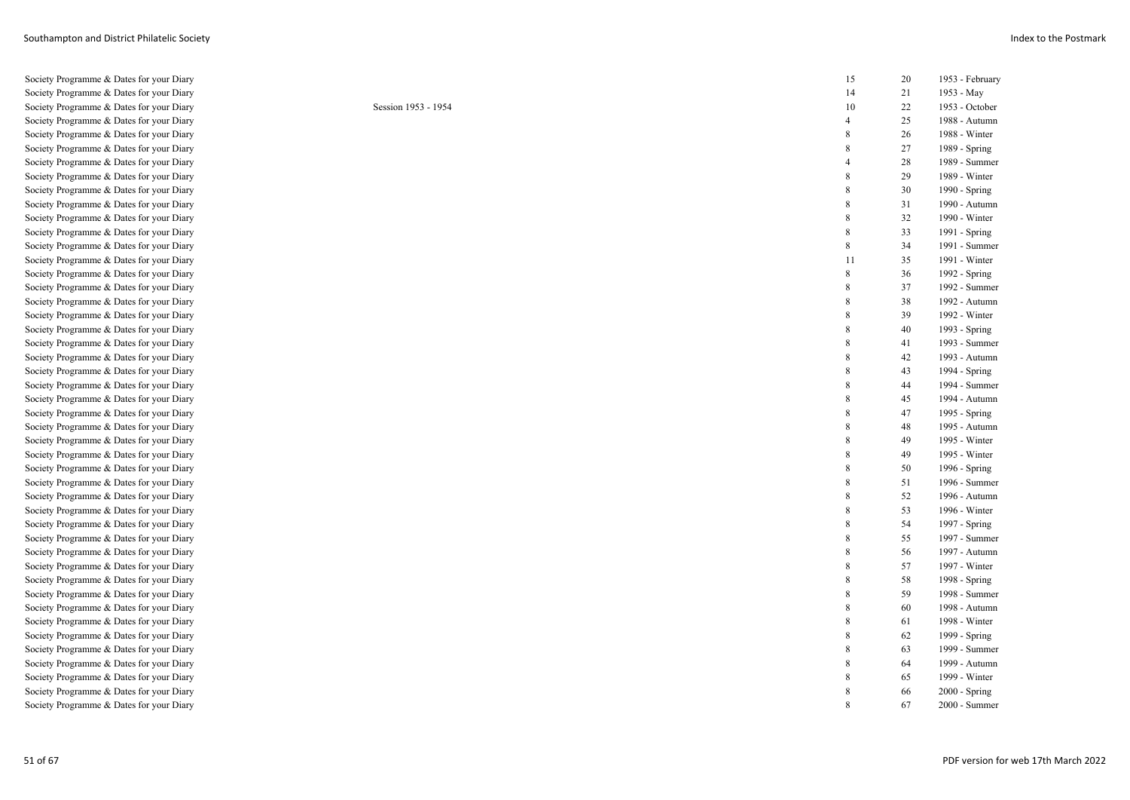Society Programme & Dates for your Diary 15 20 1953 - February Society Programme & Dates for your Diary Society Programme & Dates for your Diary Session 1953 - 1954 Society Programme & Dates for your Diary Society Programme & Dates for your Diary Society Programme & Dates for your Diary Society Programme & Dates for your Diary Society Programme & Dates for your Diary Society Programme & Dates for your Diary Society Programme & Dates for your Diary Society Programme & Dates for your Diary Society Programme & Dates for your Diary Society Programme & Dates for your Diary Society Programme & Dates for your Diary Society Programme & Dates for your Diary Society Programme & Dates for your Diary Society Programme & Dates for your Diary Society Programme & Dates for your Diary Society Programme & Dates for your Diary Society Programme & Dates for your Diary Society Programme & Dates for your Diary Society Programme & Dates for your Diary Society Programme & Dates for your Diary Society Programme & Dates for your Diary Society Programme & Dates for your Diary Society Programme & Dates for your Diary Society Programme & Dates for your Diary Society Programme & Dates for your Diary Society Programme & Dates for your Diary Society Programme & Dates for your Diary Society Programme & Dates for your Diary Society Programme & Dates for your Diary Society Programme & Dates for your Diary Society Programme & Dates for your Diary Society Programme & Dates for your Diary Society Programme & Dates for your Diary Society Programme & Dates for your Diary Society Programme & Dates for your Diary Society Programme & Dates for your Diary Society Programme & Dates for your Diary Society Programme & Dates for your Diary Society Programme & Dates for your Diary Society Programme & Dates for your Diary Society Programme & Dates for your Diary Society Programme & Dates for your Diary Society Programme & Dates for your Diary

| 14             | 21 | 1953 - May             |
|----------------|----|------------------------|
| 10             | 22 | 1953 - October         |
| $\overline{4}$ | 25 | 1988 - Autumn          |
| 8              | 26 | 1988 - Winter          |
| 8              | 27 | 1989 - Spring          |
| $\overline{4}$ | 28 | 1989 - Summer          |
| 8              | 29 | 1989 - Winter          |
| 8              | 30 | 1990 - Spring          |
| 8              | 31 | 1990 - Autumn          |
| 8              | 32 | 1990 - Winter          |
| 8              | 33 | 1991 - Spring          |
| 8              | 34 | 1991 - Summer          |
| 11             | 35 | 1991 - Winter          |
| 8              | 36 | 1992 - Spring          |
| 8              | 37 | 1992 - Summer          |
| 8              | 38 | 1992 - Autumn          |
| 8              | 39 | 1992 - Winter          |
| 8              | 40 | 1993 - Spring          |
| 8              | 41 | 1993 - Summer          |
| 8              | 42 | 1993 - Autumn          |
| 8              | 43 | 1994 - Spring          |
| 8              | 44 | 1994 - Summer          |
| 8              | 45 | 1994 - Autumn          |
| 8              | 47 | 1995 - Spring          |
| 8              | 48 | 1995 - Autumn          |
| 8              | 49 | 1995 - Winter          |
| 8              | 49 | 1995 - Winter          |
| 8              | 50 | 1996 - Spring          |
| 8              | 51 | 1996 - Summer          |
| 8              | 52 | 1996 - Autumn          |
| 8              | 53 | 1996 - Winter          |
| 8              | 54 | 1997 - Spring          |
| 8              | 55 | 1997 - Summer          |
| 8              | 56 | 1997 - Autumn          |
| 8              | 57 | 1997 - Winter          |
| 8              | 58 | 1998 - Spring          |
| 8              | 59 | 1998 - Summer          |
| 8              | 60 | 1998 - Autumn          |
| 8              | 61 | 1998 - Winter          |
| 8              | 62 | 1999 - Spring          |
| 8              | 63 | 1999 - Summer          |
| 8              | 64 | 1999 - Autumn          |
| 8              | 65 | 1999 - Winter          |
| 8              | 66 | 2000 - Spring          |
| 8              | 67 | $2000 - \text{Summer}$ |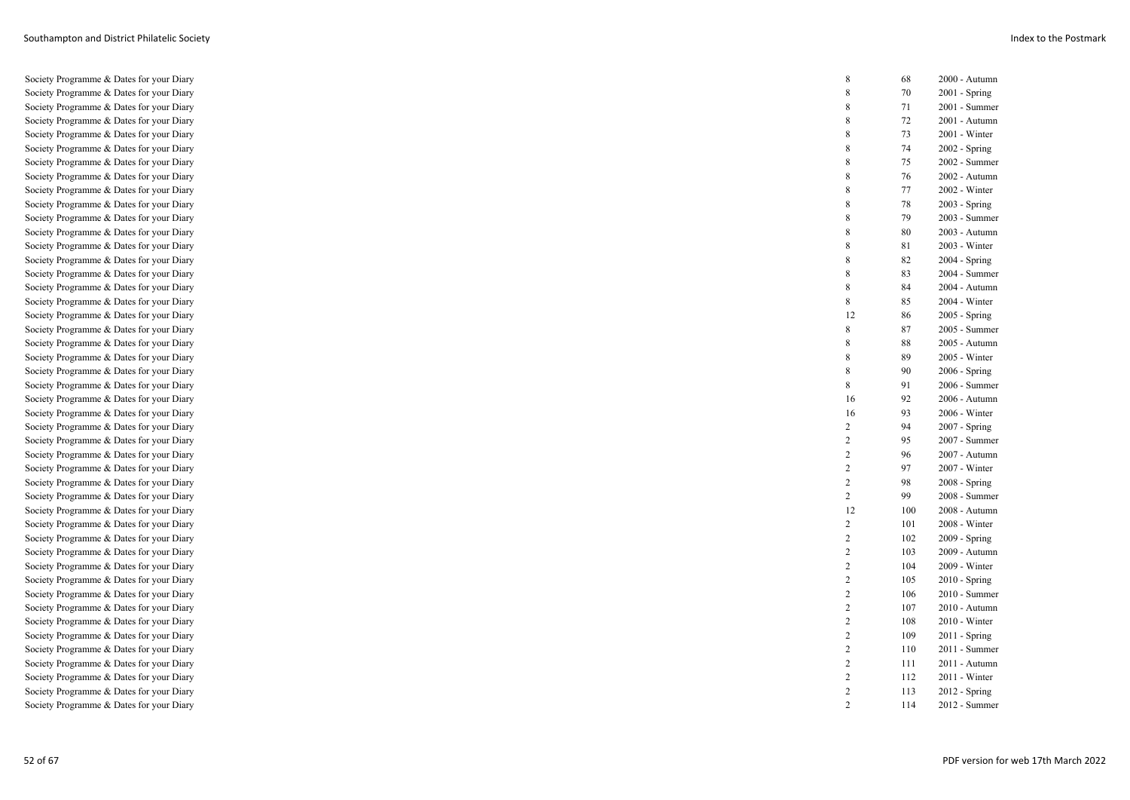| Society Programme & Dates for your Diary                                             | $\,8\,$                          | 68         | 2000 - Autumn                    |
|--------------------------------------------------------------------------------------|----------------------------------|------------|----------------------------------|
| Society Programme & Dates for your Diary                                             | 8                                | 70         | $2001 -$ Spring                  |
| Society Programme & Dates for your Diary                                             | 8                                | 71         | 2001 - Summer                    |
| Society Programme & Dates for your Diary                                             | 8                                | 72         | 2001 - Autumn                    |
| Society Programme & Dates for your Diary                                             | 8                                | 73         | 2001 - Winter                    |
| Society Programme & Dates for your Diary                                             | 8                                | 74         | $2002 - Spring$                  |
| Society Programme & Dates for your Diary                                             | 8                                | 75         | 2002 - Summer                    |
| Society Programme & Dates for your Diary                                             | 8                                | 76         | 2002 - Autumn                    |
| Society Programme & Dates for your Diary                                             | 8                                | 77         | 2002 - Winter                    |
| Society Programme & Dates for your Diary                                             | 8                                | 78         | $2003 - Spring$                  |
| Society Programme & Dates for your Diary                                             | 8                                | 79         | 2003 - Summer                    |
| Society Programme & Dates for your Diary                                             | 8                                | 80         | 2003 - Autumn                    |
| Society Programme & Dates for your Diary                                             | 8                                | 81         | 2003 - Winter                    |
| Society Programme & Dates for your Diary                                             | 8                                | 82         | $2004 - Spring$                  |
| Society Programme & Dates for your Diary                                             | 8                                | 83         | 2004 - Summer                    |
| Society Programme & Dates for your Diary                                             | 8                                | 84         | 2004 - Autumn                    |
| Society Programme & Dates for your Diary                                             | 8                                | 85         | 2004 - Winter                    |
| Society Programme & Dates for your Diary                                             | 12                               | 86         | 2005 - Spring                    |
| Society Programme & Dates for your Diary                                             | 8                                | 87         | 2005 - Summer                    |
| Society Programme & Dates for your Diary                                             | 8                                | 88         | 2005 - Autumn                    |
| Society Programme & Dates for your Diary                                             | 8                                | 89         | 2005 - Winter                    |
| Society Programme & Dates for your Diary                                             | 8                                | 90         | $2006 - Spring$                  |
| Society Programme & Dates for your Diary                                             | 8                                | 91         | 2006 - Summer                    |
| Society Programme & Dates for your Diary                                             | 16                               | 92         | 2006 - Autumn                    |
| Society Programme & Dates for your Diary                                             | 16                               | 93         | 2006 - Winter                    |
| Society Programme & Dates for your Diary                                             | $\sqrt{2}$                       | 94         | 2007 - Spring                    |
| Society Programme & Dates for your Diary                                             | $\overline{c}$                   | 95         | 2007 - Summer                    |
| Society Programme & Dates for your Diary                                             | $\overline{c}$                   | 96         | 2007 - Autumn                    |
| Society Programme & Dates for your Diary                                             | $\overline{c}$                   | 97         | 2007 - Winter                    |
| Society Programme & Dates for your Diary                                             | $\sqrt{2}$                       | 98         | $2008 - Spring$                  |
| Society Programme & Dates for your Diary                                             | $\overline{c}$                   | 99         | 2008 - Summer                    |
|                                                                                      |                                  |            |                                  |
| Society Programme & Dates for your Diary                                             | 12                               | 100        | 2008 - Autumn                    |
| Society Programme & Dates for your Diary                                             | $\overline{c}$                   | 101        | 2008 - Winter                    |
| Society Programme & Dates for your Diary                                             | $\overline{2}$                   | 102        | 2009 - Spring                    |
| Society Programme & Dates for your Diary                                             | $\overline{2}$                   | 103        | 2009 - Autumn                    |
| Society Programme & Dates for your Diary                                             | $\sqrt{2}$                       | 104        | 2009 - Winter                    |
| Society Programme & Dates for your Diary                                             | $\overline{2}$                   | 105        | $2010 - Spring$                  |
| Society Programme & Dates for your Diary                                             | $\overline{2}$                   | 106        | 2010 - Summer                    |
| Society Programme & Dates for your Diary                                             | $\overline{2}$                   | 107        | 2010 - Autumn                    |
| Society Programme & Dates for your Diary                                             | $\overline{c}$                   | 108        | 2010 - Winter                    |
| Society Programme & Dates for your Diary                                             | $\overline{2}$                   | 109        | $2011 -$ Spring                  |
| Society Programme & Dates for your Diary                                             | $\overline{2}$                   | 110        | 2011 - Summer                    |
| Society Programme & Dates for your Diary                                             | $\overline{2}$                   | 111        | 2011 - Autumn                    |
| Society Programme & Dates for your Diary                                             | $\overline{c}$                   | 112        | 2011 - Winter                    |
| Society Programme & Dates for your Diary<br>Society Programme & Dates for your Diary | $\overline{2}$<br>$\overline{2}$ | 113<br>114 | $2012 -$ Spring<br>2012 - Summer |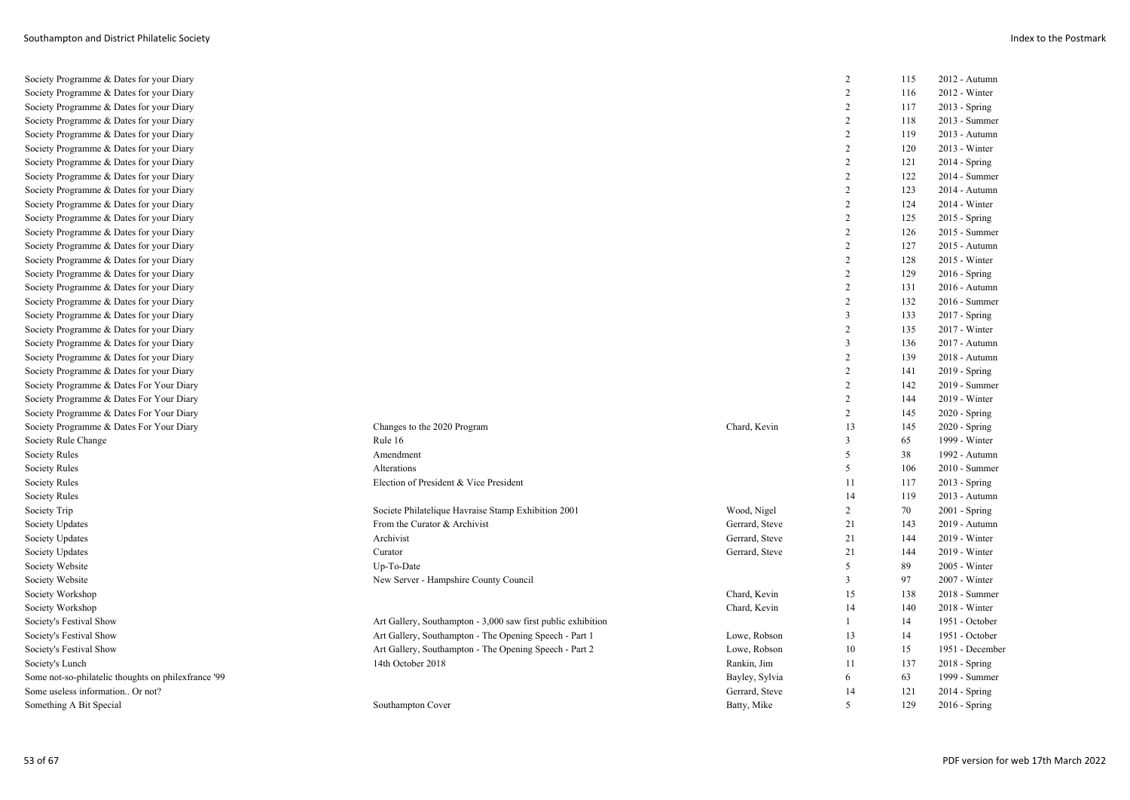| Society Programme & Dates for your Diary            |                                                              |                | 2              | 115 | 2012 - Autumn   |
|-----------------------------------------------------|--------------------------------------------------------------|----------------|----------------|-----|-----------------|
| Society Programme & Dates for your Diary            |                                                              |                | $\overline{2}$ | 116 | 2012 - Winter   |
| Society Programme & Dates for your Diary            |                                                              |                | $\overline{2}$ | 117 | 2013 - Spring   |
| Society Programme & Dates for your Diary            |                                                              |                | 2              | 118 | 2013 - Summer   |
| Society Programme & Dates for your Diary            |                                                              |                | $\overline{2}$ | 119 | 2013 - Autumn   |
| Society Programme & Dates for your Diary            |                                                              |                | 2              | 120 | $2013 - Winter$ |
| Society Programme & Dates for your Diary            |                                                              |                | $\overline{2}$ | 121 | 2014 - Spring   |
| Society Programme & Dates for your Diary            |                                                              |                | $\overline{2}$ | 122 | 2014 - Summer   |
| Society Programme & Dates for your Diary            |                                                              |                | $\overline{2}$ | 123 | 2014 - Autumn   |
| Society Programme & Dates for your Diary            |                                                              |                | 2              | 124 | $2014 - Winter$ |
| Society Programme & Dates for your Diary            |                                                              |                | $\overline{2}$ | 125 | 2015 - Spring   |
| Society Programme & Dates for your Diary            |                                                              |                | $\overline{2}$ | 126 | 2015 - Summer   |
| Society Programme & Dates for your Diary            |                                                              |                | 2              | 127 | 2015 - Autumn   |
| Society Programme & Dates for your Diary            |                                                              |                | $\overline{2}$ | 128 | 2015 - Winter   |
| Society Programme & Dates for your Diary            |                                                              |                | $\overline{2}$ | 129 | $2016 -$ Spring |
| Society Programme & Dates for your Diary            |                                                              |                | $\overline{2}$ | 131 | $2016$ - Autumn |
| Society Programme & Dates for your Diary            |                                                              |                | $\overline{2}$ | 132 | 2016 - Summer   |
| Society Programme & Dates for your Diary            |                                                              |                | 3              | 133 | 2017 - Spring   |
| Society Programme & Dates for your Diary            |                                                              |                | $\overline{2}$ | 135 | 2017 - Winter   |
| Society Programme & Dates for your Diary            |                                                              |                | $\mathbf{3}$   | 136 | 2017 - Autumn   |
| Society Programme & Dates for your Diary            |                                                              |                | $\overline{2}$ | 139 | 2018 - Autumn   |
| Society Programme & Dates for your Diary            |                                                              |                | $\overline{2}$ | 141 | 2019 - Spring   |
| Society Programme & Dates For Your Diary            |                                                              |                | $\overline{2}$ | 142 | 2019 - Summer   |
| Society Programme & Dates For Your Diary            |                                                              |                | 2              | 144 | 2019 - Winter   |
| Society Programme & Dates For Your Diary            |                                                              |                | 2              | 145 | $2020 - Spring$ |
| Society Programme & Dates For Your Diary            | Changes to the 2020 Program                                  | Chard, Kevin   | 13             | 145 | 2020 - Spring   |
| Society Rule Change                                 | Rule 16                                                      |                | $\mathbf{3}$   | 65  | 1999 - Winter   |
| Society Rules                                       | Amendment                                                    |                | 5              | 38  | 1992 - Autumn   |
| Society Rules                                       | Alterations                                                  |                | 5              | 106 | 2010 - Summer   |
| Society Rules                                       | Election of President & Vice President                       |                | 11             | 117 | 2013 - Spring   |
| Society Rules                                       |                                                              |                | 14             | 119 | 2013 - Autumn   |
| Society Trip                                        | Societe Philatelique Havraise Stamp Exhibition 2001          | Wood, Nigel    | 2              | 70  | $2001 -$ Spring |
| Society Updates                                     | From the Curator & Archivist                                 | Gerrard, Steve | 21             | 143 | 2019 - Autumn   |
| <b>Society Updates</b>                              | Archivist                                                    | Gerrard, Steve | 21             | 144 | 2019 - Winter   |
| Society Updates                                     | Curator                                                      | Gerrard, Steve | 21             | 144 | 2019 - Winter   |
| Society Website                                     | Up-To-Date                                                   |                | 5              | 89  | 2005 - Winter   |
| Society Website                                     | New Server - Hampshire County Council                        |                | 3              | 97  | 2007 - Winter   |
| Society Workshop                                    |                                                              | Chard, Kevin   | 15             | 138 | 2018 - Summer   |
| Society Workshop                                    |                                                              | Chard, Kevin   | 14             | 140 | 2018 - Winter   |
| Society's Festival Show                             | Art Gallery, Southampton - 3,000 saw first public exhibition |                | 1              | 14  | 1951 - October  |
| Society's Festival Show                             | Art Gallery, Southampton - The Opening Speech - Part 1       | Lowe, Robson   | 13             | 14  | 1951 - October  |
| Society's Festival Show                             | Art Gallery, Southampton - The Opening Speech - Part 2       | Lowe, Robson   | 10             | 15  | 1951 - December |
| Society's Lunch                                     | 14th October 2018                                            | Rankin, Jim    | 11             | 137 | 2018 - Spring   |
| Some not-so-philatelic thoughts on philexfrance '99 |                                                              | Bayley, Sylvia | 6              | 63  | 1999 - Summer   |
| Some useless information Or not?                    |                                                              | Gerrard, Steve | 14             | 121 | 2014 - Spring   |
| Something A Bit Special                             | Southampton Cover                                            | Batty, Mike    | 5              | 129 | $2016$ - Spring |
|                                                     |                                                              |                |                |     |                 |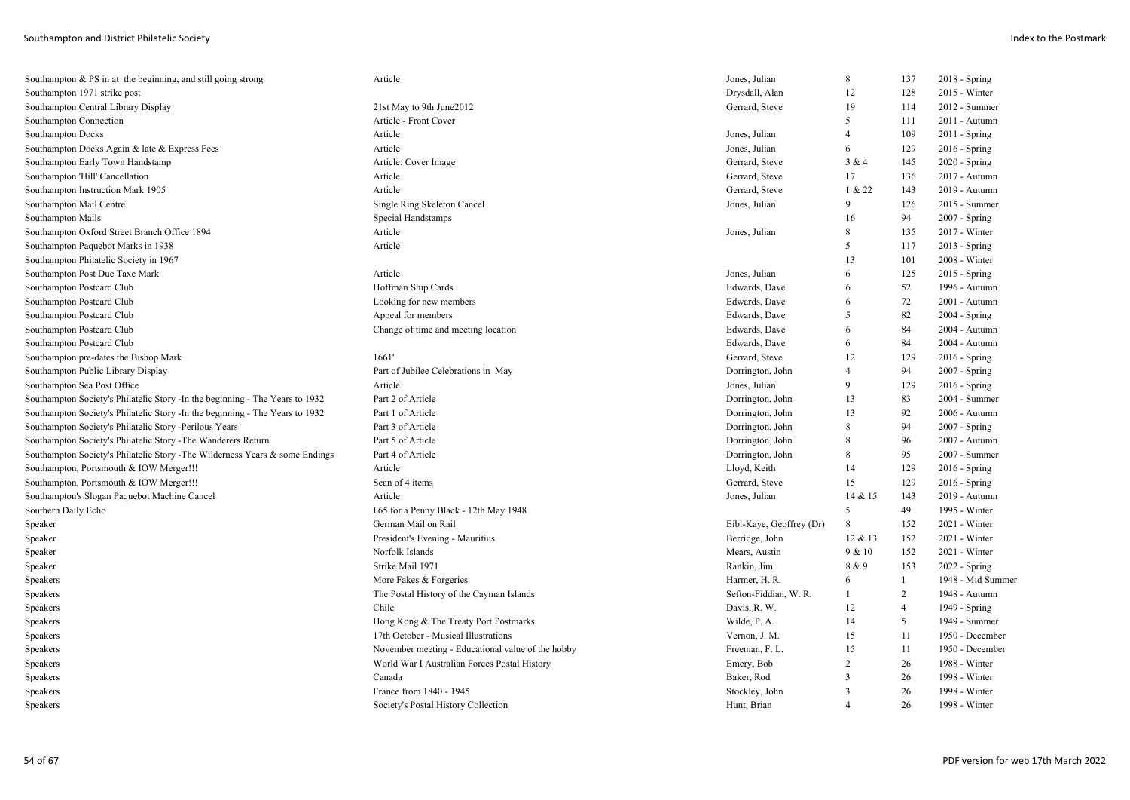| Southampton & PS in at the beginning, and still going strong                  | Article                                           | Jones, Julian            | 8              | 137            | 2018 - Spring     |
|-------------------------------------------------------------------------------|---------------------------------------------------|--------------------------|----------------|----------------|-------------------|
| Southampton 1971 strike post                                                  |                                                   | Drysdall, Alan           | 12             | 128            | 2015 - Winter     |
| Southampton Central Library Display                                           | 21st May to 9th June2012                          | Gerrard, Steve           | 19             | 114            | 2012 - Summer     |
| Southampton Connection                                                        | Article - Front Cover                             |                          | 5              | 111            | 2011 - Autumn     |
| <b>Southampton Docks</b>                                                      | Article                                           | Jones, Julian            | $\overline{4}$ | 109            | 2011 - Spring     |
| Southampton Docks Again & late & Express Fees                                 | Article                                           | Jones, Julian            | 6              | 129            | $2016 -$ Spring   |
| Southampton Early Town Handstamp                                              | Article: Cover Image                              | Gerrard, Steve           | 3 & 4          | 145            | 2020 - Spring     |
| Southampton 'Hill' Cancellation                                               | Article                                           | Gerrard, Steve           | 17             | 136            | 2017 - Autumn     |
| Southampton Instruction Mark 1905                                             | Article                                           | Gerrard, Steve           | 1 & 22         | 143            | 2019 - Autumn     |
| Southampton Mail Centre                                                       | Single Ring Skeleton Cancel                       | Jones, Julian            | 9              | 126            | 2015 - Summer     |
| Southampton Mails                                                             | Special Handstamps                                |                          | 16             | 94             | 2007 - Spring     |
| Southampton Oxford Street Branch Office 1894                                  | Article                                           | Jones, Julian            | 8              | 135            | 2017 - Winter     |
| Southampton Paquebot Marks in 1938                                            | Article                                           |                          | 5              | 117            | 2013 - Spring     |
| Southampton Philatelic Society in 1967                                        |                                                   |                          | 13             | 101            | 2008 - Winter     |
| Southampton Post Due Taxe Mark                                                | Article                                           | Jones, Julian            | 6              | 125            | 2015 - Spring     |
| Southampton Postcard Club                                                     | Hoffman Ship Cards                                | Edwards, Dave            | 6              | 52             | 1996 - Autumn     |
| Southampton Postcard Club                                                     | Looking for new members                           | Edwards, Dave            | 6              | 72             | 2001 - Autumn     |
| Southampton Postcard Club                                                     | Appeal for members                                | Edwards, Dave            | .5             | 82             | 2004 - Spring     |
| Southampton Postcard Club                                                     | Change of time and meeting location               | Edwards, Dave            | 6              | 84             | 2004 - Autumn     |
| Southampton Postcard Club                                                     |                                                   | Edwards, Dave            | 6              | 84             | 2004 - Autumn     |
| Southampton pre-dates the Bishop Mark                                         | 1661'                                             | Gerrard, Steve           | 12             | 129            | $2016 -$ Spring   |
| Southampton Public Library Display                                            | Part of Jubilee Celebrations in May               | Dorrington, John         | $\overline{4}$ | 94             | 2007 - Spring     |
| Southampton Sea Post Office                                                   | Article                                           | Jones, Julian            | 9              | 129            | 2016 - Spring     |
| Southampton Society's Philatelic Story - In the beginning - The Years to 1932 | Part 2 of Article                                 | Dorrington, John         | 13             | 83             | 2004 - Summer     |
| Southampton Society's Philatelic Story - In the beginning - The Years to 1932 | Part 1 of Article                                 | Dorrington, John         | 13             | 92             | 2006 - Autumn     |
| Southampton Society's Philatelic Story -Perilous Years                        | Part 3 of Article                                 | Dorrington, John         | 8              | 94             | 2007 - Spring     |
| Southampton Society's Philatelic Story -The Wanderers Return                  | Part 5 of Article                                 | Dorrington, John         | 8              | 96             | 2007 - Autumn     |
| Southampton Society's Philatelic Story - The Wilderness Years & some Endings  | Part 4 of Article                                 | Dorrington, John         | 8              | 95             | 2007 - Summer     |
| Southampton, Portsmouth & IOW Merger!!!                                       | Article                                           | Lloyd, Keith             | 14             | 129            | $2016 -$ Spring   |
| Southampton, Portsmouth & IOW Merger!!!                                       | Scan of 4 items                                   | Gerrard, Steve           | 15             | 129            | $2016 -$ Spring   |
| Southampton's Slogan Paquebot Machine Cancel                                  | Article                                           | Jones, Julian            | 14 & 15        | 143            | 2019 - Autumn     |
| Southern Daily Echo                                                           | £65 for a Penny Black - 12th May 1948             |                          | 5              | 49             | 1995 - Winter     |
| Speaker                                                                       | German Mail on Rail                               | Eibl-Kaye, Geoffrey (Dr) | 8              | 152            | $2021 - Winter$   |
| Speaker                                                                       | President's Evening - Mauritius                   | Berridge, John           | 12 & 13        | 152            | 2021 - Winter     |
| Speaker                                                                       | Norfolk Islands                                   | Mears, Austin            | 9 & 10         | 152            | $2021 - Winter$   |
| Speaker                                                                       | Strike Mail 1971                                  | Rankin, Jim              | 8 & 9          | 153            | $2022 - Spring$   |
| Speakers                                                                      | More Fakes & Forgeries                            | Harmer, H. R.            | 6              | $\mathbf{1}$   | 1948 - Mid Summer |
| Speakers                                                                      | The Postal History of the Cayman Islands          | Sefton-Fiddian, W. R.    | -1             | $\overline{2}$ | 1948 - Autumn     |
| Speakers                                                                      | Chile                                             | Davis, R. W.             | 12             | $\overline{4}$ | 1949 - Spring     |
| Speakers                                                                      | Hong Kong & The Treaty Port Postmarks             | Wilde, P. A.             | 14             | 5              | 1949 - Summer     |
| Speakers                                                                      | 17th October - Musical Illustrations              | Vernon, J. M.            | 15             | 11             | 1950 - December   |
| Speakers                                                                      | November meeting - Educational value of the hobby | Freeman, F. L.           | 15             | 11             | 1950 - December   |
| Speakers                                                                      | World War I Australian Forces Postal History      | Emery, Bob               | 2              | 26             | 1988 - Winter     |
| Speakers                                                                      | Canada                                            | Baker, Rod               | $\overline{3}$ | 26             | 1998 - Winter     |
| Speakers                                                                      | France from 1840 - 1945                           | Stockley, John           | 3              | 26             | 1998 - Winter     |
| Speakers                                                                      | Society's Postal History Collection               | Hunt, Brian              | $\overline{4}$ | 26             | 1998 - Winter     |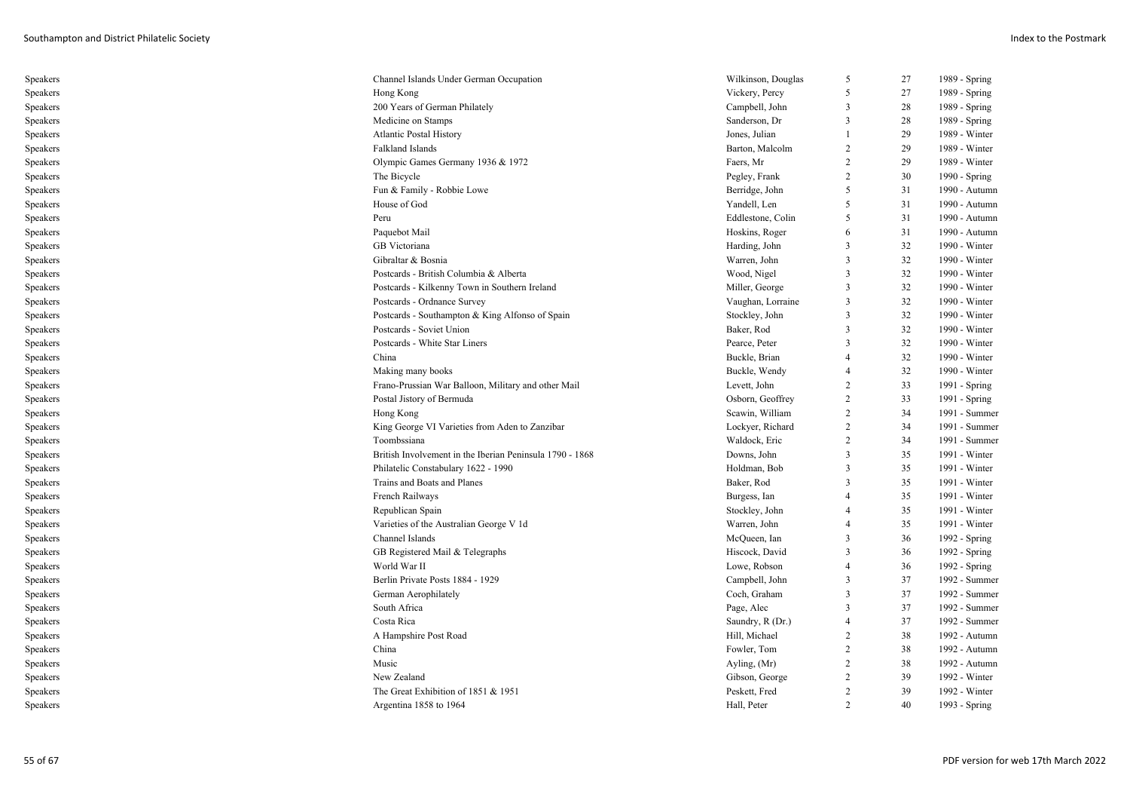| Speakers | Channel Islands Under German Occupation                  | Wilkinson, Douglas | 5              | 27 | 1989 - Spring |
|----------|----------------------------------------------------------|--------------------|----------------|----|---------------|
| Speakers | Hong Kong                                                | Vickery, Percy     | 5              | 27 | 1989 - Spring |
| Speakers | 200 Years of German Philately                            | Campbell, John     | 3              | 28 | 1989 - Spring |
| Speakers | Medicine on Stamps                                       | Sanderson, Dr      | 3              | 28 | 1989 - Spring |
| Speakers | <b>Atlantic Postal History</b>                           | Jones, Julian      | 1              | 29 | 1989 - Winter |
| Speakers | Falkland Islands                                         | Barton, Malcolm    | $\overline{2}$ | 29 | 1989 - Winter |
| Speakers | Olympic Games Germany 1936 & 1972                        | Faers, Mr          | 2              | 29 | 1989 - Winter |
| Speakers | The Bicycle                                              | Pegley, Frank      | 2              | 30 | 1990 - Spring |
| Speakers | Fun & Family - Robbie Lowe                               | Berridge, John     | 5              | 31 | 1990 - Autumn |
| Speakers | House of God                                             | Yandell, Len       | 5              | 31 | 1990 - Autumn |
| Speakers | Peru                                                     | Eddlestone, Colin  | 5              | 31 | 1990 - Autumn |
| Speakers | Paquebot Mail                                            | Hoskins, Roger     | 6              | 31 | 1990 - Autumn |
| Speakers | GB Victoriana                                            | Harding, John      | 3              | 32 | 1990 - Winter |
| Speakers | Gibraltar & Bosnia                                       | Warren, John       | $\overline{3}$ | 32 | 1990 - Winter |
| Speakers | Postcards - British Columbia & Alberta                   | Wood, Nigel        | 3              | 32 | 1990 - Winter |
| Speakers | Postcards - Kilkenny Town in Southern Ireland            | Miller, George     | 3              | 32 | 1990 - Winter |
| Speakers | Postcards - Ordnance Survey                              | Vaughan, Lorraine  | $\mathfrak{Z}$ | 32 | 1990 - Winter |
| Speakers | Postcards - Southampton & King Alfonso of Spain          | Stockley, John     | 3              | 32 | 1990 - Winter |
| Speakers | Postcards - Soviet Union                                 | Baker, Rod         | 3              | 32 | 1990 - Winter |
| Speakers | Postcards - White Star Liners                            | Pearce, Peter      | 3              | 32 | 1990 - Winter |
| Speakers | China                                                    | Buckle, Brian      | $\overline{4}$ | 32 | 1990 - Winter |
| Speakers | Making many books                                        | Buckle, Wendy      | $\overline{4}$ | 32 | 1990 - Winter |
| Speakers | Frano-Prussian War Balloon, Military and other Mail      | Levett, John       | 2              | 33 | 1991 - Spring |
| Speakers | Postal Jistory of Bermuda                                | Osborn, Geoffrey   | 2              | 33 | 1991 - Spring |
| Speakers | Hong Kong                                                | Scawin, William    | 2              | 34 | 1991 - Summer |
| Speakers | King George VI Varieties from Aden to Zanzibar           | Lockyer, Richard   | 2              | 34 | 1991 - Summer |
| Speakers | Toombssiana                                              | Waldock, Eric      | $\overline{2}$ | 34 | 1991 - Summer |
| Speakers | British Involvement in the Iberian Peninsula 1790 - 1868 | Downs, John        | $\mathfrak{Z}$ | 35 | 1991 - Winter |
| Speakers | Philatelic Constabulary 1622 - 1990                      | Holdman, Bob       | 3              | 35 | 1991 - Winter |
| Speakers | Trains and Boats and Planes                              | Baker, Rod         | 3              | 35 | 1991 - Winter |
| Speakers | French Railways                                          | Burgess, Ian       | $\overline{4}$ | 35 | 1991 - Winter |
| Speakers | Republican Spain                                         | Stockley, John     | 4              | 35 | 1991 - Winter |
| Speakers | Varieties of the Australian George V 1d                  | Warren, John       | $\overline{4}$ | 35 | 1991 - Winter |
| Speakers | Channel Islands                                          | McQueen, Ian       | 3              | 36 | 1992 - Spring |
| Speakers | GB Registered Mail & Telegraphs                          | Hiscock, David     | 3              | 36 | 1992 - Spring |
| Speakers | World War II                                             | Lowe, Robson       | $\overline{4}$ | 36 | 1992 - Spring |
| Speakers | Berlin Private Posts 1884 - 1929                         | Campbell, John     | $\overline{3}$ | 37 | 1992 - Summer |
| Speakers | German Aerophilately                                     | Coch, Graham       | 3              | 37 | 1992 - Summer |
| Speakers | South Africa                                             | Page, Alec         | $\overline{3}$ | 37 | 1992 - Summer |
| Speakers | Costa Rica                                               | Saundry, R (Dr.)   | 4              | 37 | 1992 - Summer |
| Speakers | A Hampshire Post Road                                    | Hill, Michael      | $\overline{c}$ | 38 | 1992 - Autumn |
| Speakers | China                                                    | Fowler, Tom        | $\overline{2}$ | 38 | 1992 - Autumn |
| Speakers | Music                                                    | Ayling, (Mr)       | 2              | 38 | 1992 - Autumn |
| Speakers | New Zealand                                              | Gibson, George     | 2              | 39 | 1992 - Winter |
| Speakers | The Great Exhibition of 1851 & 1951                      | Peskett, Fred      | 2              | 39 | 1992 - Winter |
| Speakers | Argentina 1858 to 1964                                   | Hall, Peter        | $\overline{2}$ | 40 | 1993 - Spring |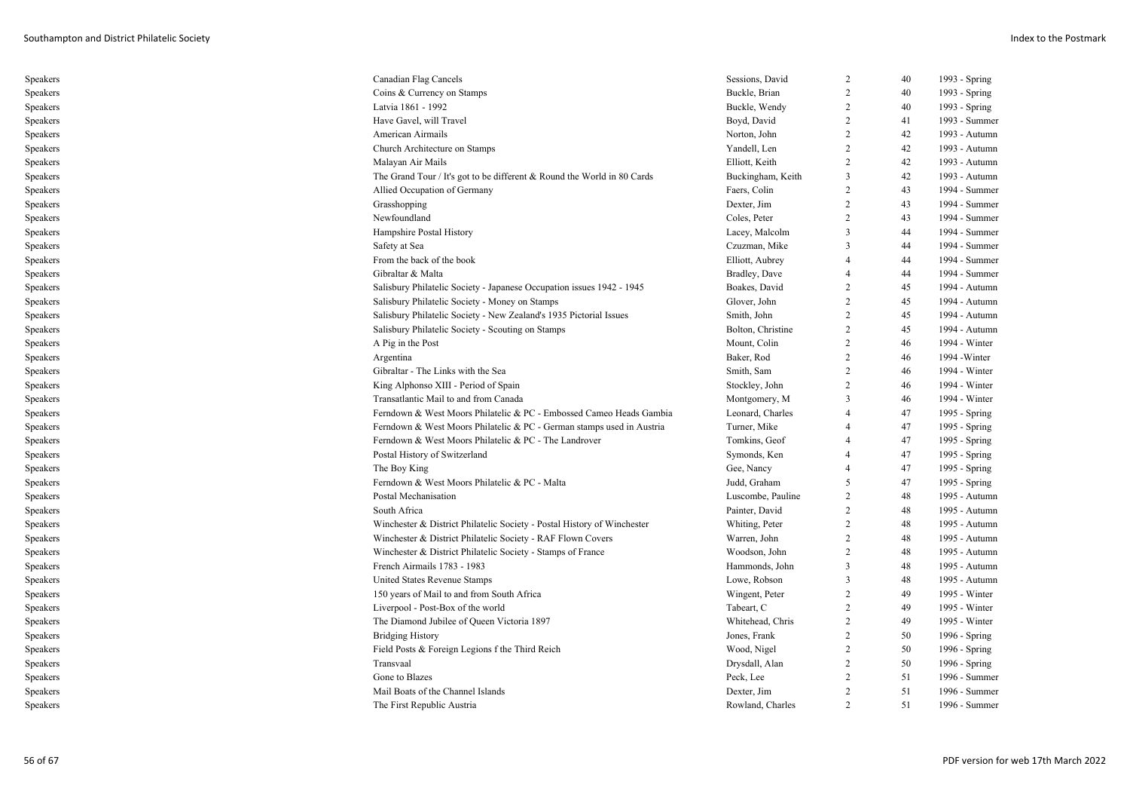| Speakers | Canadian Flag Cancels                                                   | Sessions, David   | 2              | 40 | 1993 - Spring |
|----------|-------------------------------------------------------------------------|-------------------|----------------|----|---------------|
| Speakers | Coins & Currency on Stamps                                              | Buckle, Brian     | 2              | 40 | 1993 - Spring |
| Speakers | Latvia 1861 - 1992                                                      | Buckle, Wendy     | 2              | 40 | 1993 - Spring |
| Speakers | Have Gavel, will Travel                                                 | Boyd, David       | 2              | 41 | 1993 - Summer |
| Speakers | American Airmails                                                       | Norton, John      | 2              | 42 | 1993 - Autumn |
| Speakers | Church Architecture on Stamps                                           | Yandell, Len      | 2              | 42 | 1993 - Autumn |
| Speakers | Malayan Air Mails                                                       | Elliott, Keith    | 2              | 42 | 1993 - Autumn |
| Speakers | The Grand Tour / It's got to be different & Round the World in 80 Cards | Buckingham, Keith | 3              | 42 | 1993 - Autumn |
| Speakers | Allied Occupation of Germany                                            | Faers, Colin      | 2              | 43 | 1994 - Summer |
| Speakers | Grasshopping                                                            | Dexter, Jim       | 2              | 43 | 1994 - Summer |
| Speakers | Newfoundland                                                            | Coles, Peter      | 2              | 43 | 1994 - Summer |
| Speakers | Hampshire Postal History                                                | Lacey, Malcolm    | 3              | 44 | 1994 - Summer |
| Speakers | Safety at Sea                                                           | Czuzman, Mike     | $\mathcal{R}$  | 44 | 1994 - Summer |
| Speakers | From the back of the book                                               | Elliott, Aubrey   |                | 44 | 1994 - Summer |
| Speakers | Gibraltar & Malta                                                       | Bradley, Dave     |                | 44 | 1994 - Summer |
| Speakers | Salisbury Philatelic Society - Japanese Occupation issues 1942 - 1945   | Boakes, David     | $\overline{2}$ | 45 | 1994 - Autumn |
| Speakers | Salisbury Philatelic Society - Money on Stamps                          | Glover, John      | 2              | 45 | 1994 - Autumn |
| Speakers | Salisbury Philatelic Society - New Zealand's 1935 Pictorial Issues      | Smith, John       | 2              | 45 | 1994 - Autumn |
| Speakers | Salisbury Philatelic Society - Scouting on Stamps                       | Bolton, Christine | 2              | 45 | 1994 - Autumn |
| Speakers | A Pig in the Post                                                       | Mount, Colin      | 2              | 46 | 1994 - Winter |
| Speakers | Argentina                                                               | Baker, Rod        | 2              | 46 | 1994 - Winter |
| Speakers | Gibraltar - The Links with the Sea                                      | Smith, Sam        | 2              | 46 | 1994 - Winter |
| Speakers | King Alphonso XIII - Period of Spain                                    | Stockley, John    | 2              | 46 | 1994 - Winter |
| Speakers | Transatlantic Mail to and from Canada                                   | Montgomery, M     | 3              | 46 | 1994 - Winter |
| Speakers | Ferndown & West Moors Philatelic & PC - Embossed Cameo Heads Gambia     | Leonard, Charles  |                | 47 | 1995 - Spring |
| Speakers | Ferndown & West Moors Philatelic & PC - German stamps used in Austria   | Turner, Mike      |                | 47 | 1995 - Spring |
| Speakers | Ferndown & West Moors Philatelic & PC - The Landrover                   | Tomkins, Geof     | $\overline{4}$ | 47 | 1995 - Spring |
| Speakers | Postal History of Switzerland                                           | Symonds, Ken      |                | 47 | 1995 - Spring |
| Speakers | The Boy King                                                            | Gee, Nancy        | $\overline{4}$ | 47 | 1995 - Spring |
| Speakers | Ferndown & West Moors Philatelic & PC - Malta                           | Judd, Graham      | 5              | 47 | 1995 - Spring |
| Speakers | Postal Mechanisation                                                    | Luscombe, Pauline | $\overline{2}$ | 48 | 1995 - Autumn |
| Speakers | South Africa                                                            | Painter, David    | 2              | 48 | 1995 - Autumn |
| Speakers | Winchester & District Philatelic Society - Postal History of Winchester | Whiting, Peter    | 2              | 48 | 1995 - Autumn |
| Speakers | Winchester & District Philatelic Society - RAF Flown Covers             | Warren, John      | 2              | 48 | 1995 - Autumn |
| Speakers | Winchester & District Philatelic Society - Stamps of France             | Woodson, John     | 2              | 48 | 1995 - Autumn |
| Speakers | French Airmails 1783 - 1983                                             | Hammonds, John    | 3              | 48 | 1995 - Autumn |
| Speakers | United States Revenue Stamps                                            | Lowe, Robson      | 3              | 48 | 1995 - Autumn |
| Speakers | 150 years of Mail to and from South Africa                              | Wingent, Peter    | 2              | 49 | 1995 - Winter |
| Speakers | Liverpool - Post-Box of the world                                       | Tabeart, C        | 2              | 49 | 1995 - Winter |
| Speakers | The Diamond Jubilee of Queen Victoria 1897                              | Whitehead, Chris  | 2              | 49 | 1995 - Winter |
| Speakers | <b>Bridging History</b>                                                 | Jones, Frank      | 2              | 50 | 1996 - Spring |
| Speakers | Field Posts & Foreign Legions f the Third Reich                         | Wood, Nigel       | 2              | 50 | 1996 - Spring |
| Speakers | Transvaal                                                               | Drysdall, Alan    | 2              | 50 | 1996 - Spring |
| Speakers | Gone to Blazes                                                          | Peck, Lee         | 2              | 51 | 1996 - Summer |
| Speakers | Mail Boats of the Channel Islands                                       | Dexter, Jim       | 2              | 51 | 1996 - Summer |
| Speakers | The First Republic Austria                                              | Rowland, Charles  |                | 51 | 1996 - Summer |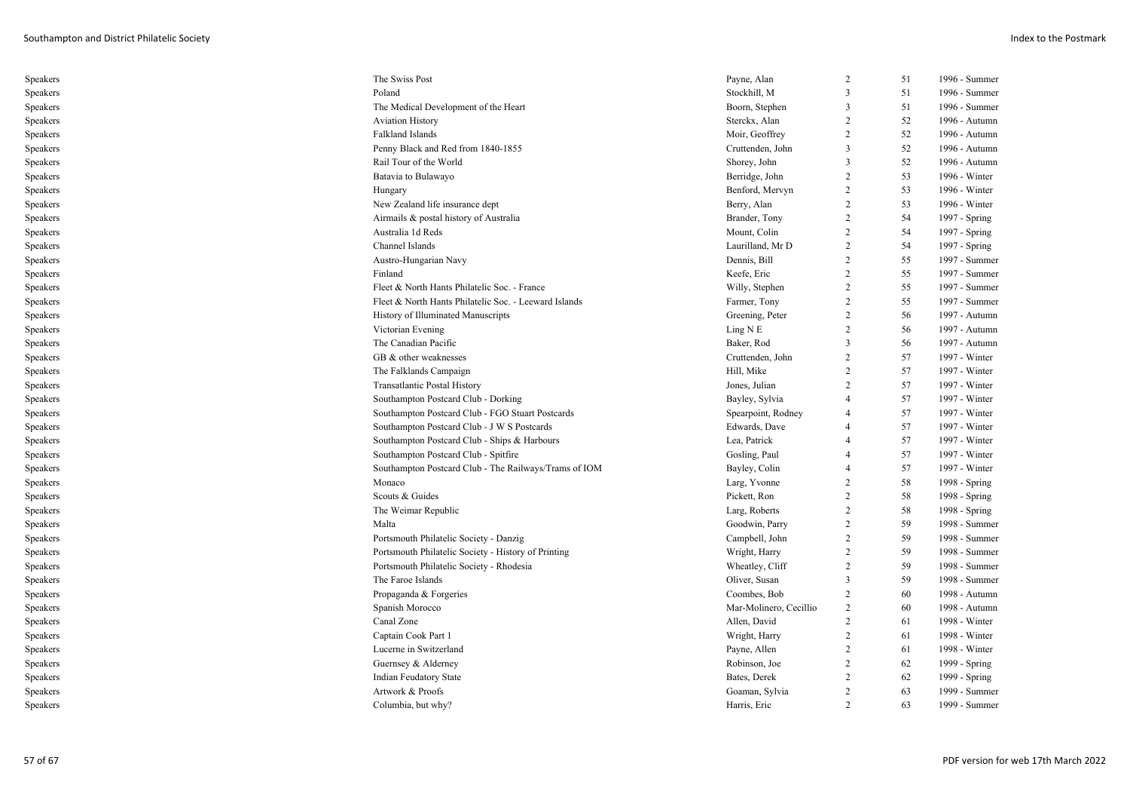| Speakers | The Swiss Post                                        | Payne, Alan            | 2              | 51 | 1996 - Summer |
|----------|-------------------------------------------------------|------------------------|----------------|----|---------------|
| Speakers | Poland                                                | Stockhill, M           | 3              | 51 | 1996 - Summer |
| Speakers | The Medical Development of the Heart                  | Boorn, Stephen         | 3              | 51 | 1996 - Summer |
| Speakers | <b>Aviation History</b>                               | Sterckx, Alan          | $\overline{2}$ | 52 | 1996 - Autumn |
| Speakers | Falkland Islands                                      | Moir, Geoffrey         | $\overline{2}$ | 52 | 1996 - Autumn |
| Speakers | Penny Black and Red from 1840-1855                    | Cruttenden, John       | 3              | 52 | 1996 - Autumn |
| Speakers | Rail Tour of the World                                | Shorey, John           | 3              | 52 | 1996 - Autumn |
| Speakers | Batavia to Bulawayo                                   | Berridge, John         | 2              | 53 | 1996 - Winter |
| Speakers | Hungary                                               | Benford, Mervyn        | 2              | 53 | 1996 - Winter |
| Speakers | New Zealand life insurance dept                       | Berry, Alan            | 2              | 53 | 1996 - Winter |
| Speakers | Airmails & postal history of Australia                | Brander, Tony          | 2              | 54 | 1997 - Spring |
| Speakers | Australia 1d Reds                                     | Mount, Colin           | 2              | 54 | 1997 - Spring |
| Speakers | Channel Islands                                       | Laurilland, Mr D       | 2              | 54 | 1997 - Spring |
| Speakers | Austro-Hungarian Navy                                 | Dennis, Bill           | $\overline{2}$ | 55 | 1997 - Summer |
| Speakers | Finland                                               | Keefe, Eric            | 2              | 55 | 1997 - Summer |
| Speakers | Fleet & North Hants Philatelic Soc. - France          | Willy, Stephen         | $\overline{2}$ | 55 | 1997 - Summer |
| Speakers | Fleet & North Hants Philatelic Soc. - Leeward Islands | Farmer, Tony           | $\overline{2}$ | 55 | 1997 - Summer |
| Speakers | History of Illuminated Manuscripts                    | Greening, Peter        | 2              | 56 | 1997 - Autumn |
| Speakers | Victorian Evening                                     | Ling N E               | 2              | 56 | 1997 - Autumn |
| Speakers | The Canadian Pacific                                  | Baker, Rod             | 3              | 56 | 1997 - Autumn |
| Speakers | GB & other weaknesses                                 | Cruttenden, John       | 2              | 57 | 1997 - Winter |
| Speakers | The Falklands Campaign                                | Hill, Mike             | 2              | 57 | 1997 - Winter |
| Speakers | <b>Transatlantic Postal History</b>                   | Jones, Julian          | 2              | 57 | 1997 - Winter |
| Speakers | Southampton Postcard Club - Dorking                   | Bayley, Sylvia         | $\overline{4}$ | 57 | 1997 - Winter |
| Speakers | Southampton Postcard Club - FGO Stuart Postcards      | Spearpoint, Rodney     | $\overline{4}$ | 57 | 1997 - Winter |
| Speakers | Southampton Postcard Club - J W S Postcards           | Edwards, Dave          | $\overline{4}$ | 57 | 1997 - Winter |
| Speakers | Southampton Postcard Club - Ships & Harbours          | Lea, Patrick           | $\overline{4}$ | 57 | 1997 - Winter |
| Speakers | Southampton Postcard Club - Spitfire                  | Gosling, Paul          | $\overline{4}$ | 57 | 1997 - Winter |
| Speakers | Southampton Postcard Club - The Railways/Trams of IOM | Bayley, Colin          | $\overline{4}$ | 57 | 1997 - Winter |
| Speakers | Monaco                                                | Larg, Yvonne           | 2              | 58 | 1998 - Spring |
| Speakers | Scouts & Guides                                       | Pickett, Ron           | 2              | 58 | 1998 - Spring |
| Speakers | The Weimar Republic                                   | Larg, Roberts          | 2              | 58 | 1998 - Spring |
| Speakers | Malta                                                 | Goodwin, Parry         | 2              | 59 | 1998 - Summer |
| Speakers | Portsmouth Philatelic Society - Danzig                | Campbell, John         | 2              | 59 | 1998 - Summer |
| Speakers | Portsmouth Philatelic Society - History of Printing   | Wright, Harry          | 2              | 59 | 1998 - Summer |
| Speakers | Portsmouth Philatelic Society - Rhodesia              | Wheatley, Cliff        | $\overline{2}$ | 59 | 1998 - Summer |
| Speakers | The Faroe Islands                                     | Oliver, Susan          | 3              | 59 | 1998 - Summer |
| Speakers | Propaganda & Forgeries                                | Coombes, Bob           | 2              | 60 | 1998 - Autumn |
| Speakers | Spanish Morocco                                       | Mar-Molinero, Cecillio | $\overline{c}$ | 60 | 1998 - Autumn |
| Speakers | Canal Zone                                            | Allen, David           | 2              | 61 | 1998 - Winter |
| Speakers | Captain Cook Part 1                                   | Wright, Harry          | 2              | 61 | 1998 - Winter |
| Speakers | Lucerne in Switzerland                                | Payne, Allen           | 2              | 61 | 1998 - Winter |
| Speakers | Guernsey & Alderney                                   | Robinson, Joe          | $\overline{2}$ | 62 | 1999 - Spring |
| Speakers | Indian Feudatory State                                | Bates, Derek           | $\overline{2}$ | 62 | 1999 - Spring |
| Speakers | Artwork & Proofs                                      | Goaman, Sylvia         | 2              | 63 | 1999 - Summer |
| Speakers | Columbia, but why?                                    | Harris, Eric           | $\mathcal{D}$  | 63 | 1999 - Summer |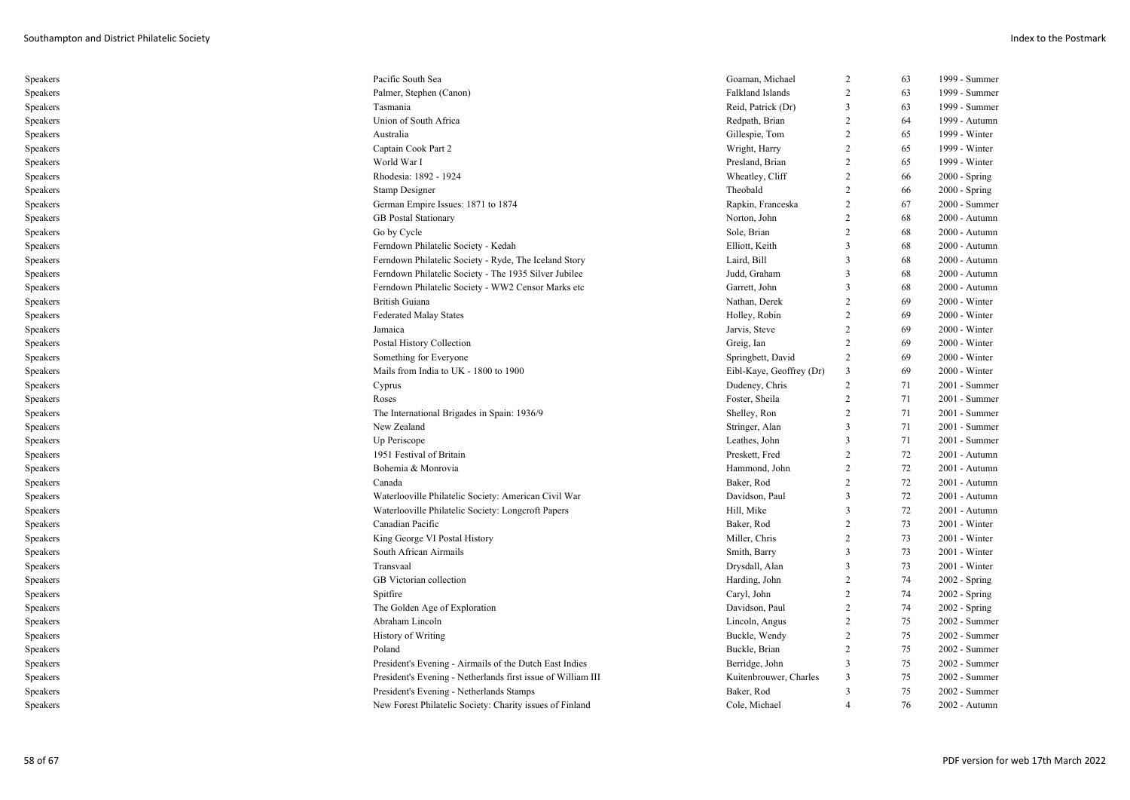| Speakers | Pacific South Sea                                            | Goaman, Michael          | 2              | 63       | 1999 - Summer                  |
|----------|--------------------------------------------------------------|--------------------------|----------------|----------|--------------------------------|
| Speakers | Palmer, Stephen (Canon)                                      | Falkland Islands         | $\overline{c}$ | 63       | 1999 - Summer                  |
| Speakers | Tasmania                                                     | Reid, Patrick (Dr)       | 3              | 63       | 1999 - Summer                  |
| Speakers | Union of South Africa                                        | Redpath, Brian           | 2              | 64       | 1999 - Autumn                  |
| Speakers | Australia                                                    | Gillespie, Tom           | 2              | 65       | 1999 - Winter                  |
| Speakers | Captain Cook Part 2                                          | Wright, Harry            | $\overline{2}$ | 65       | 1999 - Winter                  |
| Speakers | World War I                                                  | Presland, Brian          | $\overline{2}$ | 65       | 1999 - Winter                  |
| Speakers | Rhodesia: 1892 - 1924                                        | Wheatley, Cliff          | 2              | 66       | $2000 - Spring$                |
| Speakers | <b>Stamp Designer</b>                                        | Theobald                 | 2              | 66       | 2000 - Spring                  |
| Speakers | German Empire Issues: 1871 to 1874                           | Rapkin, Franceska        | 2              | 67       | 2000 - Summer                  |
| Speakers | <b>GB</b> Postal Stationary                                  | Norton, John             | $\overline{2}$ | 68       | 2000 - Autumn                  |
| Speakers | Go by Cycle                                                  | Sole, Brian              | 2              | 68       | 2000 - Autumn                  |
| Speakers | Ferndown Philatelic Society - Kedah                          | Elliott, Keith           | 3              | 68       | 2000 - Autumn                  |
| Speakers | Ferndown Philatelic Society - Ryde, The Iceland Story        | Laird, Bill              | 3              | 68       | 2000 - Autumn                  |
| Speakers | Ferndown Philatelic Society - The 1935 Silver Jubilee        | Judd, Graham             | 3              | 68       | 2000 - Autumn                  |
| Speakers | Ferndown Philatelic Society - WW2 Censor Marks etc           | Garrett, John            | 3              | 68       | 2000 - Autumn                  |
| Speakers | <b>British Guiana</b>                                        | Nathan, Derek            | $\overline{2}$ | 69       | 2000 - Winter                  |
| Speakers | <b>Federated Malay States</b>                                | Holley, Robin            | 2              | 69       | 2000 - Winter                  |
| Speakers | Jamaica                                                      | Jarvis, Steve            | 2              | 69       | $2000 - Winter$                |
| Speakers | Postal History Collection                                    | Greig, Ian               | 2              | 69       | $2000 - Winter$                |
| Speakers | Something for Everyone                                       | Springbett, David        | 2              | 69       | 2000 - Winter                  |
| Speakers | Mails from India to UK - 1800 to 1900                        | Eibl-Kaye, Geoffrey (Dr) | 3              | 69       | 2000 - Winter                  |
| Speakers | Cyprus                                                       | Dudeney, Chris           | 2              | 71       | 2001 - Summer                  |
| Speakers | Roses                                                        | Foster, Sheila           | 2              | 71       | 2001 - Summer                  |
| Speakers | The International Brigades in Spain: 1936/9                  | Shelley, Ron             | $\overline{2}$ | 71       | 2001 - Summer                  |
| Speakers | New Zealand                                                  | Stringer, Alan           | 3              | 71       | 2001 - Summer                  |
| Speakers | Up Periscope                                                 | Leathes, John            | 3              | 71       | 2001 - Summer                  |
| Speakers | 1951 Festival of Britain                                     | Preskett, Fred           | 2              | 72       | 2001 - Autumn                  |
| Speakers | Bohemia & Monrovia                                           | Hammond, John            | $\overline{2}$ | 72       | 2001 - Autumn                  |
| Speakers | Canada                                                       | Baker, Rod               | $\overline{2}$ | 72       | 2001 - Autumn                  |
| Speakers | Waterlooville Philatelic Society: American Civil War         | Davidson, Paul           | 3              | 72       | 2001 - Autumn                  |
| Speakers | Waterlooville Philatelic Society: Longcroft Papers           | Hill, Mike               | 3              | 72       | 2001 - Autumn                  |
| Speakers | Canadian Pacific                                             | Baker, Rod               | $\overline{2}$ | 73       | $2001 - Winter$                |
| Speakers | King George VI Postal History                                | Miller, Chris            | 2              | 73       | $2001 - Winter$                |
| Speakers | South African Airmails                                       | Smith, Barry             | 3              | 73       | $2001 - Winter$                |
| Speakers | Transvaal                                                    | Drysdall, Alan           | 3              | 73       | $2001 - Winter$                |
| Speakers | GB Victorian collection                                      | Harding, John            | $\overline{2}$ | 74       | 2002 - Spring                  |
| Speakers | Spitfire                                                     | Caryl, John              | $\overline{2}$ | 74       | 2002 - Spring                  |
| Speakers | The Golden Age of Exploration                                | Davidson, Paul           | 2              | 74       | 2002 - Spring                  |
| Speakers | Abraham Lincoln                                              | Lincoln, Angus           | 2              | 75       | 2002 - Summer                  |
|          |                                                              |                          | $\overline{2}$ | 75       | 2002 - Summer                  |
| Speakers | History of Writing                                           | Buckle, Wendy            | 2              |          |                                |
| Speakers | Poland                                                       | Buckle, Brian            | 3              | 75<br>75 | 2002 - Summer                  |
| Speakers | President's Evening - Airmails of the Dutch East Indies      | Berridge, John           | 3              |          | 2002 - Summer<br>2002 - Summer |
| Speakers | President's Evening - Netherlands first issue of William III | Kuitenbrouwer, Charles   |                | 75       |                                |
| Speakers | President's Evening - Netherlands Stamps                     | Baker, Rod               | 3              | 75       | 2002 - Summer                  |
| Speakers | New Forest Philatelic Society: Charity issues of Finland     | Cole, Michael            | $\overline{4}$ | 76       | 2002 - Autumn                  |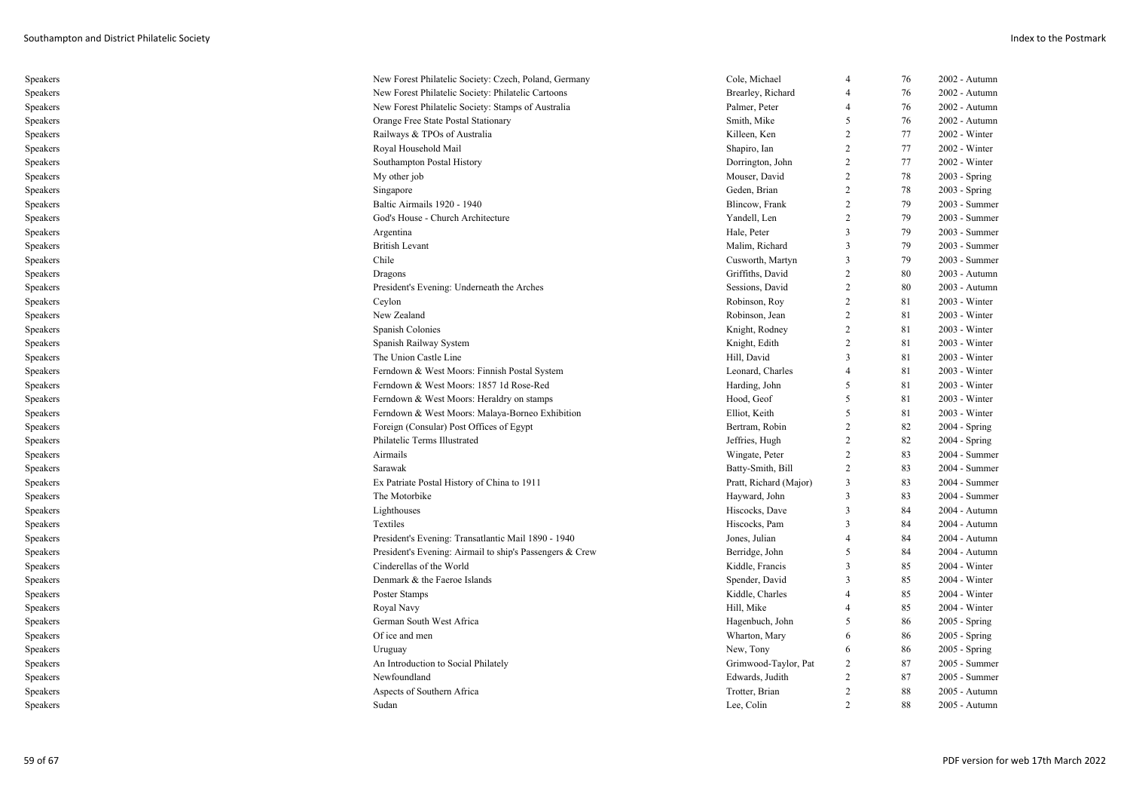| Speakers | New Forest Philatelic Society: Czech, Poland, Germany    | Cole, Michael          | $\overline{4}$           | 76 | 2002 - Autumn   |
|----------|----------------------------------------------------------|------------------------|--------------------------|----|-----------------|
| Speakers | New Forest Philatelic Society: Philatelic Cartoons       | Brearley, Richard      | $\overline{4}$           | 76 | 2002 - Autumn   |
| Speakers | New Forest Philatelic Society: Stamps of Australia       | Palmer, Peter          | $\overline{4}$           | 76 | 2002 - Autumn   |
| Speakers | Orange Free State Postal Stationary                      | Smith, Mike            | 5                        | 76 | 2002 - Autumn   |
| Speakers | Railways & TPOs of Australia                             | Killeen, Ken           | 2                        | 77 | 2002 - Winter   |
| Speakers | Royal Household Mail                                     | Shapiro, Ian           | 2                        | 77 | 2002 - Winter   |
| Speakers | Southampton Postal History                               | Dorrington, John       | 2                        | 77 | 2002 - Winter   |
| Speakers | My other job                                             | Mouser, David          | 2                        | 78 | $2003 - Spring$ |
| Speakers | Singapore                                                | Geden, Brian           | $\overline{2}$           | 78 | $2003 - Spring$ |
| Speakers | Baltic Airmails 1920 - 1940                              | Blincow, Frank         | $\overline{2}$           | 79 | 2003 - Summer   |
| Speakers | God's House - Church Architecture                        | Yandell, Len           | 2                        | 79 | 2003 - Summer   |
| Speakers | Argentina                                                | Hale, Peter            | 3                        | 79 | 2003 - Summer   |
| Speakers | <b>British Levant</b>                                    | Malim, Richard         | 3                        | 79 | 2003 - Summer   |
| Speakers | Chile                                                    | Cusworth, Martyn       | 3                        | 79 | 2003 - Summer   |
| Speakers | Dragons                                                  | Griffiths, David       | 2                        | 80 | 2003 - Autumn   |
| Speakers | President's Evening: Underneath the Arches               | Sessions, David        | 2                        | 80 | 2003 - Autumn   |
| Speakers | Ceylon                                                   | Robinson, Roy          | 2                        | 81 | 2003 - Winter   |
| Speakers | New Zealand                                              | Robinson, Jean         | 2                        | 81 | 2003 - Winter   |
| Speakers | Spanish Colonies                                         | Knight, Rodney         | 2                        | 81 | $2003 - Winter$ |
| Speakers | Spanish Railway System                                   | Knight, Edith          | $\overline{2}$           | 81 | 2003 - Winter   |
| Speakers | The Union Castle Line                                    | Hill, David            | 3                        | 81 | $2003 - Winter$ |
| Speakers | Ferndown & West Moors: Finnish Postal System             | Leonard, Charles       | $\overline{4}$           | 81 | $2003 - Winter$ |
| Speakers | Ferndown & West Moors: 1857 1d Rose-Red                  | Harding, John          | .5                       | 81 | 2003 - Winter   |
| Speakers | Ferndown & West Moors: Heraldry on stamps                | Hood, Geof             | -5                       | 81 | $2003 - Winter$ |
| Speakers | Ferndown & West Moors: Malaya-Borneo Exhibition          | Elliot, Keith          | 5                        | 81 | 2003 - Winter   |
| Speakers | Foreign (Consular) Post Offices of Egypt                 | Bertram, Robin         | 2                        | 82 | $2004 - Spring$ |
| Speakers | Philatelic Terms Illustrated                             | Jeffries, Hugh         | 2                        | 82 | $2004 - Spring$ |
| Speakers | Airmails                                                 | Wingate, Peter         | $\overline{2}$           | 83 | 2004 - Summer   |
| Speakers | Sarawak                                                  | Batty-Smith, Bill      | 2                        | 83 | 2004 - Summer   |
| Speakers | Ex Patriate Postal History of China to 1911              | Pratt, Richard (Major) | 3                        | 83 | 2004 - Summer   |
| Speakers | The Motorbike                                            | Hayward, John          | $\mathcal{R}$            | 83 | 2004 - Summer   |
| Speakers | Lighthouses                                              | Hiscocks, Dave         | 3                        | 84 | 2004 - Autumn   |
| Speakers | Textiles                                                 | Hiscocks, Pam          | 3                        | 84 | 2004 - Autumn   |
| Speakers | President's Evening: Transatlantic Mail 1890 - 1940      | Jones, Julian          | $\overline{4}$           | 84 | 2004 - Autumn   |
| Speakers | President's Evening: Airmail to ship's Passengers & Crew | Berridge, John         | $\overline{\phantom{1}}$ | 84 | 2004 - Autumn   |
| Speakers | Cinderellas of the World                                 | Kiddle, Francis        | 3                        | 85 | 2004 - Winter   |
| Speakers | Denmark & the Faeroe Islands                             | Spender, David         | 3                        | 85 | $2004 - Winter$ |
| Speakers | Poster Stamps                                            | Kiddle, Charles        | $\overline{4}$           | 85 | 2004 - Winter   |
| Speakers | Royal Navy                                               | Hill, Mike             | $\overline{4}$           | 85 | 2004 - Winter   |
| Speakers | German South West Africa                                 | Hagenbuch, John        | 5                        | 86 | 2005 - Spring   |
| Speakers | Of ice and men                                           | Wharton, Mary          | 6                        | 86 | $2005 - Spring$ |
| Speakers | Uruguay                                                  | New, Tony              | 6                        | 86 | 2005 - Spring   |
| Speakers | An Introduction to Social Philately                      | Grimwood-Taylor, Pat   | 2                        | 87 | 2005 - Summer   |
| Speakers | Newfoundland                                             | Edwards, Judith        | 2                        | 87 | 2005 - Summer   |
| Speakers | Aspects of Southern Africa                               | Trotter, Brian         | $\overline{c}$           | 88 | 2005 - Autumn   |
| Speakers | Sudan                                                    | Lee. Colin             |                          | 88 | $2005 -$ Autumn |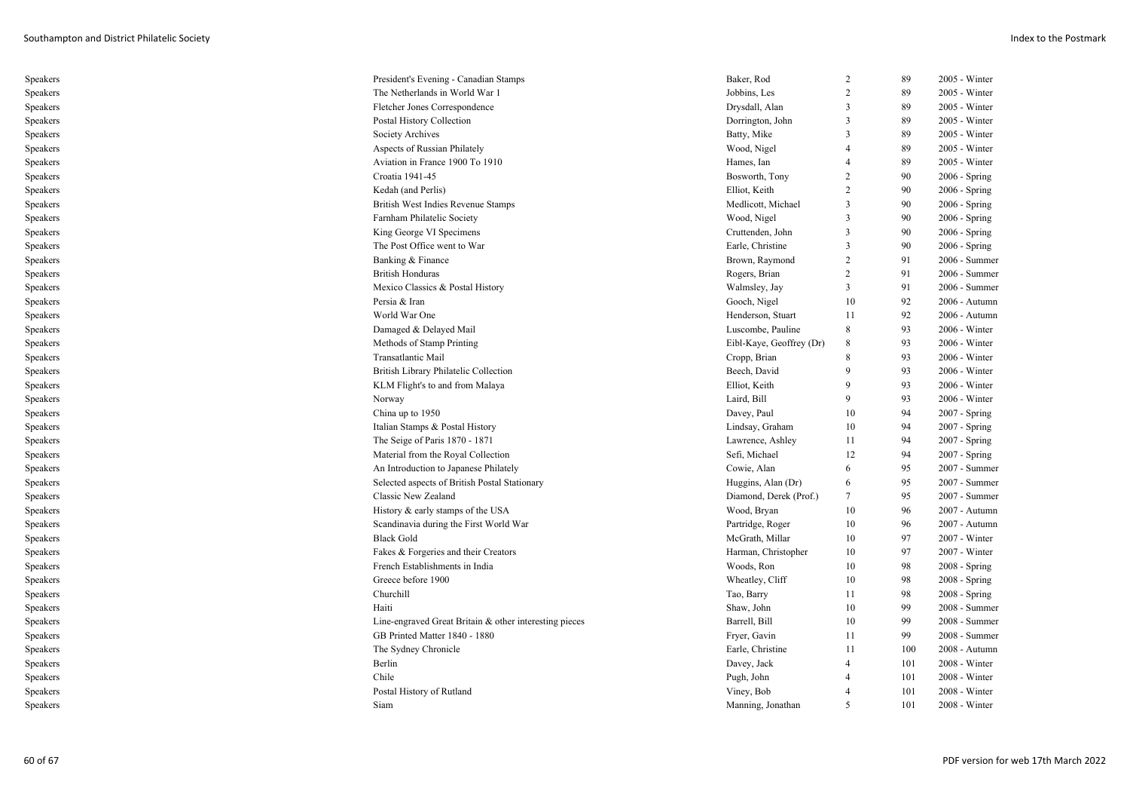| Speakers | President's Evening - Canadian Stamps                  | Baker, Rod               | 2              | 89  | $2005 - Winter$ |
|----------|--------------------------------------------------------|--------------------------|----------------|-----|-----------------|
| Speakers | The Netherlands in World War 1                         | Jobbins, Les             | 2              | 89  | 2005 - Winter   |
| Speakers | Fletcher Jones Correspondence                          | Drysdall, Alan           | 3              | 89  | 2005 - Winter   |
| Speakers | Postal History Collection                              | Dorrington, John         | 3              | 89  | 2005 - Winter   |
| Speakers | Society Archives                                       | Batty, Mike              | 3              | 89  | 2005 - Winter   |
| Speakers | Aspects of Russian Philately                           | Wood, Nigel              | $\overline{4}$ | 89  | $2005$ - Winter |
| Speakers | Aviation in France 1900 To 1910                        | Hames, Ian               | $\overline{4}$ | 89  | 2005 - Winter   |
| Speakers | Croatia 1941-45                                        | Bosworth, Tony           | $\overline{2}$ | 90  | 2006 - Spring   |
| Speakers | Kedah (and Perlis)                                     | Elliot, Keith            | 2              | 90  | $2006 - Spring$ |
| Speakers | British West Indies Revenue Stamps                     | Medlicott, Michael       | 3              | 90  | $2006 - Spring$ |
| Speakers | Farnham Philatelic Society                             | Wood, Nigel              | $\overline{3}$ | 90  | 2006 - Spring   |
| Speakers | King George VI Specimens                               | Cruttenden, John         | 3              | 90  | $2006 - Spring$ |
| Speakers | The Post Office went to War                            | Earle, Christine         | 3              | 90  | $2006 - Spring$ |
| Speakers | Banking & Finance                                      | Brown, Raymond           | 2              | 91  | 2006 - Summer   |
| Speakers | <b>British Honduras</b>                                | Rogers, Brian            | $\overline{2}$ | 91  | 2006 - Summer   |
| Speakers | Mexico Classics & Postal History                       | Walmsley, Jay            | $\mathfrak{Z}$ | 91  | 2006 - Summer   |
| Speakers | Persia & Iran                                          | Gooch, Nigel             | 10             | 92  | 2006 - Autumn   |
| Speakers | World War One                                          | Henderson, Stuart        | 11             | 92  | 2006 - Autumn   |
| Speakers | Damaged & Delayed Mail                                 | Luscombe, Pauline        | 8              | 93  | $2006 - Winter$ |
| Speakers | Methods of Stamp Printing                              | Eibl-Kaye, Geoffrey (Dr) | 8              | 93  | 2006 - Winter   |
| Speakers | Transatlantic Mail                                     | Cropp, Brian             | 8              | 93  | $2006 - Winter$ |
| Speakers | British Library Philatelic Collection                  | Beech, David             | 9              | 93  | 2006 - Winter   |
| Speakers | KLM Flight's to and from Malaya                        | Elliot, Keith            | $\mathbf{Q}$   | 93  | $2006 - Winter$ |
| Speakers | Norway                                                 | Laird, Bill              | 9              | 93  | $2006$ - Winter |
| Speakers | China up to 1950                                       | Davey, Paul              | 10             | 94  | 2007 - Spring   |
| Speakers | Italian Stamps & Postal History                        | Lindsay, Graham          | 10             | 94  | 2007 - Spring   |
| Speakers | The Seige of Paris 1870 - 1871                         | Lawrence, Ashley         | 11             | 94  | 2007 - Spring   |
| Speakers | Material from the Royal Collection                     | Sefi, Michael            | 12             | 94  | 2007 - Spring   |
| Speakers | An Introduction to Japanese Philately                  | Cowie, Alan              | 6              | 95  | 2007 - Summer   |
| Speakers | Selected aspects of British Postal Stationary          | Huggins, Alan (Dr)       | 6              | 95  | 2007 - Summer   |
| Speakers | Classic New Zealand                                    | Diamond, Derek (Prof.)   | $\tau$         | 95  | 2007 - Summer   |
| Speakers | History & early stamps of the USA                      | Wood, Bryan              | 10             | 96  | 2007 - Autumn   |
| Speakers | Scandinavia during the First World War                 | Partridge, Roger         | 10             | 96  | 2007 - Autumn   |
| Speakers | <b>Black Gold</b>                                      | McGrath, Millar          | 10             | 97  | 2007 - Winter   |
| Speakers | Fakes & Forgeries and their Creators                   | Harman, Christopher      | 10             | 97  | 2007 - Winter   |
| Speakers | French Establishments in India                         | Woods, Ron               | 10             | 98  | 2008 - Spring   |
| Speakers | Greece before 1900                                     | Wheatley, Cliff          | 10             | 98  | $2008 - Spring$ |
| Speakers | Churchill                                              | Tao, Barry               | 11             | 98  | $2008 - Spring$ |
| Speakers | Haiti                                                  | Shaw, John               | 10             | 99  | 2008 - Summer   |
| Speakers | Line-engraved Great Britain & other interesting pieces | Barrell, Bill            | 10             | 99  | 2008 - Summer   |
| Speakers | GB Printed Matter 1840 - 1880                          | Fryer, Gavin             | 11             | 99  | 2008 - Summer   |
| Speakers | The Sydney Chronicle                                   | Earle, Christine         | 11             | 100 | 2008 - Autumn   |
| Speakers | Berlin                                                 | Davey, Jack              | $\overline{4}$ | 101 | 2008 - Winter   |
| Speakers | Chile                                                  | Pugh, John               | $\overline{4}$ | 101 | 2008 - Winter   |
| Speakers | Postal History of Rutland                              | Viney, Bob               | $\overline{4}$ | 101 | 2008 - Winter   |
| Speakers | Siam                                                   | Manning, Jonathan        | 5              | 101 | $2008 - Winter$ |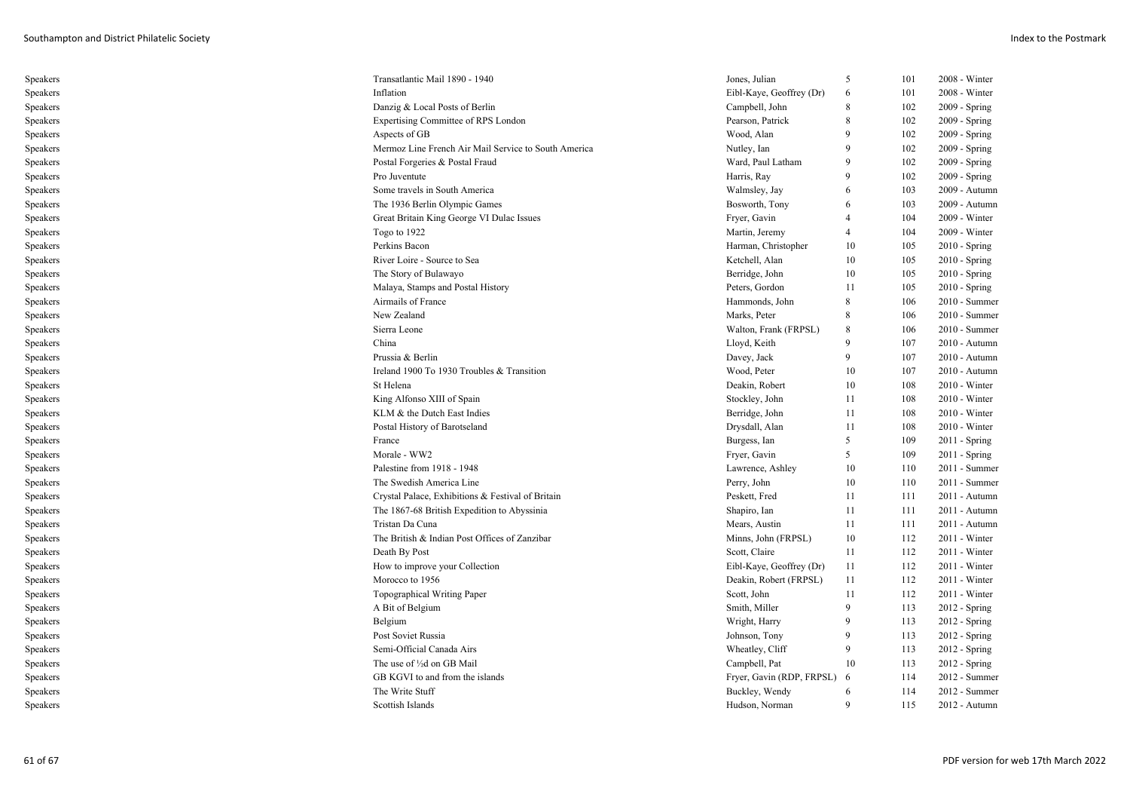| Speakers | Transatlantic Mail 1890 - 1940                       | Jones, Julian             | 5              | 101 | 2008 - Winter   |
|----------|------------------------------------------------------|---------------------------|----------------|-----|-----------------|
| Speakers | Inflation                                            | Eibl-Kaye, Geoffrey (Dr)  | 6              | 101 | 2008 - Winter   |
| Speakers | Danzig & Local Posts of Berlin                       | Campbell, John            | 8              | 102 | 2009 - Spring   |
| Speakers | Expertising Committee of RPS London                  | Pearson, Patrick          | 8              | 102 | 2009 - Spring   |
| Speakers | Aspects of GB                                        | Wood, Alan                | 9              | 102 | 2009 - Spring   |
| Speakers | Mermoz Line French Air Mail Service to South America | Nutley, Ian               | 9              | 102 | 2009 - Spring   |
| Speakers | Postal Forgeries & Postal Fraud                      | Ward, Paul Latham         | 9              | 102 | 2009 - Spring   |
| Speakers | Pro Juventute                                        | Harris, Ray               | 9              | 102 | $2009 - Spring$ |
| Speakers | Some travels in South America                        | Walmsley, Jay             | 6              | 103 | 2009 - Autumn   |
| Speakers | The 1936 Berlin Olympic Games                        | Bosworth, Tony            | 6              | 103 | 2009 - Autumn   |
| Speakers | Great Britain King George VI Dulac Issues            | Fryer, Gavin              | 4              | 104 | 2009 - Winter   |
| Speakers | Togo to 1922                                         | Martin, Jeremy            | $\overline{4}$ | 104 | 2009 - Winter   |
| Speakers | Perkins Bacon                                        | Harman, Christopher       | 10             | 105 | $2010 - Spring$ |
| Speakers | River Loire - Source to Sea                          | Ketchell, Alan            | 10             | 105 | $2010 - Spring$ |
| Speakers | The Story of Bulawayo                                | Berridge, John            | 10             | 105 | $2010 - Spring$ |
| Speakers | Malaya, Stamps and Postal History                    | Peters, Gordon            | 11             | 105 | $2010 - Spring$ |
| Speakers | Airmails of France                                   | Hammonds, John            | 8              | 106 | 2010 - Summer   |
| Speakers | New Zealand                                          | Marks, Peter              | 8              | 106 | 2010 - Summer   |
| Speakers | Sierra Leone                                         | Walton, Frank (FRPSL)     | 8              | 106 | 2010 - Summer   |
| Speakers | China                                                | Lloyd, Keith              | 9              | 107 | 2010 - Autumn   |
| Speakers | Prussia & Berlin                                     | Davey, Jack               | 9              | 107 | $2010 -$ Autumn |
| Speakers | Ireland 1900 To 1930 Troubles & Transition           | Wood, Peter               | 10             | 107 | 2010 - Autumn   |
| Speakers | St Helena                                            | Deakin, Robert            | 10             | 108 | $2010 - Winter$ |
| Speakers | King Alfonso XIII of Spain                           | Stockley, John            | 11             | 108 | $2010 - Winter$ |
| Speakers | KLM & the Dutch East Indies                          | Berridge, John            | 11             | 108 | $2010 - Winter$ |
| Speakers | Postal History of Barotseland                        | Drysdall, Alan            | 11             | 108 | $2010 - Winter$ |
| Speakers | France                                               | Burgess, Ian              | 5              | 109 | $2011 -$ Spring |
| Speakers | Morale - WW2                                         | Fryer, Gavin              | 5              | 109 | $2011 -$ Spring |
| Speakers | Palestine from 1918 - 1948                           | Lawrence, Ashley          | 10             | 110 | 2011 - Summer   |
| Speakers | The Swedish America Line                             | Perry, John               | 10             | 110 | 2011 - Summer   |
| Speakers | Crystal Palace, Exhibitions & Festival of Britain    | Peskett, Fred             | 11             | 111 | 2011 - Autumn   |
| Speakers | The 1867-68 British Expedition to Abyssinia          | Shapiro, Ian              | 11             | 111 | 2011 - Autumn   |
| Speakers | Tristan Da Cuna                                      | Mears, Austin             | 11             | 111 | 2011 - Autumn   |
| Speakers | The British & Indian Post Offices of Zanzibar        | Minns, John (FRPSL)       | 10             | 112 | $2011 - Winter$ |
| Speakers | Death By Post                                        | Scott, Claire             | 11             | 112 | 2011 - Winter   |
| Speakers | How to improve your Collection                       | Eibl-Kaye, Geoffrey (Dr)  | 11             | 112 | 2011 - Winter   |
| Speakers | Morocco to 1956                                      | Deakin, Robert (FRPSL)    | 11             | 112 | 2011 - Winter   |
| Speakers | <b>Topographical Writing Paper</b>                   | Scott, John               | 11             | 112 | $2011 - Winter$ |
| Speakers | A Bit of Belgium                                     | Smith, Miller             | 9              | 113 | 2012 - Spring   |
| Speakers | Belgium                                              | Wright, Harry             | 9              | 113 | $2012$ - Spring |
| Speakers | Post Soviet Russia                                   | Johnson, Tony             | 9              | 113 | $2012 - Spring$ |
| Speakers | Semi-Official Canada Airs                            | Wheatley, Cliff           | 9              | 113 | 2012 - Spring   |
| Speakers | The use of 1/2d on GB Mail                           | Campbell, Pat             | 10             | 113 | $2012 - Spring$ |
| Speakers | GB KGVI to and from the islands                      | Fryer, Gavin (RDP, FRPSL) | - 6            | 114 | 2012 - Summer   |
| Speakers | The Write Stuff                                      | Buckley, Wendy            | 6              | 114 | 2012 - Summer   |
| Speakers | Scottish Islands                                     | Hudson, Norman            | 9              | 115 | 2012 - Autumn   |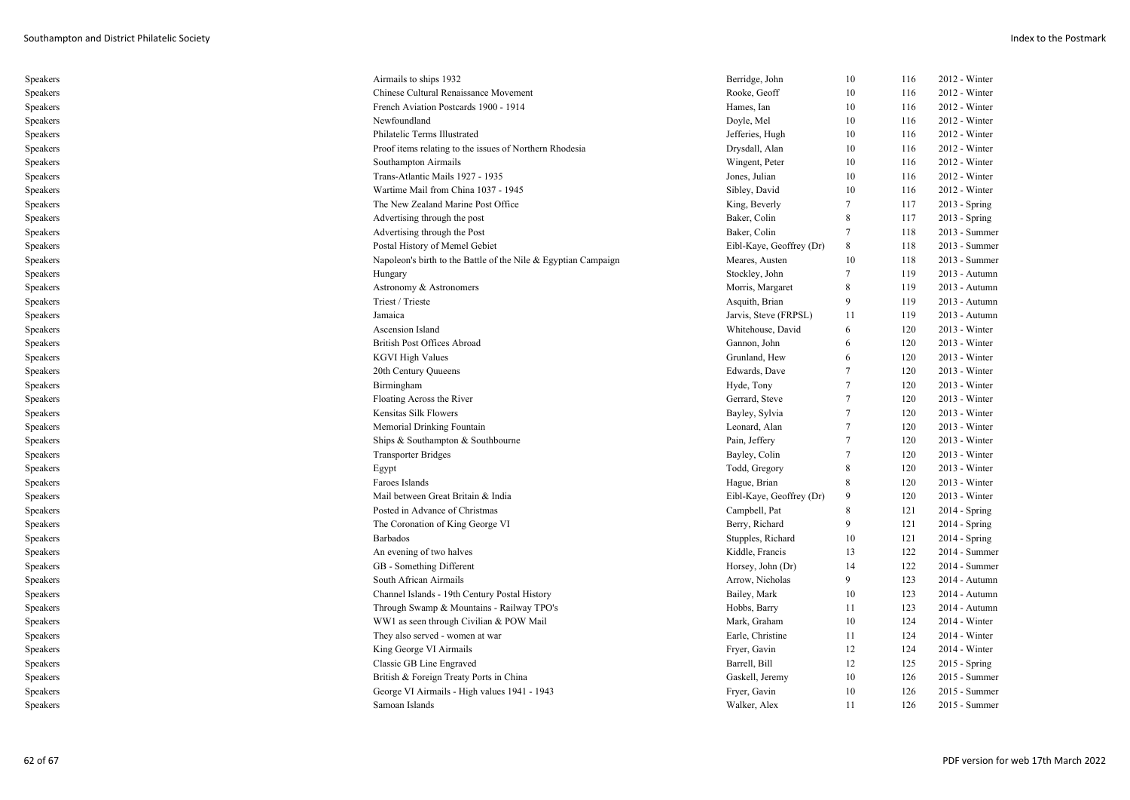| Speakers | Airmails to ships 1932                                         | Berridge, John           | 10 | 116 | $2012 - Winter$ |
|----------|----------------------------------------------------------------|--------------------------|----|-----|-----------------|
| Speakers | Chinese Cultural Renaissance Movement                          | Rooke, Geoff             | 10 | 116 | 2012 - Winter   |
| Speakers | French Aviation Postcards 1900 - 1914                          | Hames, Ian               | 10 | 116 | 2012 - Winter   |
| Speakers | Newfoundland                                                   | Doyle, Mel               | 10 | 116 | $2012 - Winter$ |
| Speakers | Philatelic Terms Illustrated                                   | Jefferies, Hugh          | 10 | 116 | 2012 - Winter   |
| Speakers | Proof items relating to the issues of Northern Rhodesia        | Drysdall, Alan           | 10 | 116 | 2012 - Winter   |
| Speakers | Southampton Airmails                                           | Wingent, Peter           | 10 | 116 | 2012 - Winter   |
| Speakers | Trans-Atlantic Mails 1927 - 1935                               | Jones, Julian            | 10 | 116 | 2012 - Winter   |
| Speakers | Wartime Mail from China 1037 - 1945                            | Sibley, David            | 10 | 116 | $2012 - Winter$ |
| Speakers | The New Zealand Marine Post Office                             | King, Beverly            | 7  | 117 | 2013 - Spring   |
| Speakers | Advertising through the post                                   | Baker, Colin             | 8  | 117 | $2013 - Spring$ |
| Speakers | Advertising through the Post                                   | Baker, Colin             | 7  | 118 | 2013 - Summer   |
| Speakers | Postal History of Memel Gebiet                                 | Eibl-Kaye, Geoffrey (Dr) | 8  | 118 | 2013 - Summer   |
| Speakers | Napoleon's birth to the Battle of the Nile & Egyptian Campaign | Meares, Austen           | 10 | 118 | 2013 - Summer   |
| Speakers | Hungary                                                        | Stockley, John           | 7  | 119 | 2013 - Autumn   |
| Speakers | Astronomy & Astronomers                                        | Morris, Margaret         | 8  | 119 | 2013 - Autumn   |
| Speakers | Triest / Trieste                                               | Asquith, Brian           | 9  | 119 | 2013 - Autumn   |
| Speakers | Jamaica                                                        | Jarvis, Steve (FRPSL)    | 11 | 119 | 2013 - Autumn   |
| Speakers | Ascension Island                                               | Whitehouse, David        | 6  | 120 | 2013 - Winter   |
| Speakers | British Post Offices Abroad                                    | Gannon, John             | 6  | 120 | 2013 - Winter   |
| Speakers | <b>KGVI High Values</b>                                        | Grunland, Hew            | 6  | 120 | 2013 - Winter   |
| Speakers | 20th Century Quueens                                           | Edwards, Dave            | 7  | 120 | 2013 - Winter   |
| Speakers | Birmingham                                                     | Hyde, Tony               | 7  | 120 | $2013 - Winter$ |
| Speakers | Floating Across the River                                      | Gerrard, Steve           | 7  | 120 | 2013 - Winter   |
| Speakers | Kensitas Silk Flowers                                          | Bayley, Sylvia           | 7  | 120 | $2013 - Winter$ |
| Speakers | Memorial Drinking Fountain                                     | Leonard, Alan            | 7  | 120 | $2013 - Winter$ |
| Speakers | Ships & Southampton & Southbourne                              | Pain, Jeffery            | 7  | 120 | 2013 - Winter   |
| Speakers | <b>Transporter Bridges</b>                                     | Bayley, Colin            | 7  | 120 | 2013 - Winter   |
| Speakers | Egypt                                                          | Todd, Gregory            | 8  | 120 | $2013 - Winter$ |
| Speakers | Faroes Islands                                                 | Hague, Brian             | 8  | 120 | 2013 - Winter   |
| Speakers | Mail between Great Britain & India                             | Eibl-Kaye, Geoffrey (Dr) | 9  | 120 | 2013 - Winter   |
| Speakers | Posted in Advance of Christmas                                 | Campbell, Pat            | 8  | 121 | $2014 - Spring$ |
| Speakers | The Coronation of King George VI                               | Berry, Richard           | 9  | 121 | 2014 - Spring   |
| Speakers | Barbados                                                       | Stupples, Richard        | 10 | 121 | $2014 - Spring$ |
| Speakers | An evening of two halves                                       | Kiddle, Francis          | 13 | 122 | 2014 - Summer   |
| Speakers | GB - Something Different                                       | Horsey, John (Dr)        | 14 | 122 | 2014 - Summer   |
| Speakers | South African Airmails                                         | Arrow, Nicholas          | 9  | 123 | 2014 - Autumn   |
| Speakers | Channel Islands - 19th Century Postal History                  | Bailey, Mark             | 10 | 123 | 2014 - Autumn   |
| Speakers | Through Swamp & Mountains - Railway TPO's                      | Hobbs, Barry             | 11 | 123 | 2014 - Autumn   |
| Speakers | WW1 as seen through Civilian & POW Mail                        | Mark, Graham             | 10 | 124 | $2014 - Winter$ |
| Speakers | They also served - women at war                                | Earle, Christine         | 11 | 124 | 2014 - Winter   |
| Speakers | King George VI Airmails                                        | Fryer, Gavin             | 12 | 124 | $2014 - Winter$ |
| Speakers | Classic GB Line Engraved                                       | Barrell, Bill            | 12 | 125 | 2015 - Spring   |
| Speakers | British & Foreign Treaty Ports in China                        | Gaskell, Jeremy          | 10 | 126 | 2015 - Summer   |
| Speakers | George VI Airmails - High values 1941 - 1943                   | Fryer, Gavin             | 10 | 126 | 2015 - Summer   |
| Speakers | Samoan Islands                                                 | Walker, Alex             | 11 | 126 | $2015$ - Summer |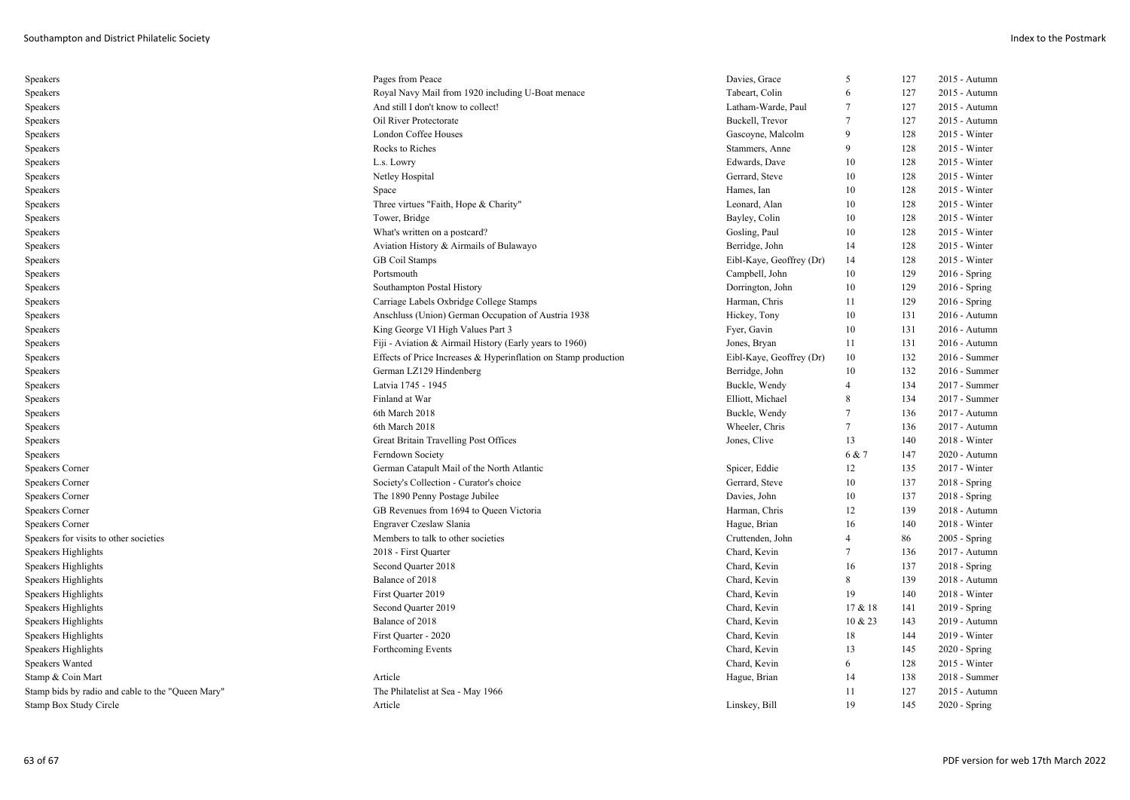| Speakers                                          | Pages from Peace                                                | Davies, Grace            | 5       | 127 | 2015 - Autumn   |
|---------------------------------------------------|-----------------------------------------------------------------|--------------------------|---------|-----|-----------------|
| Speakers                                          | Royal Navy Mail from 1920 including U-Boat menace               | Tabeart, Colin           | 6       | 127 | 2015 - Autumn   |
| Speakers                                          | And still I don't know to collect!                              | Latham-Warde, Paul       | 7       | 127 | 2015 - Autumn   |
| Speakers                                          | Oil River Protectorate                                          | Buckell, Trevor          | 7       | 127 | 2015 - Autumn   |
| Speakers                                          | London Coffee Houses                                            | Gascoyne, Malcolm        | 9       | 128 | 2015 - Winter   |
| Speakers                                          | Rocks to Riches                                                 | Stammers, Anne           | 9       | 128 | 2015 - Winter   |
| Speakers                                          | L.s. Lowry                                                      | Edwards, Dave            | 10      | 128 | 2015 - Winter   |
| Speakers                                          | Netley Hospital                                                 | Gerrard, Steve           | 10      | 128 | 2015 - Winter   |
| Speakers                                          | Space                                                           | Hames, Ian               | 10      | 128 | 2015 - Winter   |
| Speakers                                          | Three virtues "Faith, Hope & Charity"                           | Leonard, Alan            | 10      | 128 | 2015 - Winter   |
| Speakers                                          | Tower, Bridge                                                   | Bayley, Colin            | 10      | 128 | 2015 - Winter   |
| Speakers                                          | What's written on a postcard?                                   | Gosling, Paul            | 10      | 128 | 2015 - Winter   |
| Speakers                                          | Aviation History & Airmails of Bulawayo                         | Berridge, John           | 14      | 128 | 2015 - Winter   |
| Speakers                                          | <b>GB</b> Coil Stamps                                           | Eibl-Kaye, Geoffrey (Dr) | 14      | 128 | 2015 - Winter   |
| Speakers                                          | Portsmouth                                                      | Campbell, John           | 10      | 129 | $2016 -$ Spring |
| Speakers                                          | Southampton Postal History                                      | Dorrington, John         | 10      | 129 | $2016 -$ Spring |
| Speakers                                          | Carriage Labels Oxbridge College Stamps                         | Harman, Chris            | 11      | 129 | $2016$ - Spring |
| Speakers                                          | Anschluss (Union) German Occupation of Austria 1938             | Hickey, Tony             | 10      | 131 | 2016 - Autumn   |
| Speakers                                          | King George VI High Values Part 3                               | Fyer, Gavin              | 10      | 131 | 2016 - Autumn   |
| Speakers                                          | Fiji - Aviation & Airmail History (Early years to 1960)         | Jones, Bryan             | 11      | 131 | 2016 - Autumn   |
| Speakers                                          | Effects of Price Increases & Hyperinflation on Stamp production | Eibl-Kaye, Geoffrey (Dr) | 10      | 132 | 2016 - Summer   |
| Speakers                                          | German LZ129 Hindenberg                                         | Berridge, John           | 10      | 132 | 2016 - Summer   |
| Speakers                                          | Latvia 1745 - 1945                                              | Buckle, Wendy            | 4       | 134 | 2017 - Summer   |
| Speakers                                          | Finland at War                                                  | Elliott, Michael         | 8       | 134 | 2017 - Summer   |
| Speakers                                          | 6th March 2018                                                  | Buckle, Wendy            | 7       | 136 | 2017 - Autumn   |
| Speakers                                          | 6th March 2018                                                  | Wheeler, Chris           | 7       | 136 | 2017 - Autumn   |
| Speakers                                          | Great Britain Travelling Post Offices                           | Jones, Clive             | 13      | 140 | $2018 - Winter$ |
| Speakers                                          | Ferndown Society                                                |                          | 6 & 7   | 147 | 2020 - Autumn   |
| Speakers Corner                                   | German Catapult Mail of the North Atlantic                      | Spicer, Eddie            | 12      | 135 | 2017 - Winter   |
| Speakers Corner                                   | Society's Collection - Curator's choice                         | Gerrard, Steve           | 10      | 137 | $2018 - Spring$ |
| <b>Speakers Corner</b>                            | The 1890 Penny Postage Jubilee                                  | Davies, John             | 10      | 137 | $2018 -$ Spring |
| Speakers Corner                                   | GB Revenues from 1694 to Queen Victoria                         | Harman, Chris            | 12      | 139 | 2018 - Autumn   |
| Speakers Corner                                   | Engraver Czeslaw Slania                                         | Hague, Brian             | 16      | 140 | 2018 - Winter   |
| Speakers for visits to other societies            | Members to talk to other societies                              | Cruttenden, John         | 4       | 86  | 2005 - Spring   |
| Speakers Highlights                               | 2018 - First Quarter                                            | Chard, Kevin             | $\tau$  | 136 | 2017 - Autumn   |
| Speakers Highlights                               | Second Quarter 2018                                             | Chard, Kevin             | 16      | 137 | $2018 - Spring$ |
| Speakers Highlights                               | Balance of 2018                                                 | Chard, Kevin             | 8       | 139 | 2018 - Autumn   |
| Speakers Highlights                               | First Quarter 2019                                              | Chard, Kevin             | 19      | 140 | 2018 - Winter   |
| Speakers Highlights                               | Second Quarter 2019                                             | Chard, Kevin             | 17 & 18 | 141 | 2019 - Spring   |
| Speakers Highlights                               | Balance of 2018                                                 | Chard, Kevin             | 10 & 23 | 143 | 2019 - Autumn   |
| Speakers Highlights                               | First Quarter - 2020                                            | Chard, Kevin             | 18      | 144 | 2019 - Winter   |
| Speakers Highlights                               | Forthcoming Events                                              | Chard, Kevin             | 13      | 145 | $2020 - Spring$ |
| Speakers Wanted                                   |                                                                 | Chard, Kevin             | 6       | 128 | 2015 - Winter   |
| Stamp & Coin Mart                                 | Article                                                         | Hague, Brian             | 14      | 138 | 2018 - Summer   |
| Stamp bids by radio and cable to the "Queen Mary" | The Philatelist at Sea - May 1966                               |                          | 11      | 127 | 2015 - Autumn   |
| Stamp Box Study Circle                            | Article                                                         | Linskey, Bill            | 19      | 145 | $2020 - Spring$ |
|                                                   |                                                                 |                          |         |     |                 |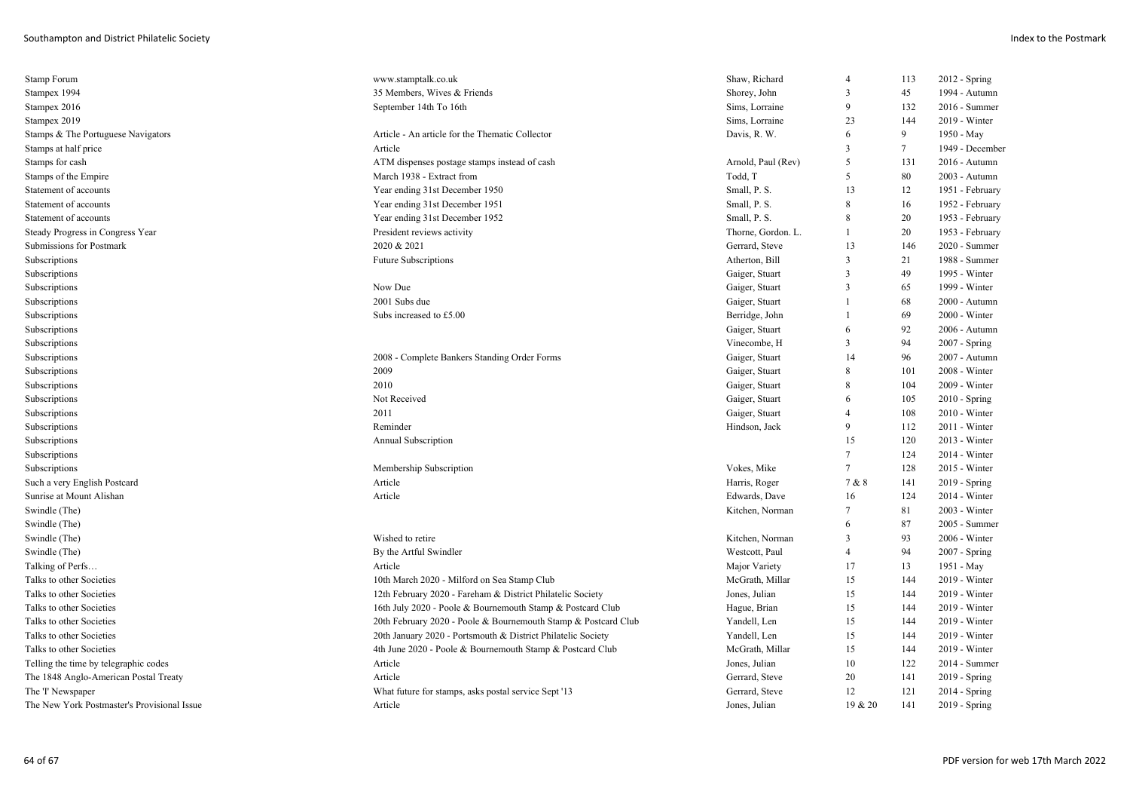| Stamp Forum                                 | www.stamptalk.co.uk                                            | Shaw, Richard      | $\overline{4}$ | 113    | $2012$ - Spring |
|---------------------------------------------|----------------------------------------------------------------|--------------------|----------------|--------|-----------------|
| Stampex 1994                                | 35 Members, Wives & Friends                                    | Shorey, John       | 3              | 45     | 1994 - Autumn   |
| Stampex 2016                                | September 14th To 16th                                         | Sims, Lorraine     | 9              | 132    | 2016 - Summer   |
| Stampex 2019                                |                                                                | Sims, Lorraine     | 23             | 144    | 2019 - Winter   |
| Stamps & The Portuguese Navigators          | Article - An article for the Thematic Collector                | Davis, R. W.       | 6              | 9      | 1950 - May      |
| Stamps at half price                        | Article                                                        |                    | 3              | $\tau$ | 1949 - December |
| Stamps for cash                             | ATM dispenses postage stamps instead of cash                   | Arnold, Paul (Rev) | 5              | 131    | 2016 - Autumn   |
| Stamps of the Empire                        | March 1938 - Extract from                                      | Todd, T            | 5              | 80     | 2003 - Autumn   |
| Statement of accounts                       | Year ending 31st December 1950                                 | Small, P. S.       | 13             | 12     | 1951 - February |
| Statement of accounts                       | Year ending 31st December 1951                                 | Small, P. S.       | 8              | 16     | 1952 - February |
| Statement of accounts                       | Year ending 31st December 1952                                 | Small, P. S.       | 8              | 20     | 1953 - February |
| Steady Progress in Congress Year            | President reviews activity                                     | Thorne, Gordon. L. | 1              | 20     | 1953 - February |
| Submissions for Postmark                    | 2020 & 2021                                                    | Gerrard, Steve     | 13             | 146    | 2020 - Summer   |
| Subscriptions                               | <b>Future Subscriptions</b>                                    | Atherton, Bill     | 3              | 21     | 1988 - Summer   |
| Subscriptions                               |                                                                | Gaiger, Stuart     | 3              | 49     | 1995 - Winter   |
| Subscriptions                               | Now Due                                                        | Gaiger, Stuart     | 3              | 65     | 1999 - Winter   |
| Subscriptions                               | 2001 Subs due                                                  | Gaiger, Stuart     | $\mathbf{1}$   | 68     | 2000 - Autumn   |
| Subscriptions                               | Subs increased to £5.00                                        | Berridge, John     |                | 69     | 2000 - Winter   |
| Subscriptions                               |                                                                | Gaiger, Stuart     | 6              | 92     | 2006 - Autumn   |
| Subscriptions                               |                                                                | Vinecombe, H       | 3              | 94     | 2007 - Spring   |
| Subscriptions                               | 2008 - Complete Bankers Standing Order Forms                   | Gaiger, Stuart     | 14             | 96     | 2007 - Autumn   |
| Subscriptions                               | 2009                                                           | Gaiger, Stuart     | 8              | 101    | 2008 - Winter   |
| Subscriptions                               | 2010                                                           | Gaiger, Stuart     | 8              | 104    | 2009 - Winter   |
| Subscriptions                               | Not Received                                                   | Gaiger, Stuart     | 6              | 105    | $2010 - Spring$ |
| Subscriptions                               | 2011                                                           | Gaiger, Stuart     | $\overline{4}$ | 108    | 2010 - Winter   |
| Subscriptions                               | Reminder                                                       | Hindson, Jack      | 9              | 112    | 2011 - Winter   |
| Subscriptions                               | Annual Subscription                                            |                    | 15             | 120    | 2013 - Winter   |
| Subscriptions                               |                                                                |                    | $\tau$         | 124    | 2014 - Winter   |
| Subscriptions                               | Membership Subscription                                        | Vokes, Mike        | 7              | 128    | 2015 - Winter   |
| Such a very English Postcard                | Article                                                        | Harris, Roger      | 7 & 8          | 141    | 2019 - Spring   |
| Sunrise at Mount Alishan                    | Article                                                        | Edwards, Dave      | 16             | 124    | 2014 - Winter   |
| Swindle (The)                               |                                                                | Kitchen, Norman    | 7              | 81     | 2003 - Winter   |
| Swindle (The)                               |                                                                |                    | 6              | 87     | 2005 - Summer   |
| Swindle (The)                               | Wished to retire                                               | Kitchen, Norman    | 3              | 93     | 2006 - Winter   |
| Swindle (The)                               | By the Artful Swindler                                         | Westcott, Paul     | 4              | 94     | 2007 - Spring   |
| Talking of Perfs                            | Article                                                        | Major Variety      | 17             | 13     | 1951 - May      |
| Talks to other Societies                    | 10th March 2020 - Milford on Sea Stamp Club                    | McGrath, Millar    | 15             | 144    | 2019 - Winter   |
| Talks to other Societies                    | 12th February 2020 - Fareham & District Philatelic Society     | Jones, Julian      | 15             | 144    | 2019 - Winter   |
| Talks to other Societies                    | 16th July 2020 - Poole & Bournemouth Stamp & Postcard Club     | Hague, Brian       | 15             | 144    | 2019 - Winter   |
| Talks to other Societies                    | 20th February 2020 - Poole & Bournemouth Stamp & Postcard Club | Yandell, Len       | 15             | 144    | 2019 - Winter   |
| Talks to other Societies                    | 20th January 2020 - Portsmouth & District Philatelic Society   | Yandell, Len       | 15             | 144    | 2019 - Winter   |
| Talks to other Societies                    | 4th June 2020 - Poole & Bournemouth Stamp & Postcard Club      | McGrath, Millar    | 15             | 144    | 2019 - Winter   |
|                                             | Article                                                        | Jones, Julian      | 10             | 122    | $2014$ - Summer |
| Telling the time by telegraphic codes       | Article                                                        | Gerrard, Steve     | 20             | 141    | 2019 - Spring   |
| The 1848 Anglo-American Postal Treaty       |                                                                |                    |                |        |                 |
| The 'I' Newspaper                           | What future for stamps, asks postal service Sept '13           | Gerrard, Steve     | 12             | 121    | 2014 - Spring   |
| The New York Postmaster's Provisional Issue | Article                                                        | Jones, Julian      | 19 & 20        | 141    | 2019 - Spring   |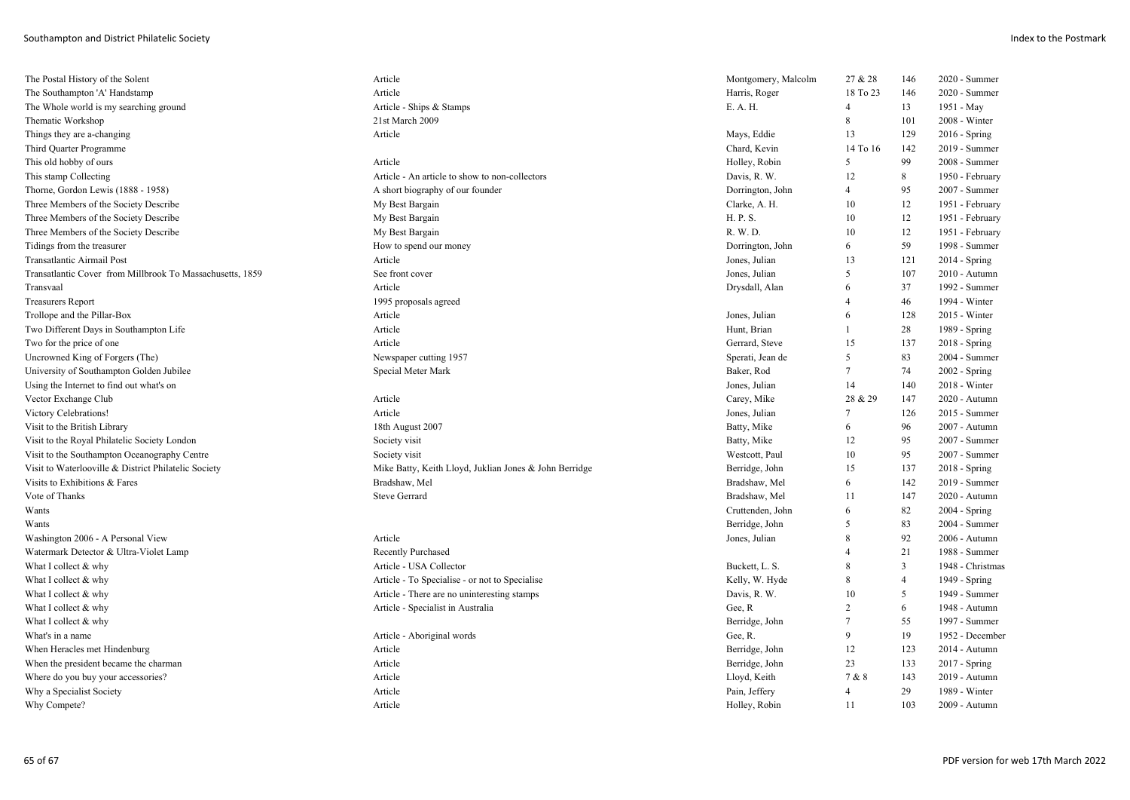| The Postal History of the Solent                          | Article                                                | Montgomery, Malcolm | 27 & 28        | 146            | 2020 - Summer    |
|-----------------------------------------------------------|--------------------------------------------------------|---------------------|----------------|----------------|------------------|
| The Southampton 'A' Handstamp                             | Article                                                | Harris, Roger       | 18 To 23       | 146            | 2020 - Summer    |
| The Whole world is my searching ground                    | Article - Ships & Stamps                               | E. A. H.            | $\overline{4}$ | 13             | 1951 - May       |
| Thematic Workshop                                         | 21st March 2009                                        |                     | 8              | 101            | 2008 - Winter    |
| Things they are a-changing                                | Article                                                | Mays, Eddie         | 13             | 129            | $2016 -$ Spring  |
| Third Quarter Programme                                   |                                                        | Chard, Kevin        | 14 To 16       | 142            | 2019 - Summer    |
| This old hobby of ours                                    | Article                                                | Holley, Robin       | 5              | 99             | 2008 - Summer    |
| This stamp Collecting                                     | Article - An article to show to non-collectors         | Davis, R. W.        | 12             | 8              | 1950 - February  |
| Thorne, Gordon Lewis (1888 - 1958)                        | A short biography of our founder                       | Dorrington, John    | 4              | 95             | 2007 - Summer    |
| Three Members of the Society Describe                     | My Best Bargain                                        | Clarke, A. H.       | 10             | 12             | 1951 - February  |
| Three Members of the Society Describe                     | My Best Bargain                                        | H. P. S.            | 10             | 12             | 1951 - February  |
| Three Members of the Society Describe                     | My Best Bargain                                        | R. W. D.            | 10             | 12             | 1951 - February  |
| Tidings from the treasurer                                | How to spend our money                                 | Dorrington, John    | 6              | 59             | 1998 - Summer    |
| Transatlantic Airmail Post                                | Article                                                | Jones, Julian       | 13             | 121            | $2014 - Spring$  |
| Transatlantic Cover from Millbrook To Massachusetts, 1859 | See front cover                                        | Jones, Julian       | 5              | 107            | 2010 - Autumn    |
| Transvaal                                                 | Article                                                | Drysdall, Alan      | 6              | 37             | 1992 - Summer    |
| <b>Treasurers Report</b>                                  | 1995 proposals agreed                                  |                     | 4              | 46             | 1994 - Winter    |
| Trollope and the Pillar-Box                               | Article                                                | Jones, Julian       | 6              | 128            | 2015 - Winter    |
| Two Different Days in Southampton Life                    | Article                                                | Hunt, Brian         | 1              | 28             | 1989 - Spring    |
| Two for the price of one                                  | Article                                                | Gerrard, Steve      | 15             | 137            | $2018 -$ Spring  |
| Uncrowned King of Forgers (The)                           | Newspaper cutting 1957                                 | Sperati, Jean de    | 5              | 83             | 2004 - Summer    |
| University of Southampton Golden Jubilee                  | Special Meter Mark                                     | Baker, Rod          | 7              | 74             | $2002 - Spring$  |
| Using the Internet to find out what's on                  |                                                        | Jones, Julian       | 14             | 140            | 2018 - Winter    |
| Vector Exchange Club                                      | Article                                                | Carey, Mike         | 28 & 29        | 147            | 2020 - Autumn    |
| Victory Celebrations!                                     | Article                                                | Jones, Julian       | 7              | 126            | 2015 - Summer    |
| Visit to the British Library                              | 18th August 2007                                       | Batty, Mike         | 6              | 96             | 2007 - Autumn    |
| Visit to the Royal Philatelic Society London              | Society visit                                          | Batty, Mike         | 12             | 95             | 2007 - Summer    |
| Visit to the Southampton Oceanography Centre              | Society visit                                          | Westcott, Paul      | 10             | 95             | 2007 - Summer    |
| Visit to Waterlooville & District Philatelic Society      | Mike Batty, Keith Lloyd, Juklian Jones & John Berridge | Berridge, John      | 15             | 137            | $2018 - Spring$  |
| Visits to Exhibitions & Fares                             | Bradshaw, Mel                                          | Bradshaw, Mel       | 6              | 142            | 2019 - Summer    |
| Vote of Thanks                                            | <b>Steve Gerrard</b>                                   | Bradshaw, Mel       | 11             | 147            | 2020 - Autumn    |
| Wants                                                     |                                                        | Cruttenden, John    | 6              | 82             | $2004 - Spring$  |
| Wants                                                     |                                                        | Berridge, John      | 5              | 83             | 2004 - Summer    |
| Washington 2006 - A Personal View                         | Article                                                | Jones, Julian       | 8              | 92             | 2006 - Autumn    |
| Watermark Detector & Ultra-Violet Lamp                    | <b>Recently Purchased</b>                              |                     | $\overline{4}$ | 21             | 1988 - Summer    |
| What I collect & why                                      | Article - USA Collector                                | Buckett, L. S.      | 8              | $\overline{3}$ | 1948 - Christmas |
| What I collect & why                                      | Article - To Specialise - or not to Specialise         | Kelly, W. Hyde      | 8              | $\overline{4}$ | 1949 - Spring    |
| What I collect & why                                      | Article - There are no uninteresting stamps            | Davis, R. W.        | 10             | 5              | 1949 - Summer    |
| What I collect & why                                      | Article - Specialist in Australia                      | Gee, R              | $\overline{c}$ | 6              | 1948 - Autumn    |
| What I collect & why                                      |                                                        | Berridge, John      | $\tau$         | 55             | 1997 - Summer    |
| What's in a name                                          | Article - Aboriginal words                             | Gee, R.             | 9              | 19             | 1952 - December  |
| When Heracles met Hindenburg                              | Article                                                | Berridge, John      | 12             | 123            | 2014 - Autumn    |
| When the president became the charman                     | Article                                                | Berridge, John      | 23             | 133            | 2017 - Spring    |
| Where do you buy your accessories?                        | Article                                                | Lloyd, Keith        | 7 & 8          | 143            | 2019 - Autumn    |
| Why a Specialist Society                                  | Article                                                | Pain, Jeffery       | $\overline{4}$ | 29             | 1989 - Winter    |
| Why Compete?                                              | Article                                                | Holley, Robin       | 11             | 103            | 2009 - Autumn    |
|                                                           |                                                        |                     |                |                |                  |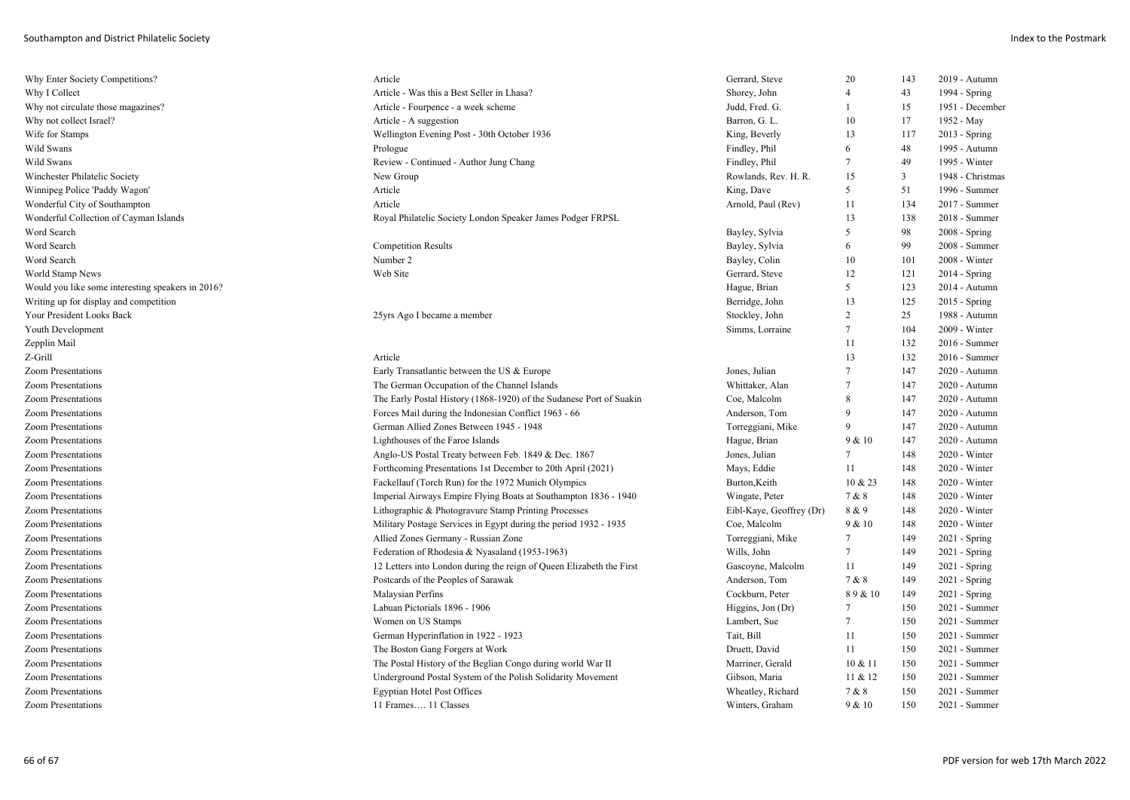| Why Enter Society Competitions?                   | Article                                                              | Gerrard, Steve           | 20             | 143 | 2019 - Autumn    |
|---------------------------------------------------|----------------------------------------------------------------------|--------------------------|----------------|-----|------------------|
| Why I Collect                                     | Article - Was this a Best Seller in Lhasa?                           | Shorey, John             | $\overline{4}$ | 43  | 1994 - Spring    |
| Why not circulate those magazines?                | Article - Fourpence - a week scheme                                  | Judd, Fred. G.           | -1             | 15  | 1951 - December  |
| Why not collect Israel?                           | Article - A suggestion                                               | Barron, G. L.            | 10             | 17  | 1952 - May       |
| Wife for Stamps                                   | Wellington Evening Post - 30th October 1936                          | King, Beverly            | 13             | 117 | $2013 - Spring$  |
| Wild Swans                                        | Prologue                                                             | Findley, Phil            | 6              | 48  | 1995 - Autumn    |
| Wild Swans                                        | Review - Continued - Author Jung Chang                               | Findley, Phil            | 7              | 49  | 1995 - Winter    |
| Winchester Philatelic Society                     | New Group                                                            | Rowlands, Rev. H. R.     | 15             | 3   | 1948 - Christmas |
| Winnipeg Police 'Paddy Wagon'                     | Article                                                              | King, Dave               | 5              | 51  | 1996 - Summer    |
| Wonderful City of Southampton                     | Article                                                              | Arnold, Paul (Rev)       | 11             | 134 | 2017 - Summer    |
| Wonderful Collection of Cayman Islands            | Royal Philatelic Society London Speaker James Podger FRPSL           |                          | 13             | 138 | 2018 - Summer    |
| Word Search                                       |                                                                      | Bayley, Sylvia           | 5              | 98  | $2008 - Spring$  |
| Word Search                                       | <b>Competition Results</b>                                           | Bayley, Sylvia           | 6              | 99  | 2008 - Summer    |
| Word Search                                       | Number 2                                                             | Bayley, Colin            | 10             | 101 | 2008 - Winter    |
| World Stamp News                                  | Web Site                                                             | Gerrard, Steve           | 12             | 121 | $2014 - Spring$  |
| Would you like some interesting speakers in 2016? |                                                                      | Hague, Brian             | 5              | 123 | 2014 - Autumn    |
| Writing up for display and competition            |                                                                      | Berridge, John           | 13             | 125 | $2015 -$ Spring  |
| Your President Looks Back                         | 25yrs Ago I became a member                                          | Stockley, John           | 2              | 25  | 1988 - Autumn    |
| Youth Development                                 |                                                                      | Simms, Lorraine          | 7              | 104 | 2009 - Winter    |
| Zepplin Mail                                      |                                                                      |                          | 11             | 132 | 2016 - Summer    |
| Z-Grill                                           | Article                                                              |                          | 13             | 132 | 2016 - Summer    |
| <b>Zoom Presentations</b>                         | Early Transatlantic between the US & Europe                          | Jones, Julian            | 7              | 147 | 2020 - Autumn    |
| <b>Zoom Presentations</b>                         | The German Occupation of the Channel Islands                         | Whittaker, Alan          | 7              | 147 | 2020 - Autumn    |
| <b>Zoom Presentations</b>                         | The Early Postal History (1868-1920) of the Sudanese Port of Suakin  | Coe, Malcolm             | 8              | 147 | 2020 - Autumn    |
| <b>Zoom Presentations</b>                         | Forces Mail during the Indonesian Conflict 1963 - 66                 | Anderson, Tom            | 9              | 147 | 2020 - Autumn    |
| Zoom Presentations                                | German Allied Zones Between 1945 - 1948                              | Torreggiani, Mike        | 9              | 147 | 2020 - Autumn    |
| <b>Zoom Presentations</b>                         | Lighthouses of the Faroe Islands                                     | Hague, Brian             | 9 & 10         | 147 | 2020 - Autumn    |
| <b>Zoom Presentations</b>                         | Anglo-US Postal Treaty between Feb. 1849 & Dec. 1867                 | Jones, Julian            | 7              | 148 | 2020 - Winter    |
| Zoom Presentations                                | Forthcoming Presentations 1st December to 20th April (2021)          | Mays, Eddie              | 11             | 148 | 2020 - Winter    |
| <b>Zoom Presentations</b>                         | Fackellauf (Torch Run) for the 1972 Munich Olympics                  | Burton, Keith            | $10 \& 23$     | 148 | 2020 - Winter    |
| <b>Zoom Presentations</b>                         | Imperial Airways Empire Flying Boats at Southampton 1836 - 1940      | Wingate, Peter           | 7 & 8          | 148 | 2020 - Winter    |
| Zoom Presentations                                | Lithographic & Photogravure Stamp Printing Processes                 | Eibl-Kaye, Geoffrey (Dr) | 8 & 9          | 148 | 2020 - Winter    |
| <b>Zoom Presentations</b>                         | Military Postage Services in Egypt during the period 1932 - 1935     | Coe, Malcolm             | 9 & 10         | 148 | 2020 - Winter    |
| <b>Zoom Presentations</b>                         | Allied Zones Germany - Russian Zone                                  | Torreggiani, Mike        | 7              | 149 | 2021 - Spring    |
| <b>Zoom Presentations</b>                         | Federation of Rhodesia & Nyasaland (1953-1963)                       | Wills, John              | $\tau$         | 149 | 2021 - Spring    |
| Zoom Presentations                                | 12 Letters into London during the reign of Queen Elizabeth the First | Gascoyne, Malcolm        | 11             | 149 | $2021 -$ Spring  |
| Zoom Presentations                                | Postcards of the Peoples of Sarawak                                  | Anderson, Tom            | 7 & 8          | 149 | 2021 - Spring    |
| <b>Zoom Presentations</b>                         | Malaysian Perfins                                                    | Cockburn, Peter          | 89&10          | 149 | $2021 -$ Spring  |
| Zoom Presentations                                | Labuan Pictorials 1896 - 1906                                        | Higgins, Jon (Dr)        | 7              | 150 | 2021 - Summer    |
| <b>Zoom Presentations</b>                         | Women on US Stamps                                                   | Lambert, Sue             | 7              | 150 | 2021 - Summer    |
| Zoom Presentations                                | German Hyperinflation in 1922 - 1923                                 | Tait, Bill               | 11             | 150 | 2021 - Summer    |
| <b>Zoom Presentations</b>                         | The Boston Gang Forgers at Work                                      | Druett, David            | 11             | 150 | 2021 - Summer    |
| <b>Zoom Presentations</b>                         | The Postal History of the Beglian Congo during world War II          | Marriner, Gerald         | 10 & 11        | 150 | 2021 - Summer    |
| <b>Zoom Presentations</b>                         | Underground Postal System of the Polish Solidarity Movement          | Gibson, Maria            | 11 & 12        | 150 | 2021 - Summer    |
| <b>Zoom Presentations</b>                         | <b>Egyptian Hotel Post Offices</b>                                   | Wheatley, Richard        | 7 & 8          | 150 | 2021 - Summer    |
| Zoom Presentations                                | 11 Frames 11 Classes                                                 | Winters, Graham          | 9 & 10         | 150 | $2021 - Summer$  |